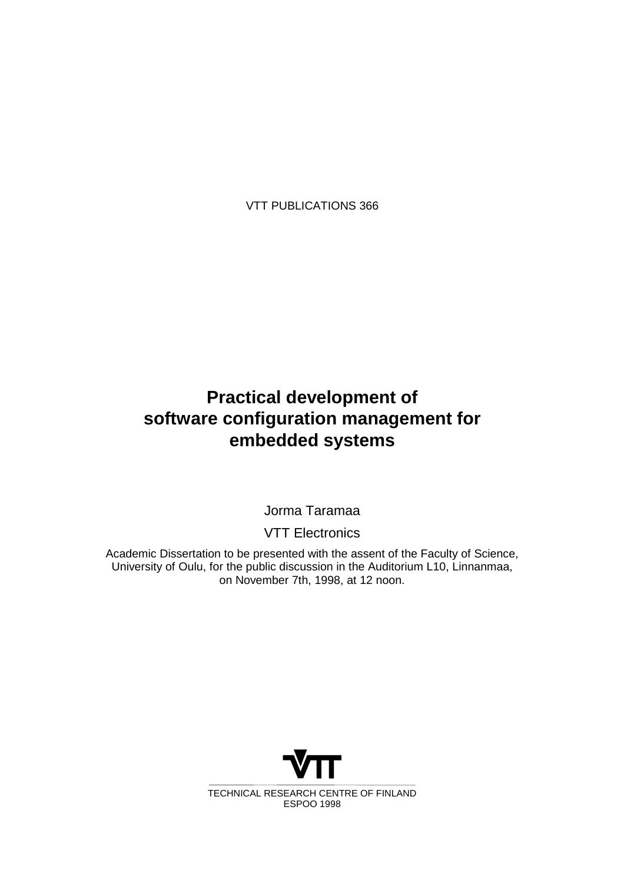VTT PUBLICATIONS 366

## **Practical development of software configuration management for embedded systems**

Jorma Taramaa

VTT Electronics

Academic Dissertation to be presented with the assent of the Faculty of Science, University of Oulu, for the public discussion in the Auditorium L10, Linnanmaa, on November 7th, 1998, at 12 noon.

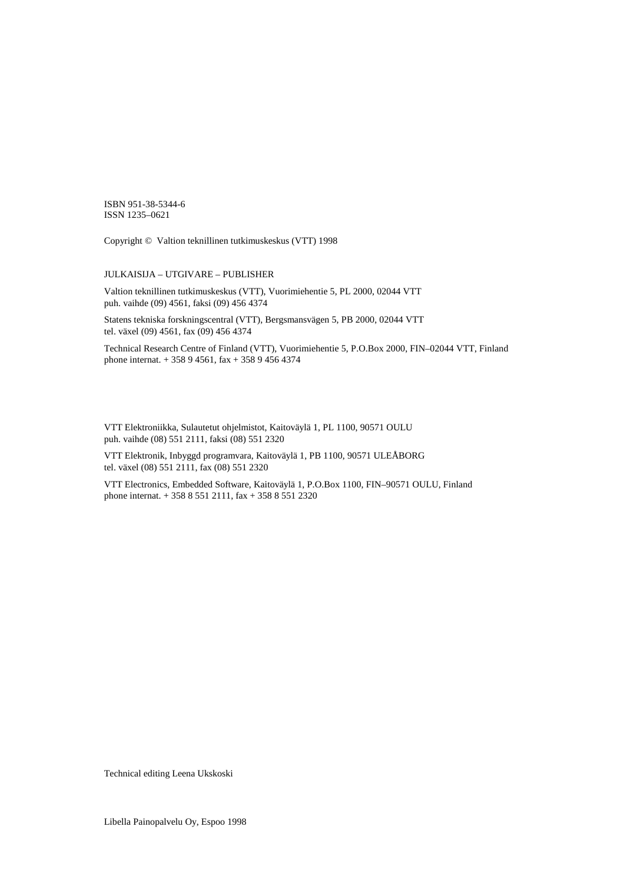ISBN 951-38-5344-6 ISSN 1235–0621

Copyright © Valtion teknillinen tutkimuskeskus (VTT) 1998

#### JULKAISIJA – UTGIVARE – PUBLISHER

Valtion teknillinen tutkimuskeskus (VTT), Vuorimiehentie 5, PL 2000, 02044 VTT puh. vaihde (09) 4561, faksi (09) 456 4374

Statens tekniska forskningscentral (VTT), Bergsmansvägen 5, PB 2000, 02044 VTT tel. växel (09) 4561, fax (09) 456 4374

Technical Research Centre of Finland (VTT), Vuorimiehentie 5, P.O.Box 2000, FIN–02044 VTT, Finland phone internat. + 358 9 4561, fax + 358 9 456 4374

VTT Elektroniikka, Sulautetut ohjelmistot, Kaitoväylä 1, PL 1100, 90571 OULU puh. vaihde (08) 551 2111, faksi (08) 551 2320

VTT Elektronik, Inbyggd programvara, Kaitoväylä 1, PB 1100, 90571 ULEÅBORG tel. växel (08) 551 2111, fax (08) 551 2320

VTT Electronics, Embedded Software, Kaitoväylä 1, P.O.Box 1100, FIN–90571 OULU, Finland phone internat. + 358 8 551 2111, fax + 358 8 551 2320

Technical editing Leena Ukskoski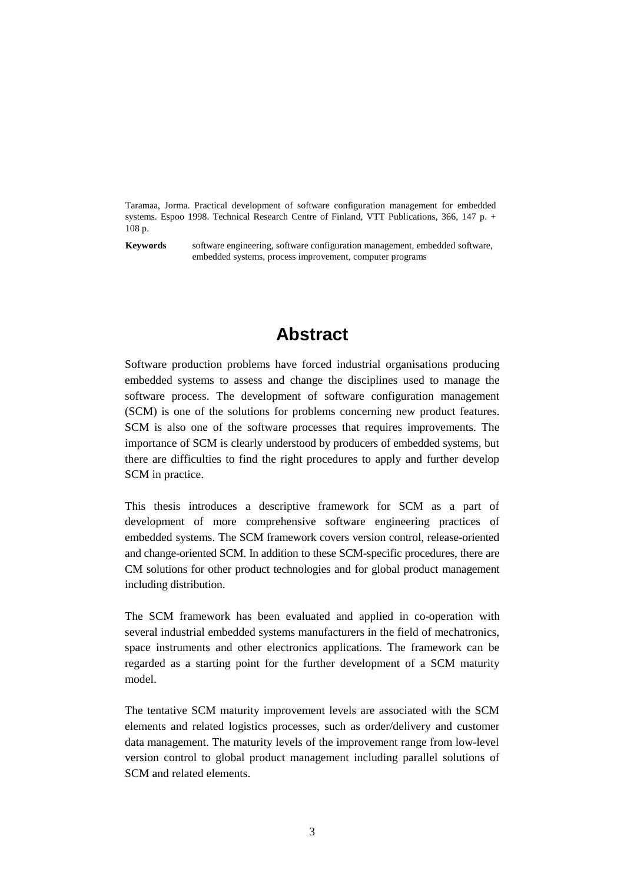Taramaa, Jorma. Practical development of software configuration management for embedded systems. Espoo 1998. Technical Research Centre of Finland, VTT Publications, 366, 147 p. + 108 p.

**Keywords** software engineering, software configuration management, embedded software, embedded systems, process improvement, computer programs

## **Abstract**

Software production problems have forced industrial organisations producing embedded systems to assess and change the disciplines used to manage the software process. The development of software configuration management (SCM) is one of the solutions for problems concerning new product features. SCM is also one of the software processes that requires improvements. The importance of SCM is clearly understood by producers of embedded systems, but there are difficulties to find the right procedures to apply and further develop SCM in practice.

This thesis introduces a descriptive framework for SCM as a part of development of more comprehensive software engineering practices of embedded systems. The SCM framework covers version control, release-oriented and change-oriented SCM. In addition to these SCM-specific procedures, there are CM solutions for other product technologies and for global product management including distribution.

The SCM framework has been evaluated and applied in co-operation with several industrial embedded systems manufacturers in the field of mechatronics, space instruments and other electronics applications. The framework can be regarded as a starting point for the further development of a SCM maturity model.

The tentative SCM maturity improvement levels are associated with the SCM elements and related logistics processes, such as order/delivery and customer data management. The maturity levels of the improvement range from low-level version control to global product management including parallel solutions of SCM and related elements.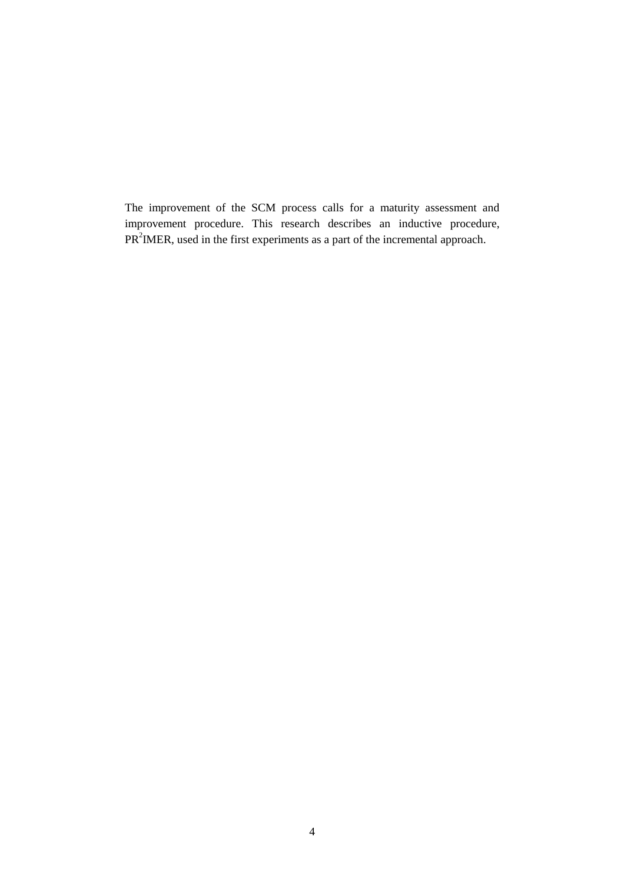The improvement of the SCM process calls for a maturity assessment and improvement procedure. This research describes an inductive procedure,  $PR<sup>2</sup>IMER$ , used in the first experiments as a part of the incremental approach.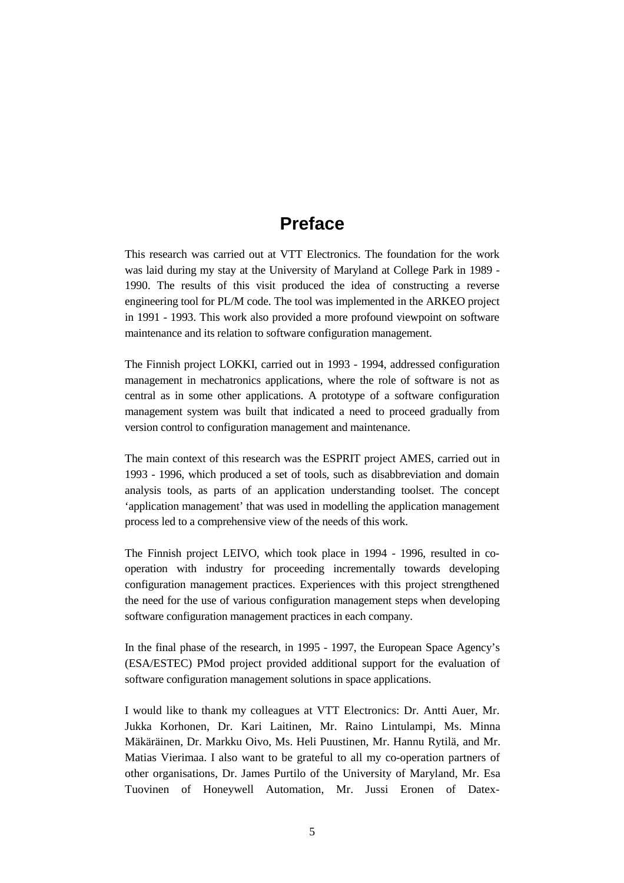## **Preface**

This research was carried out at VTT Electronics. The foundation for the work was laid during my stay at the University of Maryland at College Park in 1989 - 1990. The results of this visit produced the idea of constructing a reverse engineering tool for PL/M code. The tool was implemented in the ARKEO project in 1991 - 1993. This work also provided a more profound viewpoint on software maintenance and its relation to software configuration management.

The Finnish project LOKKI, carried out in 1993 - 1994, addressed configuration management in mechatronics applications, where the role of software is not as central as in some other applications. A prototype of a software configuration management system was built that indicated a need to proceed gradually from version control to configuration management and maintenance.

The main context of this research was the ESPRIT project AMES, carried out in 1993 - 1996, which produced a set of tools, such as disabbreviation and domain analysis tools, as parts of an application understanding toolset. The concept 'application management' that was used in modelling the application management process led to a comprehensive view of the needs of this work.

The Finnish project LEIVO, which took place in 1994 - 1996, resulted in cooperation with industry for proceeding incrementally towards developing configuration management practices. Experiences with this project strengthened the need for the use of various configuration management steps when developing software configuration management practices in each company.

In the final phase of the research, in 1995 - 1997, the European Space Agency's (ESA/ESTEC) PMod project provided additional support for the evaluation of software configuration management solutions in space applications.

I would like to thank my colleagues at VTT Electronics: Dr. Antti Auer, Mr. Jukka Korhonen, Dr. Kari Laitinen, Mr. Raino Lintulampi, Ms. Minna Mäkäräinen, Dr. Markku Oivo, Ms. Heli Puustinen, Mr. Hannu Rytilä, and Mr. Matias Vierimaa. I also want to be grateful to all my co-operation partners of other organisations, Dr. James Purtilo of the University of Maryland, Mr. Esa Tuovinen of Honeywell Automation, Mr. Jussi Eronen of Datex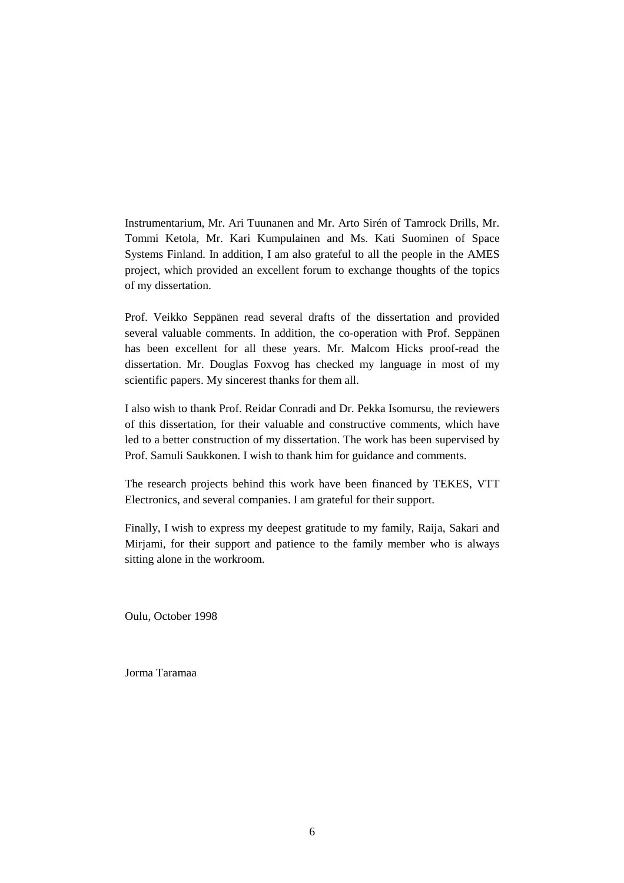Instrumentarium, Mr. Ari Tuunanen and Mr. Arto Sirén of Tamrock Drills, Mr. Tommi Ketola, Mr. Kari Kumpulainen and Ms. Kati Suominen of Space Systems Finland. In addition, I am also grateful to all the people in the AMES project, which provided an excellent forum to exchange thoughts of the topics of my dissertation.

Prof. Veikko Seppänen read several drafts of the dissertation and provided several valuable comments. In addition, the co-operation with Prof. Seppänen has been excellent for all these years. Mr. Malcom Hicks proof-read the dissertation. Mr. Douglas Foxvog has checked my language in most of my scientific papers. My sincerest thanks for them all.

I also wish to thank Prof. Reidar Conradi and Dr. Pekka Isomursu, the reviewers of this dissertation, for their valuable and constructive comments, which have led to a better construction of my dissertation. The work has been supervised by Prof. Samuli Saukkonen. I wish to thank him for guidance and comments.

The research projects behind this work have been financed by TEKES, VTT Electronics, and several companies. I am grateful for their support.

Finally, I wish to express my deepest gratitude to my family, Raija, Sakari and Mirjami, for their support and patience to the family member who is always sitting alone in the workroom.

Oulu, October 1998

Jorma Taramaa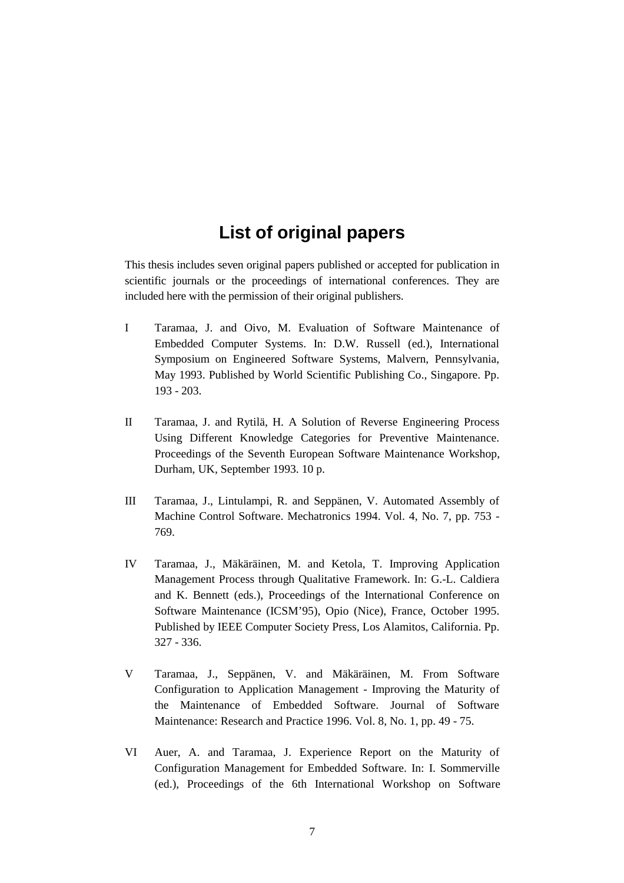## **List of original papers**

This thesis includes seven original papers published or accepted for publication in scientific journals or the proceedings of international conferences. They are included here with the permission of their original publishers.

- I Taramaa, J. and Oivo, M. Evaluation of Software Maintenance of Embedded Computer Systems. In: D.W. Russell (ed.), International Symposium on Engineered Software Systems, Malvern, Pennsylvania, May 1993. Published by World Scientific Publishing Co., Singapore. Pp. 193 - 203.
- II Taramaa, J. and Rytilä, H. A Solution of Reverse Engineering Process Using Different Knowledge Categories for Preventive Maintenance. Proceedings of the Seventh European Software Maintenance Workshop, Durham, UK, September 1993. 10 p.
- III Taramaa, J., Lintulampi, R. and Seppänen, V. Automated Assembly of Machine Control Software. Mechatronics 1994. Vol. 4, No. 7, pp. 753 - 769.
- IV Taramaa, J., Mäkäräinen, M. and Ketola, T. Improving Application Management Process through Qualitative Framework. In: G.-L. Caldiera and K. Bennett (eds.), Proceedings of the International Conference on Software Maintenance (ICSM'95), Opio (Nice), France, October 1995. Published by IEEE Computer Society Press, Los Alamitos, California. Pp. 327 - 336.
- V Taramaa, J., Seppänen, V. and Mäkäräinen, M. From Software Configuration to Application Management - Improving the Maturity of the Maintenance of Embedded Software. Journal of Software Maintenance: Research and Practice 1996. Vol. 8, No. 1, pp. 49 - 75.
- VI Auer, A. and Taramaa, J. Experience Report on the Maturity of Configuration Management for Embedded Software. In: I. Sommerville (ed.), Proceedings of the 6th International Workshop on Software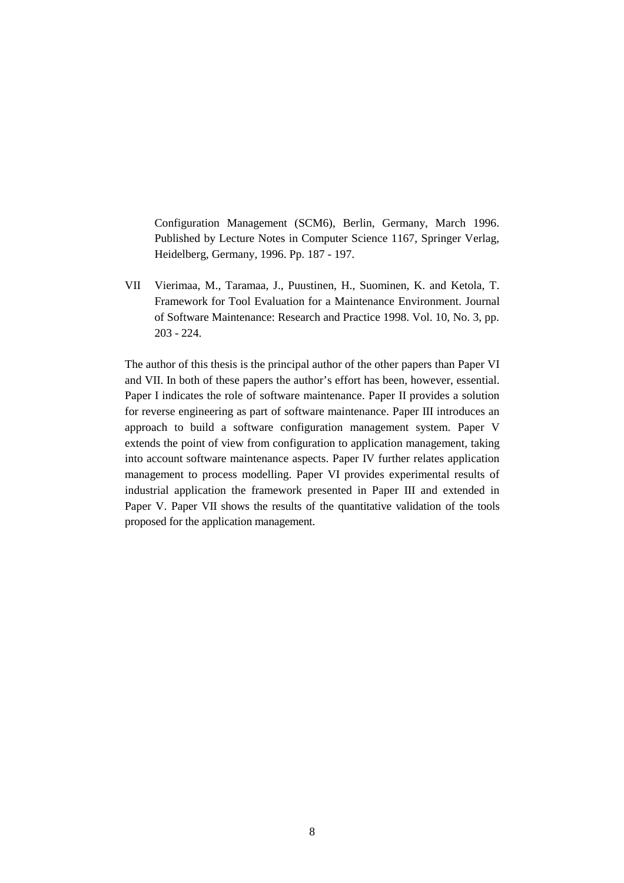Configuration Management (SCM6), Berlin, Germany, March 1996. Published by Lecture Notes in Computer Science 1167, Springer Verlag, Heidelberg, Germany, 1996. Pp. 187 - 197.

VII Vierimaa, M., Taramaa, J., Puustinen, H., Suominen, K. and Ketola, T. Framework for Tool Evaluation for a Maintenance Environment. Journal of Software Maintenance: Research and Practice 1998. Vol. 10, No. 3, pp. 203 - 224.

The author of this thesis is the principal author of the other papers than Paper VI and VII. In both of these papers the author's effort has been, however, essential. Paper I indicates the role of software maintenance. Paper II provides a solution for reverse engineering as part of software maintenance. Paper III introduces an approach to build a software configuration management system. Paper V extends the point of view from configuration to application management, taking into account software maintenance aspects. Paper IV further relates application management to process modelling. Paper VI provides experimental results of industrial application the framework presented in Paper III and extended in Paper V. Paper VII shows the results of the quantitative validation of the tools proposed for the application management.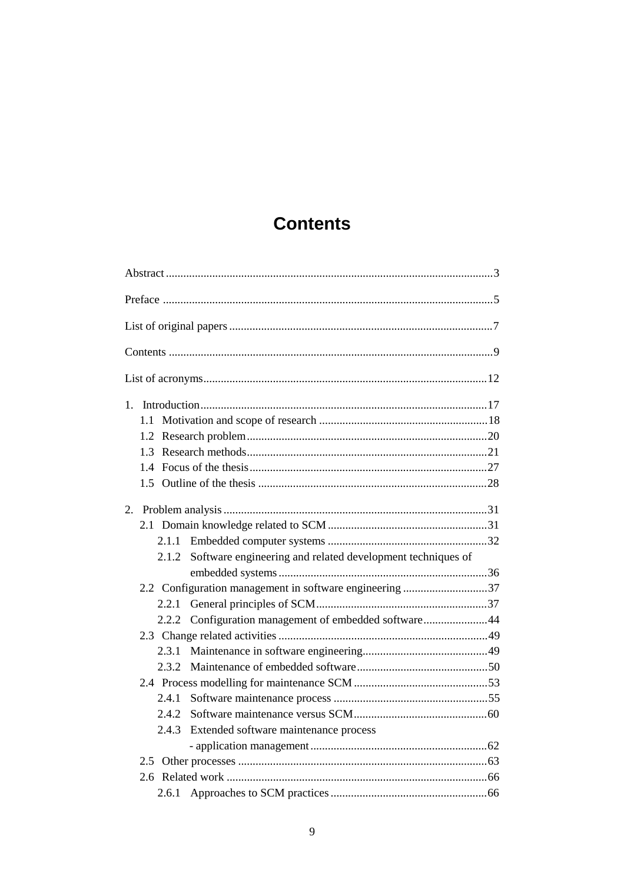## **Contents**

| $1_{-}$                                                          |
|------------------------------------------------------------------|
|                                                                  |
| 1.2                                                              |
| 1.3                                                              |
|                                                                  |
|                                                                  |
|                                                                  |
|                                                                  |
|                                                                  |
| 2.1.2 Software engineering and related development techniques of |
|                                                                  |
| 2.2 Configuration management in software engineering 37          |
| 2.2.1                                                            |
| 2.2.2 Configuration management of embedded software44            |
|                                                                  |
|                                                                  |
| 2.3.2                                                            |
|                                                                  |
| 2.4.1                                                            |
|                                                                  |
| 2.4.3<br>Extended software maintenance process                   |
|                                                                  |
|                                                                  |
|                                                                  |
|                                                                  |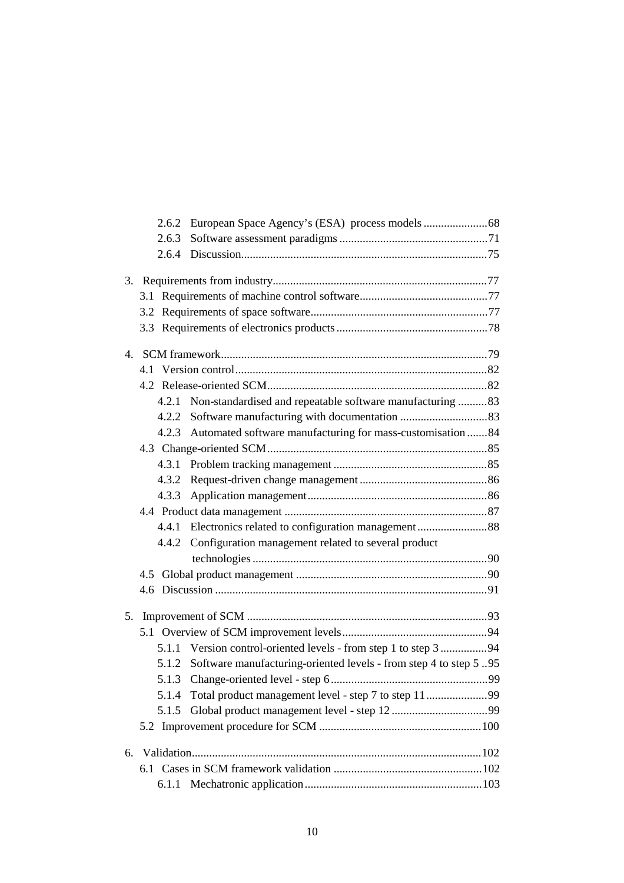| 2.6.3 |                                                                   |  |
|-------|-------------------------------------------------------------------|--|
|       |                                                                   |  |
|       |                                                                   |  |
|       |                                                                   |  |
|       |                                                                   |  |
|       |                                                                   |  |
|       |                                                                   |  |
|       |                                                                   |  |
|       |                                                                   |  |
|       | 4.2.1 Non-standardised and repeatable software manufacturing 83   |  |
|       |                                                                   |  |
|       | 4.2.3 Automated software manufacturing for mass-customisation 84  |  |
|       |                                                                   |  |
|       |                                                                   |  |
|       |                                                                   |  |
| 4.3.3 |                                                                   |  |
|       |                                                                   |  |
|       |                                                                   |  |
|       | 4.4.2 Configuration management related to several product         |  |
|       |                                                                   |  |
|       |                                                                   |  |
|       |                                                                   |  |
|       |                                                                   |  |
|       |                                                                   |  |
|       | 5.1.1 Version control-oriented levels - from step 1 to step 3 94  |  |
| 5.1.2 | Software manufacturing-oriented levels - from step 4 to step 5.95 |  |
|       |                                                                   |  |
| 5.1.4 |                                                                   |  |
| 5.1.5 |                                                                   |  |
|       |                                                                   |  |
|       |                                                                   |  |
|       |                                                                   |  |
| 6.1.1 |                                                                   |  |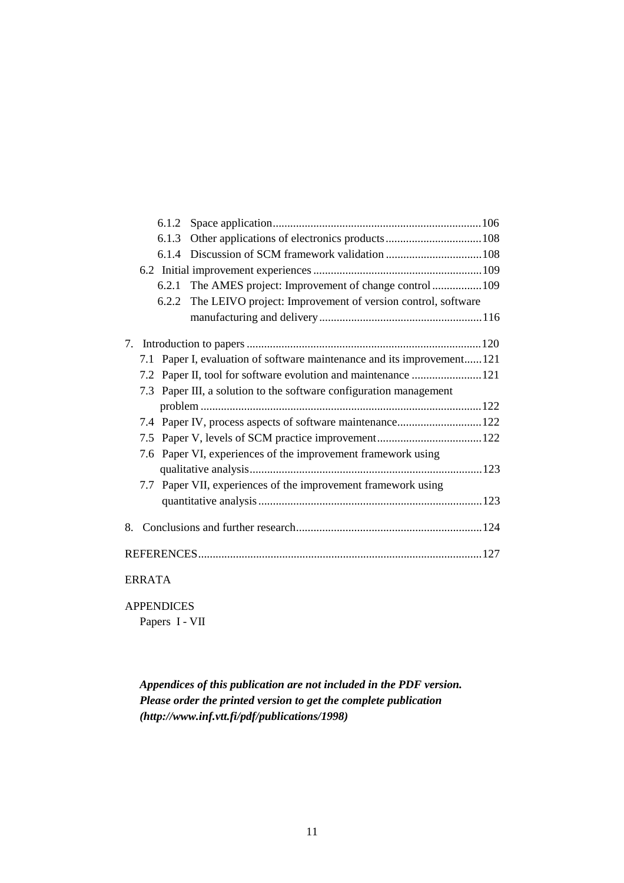|    | 6.1.3 |                                                                        |  |
|----|-------|------------------------------------------------------------------------|--|
|    |       |                                                                        |  |
|    |       |                                                                        |  |
|    | 6.2.1 | The AMES project: Improvement of change control  109                   |  |
|    |       | 6.2.2 The LEIVO project: Improvement of version control, software      |  |
|    |       |                                                                        |  |
|    |       |                                                                        |  |
|    |       | 7.1 Paper I, evaluation of software maintenance and its improvement121 |  |
|    |       | 7.2 Paper II, tool for software evolution and maintenance 121          |  |
|    |       | 7.3 Paper III, a solution to the software configuration management     |  |
|    |       |                                                                        |  |
|    |       | 7.4 Paper IV, process aspects of software maintenance 122              |  |
|    |       |                                                                        |  |
|    |       | 7.6 Paper VI, experiences of the improvement framework using           |  |
|    |       |                                                                        |  |
|    |       | 7.7 Paper VII, experiences of the improvement framework using          |  |
|    |       |                                                                        |  |
| 8. |       |                                                                        |  |
|    |       |                                                                        |  |
|    |       |                                                                        |  |

## ERRATA

APPENDICES

Papers I - VII

*Appendices of this publication are not included in the PDF version. Please order the printed version to get the complete publication (http://www.inf.vtt.fi/pdf/publications/1998)*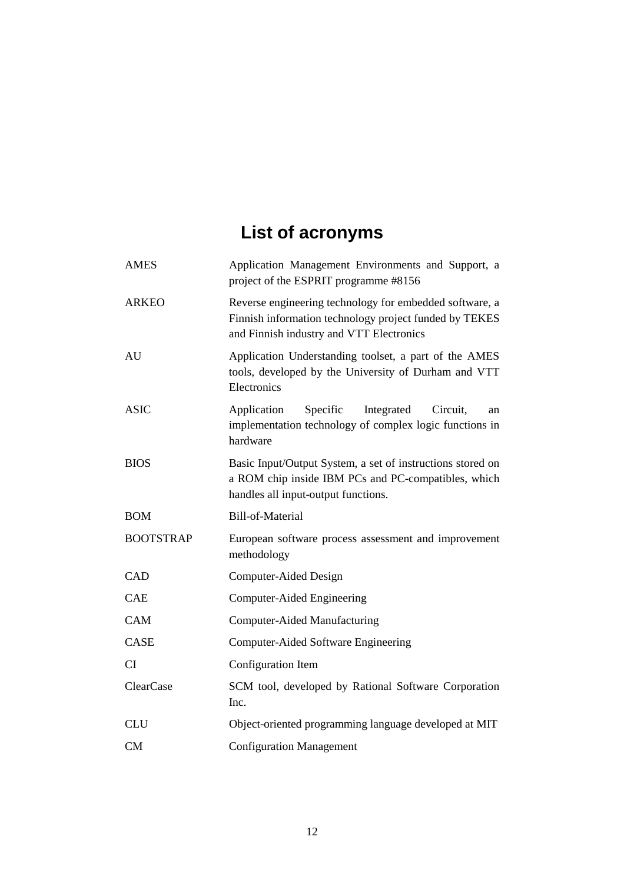# **List of acronyms**

| <b>AMES</b>      | Application Management Environments and Support, a<br>project of the ESPRIT programme #8156                                                                   |  |  |
|------------------|---------------------------------------------------------------------------------------------------------------------------------------------------------------|--|--|
| <b>ARKEO</b>     | Reverse engineering technology for embedded software, a<br>Finnish information technology project funded by TEKES<br>and Finnish industry and VTT Electronics |  |  |
| AU               | Application Understanding toolset, a part of the AMES<br>tools, developed by the University of Durham and VTT<br>Electronics                                  |  |  |
| <b>ASIC</b>      | Application<br>Specific<br>Integrated<br>Circuit,<br>an<br>implementation technology of complex logic functions in<br>hardware                                |  |  |
| <b>BIOS</b>      | Basic Input/Output System, a set of instructions stored on<br>a ROM chip inside IBM PCs and PC-compatibles, which<br>handles all input-output functions.      |  |  |
| <b>BOM</b>       | Bill-of-Material                                                                                                                                              |  |  |
| <b>BOOTSTRAP</b> | European software process assessment and improvement<br>methodology                                                                                           |  |  |
| CAD              | Computer-Aided Design                                                                                                                                         |  |  |
| <b>CAE</b>       | Computer-Aided Engineering                                                                                                                                    |  |  |
| CAM              | <b>Computer-Aided Manufacturing</b>                                                                                                                           |  |  |
| CASE             | <b>Computer-Aided Software Engineering</b>                                                                                                                    |  |  |
| <b>CI</b>        | Configuration Item                                                                                                                                            |  |  |
| ClearCase        | SCM tool, developed by Rational Software Corporation<br>Inc.                                                                                                  |  |  |
|                  | Object-oriented programming language developed at MIT                                                                                                         |  |  |
| <b>CLU</b>       |                                                                                                                                                               |  |  |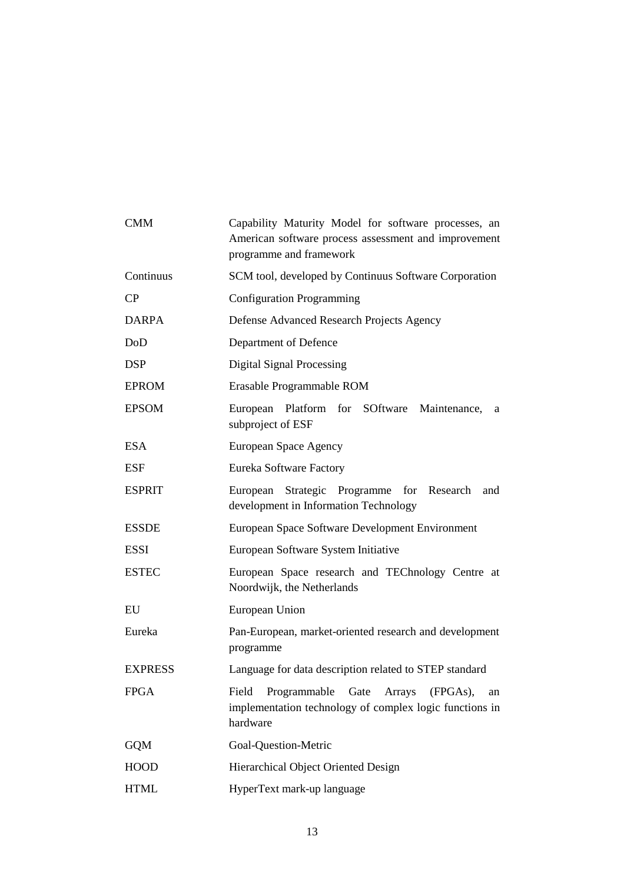| <b>CMM</b>     | Capability Maturity Model for software processes, an<br>American software process assessment and improvement<br>programme and framework |  |  |
|----------------|-----------------------------------------------------------------------------------------------------------------------------------------|--|--|
| Continuus      | SCM tool, developed by Continuus Software Corporation                                                                                   |  |  |
| CP             | <b>Configuration Programming</b>                                                                                                        |  |  |
| <b>DARPA</b>   | Defense Advanced Research Projects Agency                                                                                               |  |  |
| DoD            | Department of Defence                                                                                                                   |  |  |
| <b>DSP</b>     | <b>Digital Signal Processing</b>                                                                                                        |  |  |
| <b>EPROM</b>   | Erasable Programmable ROM                                                                                                               |  |  |
| <b>EPSOM</b>   | European Platform for SOftware<br>Maintenance,<br>a<br>subproject of ESF                                                                |  |  |
| <b>ESA</b>     | European Space Agency                                                                                                                   |  |  |
| <b>ESF</b>     | Eureka Software Factory                                                                                                                 |  |  |
| <b>ESPRIT</b>  | European Strategic Programme<br>for Research<br>and<br>development in Information Technology                                            |  |  |
| <b>ESSDE</b>   | European Space Software Development Environment                                                                                         |  |  |
| <b>ESSI</b>    | European Software System Initiative                                                                                                     |  |  |
| <b>ESTEC</b>   | European Space research and TEChnology Centre at<br>Noordwijk, the Netherlands                                                          |  |  |
| EU             | European Union                                                                                                                          |  |  |
| Eureka         | Pan-European, market-oriented research and development<br>programme                                                                     |  |  |
| <b>EXPRESS</b> | Language for data description related to STEP standard                                                                                  |  |  |
| <b>FPGA</b>    | Programmable<br>Gate<br>Arrays<br>(FPGAs),<br>Field<br>an<br>implementation technology of complex logic functions in<br>hardware        |  |  |
| <b>GQM</b>     | Goal-Question-Metric                                                                                                                    |  |  |
| <b>HOOD</b>    | Hierarchical Object Oriented Design                                                                                                     |  |  |
| <b>HTML</b>    | HyperText mark-up language                                                                                                              |  |  |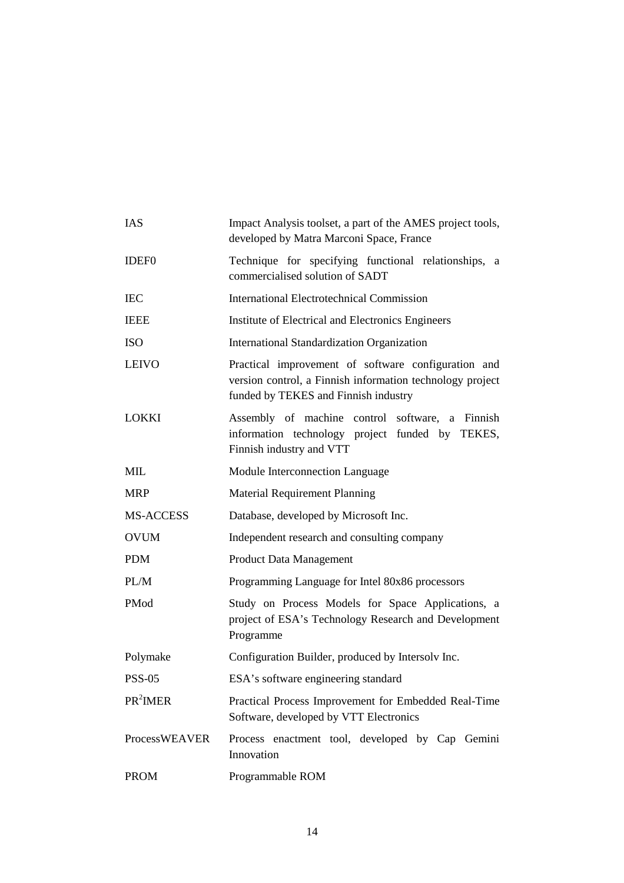| IAS                  | Impact Analysis toolset, a part of the AMES project tools,<br>developed by Matra Marconi Space, France                                                   |  |  |
|----------------------|----------------------------------------------------------------------------------------------------------------------------------------------------------|--|--|
| <b>IDEF0</b>         | Technique for specifying functional relationships, a<br>commercialised solution of SADT                                                                  |  |  |
| <b>IEC</b>           | <b>International Electrotechnical Commission</b>                                                                                                         |  |  |
| <b>IEEE</b>          | Institute of Electrical and Electronics Engineers                                                                                                        |  |  |
| <b>ISO</b>           | International Standardization Organization                                                                                                               |  |  |
| <b>LEIVO</b>         | Practical improvement of software configuration and<br>version control, a Finnish information technology project<br>funded by TEKES and Finnish industry |  |  |
| <b>LOKKI</b>         | Assembly of machine control software, a Finnish<br>information technology project funded by TEKES,<br>Finnish industry and VTT                           |  |  |
| <b>MIL</b>           | Module Interconnection Language                                                                                                                          |  |  |
| <b>MRP</b>           | <b>Material Requirement Planning</b>                                                                                                                     |  |  |
| MS-ACCESS            | Database, developed by Microsoft Inc.                                                                                                                    |  |  |
| <b>OVUM</b>          | Independent research and consulting company                                                                                                              |  |  |
| <b>PDM</b>           | <b>Product Data Management</b>                                                                                                                           |  |  |
| PL/M                 | Programming Language for Intel 80x86 processors                                                                                                          |  |  |
| PMod                 | Study on Process Models for Space Applications, a<br>project of ESA's Technology Research and Development<br>Programme                                   |  |  |
| Polymake             | Configuration Builder, produced by Intersolv Inc.                                                                                                        |  |  |
| <b>PSS-05</b>        | ESA's software engineering standard                                                                                                                      |  |  |
| PR <sup>2</sup> IMER | Practical Process Improvement for Embedded Real-Time<br>Software, developed by VTT Electronics                                                           |  |  |
| <b>ProcessWEAVER</b> | Process enactment tool, developed by Cap Gemini<br>Innovation                                                                                            |  |  |
| <b>PROM</b>          | Programmable ROM                                                                                                                                         |  |  |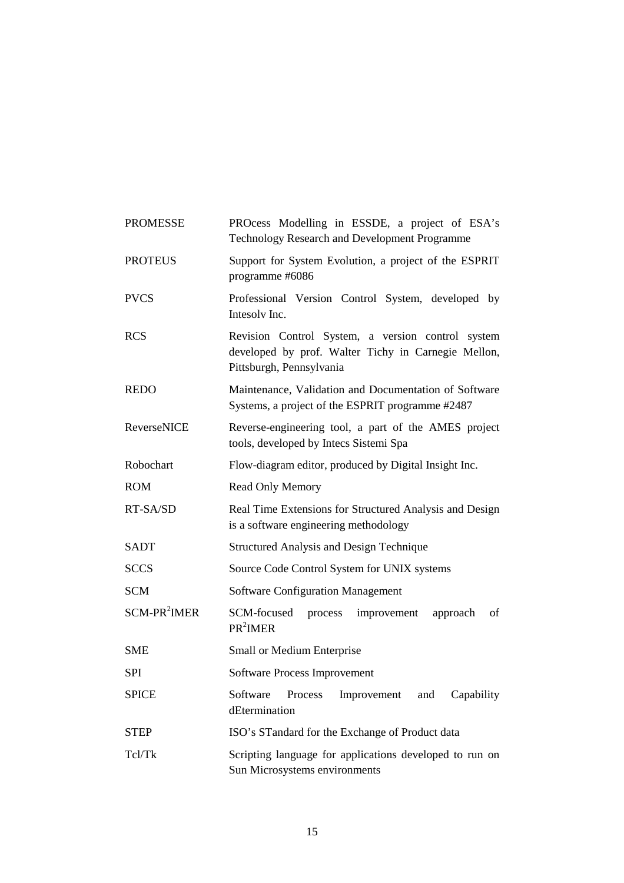| <b>PROMESSE</b>          | PROcess Modelling in ESSDE, a project of ESA's<br>Technology Research and Development Programme                                      |  |  |
|--------------------------|--------------------------------------------------------------------------------------------------------------------------------------|--|--|
| <b>PROTEUS</b>           | Support for System Evolution, a project of the ESPRIT<br>programme #6086                                                             |  |  |
| <b>PVCS</b>              | Professional Version Control System, developed by<br>Intesoly Inc.                                                                   |  |  |
| <b>RCS</b>               | Revision Control System, a version control system<br>developed by prof. Walter Tichy in Carnegie Mellon,<br>Pittsburgh, Pennsylvania |  |  |
| <b>REDO</b>              | Maintenance, Validation and Documentation of Software<br>Systems, a project of the ESPRIT programme #2487                            |  |  |
| <b>ReverseNICE</b>       | Reverse-engineering tool, a part of the AMES project<br>tools, developed by Intecs Sistemi Spa                                       |  |  |
| Robochart                | Flow-diagram editor, produced by Digital Insight Inc.                                                                                |  |  |
| <b>ROM</b>               | <b>Read Only Memory</b>                                                                                                              |  |  |
| RT-SA/SD                 | Real Time Extensions for Structured Analysis and Design<br>is a software engineering methodology                                     |  |  |
| SADT                     | <b>Structured Analysis and Design Technique</b>                                                                                      |  |  |
| <b>SCCS</b>              | Source Code Control System for UNIX systems                                                                                          |  |  |
| <b>SCM</b>               | <b>Software Configuration Management</b>                                                                                             |  |  |
| SCM-PR <sup>2</sup> IMER | SCM-focused<br>of<br>process<br>improvement<br>approach<br>PR <sup>2</sup> IMER                                                      |  |  |
| <b>SME</b>               | Small or Medium Enterprise                                                                                                           |  |  |
| SPI                      | Software Process Improvement                                                                                                         |  |  |
| <b>SPICE</b>             | Software<br>Capability<br>Process<br>Improvement<br>and<br>dEtermination                                                             |  |  |
| <b>STEP</b>              | ISO's STandard for the Exchange of Product data                                                                                      |  |  |
| Tcl/Tk                   | Scripting language for applications developed to run on<br>Sun Microsystems environments                                             |  |  |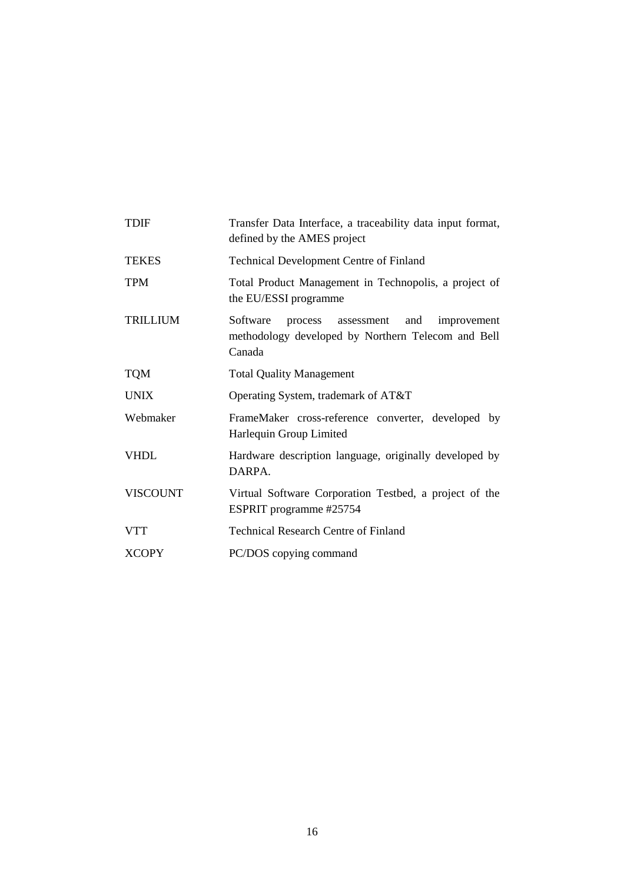| <b>TDIF</b>     | Transfer Data Interface, a traceability data input format,<br>defined by the AMES project                            |  |  |
|-----------------|----------------------------------------------------------------------------------------------------------------------|--|--|
| <b>TEKES</b>    | <b>Technical Development Centre of Finland</b>                                                                       |  |  |
| <b>TPM</b>      | Total Product Management in Technopolis, a project of<br>the EU/ESSI programme                                       |  |  |
| <b>TRILLIUM</b> | Software<br>process assessment<br>and<br>improvement<br>methodology developed by Northern Telecom and Bell<br>Canada |  |  |
| <b>TQM</b>      | <b>Total Quality Management</b>                                                                                      |  |  |
| <b>UNIX</b>     | Operating System, trademark of AT&T                                                                                  |  |  |
| Webmaker        | FrameMaker cross-reference converter, developed by<br>Harlequin Group Limited                                        |  |  |
| <b>VHDL</b>     | Hardware description language, originally developed by<br>DARPA.                                                     |  |  |
| <b>VISCOUNT</b> | Virtual Software Corporation Testbed, a project of the<br>ESPRIT programme #25754                                    |  |  |
| <b>VTT</b>      | <b>Technical Research Centre of Finland</b>                                                                          |  |  |
| <b>XCOPY</b>    | PC/DOS copying command                                                                                               |  |  |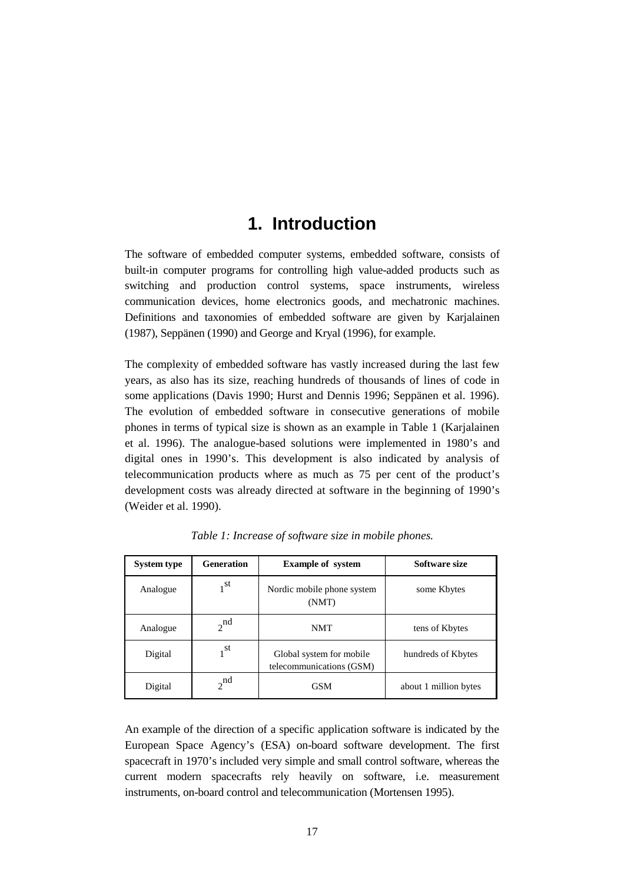## **1. Introduction**

The software of embedded computer systems, embedded software, consists of built-in computer programs for controlling high value-added products such as switching and production control systems, space instruments, wireless communication devices, home electronics goods, and mechatronic machines. Definitions and taxonomies of embedded software are given by Karjalainen (1987), Seppänen (1990) and George and Kryal (1996), for example.

The complexity of embedded software has vastly increased during the last few years, as also has its size, reaching hundreds of thousands of lines of code in some applications (Davis 1990; Hurst and Dennis 1996; Seppänen et al. 1996). The evolution of embedded software in consecutive generations of mobile phones in terms of typical size is shown as an example in Table 1 (Karjalainen et al. 1996). The analogue-based solutions were implemented in 1980's and digital ones in 1990's. This development is also indicated by analysis of telecommunication products where as much as 75 per cent of the product's development costs was already directed at software in the beginning of 1990's (Weider et al. 1990).

| <b>System type</b> | <b>Generation</b> | <b>Example of system</b>                             | Software size         |
|--------------------|-------------------|------------------------------------------------------|-----------------------|
| Analogue           | $1^{\rm st}$      | Nordic mobile phone system<br>(NMT)                  | some Kbytes           |
| Analogue           | $2^{\text{nd}}$   | <b>NMT</b>                                           | tens of Kbytes        |
| Digital            | 1 <sup>st</sup>   | Global system for mobile<br>telecommunications (GSM) | hundreds of Kbytes    |
| Digital            | $2^{nd}$          | <b>GSM</b>                                           | about 1 million bytes |

*Table 1: Increase of software size in mobile phones.*

An example of the direction of a specific application software is indicated by the European Space Agency's (ESA) on-board software development. The first spacecraft in 1970's included very simple and small control software, whereas the current modern spacecrafts rely heavily on software, i.e. measurement instruments, on-board control and telecommunication (Mortensen 1995).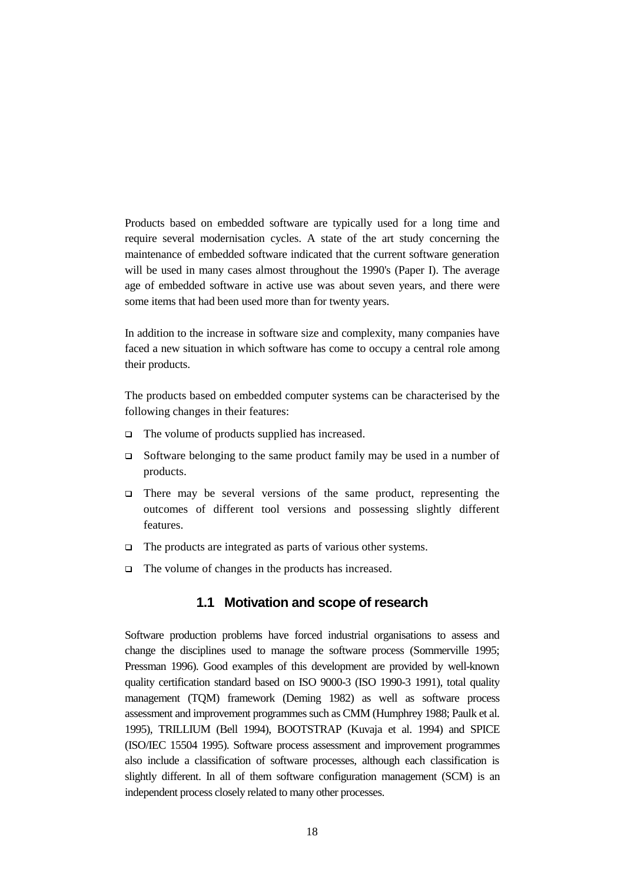Products based on embedded software are typically used for a long time and require several modernisation cycles. A state of the art study concerning the maintenance of embedded software indicated that the current software generation will be used in many cases almost throughout the 1990's (Paper I). The average age of embedded software in active use was about seven years, and there were some items that had been used more than for twenty years.

In addition to the increase in software size and complexity, many companies have faced a new situation in which software has come to occupy a central role among their products.

The products based on embedded computer systems can be characterised by the following changes in their features:

- $\Box$  The volume of products supplied has increased.
- $\Box$  Software belonging to the same product family may be used in a number of products.
- There may be several versions of the same product, representing the outcomes of different tool versions and possessing slightly different features.
- $\Box$  The products are integrated as parts of various other systems.
- $\Box$  The volume of changes in the products has increased.

#### **1.1 Motivation and scope of research**

Software production problems have forced industrial organisations to assess and change the disciplines used to manage the software process (Sommerville 1995; Pressman 1996). Good examples of this development are provided by well-known quality certification standard based on ISO 9000-3 (ISO 1990-3 1991), total quality management (TQM) framework (Deming 1982) as well as software process assessment and improvement programmes such as CMM (Humphrey 1988; Paulk et al. 1995), TRILLIUM (Bell 1994), BOOTSTRAP (Kuvaja et al. 1994) and SPICE (ISO/IEC 15504 1995). Software process assessment and improvement programmes also include a classification of software processes, although each classification is slightly different. In all of them software configuration management (SCM) is an independent process closely related to many other processes.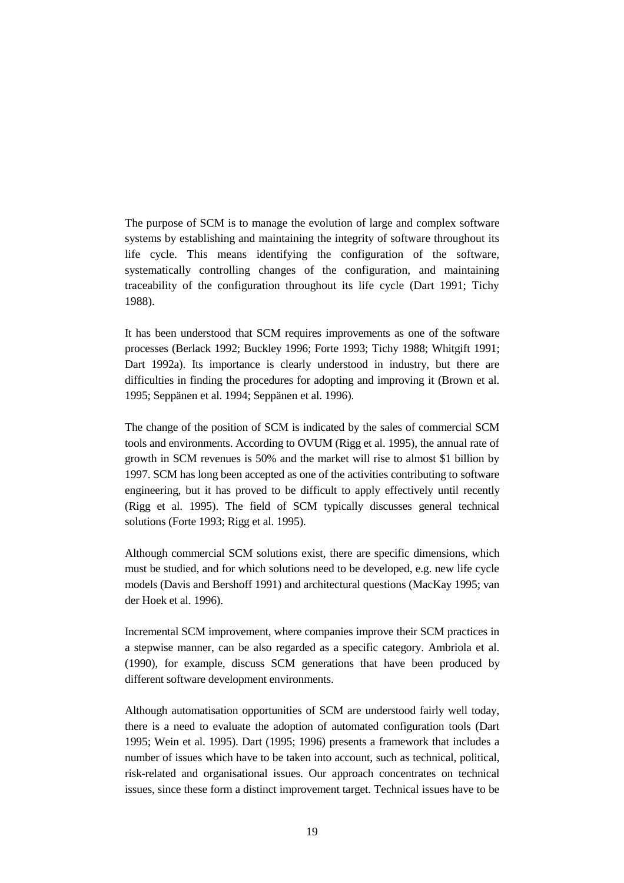The purpose of SCM is to manage the evolution of large and complex software systems by establishing and maintaining the integrity of software throughout its life cycle. This means identifying the configuration of the software, systematically controlling changes of the configuration, and maintaining traceability of the configuration throughout its life cycle (Dart 1991; Tichy 1988).

It has been understood that SCM requires improvements as one of the software processes (Berlack 1992; Buckley 1996; Forte 1993; Tichy 1988; Whitgift 1991; Dart 1992a). Its importance is clearly understood in industry, but there are difficulties in finding the procedures for adopting and improving it (Brown et al. 1995; Seppänen et al. 1994; Seppänen et al. 1996).

The change of the position of SCM is indicated by the sales of commercial SCM tools and environments. According to OVUM (Rigg et al. 1995), the annual rate of growth in SCM revenues is 50% and the market will rise to almost \$1 billion by 1997. SCM has long been accepted as one of the activities contributing to software engineering, but it has proved to be difficult to apply effectively until recently (Rigg et al. 1995). The field of SCM typically discusses general technical solutions (Forte 1993; Rigg et al. 1995).

Although commercial SCM solutions exist, there are specific dimensions, which must be studied, and for which solutions need to be developed, e.g. new life cycle models (Davis and Bershoff 1991) and architectural questions (MacKay 1995; van der Hoek et al. 1996).

Incremental SCM improvement, where companies improve their SCM practices in a stepwise manner, can be also regarded as a specific category. Ambriola et al. (1990), for example, discuss SCM generations that have been produced by different software development environments.

Although automatisation opportunities of SCM are understood fairly well today, there is a need to evaluate the adoption of automated configuration tools (Dart 1995; Wein et al. 1995). Dart (1995; 1996) presents a framework that includes a number of issues which have to be taken into account, such as technical, political, risk-related and organisational issues. Our approach concentrates on technical issues, since these form a distinct improvement target. Technical issues have to be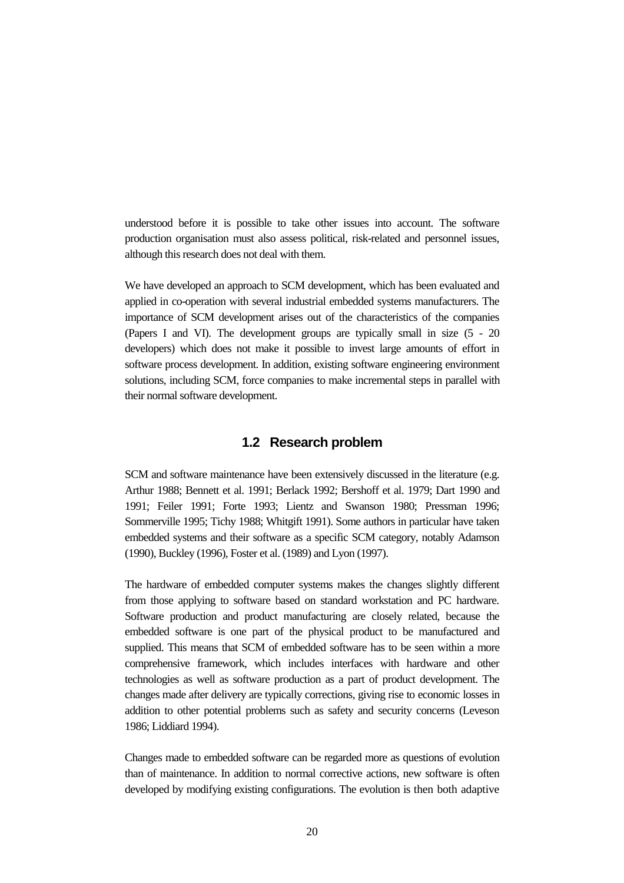understood before it is possible to take other issues into account. The software production organisation must also assess political, risk-related and personnel issues, although this research does not deal with them.

We have developed an approach to SCM development, which has been evaluated and applied in co-operation with several industrial embedded systems manufacturers. The importance of SCM development arises out of the characteristics of the companies (Papers I and VI). The development groups are typically small in size (5 - 20 developers) which does not make it possible to invest large amounts of effort in software process development. In addition, existing software engineering environment solutions, including SCM, force companies to make incremental steps in parallel with their normal software development.

#### **1.2 Research problem**

SCM and software maintenance have been extensively discussed in the literature (e.g. Arthur 1988; Bennett et al. 1991; Berlack 1992; Bershoff et al. 1979; Dart 1990 and 1991; Feiler 1991; Forte 1993; Lientz and Swanson 1980; Pressman 1996; Sommerville 1995; Tichy 1988; Whitgift 1991). Some authors in particular have taken embedded systems and their software as a specific SCM category, notably Adamson (1990), Buckley (1996), Foster et al. (1989) and Lyon (1997).

The hardware of embedded computer systems makes the changes slightly different from those applying to software based on standard workstation and PC hardware. Software production and product manufacturing are closely related, because the embedded software is one part of the physical product to be manufactured and supplied. This means that SCM of embedded software has to be seen within a more comprehensive framework, which includes interfaces with hardware and other technologies as well as software production as a part of product development. The changes made after delivery are typically corrections, giving rise to economic losses in addition to other potential problems such as safety and security concerns (Leveson 1986; Liddiard 1994).

Changes made to embedded software can be regarded more as questions of evolution than of maintenance. In addition to normal corrective actions, new software is often developed by modifying existing configurations. The evolution is then both adaptive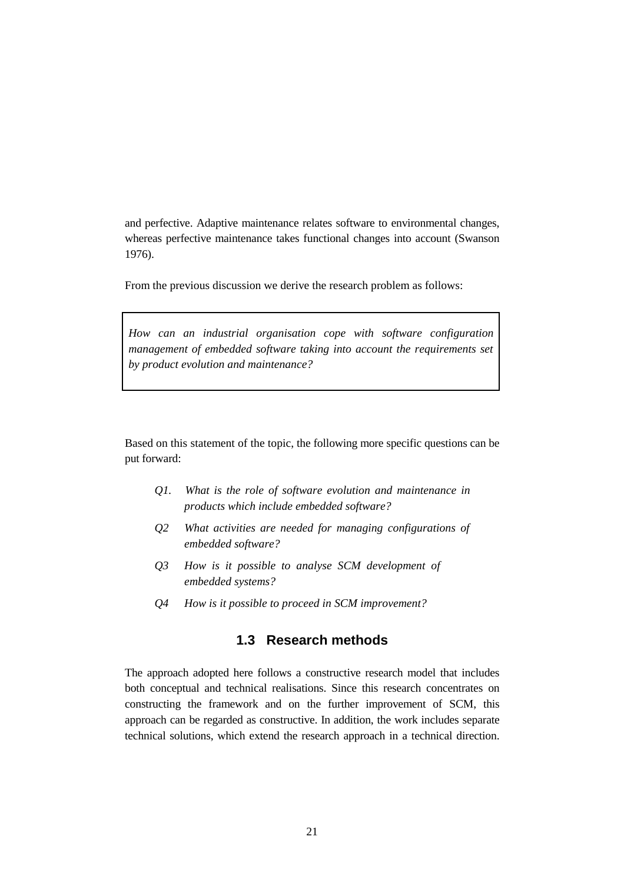and perfective. Adaptive maintenance relates software to environmental changes, whereas perfective maintenance takes functional changes into account (Swanson 1976).

From the previous discussion we derive the research problem as follows:

*How can an industrial organisation cope with software configuration management of embedded software taking into account the requirements set by product evolution and maintenance?*

Based on this statement of the topic, the following more specific questions can be put forward:

- *Q1. What is the role of software evolution and maintenance in products which include embedded software?*
- *Q2 What activities are needed for managing configurations of embedded software?*
- *Q3 How is it possible to analyse SCM development of embedded systems?*
- *Q4 How is it possible to proceed in SCM improvement?*

### **1.3 Research methods**

The approach adopted here follows a constructive research model that includes both conceptual and technical realisations. Since this research concentrates on constructing the framework and on the further improvement of SCM, this approach can be regarded as constructive. In addition, the work includes separate technical solutions, which extend the research approach in a technical direction.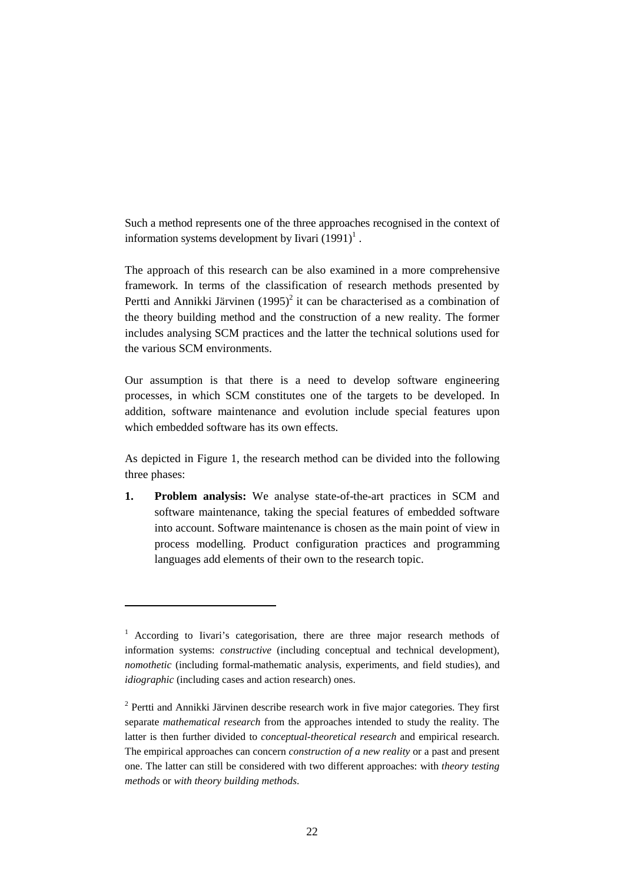Such a method represents one of the three approaches recognised in the context of information systems development by Iivari  $(1991)^{1}$ .

The approach of this research can be also examined in a more comprehensive framework. In terms of the classification of research methods presented by Pertti and Annikki Järvinen  $(1995)^2$  it can be characterised as a combination of the theory building method and the construction of a new reality. The former includes analysing SCM practices and the latter the technical solutions used for the various SCM environments.

Our assumption is that there is a need to develop software engineering processes, in which SCM constitutes one of the targets to be developed. In addition, software maintenance and evolution include special features upon which embedded software has its own effects.

As depicted in Figure 1, the research method can be divided into the following three phases:

**1. Problem analysis:** We analyse state-of-the-art practices in SCM and software maintenance, taking the special features of embedded software into account. Software maintenance is chosen as the main point of view in process modelling. Product configuration practices and programming languages add elements of their own to the research topic.

 $\overline{a}$ 

<sup>&</sup>lt;sup>1</sup> According to Iivari's categorisation, there are three major research methods of information systems: *constructive* (including conceptual and technical development), *nomothetic* (including formal-mathematic analysis, experiments, and field studies), and *idiographic* (including cases and action research) ones.

<sup>&</sup>lt;sup>2</sup> Pertti and Annikki Järvinen describe research work in five major categories. They first separate *mathematical research* from the approaches intended to study the reality. The latter is then further divided to *conceptual-theoretical research* and empirical research. The empirical approaches can concern *construction of a new reality* or a past and present one. The latter can still be considered with two different approaches: with *theory testing methods* or *with theory building methods*.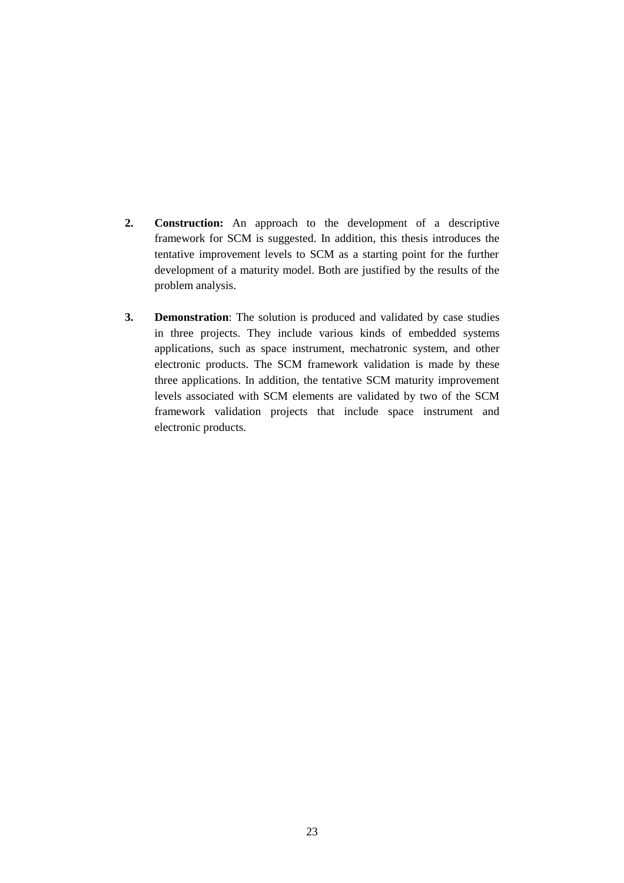- **2. Construction:** An approach to the development of a descriptive framework for SCM is suggested. In addition, this thesis introduces the tentative improvement levels to SCM as a starting point for the further development of a maturity model. Both are justified by the results of the problem analysis.
- **3. Demonstration**: The solution is produced and validated by case studies in three projects. They include various kinds of embedded systems applications, such as space instrument, mechatronic system, and other electronic products. The SCM framework validation is made by these three applications. In addition, the tentative SCM maturity improvement levels associated with SCM elements are validated by two of the SCM framework validation projects that include space instrument and electronic products.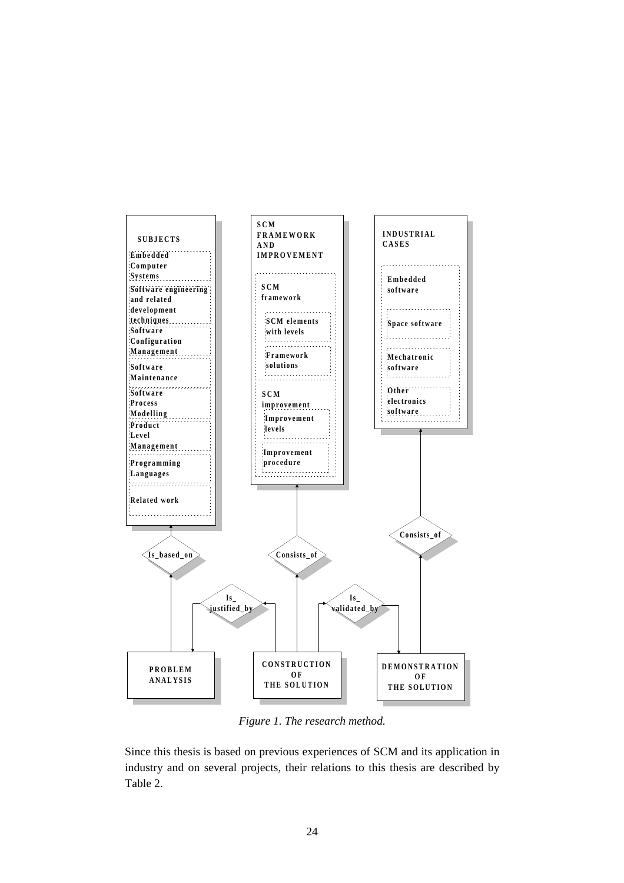

*Figure 1. The research method.*

Since this thesis is based on previous experiences of SCM and its application in industry and on several projects, their relations to this thesis are described by Table 2.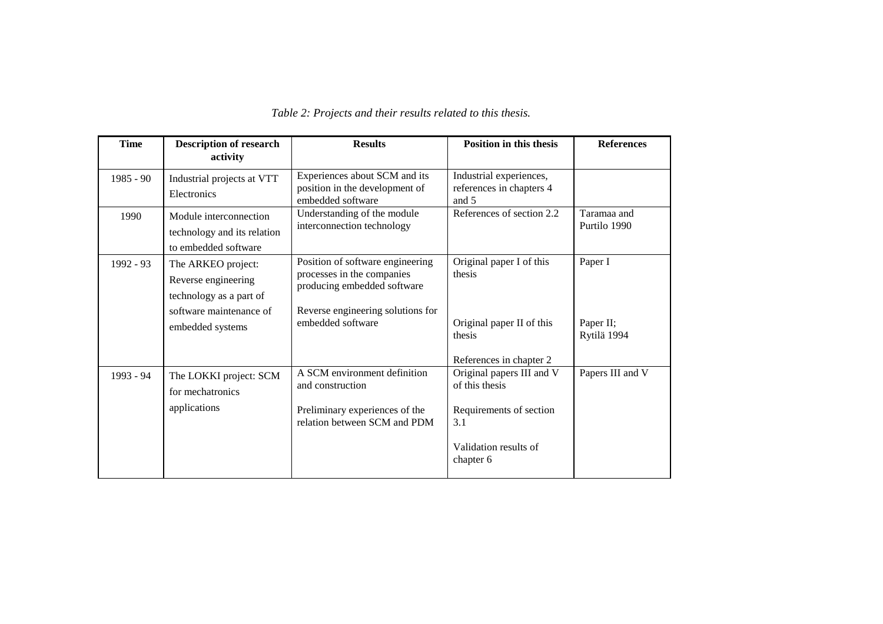| <b>Description of research</b><br>activity                                                      | <b>Results</b>                                                                                                                     | <b>Position in this thesis</b>                               | <b>References</b>                                  |
|-------------------------------------------------------------------------------------------------|------------------------------------------------------------------------------------------------------------------------------------|--------------------------------------------------------------|----------------------------------------------------|
| Industrial projects at VTT<br>Electronics                                                       | Experiences about SCM and its<br>position in the development of<br>embedded software                                               | Industrial experiences,<br>references in chapters 4<br>and 5 |                                                    |
| Module interconnection<br>technology and its relation<br>to embedded software                   | Understanding of the module<br>interconnection technology                                                                          | References of section 2.2                                    | Taramaa and<br>Purtilo 1990                        |
| The ARKEO project:<br>Reverse engineering<br>technology as a part of<br>software maintenance of | Position of software engineering<br>processes in the companies<br>producing embedded software<br>Reverse engineering solutions for | Original paper I of this<br>thesis                           | Paper I                                            |
| embedded systems                                                                                | embedded software                                                                                                                  | Original paper II of this<br>thesis                          | Paper II;<br>Rytilä 1994                           |
| The LOKKI project: SCM<br>for mechatronics                                                      | A SCM environment definition<br>and construction                                                                                   | Original papers III and V<br>of this thesis                  | Papers III and V                                   |
|                                                                                                 | relation between SCM and PDM                                                                                                       | 3.1<br>Validation results of<br>chapter 6                    |                                                    |
|                                                                                                 | applications                                                                                                                       | Preliminary experiences of the                               | References in chapter 2<br>Requirements of section |

#### *Table 2: Projects and their results related to this thesis.*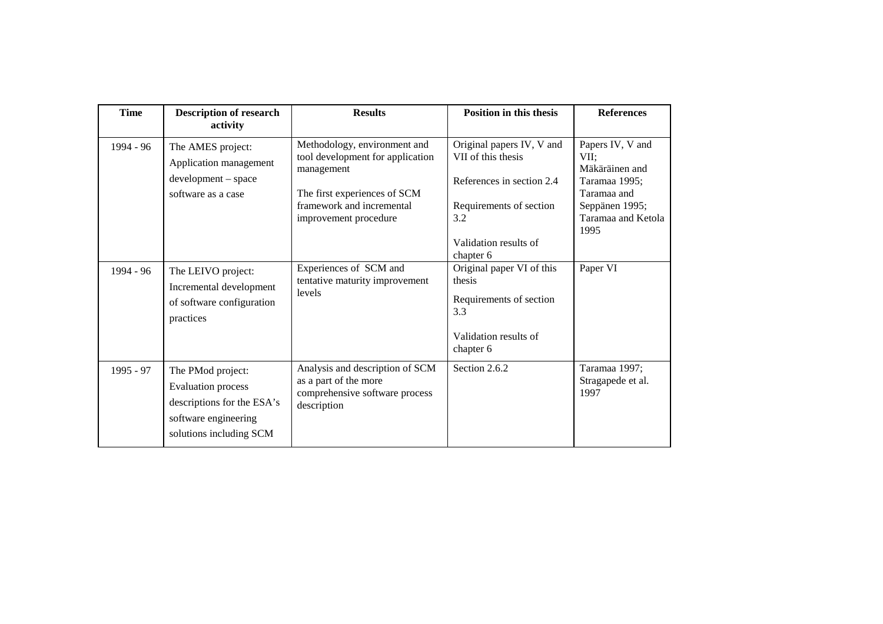| <b>Time</b> | <b>Description of research</b><br>activity                                                                                      | <b>Results</b>                                                                                                                                                       | <b>Position in this thesis</b>                                                                                                                       | <b>References</b>                                                                                                          |
|-------------|---------------------------------------------------------------------------------------------------------------------------------|----------------------------------------------------------------------------------------------------------------------------------------------------------------------|------------------------------------------------------------------------------------------------------------------------------------------------------|----------------------------------------------------------------------------------------------------------------------------|
| 1994 - 96   | The AMES project:<br>Application management<br>development - space<br>software as a case                                        | Methodology, environment and<br>tool development for application<br>management<br>The first experiences of SCM<br>framework and incremental<br>improvement procedure | Original papers IV, V and<br>VII of this thesis<br>References in section 2.4<br>Requirements of section<br>3.2<br>Validation results of<br>chapter 6 | Papers IV, V and<br>VII;<br>Mäkäräinen and<br>Taramaa 1995;<br>Taramaa and<br>Seppänen 1995;<br>Taramaa and Ketola<br>1995 |
| 1994 - 96   | The LEIVO project:<br>Incremental development<br>of software configuration<br>practices                                         | Experiences of SCM and<br>tentative maturity improvement<br>levels                                                                                                   | Original paper VI of this<br>thesis<br>Requirements of section<br>3.3<br>Validation results of<br>chapter 6                                          | Paper VI                                                                                                                   |
| 1995 - 97   | The PMod project:<br><b>Evaluation</b> process<br>descriptions for the ESA's<br>software engineering<br>solutions including SCM | Analysis and description of SCM<br>as a part of the more<br>comprehensive software process<br>description                                                            | Section 2.6.2                                                                                                                                        | Taramaa 1997;<br>Stragapede et al.<br>1997                                                                                 |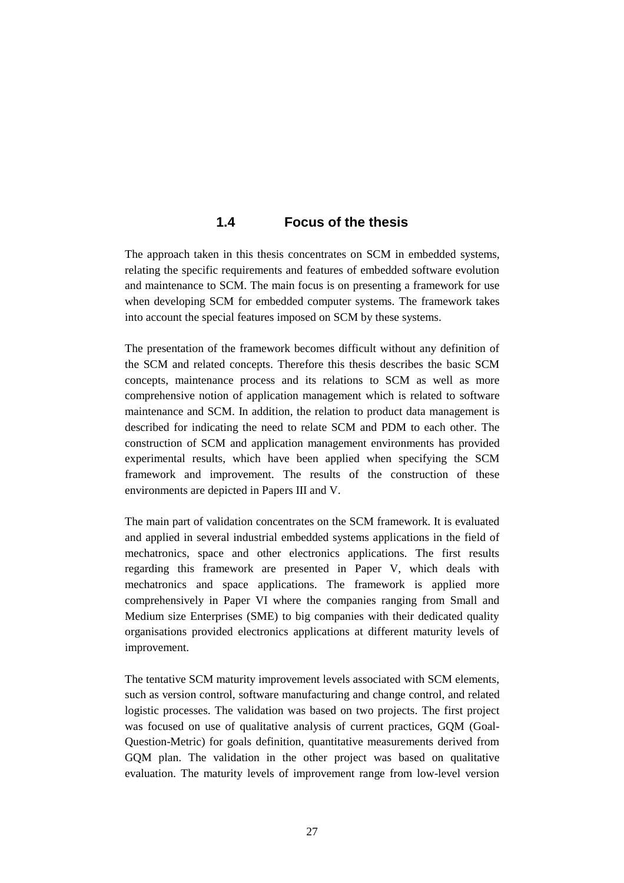#### **1.4 Focus of the thesis**

The approach taken in this thesis concentrates on SCM in embedded systems, relating the specific requirements and features of embedded software evolution and maintenance to SCM. The main focus is on presenting a framework for use when developing SCM for embedded computer systems. The framework takes into account the special features imposed on SCM by these systems.

The presentation of the framework becomes difficult without any definition of the SCM and related concepts. Therefore this thesis describes the basic SCM concepts, maintenance process and its relations to SCM as well as more comprehensive notion of application management which is related to software maintenance and SCM. In addition, the relation to product data management is described for indicating the need to relate SCM and PDM to each other. The construction of SCM and application management environments has provided experimental results, which have been applied when specifying the SCM framework and improvement. The results of the construction of these environments are depicted in Papers III and V.

The main part of validation concentrates on the SCM framework. It is evaluated and applied in several industrial embedded systems applications in the field of mechatronics, space and other electronics applications. The first results regarding this framework are presented in Paper V, which deals with mechatronics and space applications. The framework is applied more comprehensively in Paper VI where the companies ranging from Small and Medium size Enterprises (SME) to big companies with their dedicated quality organisations provided electronics applications at different maturity levels of improvement.

The tentative SCM maturity improvement levels associated with SCM elements, such as version control, software manufacturing and change control, and related logistic processes. The validation was based on two projects. The first project was focused on use of qualitative analysis of current practices, GQM (Goal-Question-Metric) for goals definition, quantitative measurements derived from GQM plan. The validation in the other project was based on qualitative evaluation. The maturity levels of improvement range from low-level version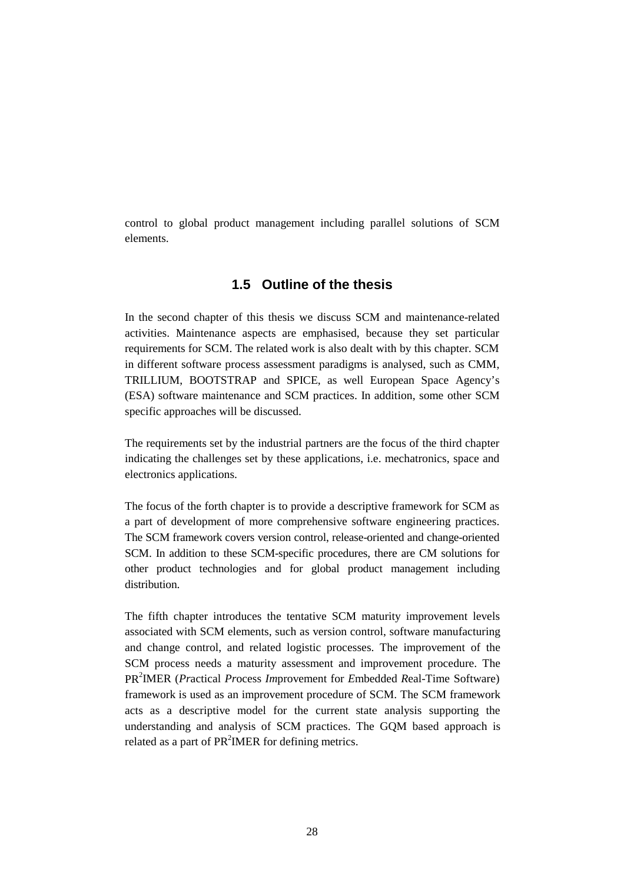control to global product management including parallel solutions of SCM elements.

#### **1.5 Outline of the thesis**

In the second chapter of this thesis we discuss SCM and maintenance-related activities. Maintenance aspects are emphasised, because they set particular requirements for SCM. The related work is also dealt with by this chapter. SCM in different software process assessment paradigms is analysed, such as CMM, TRILLIUM, BOOTSTRAP and SPICE, as well European Space Agency's (ESA) software maintenance and SCM practices. In addition, some other SCM specific approaches will be discussed.

The requirements set by the industrial partners are the focus of the third chapter indicating the challenges set by these applications, i.e. mechatronics, space and electronics applications.

The focus of the forth chapter is to provide a descriptive framework for SCM as a part of development of more comprehensive software engineering practices. The SCM framework covers version control, release-oriented and change-oriented SCM. In addition to these SCM-specific procedures, there are CM solutions for other product technologies and for global product management including distribution.

The fifth chapter introduces the tentative SCM maturity improvement levels associated with SCM elements, such as version control, software manufacturing and change control, and related logistic processes. The improvement of the SCM process needs a maturity assessment and improvement procedure. The PR2 IMER (*Pr*actical *Pr*ocess *Im*provement for *E*mbedded *R*eal-Time Software) framework is used as an improvement procedure of SCM. The SCM framework acts as a descriptive model for the current state analysis supporting the understanding and analysis of SCM practices. The GQM based approach is related as a part of  $PR^2IMER$  for defining metrics.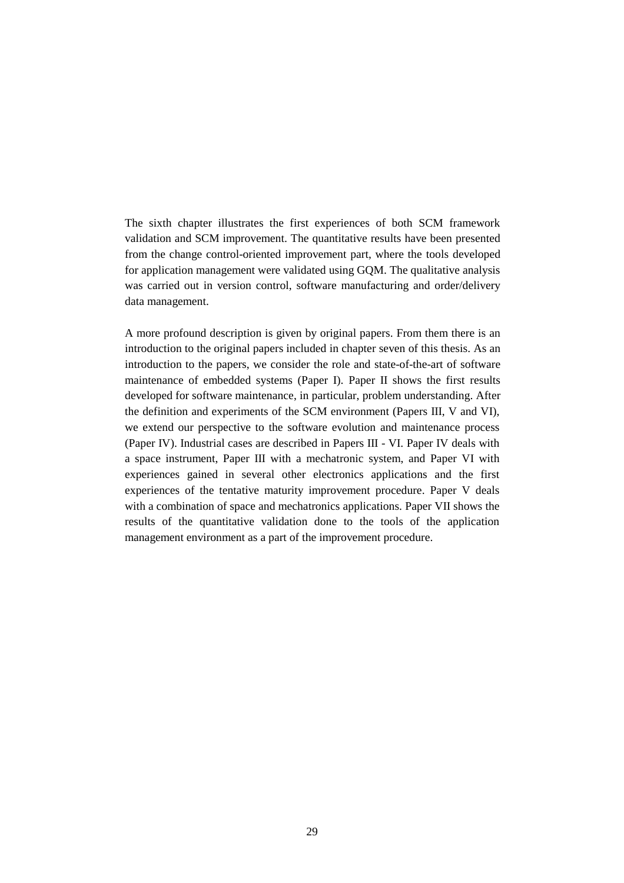The sixth chapter illustrates the first experiences of both SCM framework validation and SCM improvement. The quantitative results have been presented from the change control-oriented improvement part, where the tools developed for application management were validated using GQM. The qualitative analysis was carried out in version control, software manufacturing and order/delivery data management.

A more profound description is given by original papers. From them there is an introduction to the original papers included in chapter seven of this thesis. As an introduction to the papers, we consider the role and state-of-the-art of software maintenance of embedded systems (Paper I). Paper II shows the first results developed for software maintenance, in particular, problem understanding. After the definition and experiments of the SCM environment (Papers III, V and VI), we extend our perspective to the software evolution and maintenance process (Paper IV). Industrial cases are described in Papers III - VI. Paper IV deals with a space instrument, Paper III with a mechatronic system, and Paper VI with experiences gained in several other electronics applications and the first experiences of the tentative maturity improvement procedure. Paper V deals with a combination of space and mechatronics applications. Paper VII shows the results of the quantitative validation done to the tools of the application management environment as a part of the improvement procedure.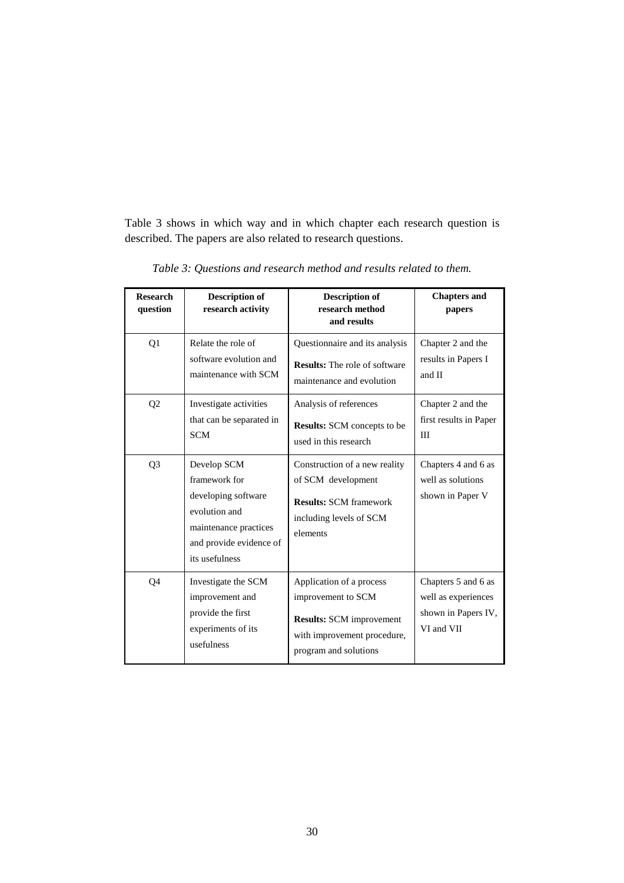Table 3 shows in which way and in which chapter each research question is described. The papers are also related to research questions.

| <b>Research</b><br>question | <b>Description of</b><br>research activity                                                                                                 | <b>Description of</b><br>research method<br>and results                                                                                   | <b>Chapters and</b><br>papers                                                   |
|-----------------------------|--------------------------------------------------------------------------------------------------------------------------------------------|-------------------------------------------------------------------------------------------------------------------------------------------|---------------------------------------------------------------------------------|
| Q1                          | Relate the role of<br>software evolution and<br>maintenance with SCM                                                                       | Questionnaire and its analysis<br><b>Results:</b> The role of software<br>maintenance and evolution                                       | Chapter 2 and the<br>results in Papers I<br>and II                              |
| Q <sub>2</sub>              | Investigate activities<br>that can be separated in<br><b>SCM</b>                                                                           | Analysis of references<br><b>Results:</b> SCM concepts to be<br>used in this research                                                     | Chapter 2 and the<br>first results in Paper<br>III                              |
| Q <sub>3</sub>              | Develop SCM<br>framework for<br>developing software<br>evolution and<br>maintenance practices<br>and provide evidence of<br>its usefulness | Construction of a new reality<br>of SCM development<br><b>Results: SCM framework</b><br>including levels of SCM<br>elements               | Chapters 4 and 6 as<br>well as solutions<br>shown in Paper V                    |
| Q4                          | Investigate the SCM<br>improvement and<br>provide the first<br>experiments of its<br>usefulness                                            | Application of a process<br>improvement to SCM<br><b>Results:</b> SCM improvement<br>with improvement procedure,<br>program and solutions | Chapters 5 and 6 as<br>well as experiences<br>shown in Papers IV,<br>VI and VII |

*Table 3: Questions and research method and results related to them.*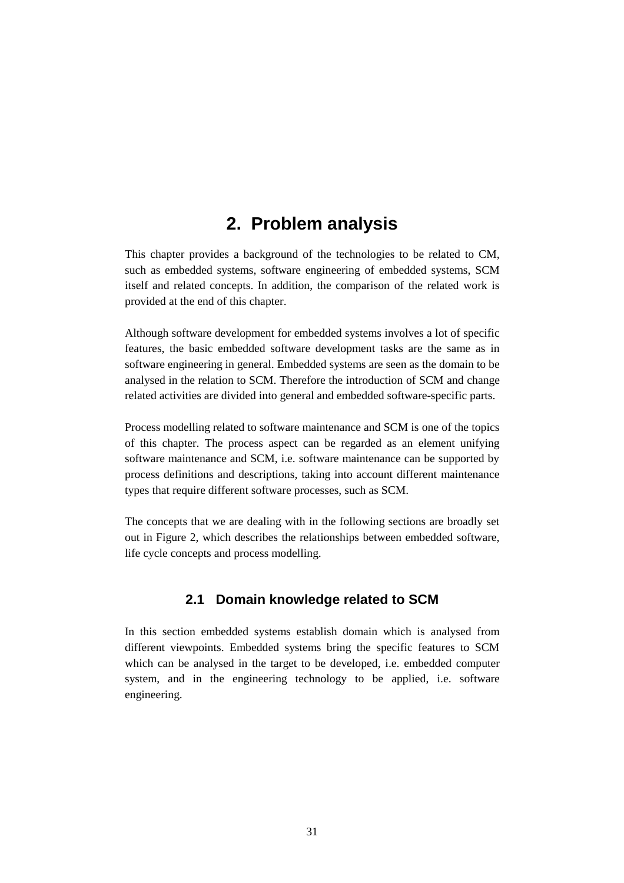## **2. Problem analysis**

This chapter provides a background of the technologies to be related to CM, such as embedded systems, software engineering of embedded systems, SCM itself and related concepts. In addition, the comparison of the related work is provided at the end of this chapter.

Although software development for embedded systems involves a lot of specific features, the basic embedded software development tasks are the same as in software engineering in general. Embedded systems are seen as the domain to be analysed in the relation to SCM. Therefore the introduction of SCM and change related activities are divided into general and embedded software-specific parts.

Process modelling related to software maintenance and SCM is one of the topics of this chapter. The process aspect can be regarded as an element unifying software maintenance and SCM, i.e. software maintenance can be supported by process definitions and descriptions, taking into account different maintenance types that require different software processes, such as SCM.

The concepts that we are dealing with in the following sections are broadly set out in Figure 2, which describes the relationships between embedded software, life cycle concepts and process modelling.

### **2.1 Domain knowledge related to SCM**

In this section embedded systems establish domain which is analysed from different viewpoints. Embedded systems bring the specific features to SCM which can be analysed in the target to be developed, i.e. embedded computer system, and in the engineering technology to be applied, i.e. software engineering.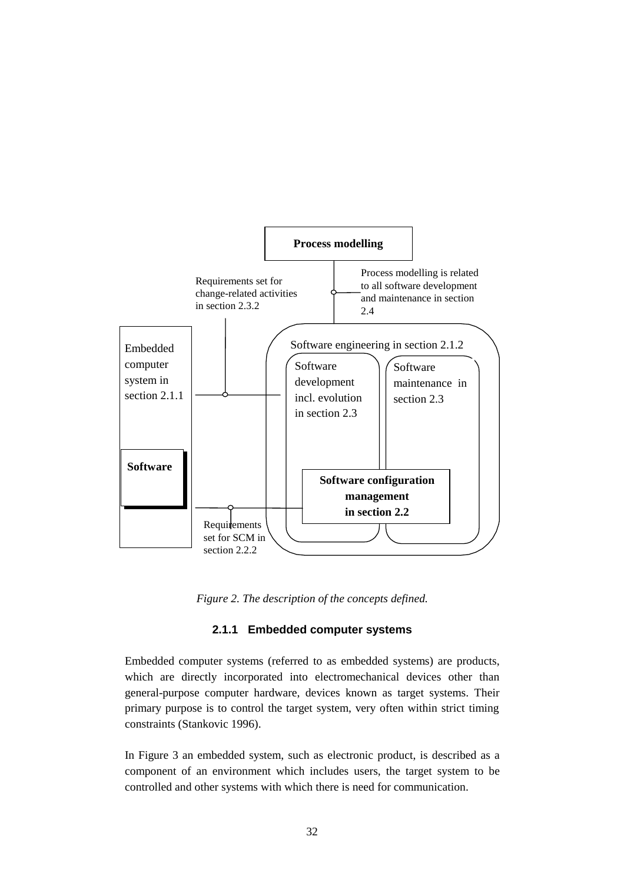

*Figure 2. The description of the concepts defined.*

#### **2.1.1 Embedded computer systems**

Embedded computer systems (referred to as embedded systems) are products, which are directly incorporated into electromechanical devices other than general-purpose computer hardware, devices known as target systems. Their primary purpose is to control the target system, very often within strict timing constraints (Stankovic 1996).

In Figure 3 an embedded system, such as electronic product, is described as a component of an environment which includes users, the target system to be controlled and other systems with which there is need for communication.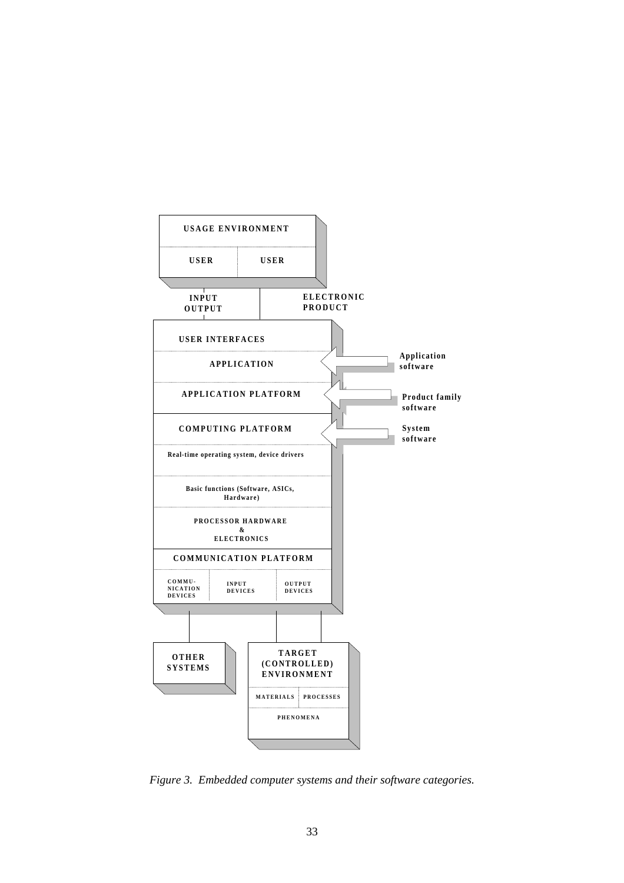

*Figure 3. Embedded computer systems and their software categories.*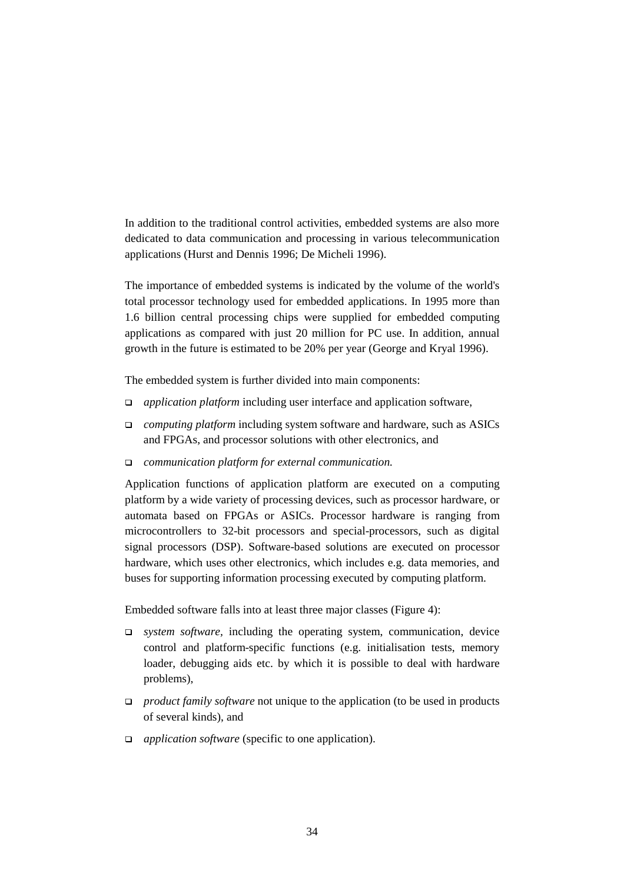In addition to the traditional control activities, embedded systems are also more dedicated to data communication and processing in various telecommunication applications (Hurst and Dennis 1996; De Micheli 1996).

The importance of embedded systems is indicated by the volume of the world's total processor technology used for embedded applications. In 1995 more than 1.6 billion central processing chips were supplied for embedded computing applications as compared with just 20 million for PC use. In addition, annual growth in the future is estimated to be 20% per year (George and Kryal 1996).

The embedded system is further divided into main components:

- *application platform* including user interface and application software,
- *computing platform* including system software and hardware, such as ASICs and FPGAs, and processor solutions with other electronics, and
- *communication platform for external communication.*

Application functions of application platform are executed on a computing platform by a wide variety of processing devices, such as processor hardware, or automata based on FPGAs or ASICs. Processor hardware is ranging from microcontrollers to 32-bit processors and special-processors, such as digital signal processors (DSP). Software-based solutions are executed on processor hardware, which uses other electronics, which includes e.g. data memories, and buses for supporting information processing executed by computing platform.

Embedded software falls into at least three major classes (Figure 4):

- *system software,* including the operating system, communication, device control and platform-specific functions (e.g. initialisation tests, memory loader, debugging aids etc. by which it is possible to deal with hardware problems),
- *product family software* not unique to the application (to be used in products of several kinds), and
- *application software* (specific to one application).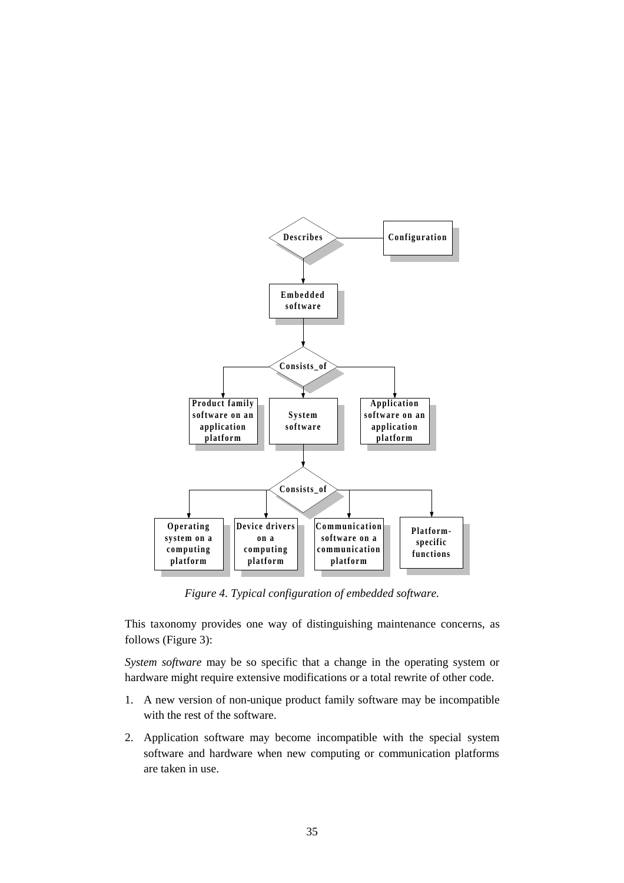

*Figure 4. Typical configuration of embedded software.*

This taxonomy provides one way of distinguishing maintenance concerns, as follows (Figure 3):

*System software* may be so specific that a change in the operating system or hardware might require extensive modifications or a total rewrite of other code.

- 1. A new version of non-unique product family software may be incompatible with the rest of the software.
- 2. Application software may become incompatible with the special system software and hardware when new computing or communication platforms are taken in use.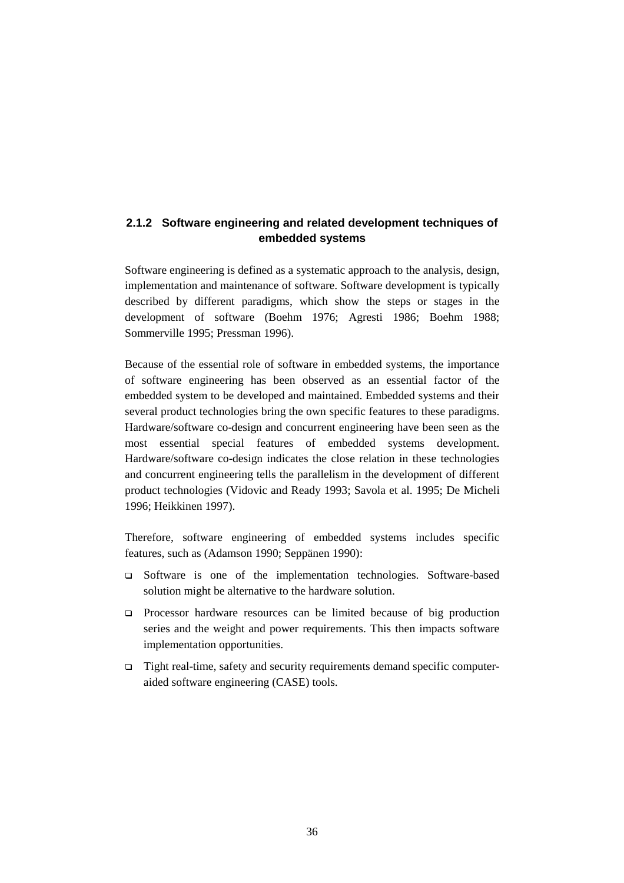#### **2.1.2 Software engineering and related development techniques of embedded systems**

Software engineering is defined as a systematic approach to the analysis, design, implementation and maintenance of software. Software development is typically described by different paradigms, which show the steps or stages in the development of software (Boehm 1976; Agresti 1986; Boehm 1988; Sommerville 1995; Pressman 1996).

Because of the essential role of software in embedded systems, the importance of software engineering has been observed as an essential factor of the embedded system to be developed and maintained. Embedded systems and their several product technologies bring the own specific features to these paradigms. Hardware/software co-design and concurrent engineering have been seen as the most essential special features of embedded systems development. Hardware/software co-design indicates the close relation in these technologies and concurrent engineering tells the parallelism in the development of different product technologies (Vidovic and Ready 1993; Savola et al. 1995; De Micheli 1996; Heikkinen 1997).

Therefore, software engineering of embedded systems includes specific features, such as (Adamson 1990; Seppänen 1990):

- Software is one of the implementation technologies. Software-based solution might be alternative to the hardware solution.
- Processor hardware resources can be limited because of big production series and the weight and power requirements. This then impacts software implementation opportunities.
- $\Box$  Tight real-time, safety and security requirements demand specific computeraided software engineering (CASE) tools.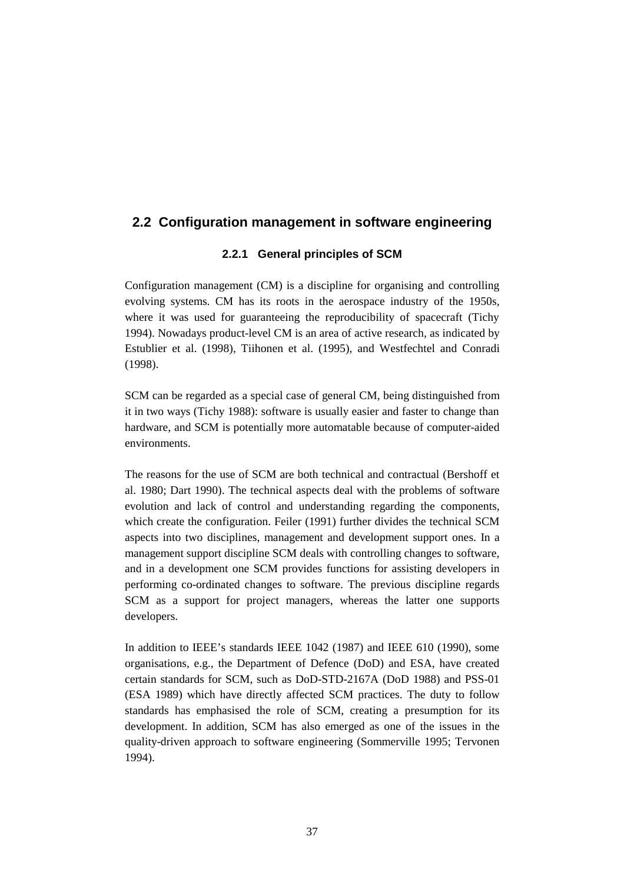# **2.2 Configuration management in software engineering**

# **2.2.1 General principles of SCM**

Configuration management (CM) is a discipline for organising and controlling evolving systems. CM has its roots in the aerospace industry of the 1950s, where it was used for guaranteeing the reproducibility of spacecraft (Tichy 1994). Nowadays product-level CM is an area of active research, as indicated by Estublier et al. (1998), Tiihonen et al. (1995), and Westfechtel and Conradi (1998).

SCM can be regarded as a special case of general CM, being distinguished from it in two ways (Tichy 1988): software is usually easier and faster to change than hardware, and SCM is potentially more automatable because of computer-aided environments.

The reasons for the use of SCM are both technical and contractual (Bershoff et al. 1980; Dart 1990). The technical aspects deal with the problems of software evolution and lack of control and understanding regarding the components, which create the configuration. Feiler (1991) further divides the technical SCM aspects into two disciplines, management and development support ones. In a management support discipline SCM deals with controlling changes to software, and in a development one SCM provides functions for assisting developers in performing co-ordinated changes to software. The previous discipline regards SCM as a support for project managers, whereas the latter one supports developers.

In addition to IEEE's standards IEEE 1042 (1987) and IEEE 610 (1990), some organisations, e.g., the Department of Defence (DoD) and ESA, have created certain standards for SCM, such as DoD-STD-2167A (DoD 1988) and PSS-01 (ESA 1989) which have directly affected SCM practices. The duty to follow standards has emphasised the role of SCM, creating a presumption for its development. In addition, SCM has also emerged as one of the issues in the quality-driven approach to software engineering (Sommerville 1995; Tervonen 1994).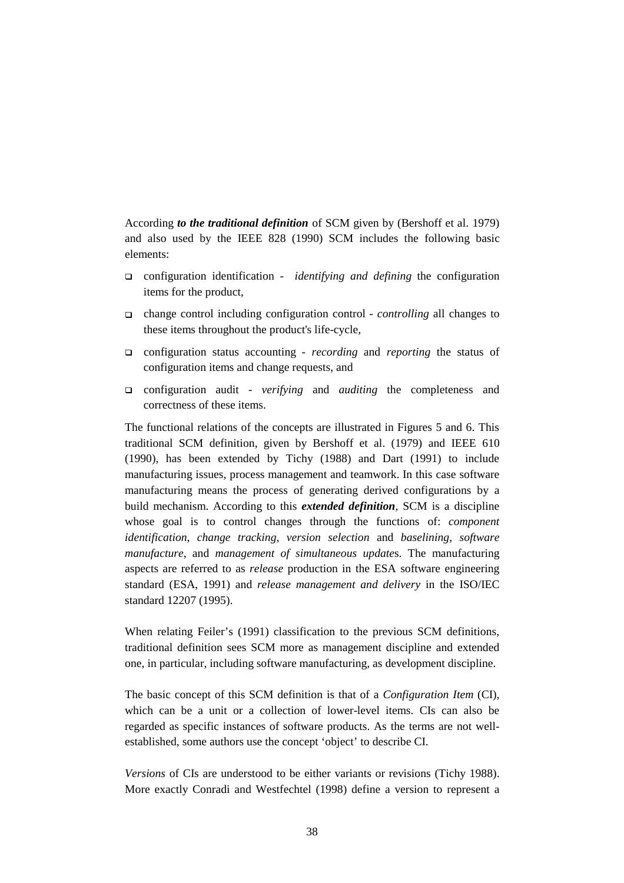According *to the traditional definition* of SCM given by (Bershoff et al. 1979) and also used by the IEEE 828 (1990) SCM includes the following basic elements:

- configuration identification *identifying and defining* the configuration items for the product,
- change control including configuration control *controlling* all changes to these items throughout the product's life-cycle,
- configuration status accounting *recording* and *reporting* the status of configuration items and change requests, and
- configuration audit *verifying* and *auditing* the completeness and correctness of these items.

The functional relations of the concepts are illustrated in Figures 5 and 6. This traditional SCM definition, given by Bershoff et al. (1979) and IEEE 610 (1990), has been extended by Tichy (1988) and Dart (1991) to include manufacturing issues, process management and teamwork. In this case software manufacturing means the process of generating derived configurations by a build mechanism. According to this *extended definition*, SCM is a discipline whose goal is to control changes through the functions of: *component identification*, *change tracking*, *version selection* and *baselining*, *software manufacture*, and *management of simultaneous update*s. The manufacturing aspects are referred to as *release* production in the ESA software engineering standard (ESA, 1991) and *release management and delivery* in the ISO/IEC standard 12207 (1995).

When relating Feiler's (1991) classification to the previous SCM definitions, traditional definition sees SCM more as management discipline and extended one, in particular, including software manufacturing, as development discipline.

The basic concept of this SCM definition is that of a *Configuration Item* (CI), which can be a unit or a collection of lower-level items. CIs can also be regarded as specific instances of software products. As the terms are not wellestablished, some authors use the concept 'object' to describe CI.

*Versions* of CIs are understood to be either variants or revisions (Tichy 1988). More exactly Conradi and Westfechtel (1998) define a version to represent a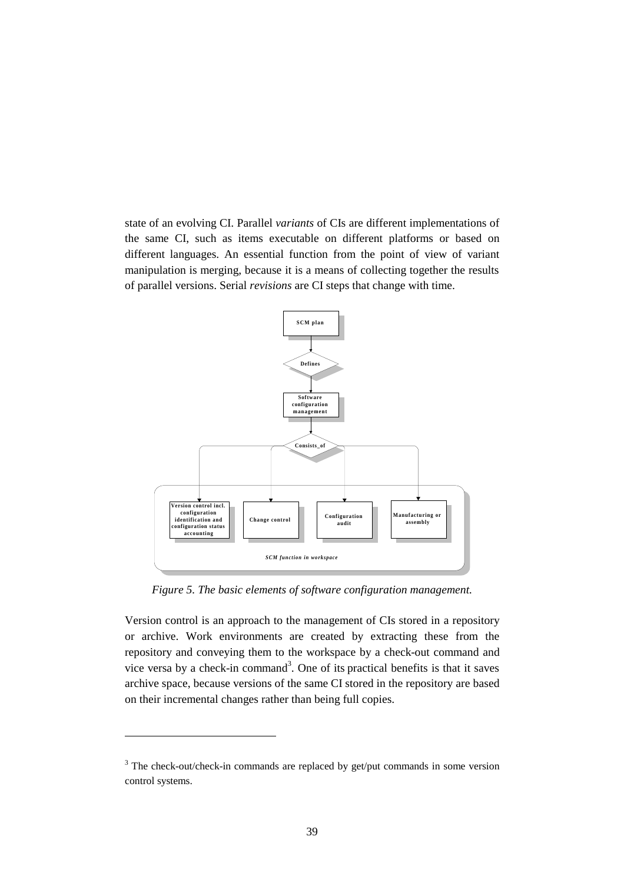state of an evolving CI. Parallel *variants* of CIs are different implementations of the same CI, such as items executable on different platforms or based on different languages. An essential function from the point of view of variant manipulation is merging, because it is a means of collecting together the results of parallel versions. Serial *revisions* are CI steps that change with time.



*Figure 5. The basic elements of software configuration management.*

Version control is an approach to the management of CIs stored in a repository or archive. Work environments are created by extracting these from the repository and conveying them to the workspace by a check-out command and vice versa by a check-in command<sup>3</sup>. One of its practical benefits is that it saves archive space, because versions of the same CI stored in the repository are based on their incremental changes rather than being full copies.

l

<sup>&</sup>lt;sup>3</sup> The check-out/check-in commands are replaced by get/put commands in some version control systems.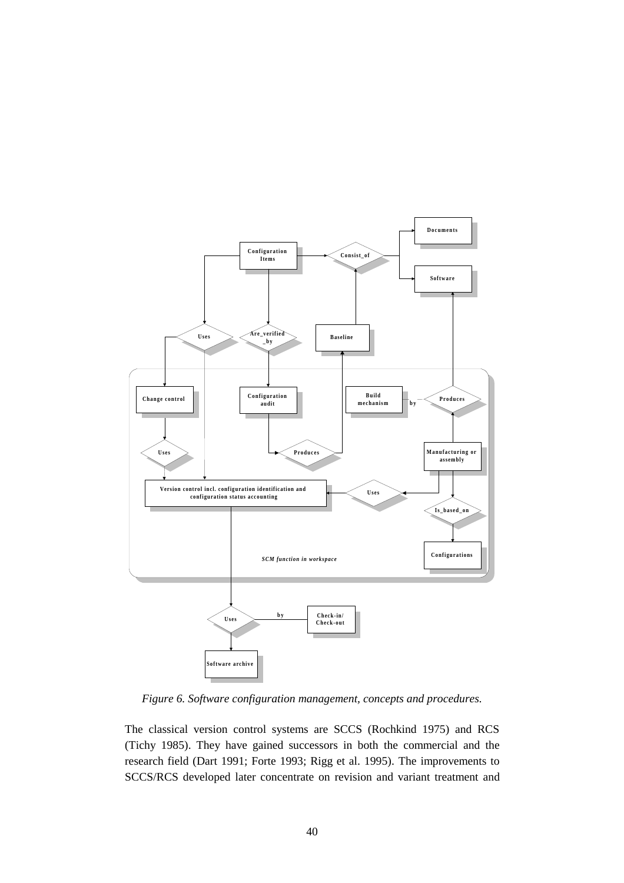

*Figure 6. Software configuration management, concepts and procedures.*

The classical version control systems are SCCS (Rochkind 1975) and RCS (Tichy 1985). They have gained successors in both the commercial and the research field (Dart 1991; Forte 1993; Rigg et al. 1995). The improvements to SCCS/RCS developed later concentrate on revision and variant treatment and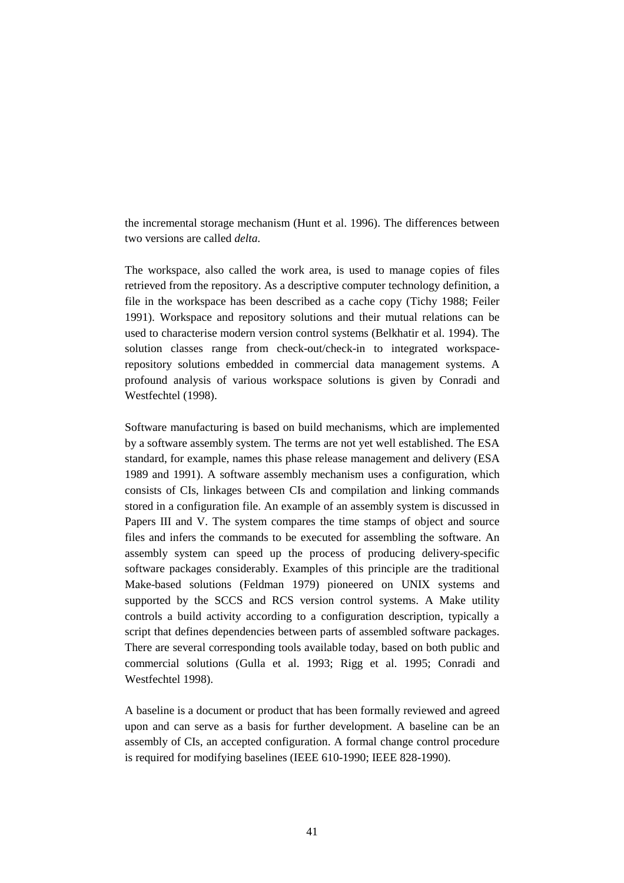the incremental storage mechanism (Hunt et al. 1996). The differences between two versions are called *delta.*

The workspace, also called the work area, is used to manage copies of files retrieved from the repository. As a descriptive computer technology definition, a file in the workspace has been described as a cache copy (Tichy 1988; Feiler 1991). Workspace and repository solutions and their mutual relations can be used to characterise modern version control systems (Belkhatir et al. 1994). The solution classes range from check-out/check-in to integrated workspacerepository solutions embedded in commercial data management systems. A profound analysis of various workspace solutions is given by Conradi and Westfechtel (1998).

Software manufacturing is based on build mechanisms, which are implemented by a software assembly system. The terms are not yet well established. The ESA standard, for example, names this phase release management and delivery (ESA 1989 and 1991). A software assembly mechanism uses a configuration, which consists of CIs, linkages between CIs and compilation and linking commands stored in a configuration file. An example of an assembly system is discussed in Papers III and V. The system compares the time stamps of object and source files and infers the commands to be executed for assembling the software. An assembly system can speed up the process of producing delivery-specific software packages considerably. Examples of this principle are the traditional Make-based solutions (Feldman 1979) pioneered on UNIX systems and supported by the SCCS and RCS version control systems. A Make utility controls a build activity according to a configuration description, typically a script that defines dependencies between parts of assembled software packages. There are several corresponding tools available today, based on both public and commercial solutions (Gulla et al. 1993; Rigg et al. 1995; Conradi and Westfechtel 1998).

A baseline is a document or product that has been formally reviewed and agreed upon and can serve as a basis for further development. A baseline can be an assembly of CIs, an accepted configuration. A formal change control procedure is required for modifying baselines (IEEE 610-1990; IEEE 828-1990).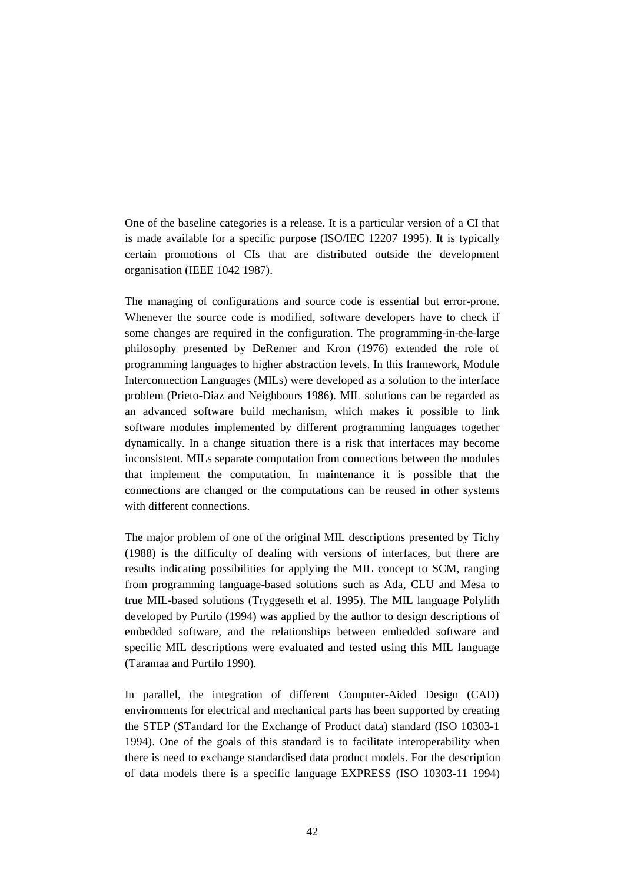One of the baseline categories is a release. It is a particular version of a CI that is made available for a specific purpose (ISO/IEC 12207 1995). It is typically certain promotions of CIs that are distributed outside the development organisation (IEEE 1042 1987).

The managing of configurations and source code is essential but error-prone. Whenever the source code is modified, software developers have to check if some changes are required in the configuration. The programming-in-the-large philosophy presented by DeRemer and Kron (1976) extended the role of programming languages to higher abstraction levels. In this framework, Module Interconnection Languages (MILs) were developed as a solution to the interface problem (Prieto-Diaz and Neighbours 1986). MIL solutions can be regarded as an advanced software build mechanism, which makes it possible to link software modules implemented by different programming languages together dynamically. In a change situation there is a risk that interfaces may become inconsistent. MILs separate computation from connections between the modules that implement the computation. In maintenance it is possible that the connections are changed or the computations can be reused in other systems with different connections.

The major problem of one of the original MIL descriptions presented by Tichy (1988) is the difficulty of dealing with versions of interfaces, but there are results indicating possibilities for applying the MIL concept to SCM, ranging from programming language-based solutions such as Ada, CLU and Mesa to true MIL-based solutions (Tryggeseth et al. 1995). The MIL language Polylith developed by Purtilo (1994) was applied by the author to design descriptions of embedded software, and the relationships between embedded software and specific MIL descriptions were evaluated and tested using this MIL language (Taramaa and Purtilo 1990).

In parallel, the integration of different Computer-Aided Design (CAD) environments for electrical and mechanical parts has been supported by creating the STEP (STandard for the Exchange of Product data) standard (ISO 10303-1 1994). One of the goals of this standard is to facilitate interoperability when there is need to exchange standardised data product models. For the description of data models there is a specific language EXPRESS (ISO 10303-11 1994)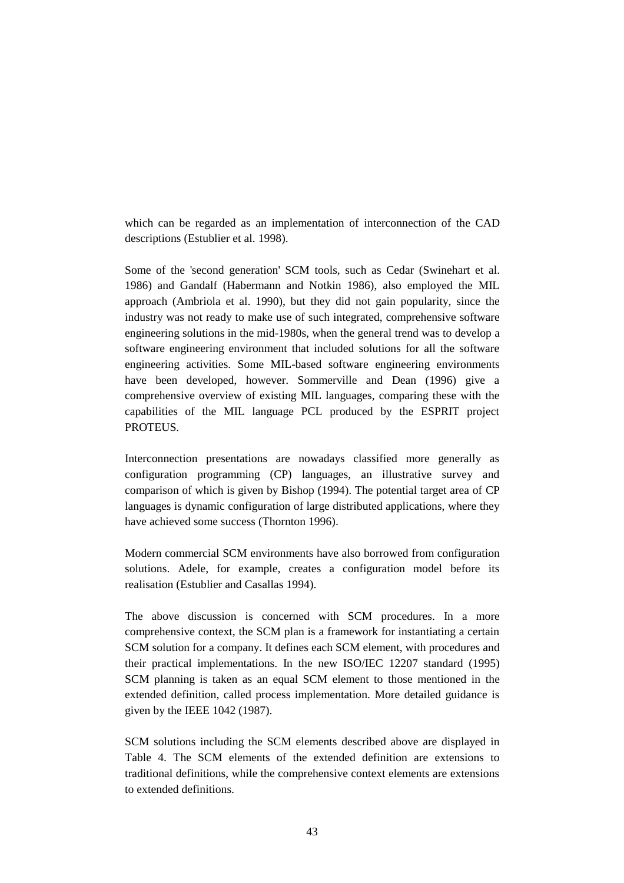which can be regarded as an implementation of interconnection of the CAD descriptions (Estublier et al. 1998).

Some of the 'second generation' SCM tools, such as Cedar (Swinehart et al. 1986) and Gandalf (Habermann and Notkin 1986), also employed the MIL approach (Ambriola et al. 1990), but they did not gain popularity, since the industry was not ready to make use of such integrated, comprehensive software engineering solutions in the mid-1980s, when the general trend was to develop a software engineering environment that included solutions for all the software engineering activities. Some MIL-based software engineering environments have been developed, however. Sommerville and Dean (1996) give a comprehensive overview of existing MIL languages, comparing these with the capabilities of the MIL language PCL produced by the ESPRIT project PROTEUS.

Interconnection presentations are nowadays classified more generally as configuration programming (CP) languages, an illustrative survey and comparison of which is given by Bishop (1994). The potential target area of CP languages is dynamic configuration of large distributed applications, where they have achieved some success (Thornton 1996).

Modern commercial SCM environments have also borrowed from configuration solutions. Adele, for example, creates a configuration model before its realisation (Estublier and Casallas 1994).

The above discussion is concerned with SCM procedures. In a more comprehensive context, the SCM plan is a framework for instantiating a certain SCM solution for a company. It defines each SCM element, with procedures and their practical implementations. In the new ISO/IEC 12207 standard (1995) SCM planning is taken as an equal SCM element to those mentioned in the extended definition, called process implementation. More detailed guidance is given by the IEEE 1042 (1987).

SCM solutions including the SCM elements described above are displayed in Table 4. The SCM elements of the extended definition are extensions to traditional definitions, while the comprehensive context elements are extensions to extended definitions.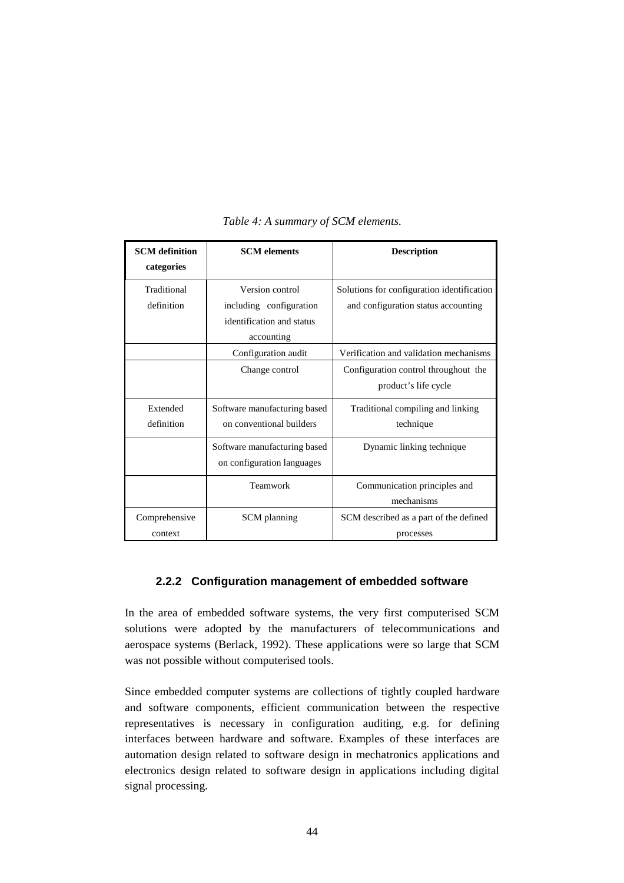| <b>SCM</b> definition | <b>SCM</b> elements          | <b>Description</b>                         |
|-----------------------|------------------------------|--------------------------------------------|
| categories            |                              |                                            |
| Traditional           | Version control              | Solutions for configuration identification |
| definition            | including configuration      | and configuration status accounting        |
|                       | identification and status    |                                            |
|                       | accounting                   |                                            |
|                       | Configuration audit          | Verification and validation mechanisms     |
|                       | Change control               | Configuration control throughout the       |
|                       |                              | product's life cycle                       |
| Extended              | Software manufacturing based | Traditional compiling and linking          |
| definition            | on conventional builders     | technique                                  |
|                       | Software manufacturing based | Dynamic linking technique                  |
|                       | on configuration languages   |                                            |
|                       | Teamwork                     | Communication principles and               |
|                       |                              | mechanisms                                 |
| Comprehensive         | SCM planning                 | SCM described as a part of the defined     |
| context               |                              | processes                                  |

#### *Table 4: A summary of SCM elements.*

## **2.2.2 Configuration management of embedded software**

In the area of embedded software systems, the very first computerised SCM solutions were adopted by the manufacturers of telecommunications and aerospace systems (Berlack, 1992). These applications were so large that SCM was not possible without computerised tools.

Since embedded computer systems are collections of tightly coupled hardware and software components, efficient communication between the respective representatives is necessary in configuration auditing, e.g. for defining interfaces between hardware and software. Examples of these interfaces are automation design related to software design in mechatronics applications and electronics design related to software design in applications including digital signal processing.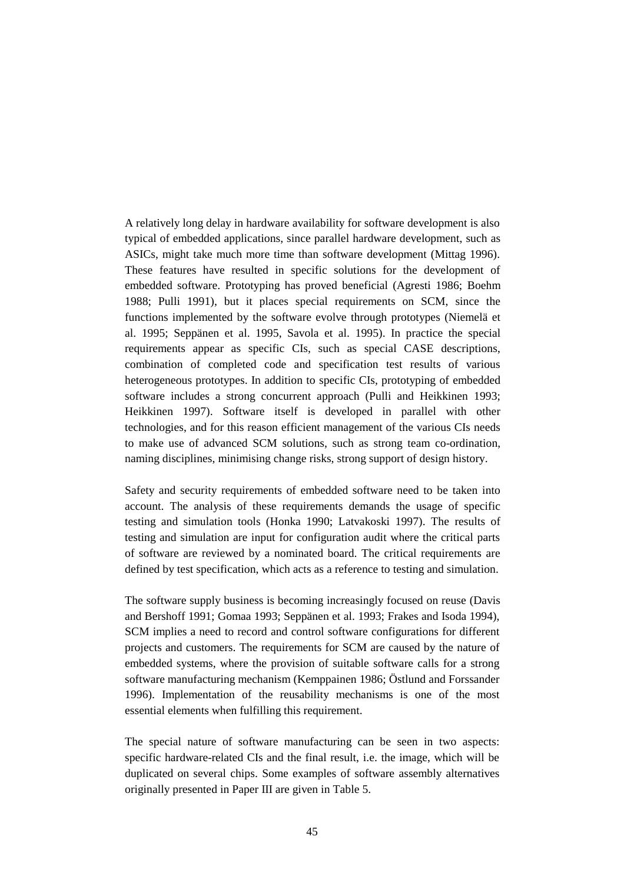A relatively long delay in hardware availability for software development is also typical of embedded applications, since parallel hardware development, such as ASICs, might take much more time than software development (Mittag 1996). These features have resulted in specific solutions for the development of embedded software. Prototyping has proved beneficial (Agresti 1986; Boehm 1988; Pulli 1991), but it places special requirements on SCM, since the functions implemented by the software evolve through prototypes (Niemelä et al. 1995; Seppänen et al. 1995, Savola et al. 1995). In practice the special requirements appear as specific CIs, such as special CASE descriptions, combination of completed code and specification test results of various heterogeneous prototypes. In addition to specific CIs, prototyping of embedded software includes a strong concurrent approach (Pulli and Heikkinen 1993; Heikkinen 1997). Software itself is developed in parallel with other technologies, and for this reason efficient management of the various CIs needs to make use of advanced SCM solutions, such as strong team co-ordination, naming disciplines, minimising change risks, strong support of design history.

Safety and security requirements of embedded software need to be taken into account. The analysis of these requirements demands the usage of specific testing and simulation tools (Honka 1990; Latvakoski 1997). The results of testing and simulation are input for configuration audit where the critical parts of software are reviewed by a nominated board. The critical requirements are defined by test specification, which acts as a reference to testing and simulation.

The software supply business is becoming increasingly focused on reuse (Davis and Bershoff 1991; Gomaa 1993; Seppänen et al. 1993; Frakes and Isoda 1994), SCM implies a need to record and control software configurations for different projects and customers. The requirements for SCM are caused by the nature of embedded systems, where the provision of suitable software calls for a strong software manufacturing mechanism (Kemppainen 1986; Östlund and Forssander 1996). Implementation of the reusability mechanisms is one of the most essential elements when fulfilling this requirement.

The special nature of software manufacturing can be seen in two aspects: specific hardware-related CIs and the final result, i.e. the image, which will be duplicated on several chips. Some examples of software assembly alternatives originally presented in Paper III are given in Table 5.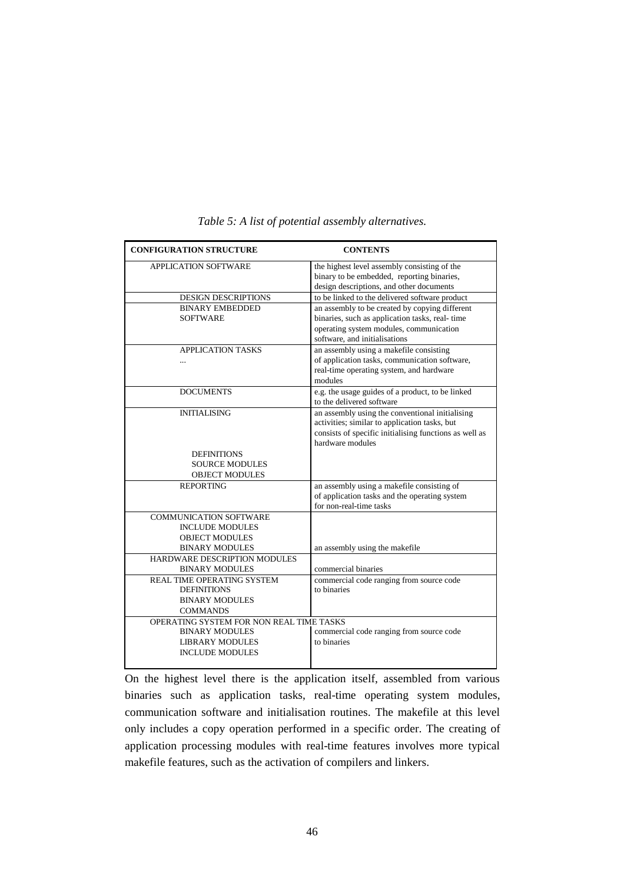| <b>CONFIGURATION STRUCTURE</b>                                                                                        | <b>CONTENTS</b>                                                                                                                                                                |
|-----------------------------------------------------------------------------------------------------------------------|--------------------------------------------------------------------------------------------------------------------------------------------------------------------------------|
| APPLICATION SOFTWARE                                                                                                  | the highest level assembly consisting of the<br>binary to be embedded, reporting binaries,<br>design descriptions, and other documents                                         |
| DESIGN DESCRIPTIONS                                                                                                   | to be linked to the delivered software product                                                                                                                                 |
| <b>BINARY EMBEDDED</b><br><b>SOFTWARE</b>                                                                             | an assembly to be created by copying different<br>binaries, such as application tasks, real-time<br>operating system modules, communication<br>software, and initialisations   |
| <b>APPLICATION TASKS</b><br>$\ddotsc$                                                                                 | an assembly using a makefile consisting<br>of application tasks, communication software,<br>real-time operating system, and hardware<br>modules                                |
| <b>DOCUMENTS</b>                                                                                                      | e.g. the usage guides of a product, to be linked<br>to the delivered software                                                                                                  |
| <b>INITIALISING</b>                                                                                                   | an assembly using the conventional initialising<br>activities; similar to application tasks, but<br>consists of specific initialising functions as well as<br>hardware modules |
| <b>DEFINITIONS</b>                                                                                                    |                                                                                                                                                                                |
| <b>SOURCE MODULES</b>                                                                                                 |                                                                                                                                                                                |
| <b>OBJECT MODULES</b>                                                                                                 |                                                                                                                                                                                |
| <b>REPORTING</b>                                                                                                      | an assembly using a makefile consisting of<br>of application tasks and the operating system<br>for non-real-time tasks                                                         |
| <b>COMMUNICATION SOFTWARE</b><br><b>INCLUDE MODULES</b><br><b>OBJECT MODULES</b><br><b>BINARY MODULES</b>             | an assembly using the makefile                                                                                                                                                 |
| HARDWARE DESCRIPTION MODULES<br><b>BINARY MODULES</b>                                                                 | commercial binaries                                                                                                                                                            |
| REAL TIME OPERATING SYSTEM<br><b>DEFINITIONS</b><br><b>BINARY MODULES</b><br><b>COMMANDS</b>                          | commercial code ranging from source code<br>to binaries                                                                                                                        |
| OPERATING SYSTEM FOR NON REAL TIME TASKS<br><b>BINARY MODULES</b><br><b>LIBRARY MODULES</b><br><b>INCLUDE MODULES</b> | commercial code ranging from source code<br>to binaries                                                                                                                        |

*Table 5: A list of potential assembly alternatives.*

On the highest level there is the application itself, assembled from various binaries such as application tasks, real-time operating system modules, communication software and initialisation routines. The makefile at this level only includes a copy operation performed in a specific order. The creating of application processing modules with real-time features involves more typical makefile features, such as the activation of compilers and linkers.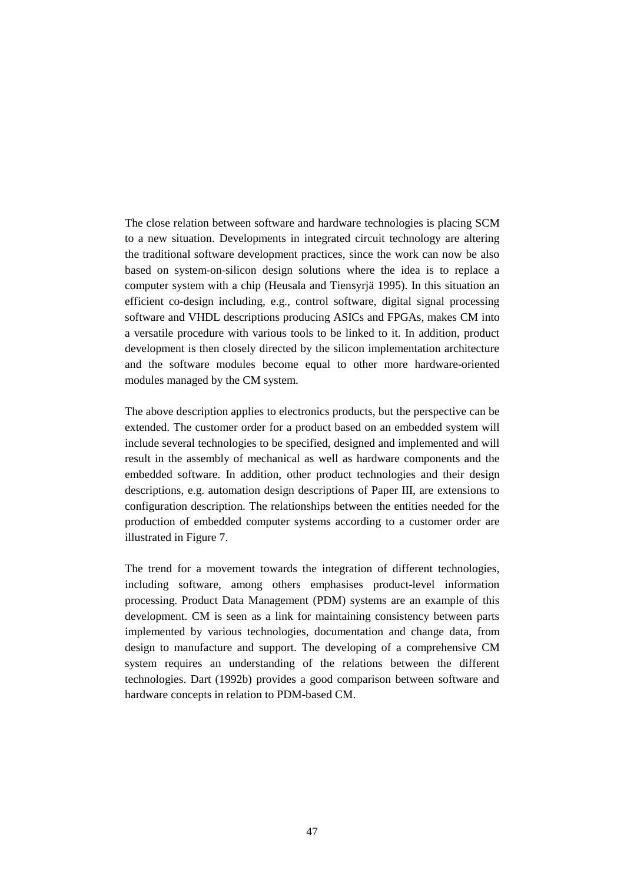The close relation between software and hardware technologies is placing SCM to a new situation. Developments in integrated circuit technology are altering the traditional software development practices, since the work can now be also based on system-on-silicon design solutions where the idea is to replace a computer system with a chip (Heusala and Tiensyrjä 1995). In this situation an efficient co-design including, e.g., control software, digital signal processing software and VHDL descriptions producing ASICs and FPGAs, makes CM into a versatile procedure with various tools to be linked to it. In addition, product development is then closely directed by the silicon implementation architecture and the software modules become equal to other more hardware-oriented modules managed by the CM system.

The above description applies to electronics products, but the perspective can be extended. The customer order for a product based on an embedded system will include several technologies to be specified, designed and implemented and will result in the assembly of mechanical as well as hardware components and the embedded software. In addition, other product technologies and their design descriptions, e.g. automation design descriptions of Paper III, are extensions to configuration description. The relationships between the entities needed for the production of embedded computer systems according to a customer order are illustrated in Figure 7.

The trend for a movement towards the integration of different technologies, including software, among others emphasises product-level information processing. Product Data Management (PDM) systems are an example of this development. CM is seen as a link for maintaining consistency between parts implemented by various technologies, documentation and change data, from design to manufacture and support. The developing of a comprehensive CM system requires an understanding of the relations between the different technologies. Dart (1992b) provides a good comparison between software and hardware concepts in relation to PDM-based CM.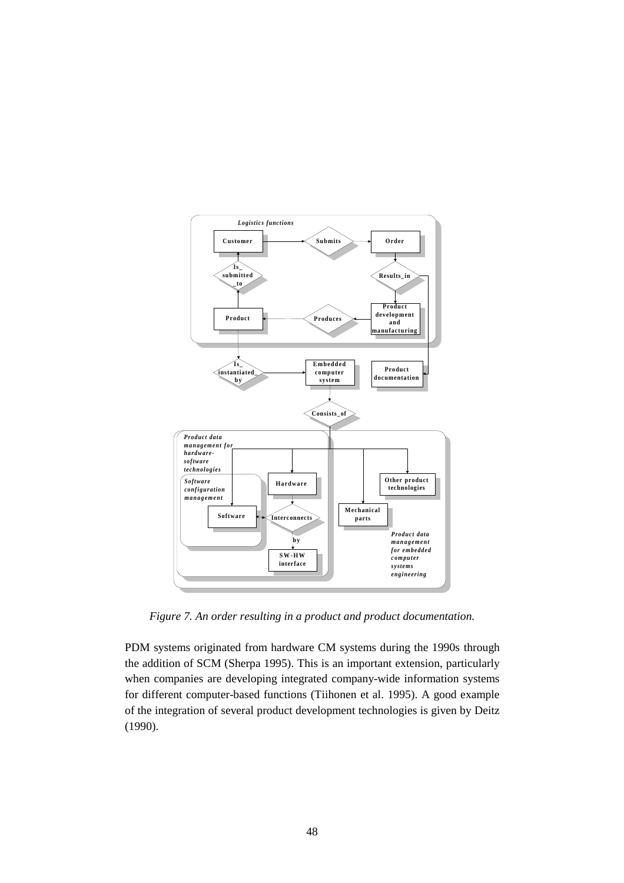

*Figure 7. An order resulting in a product and product documentation.*

PDM systems originated from hardware CM systems during the 1990s through the addition of SCM (Sherpa 1995). This is an important extension, particularly when companies are developing integrated company-wide information systems for different computer-based functions (Tiihonen et al. 1995). A good example of the integration of several product development technologies is given by Deitz (1990).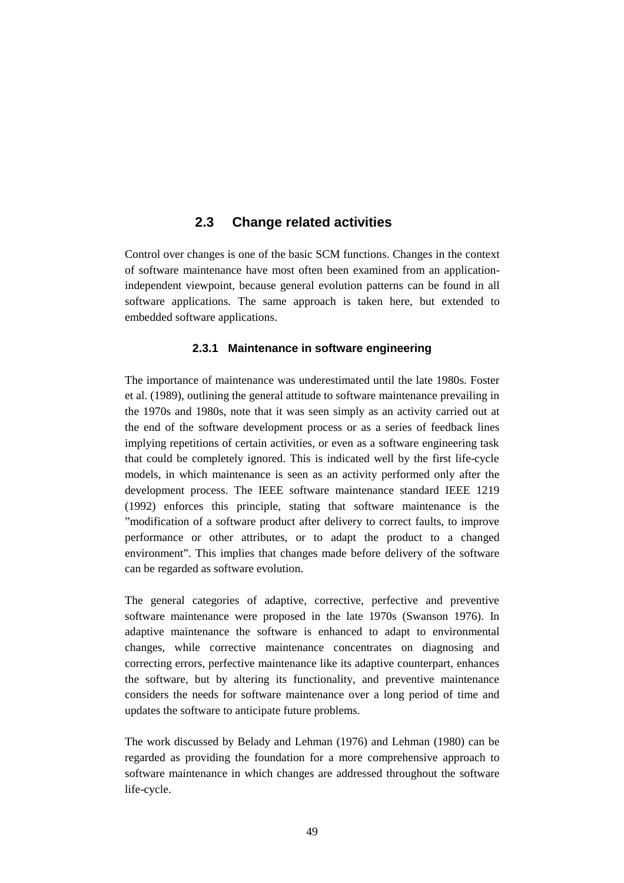# **2.3 Change related activities**

Control over changes is one of the basic SCM functions. Changes in the context of software maintenance have most often been examined from an applicationindependent viewpoint, because general evolution patterns can be found in all software applications. The same approach is taken here, but extended to embedded software applications.

# **2.3.1 Maintenance in software engineering**

The importance of maintenance was underestimated until the late 1980s. Foster et al. (1989), outlining the general attitude to software maintenance prevailing in the 1970s and 1980s, note that it was seen simply as an activity carried out at the end of the software development process or as a series of feedback lines implying repetitions of certain activities, or even as a software engineering task that could be completely ignored. This is indicated well by the first life-cycle models, in which maintenance is seen as an activity performed only after the development process. The IEEE software maintenance standard IEEE 1219 (1992) enforces this principle, stating that software maintenance is the "modification of a software product after delivery to correct faults, to improve performance or other attributes, or to adapt the product to a changed environment". This implies that changes made before delivery of the software can be regarded as software evolution.

The general categories of adaptive, corrective, perfective and preventive software maintenance were proposed in the late 1970s (Swanson 1976). In adaptive maintenance the software is enhanced to adapt to environmental changes, while corrective maintenance concentrates on diagnosing and correcting errors, perfective maintenance like its adaptive counterpart, enhances the software, but by altering its functionality, and preventive maintenance considers the needs for software maintenance over a long period of time and updates the software to anticipate future problems.

The work discussed by Belady and Lehman (1976) and Lehman (1980) can be regarded as providing the foundation for a more comprehensive approach to software maintenance in which changes are addressed throughout the software life-cycle.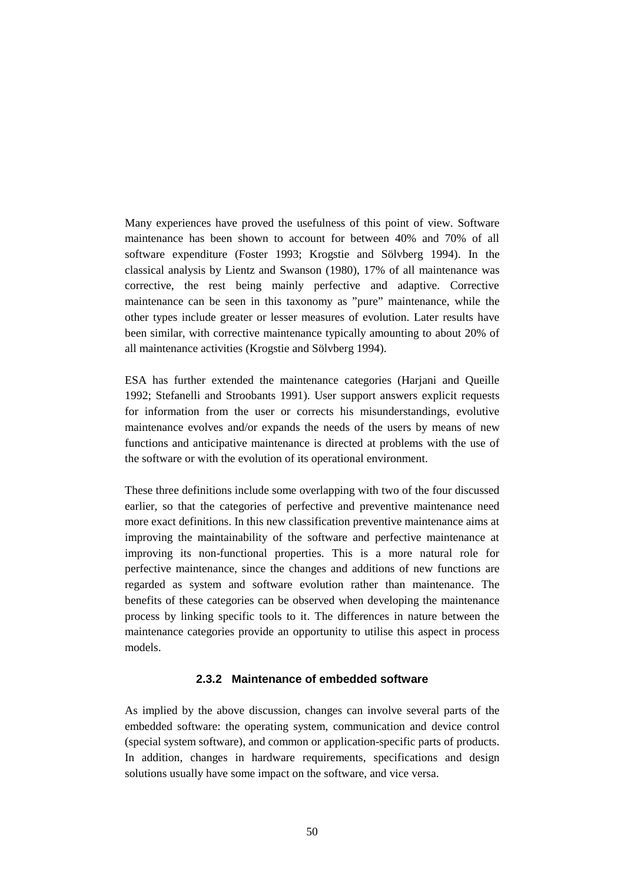Many experiences have proved the usefulness of this point of view. Software maintenance has been shown to account for between 40% and 70% of all software expenditure (Foster 1993; Krogstie and Sölvberg 1994). In the classical analysis by Lientz and Swanson (1980), 17% of all maintenance was corrective, the rest being mainly perfective and adaptive. Corrective maintenance can be seen in this taxonomy as "pure" maintenance, while the other types include greater or lesser measures of evolution. Later results have been similar, with corrective maintenance typically amounting to about 20% of all maintenance activities (Krogstie and Sölvberg 1994).

ESA has further extended the maintenance categories (Harjani and Queille 1992; Stefanelli and Stroobants 1991). User support answers explicit requests for information from the user or corrects his misunderstandings, evolutive maintenance evolves and/or expands the needs of the users by means of new functions and anticipative maintenance is directed at problems with the use of the software or with the evolution of its operational environment.

These three definitions include some overlapping with two of the four discussed earlier, so that the categories of perfective and preventive maintenance need more exact definitions. In this new classification preventive maintenance aims at improving the maintainability of the software and perfective maintenance at improving its non-functional properties. This is a more natural role for perfective maintenance, since the changes and additions of new functions are regarded as system and software evolution rather than maintenance. The benefits of these categories can be observed when developing the maintenance process by linking specific tools to it. The differences in nature between the maintenance categories provide an opportunity to utilise this aspect in process models.

### **2.3.2 Maintenance of embedded software**

As implied by the above discussion, changes can involve several parts of the embedded software: the operating system, communication and device control (special system software), and common or application-specific parts of products. In addition, changes in hardware requirements, specifications and design solutions usually have some impact on the software, and vice versa.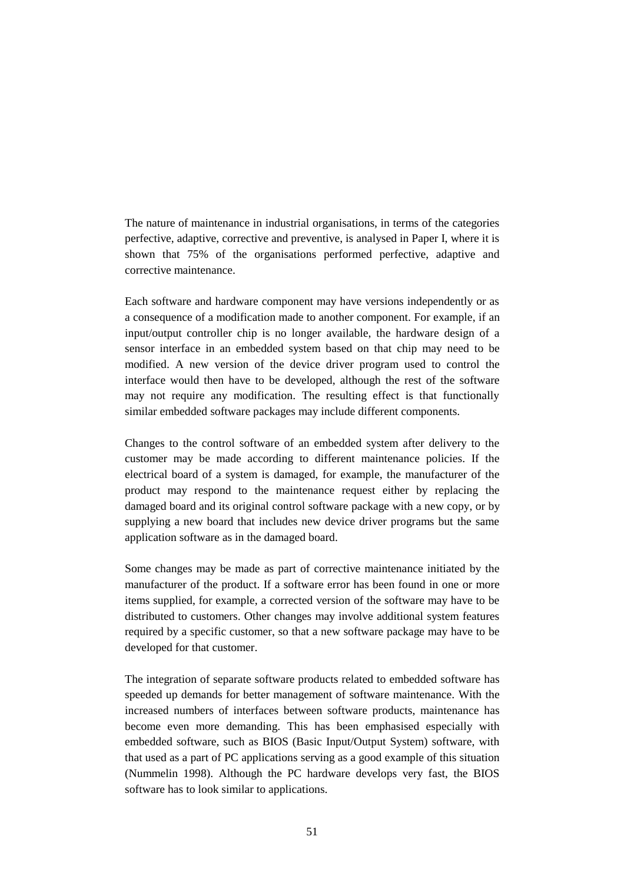The nature of maintenance in industrial organisations, in terms of the categories perfective, adaptive, corrective and preventive, is analysed in Paper I, where it is shown that 75% of the organisations performed perfective, adaptive and corrective maintenance.

Each software and hardware component may have versions independently or as a consequence of a modification made to another component. For example, if an input/output controller chip is no longer available, the hardware design of a sensor interface in an embedded system based on that chip may need to be modified. A new version of the device driver program used to control the interface would then have to be developed, although the rest of the software may not require any modification. The resulting effect is that functionally similar embedded software packages may include different components.

Changes to the control software of an embedded system after delivery to the customer may be made according to different maintenance policies. If the electrical board of a system is damaged, for example, the manufacturer of the product may respond to the maintenance request either by replacing the damaged board and its original control software package with a new copy, or by supplying a new board that includes new device driver programs but the same application software as in the damaged board.

Some changes may be made as part of corrective maintenance initiated by the manufacturer of the product. If a software error has been found in one or more items supplied, for example, a corrected version of the software may have to be distributed to customers. Other changes may involve additional system features required by a specific customer, so that a new software package may have to be developed for that customer.

The integration of separate software products related to embedded software has speeded up demands for better management of software maintenance. With the increased numbers of interfaces between software products, maintenance has become even more demanding. This has been emphasised especially with embedded software, such as BIOS (Basic Input/Output System) software, with that used as a part of PC applications serving as a good example of this situation (Nummelin 1998). Although the PC hardware develops very fast, the BIOS software has to look similar to applications.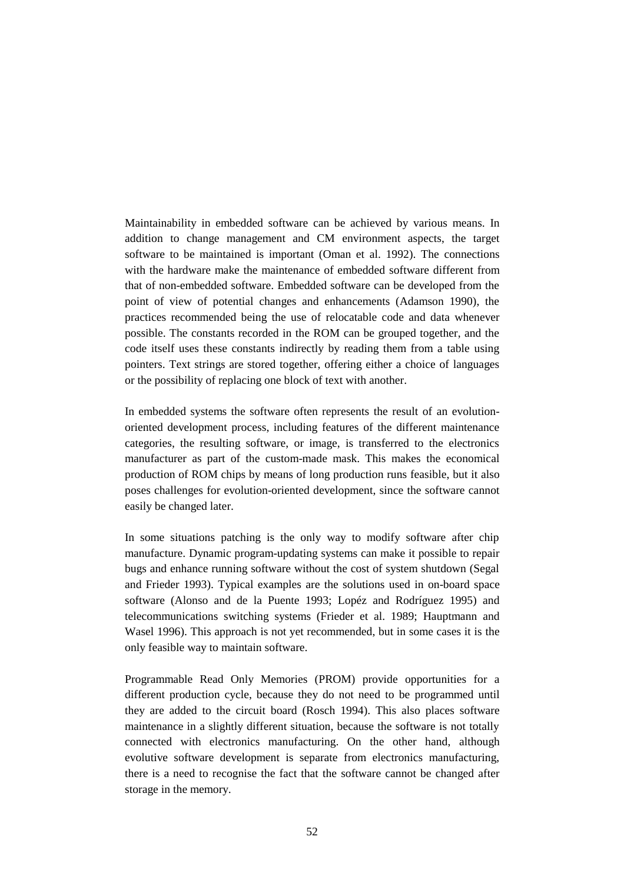Maintainability in embedded software can be achieved by various means. In addition to change management and CM environment aspects, the target software to be maintained is important (Oman et al. 1992). The connections with the hardware make the maintenance of embedded software different from that of non-embedded software. Embedded software can be developed from the point of view of potential changes and enhancements (Adamson 1990), the practices recommended being the use of relocatable code and data whenever possible. The constants recorded in the ROM can be grouped together, and the code itself uses these constants indirectly by reading them from a table using pointers. Text strings are stored together, offering either a choice of languages or the possibility of replacing one block of text with another.

In embedded systems the software often represents the result of an evolutionoriented development process, including features of the different maintenance categories, the resulting software, or image, is transferred to the electronics manufacturer as part of the custom-made mask. This makes the economical production of ROM chips by means of long production runs feasible, but it also poses challenges for evolution-oriented development, since the software cannot easily be changed later.

In some situations patching is the only way to modify software after chip manufacture. Dynamic program-updating systems can make it possible to repair bugs and enhance running software without the cost of system shutdown (Segal and Frieder 1993). Typical examples are the solutions used in on-board space software (Alonso and de la Puente 1993; Lopéz and Rodríguez 1995) and telecommunications switching systems (Frieder et al. 1989; Hauptmann and Wasel 1996). This approach is not yet recommended, but in some cases it is the only feasible way to maintain software.

Programmable Read Only Memories (PROM) provide opportunities for a different production cycle, because they do not need to be programmed until they are added to the circuit board (Rosch 1994). This also places software maintenance in a slightly different situation, because the software is not totally connected with electronics manufacturing. On the other hand, although evolutive software development is separate from electronics manufacturing, there is a need to recognise the fact that the software cannot be changed after storage in the memory.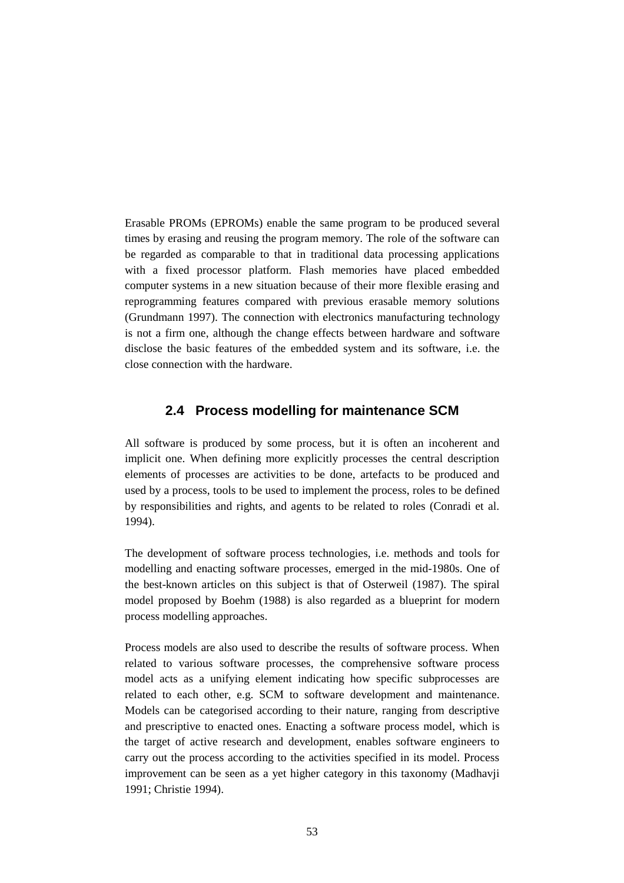Erasable PROMs (EPROMs) enable the same program to be produced several times by erasing and reusing the program memory. The role of the software can be regarded as comparable to that in traditional data processing applications with a fixed processor platform. Flash memories have placed embedded computer systems in a new situation because of their more flexible erasing and reprogramming features compared with previous erasable memory solutions (Grundmann 1997). The connection with electronics manufacturing technology is not a firm one, although the change effects between hardware and software disclose the basic features of the embedded system and its software, i.e. the close connection with the hardware.

# **2.4 Process modelling for maintenance SCM**

All software is produced by some process, but it is often an incoherent and implicit one. When defining more explicitly processes the central description elements of processes are activities to be done, artefacts to be produced and used by a process, tools to be used to implement the process, roles to be defined by responsibilities and rights, and agents to be related to roles (Conradi et al. 1994).

The development of software process technologies, i.e. methods and tools for modelling and enacting software processes, emerged in the mid-1980s. One of the best-known articles on this subject is that of Osterweil (1987). The spiral model proposed by Boehm (1988) is also regarded as a blueprint for modern process modelling approaches.

Process models are also used to describe the results of software process. When related to various software processes, the comprehensive software process model acts as a unifying element indicating how specific subprocesses are related to each other, e.g. SCM to software development and maintenance. Models can be categorised according to their nature, ranging from descriptive and prescriptive to enacted ones. Enacting a software process model, which is the target of active research and development, enables software engineers to carry out the process according to the activities specified in its model. Process improvement can be seen as a yet higher category in this taxonomy (Madhavji 1991; Christie 1994).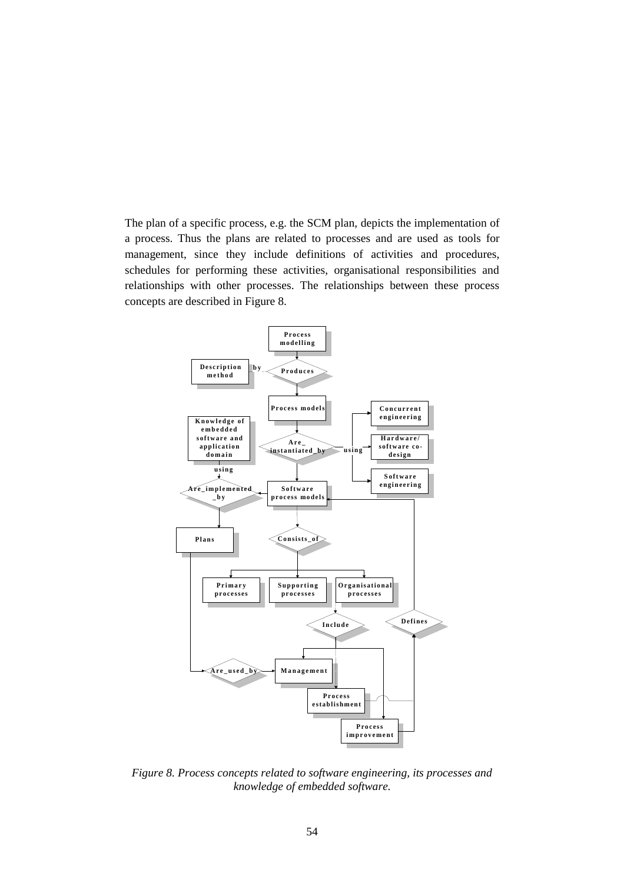The plan of a specific process, e.g. the SCM plan, depicts the implementation of a process. Thus the plans are related to processes and are used as tools for management, since they include definitions of activities and procedures, schedules for performing these activities, organisational responsibilities and relationships with other processes. The relationships between these process concepts are described in Figure 8.



*Figure 8. Process concepts related to software engineering, its processes and knowledge of embedded software.*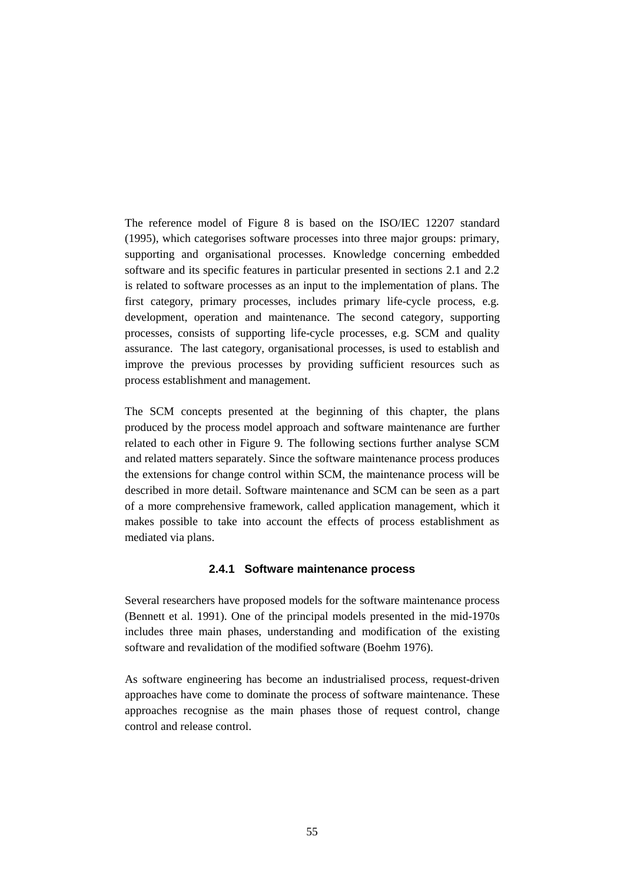The reference model of Figure 8 is based on the ISO/IEC 12207 standard (1995), which categorises software processes into three major groups: primary, supporting and organisational processes. Knowledge concerning embedded software and its specific features in particular presented in sections 2.1 and 2.2 is related to software processes as an input to the implementation of plans. The first category, primary processes, includes primary life-cycle process, e.g. development, operation and maintenance. The second category, supporting processes, consists of supporting life-cycle processes, e.g. SCM and quality assurance. The last category, organisational processes, is used to establish and improve the previous processes by providing sufficient resources such as process establishment and management.

The SCM concepts presented at the beginning of this chapter, the plans produced by the process model approach and software maintenance are further related to each other in Figure 9. The following sections further analyse SCM and related matters separately. Since the software maintenance process produces the extensions for change control within SCM, the maintenance process will be described in more detail. Software maintenance and SCM can be seen as a part of a more comprehensive framework, called application management, which it makes possible to take into account the effects of process establishment as mediated via plans.

### **2.4.1 Software maintenance process**

Several researchers have proposed models for the software maintenance process (Bennett et al. 1991). One of the principal models presented in the mid-1970s includes three main phases, understanding and modification of the existing software and revalidation of the modified software (Boehm 1976).

As software engineering has become an industrialised process, request-driven approaches have come to dominate the process of software maintenance. These approaches recognise as the main phases those of request control, change control and release control.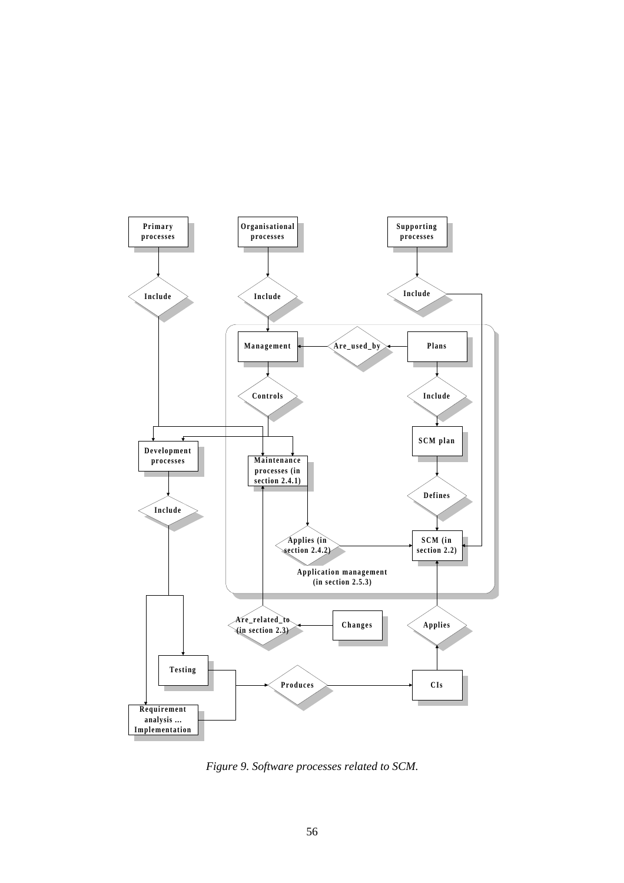

*Figure 9. Software processes related to SCM.*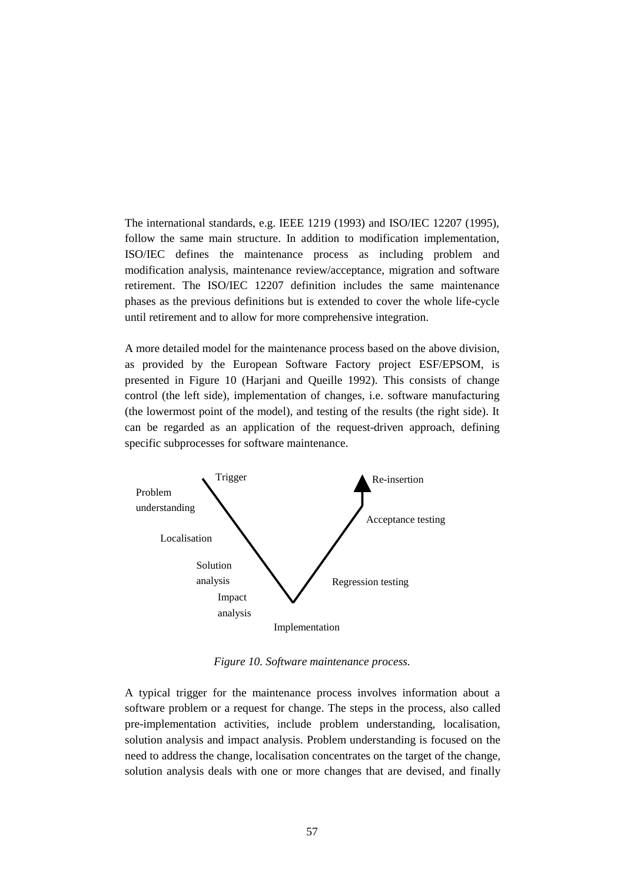The international standards, e.g. IEEE 1219 (1993) and ISO/IEC 12207 (1995), follow the same main structure. In addition to modification implementation, ISO/IEC defines the maintenance process as including problem and modification analysis, maintenance review/acceptance, migration and software retirement. The ISO/IEC 12207 definition includes the same maintenance phases as the previous definitions but is extended to cover the whole life-cycle until retirement and to allow for more comprehensive integration.

A more detailed model for the maintenance process based on the above division, as provided by the European Software Factory project ESF/EPSOM, is presented in Figure 10 (Harjani and Queille 1992). This consists of change control (the left side), implementation of changes, i.e. software manufacturing (the lowermost point of the model), and testing of the results (the right side). It can be regarded as an application of the request-driven approach, defining specific subprocesses for software maintenance.



*Figure 10. Software maintenance process.*

A typical trigger for the maintenance process involves information about a software problem or a request for change. The steps in the process, also called pre-implementation activities, include problem understanding, localisation, solution analysis and impact analysis. Problem understanding is focused on the need to address the change, localisation concentrates on the target of the change, solution analysis deals with one or more changes that are devised, and finally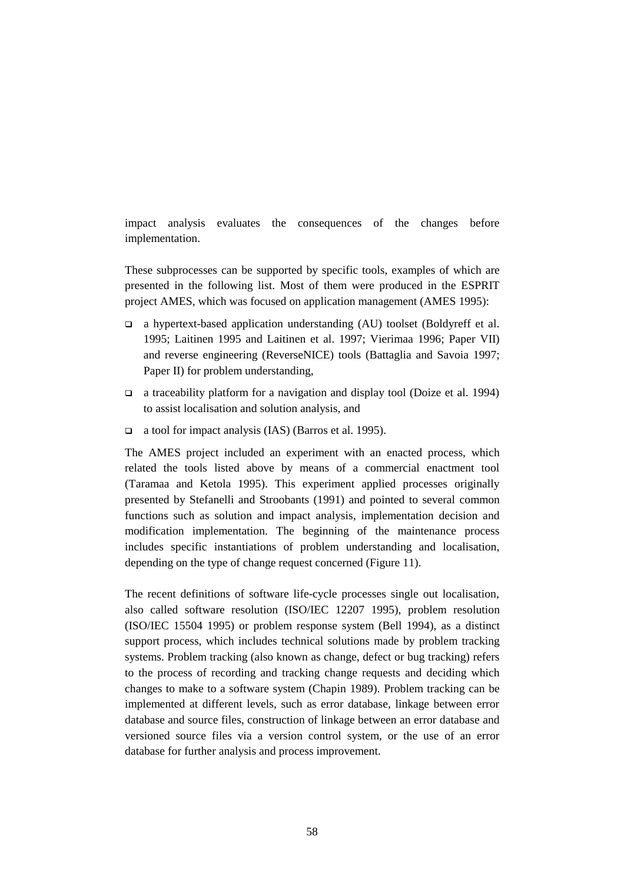impact analysis evaluates the consequences of the changes before implementation.

These subprocesses can be supported by specific tools, examples of which are presented in the following list. Most of them were produced in the ESPRIT project AMES, which was focused on application management (AMES 1995):

- a hypertext-based application understanding (AU) toolset (Boldyreff et al. 1995; Laitinen 1995 and Laitinen et al. 1997; Vierimaa 1996; Paper VII) and reverse engineering (ReverseNICE) tools (Battaglia and Savoia 1997; Paper II) for problem understanding,
- a traceability platform for a navigation and display tool (Doize et al. 1994) to assist localisation and solution analysis, and
- a tool for impact analysis (IAS) (Barros et al. 1995).

The AMES project included an experiment with an enacted process, which related the tools listed above by means of a commercial enactment tool (Taramaa and Ketola 1995). This experiment applied processes originally presented by Stefanelli and Stroobants (1991) and pointed to several common functions such as solution and impact analysis, implementation decision and modification implementation. The beginning of the maintenance process includes specific instantiations of problem understanding and localisation, depending on the type of change request concerned (Figure 11).

The recent definitions of software life-cycle processes single out localisation, also called software resolution (ISO/IEC 12207 1995), problem resolution (ISO/IEC 15504 1995) or problem response system (Bell 1994), as a distinct support process, which includes technical solutions made by problem tracking systems. Problem tracking (also known as change, defect or bug tracking) refers to the process of recording and tracking change requests and deciding which changes to make to a software system (Chapin 1989). Problem tracking can be implemented at different levels, such as error database, linkage between error database and source files, construction of linkage between an error database and versioned source files via a version control system, or the use of an error database for further analysis and process improvement.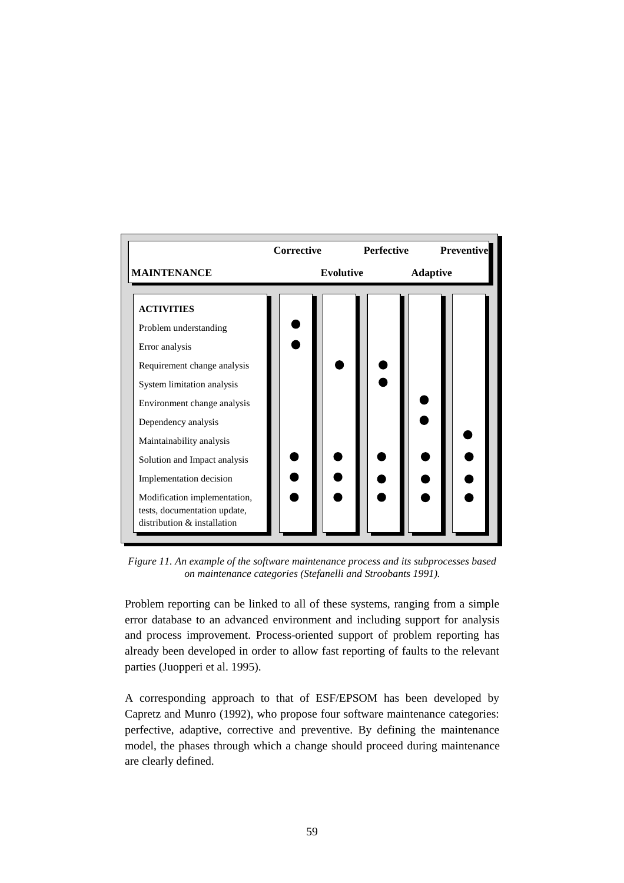

*Figure 11. An example of the software maintenance process and its subprocesses based on maintenance categories (Stefanelli and Stroobants 1991).*

Problem reporting can be linked to all of these systems, ranging from a simple error database to an advanced environment and including support for analysis and process improvement. Process-oriented support of problem reporting has already been developed in order to allow fast reporting of faults to the relevant parties (Juopperi et al. 1995).

A corresponding approach to that of ESF/EPSOM has been developed by Capretz and Munro (1992), who propose four software maintenance categories: perfective, adaptive, corrective and preventive. By defining the maintenance model, the phases through which a change should proceed during maintenance are clearly defined.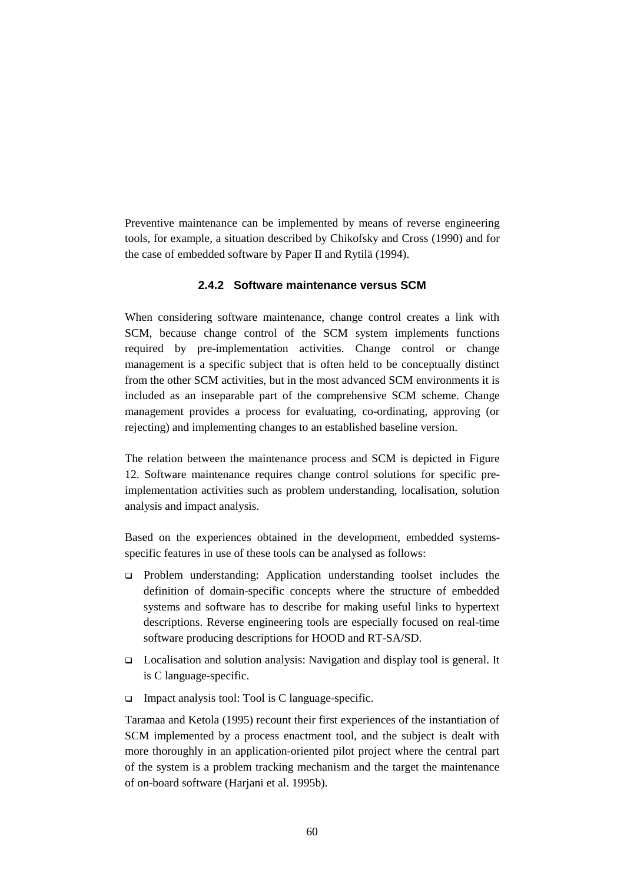Preventive maintenance can be implemented by means of reverse engineering tools, for example, a situation described by Chikofsky and Cross (1990) and for the case of embedded software by Paper II and Rytilä (1994).

# **2.4.2 Software maintenance versus SCM**

When considering software maintenance, change control creates a link with SCM, because change control of the SCM system implements functions required by pre-implementation activities. Change control or change management is a specific subject that is often held to be conceptually distinct from the other SCM activities, but in the most advanced SCM environments it is included as an inseparable part of the comprehensive SCM scheme. Change management provides a process for evaluating, co-ordinating, approving (or rejecting) and implementing changes to an established baseline version.

The relation between the maintenance process and SCM is depicted in Figure 12. Software maintenance requires change control solutions for specific preimplementation activities such as problem understanding, localisation, solution analysis and impact analysis.

Based on the experiences obtained in the development, embedded systemsspecific features in use of these tools can be analysed as follows:

- Problem understanding: Application understanding toolset includes the definition of domain-specific concepts where the structure of embedded systems and software has to describe for making useful links to hypertext descriptions. Reverse engineering tools are especially focused on real-time software producing descriptions for HOOD and RT-SA/SD.
- □ Localisation and solution analysis: Navigation and display tool is general. It is C language-specific.
- $\Box$  Impact analysis tool: Tool is C language-specific.

Taramaa and Ketola (1995) recount their first experiences of the instantiation of SCM implemented by a process enactment tool, and the subject is dealt with more thoroughly in an application-oriented pilot project where the central part of the system is a problem tracking mechanism and the target the maintenance of on-board software (Harjani et al. 1995b).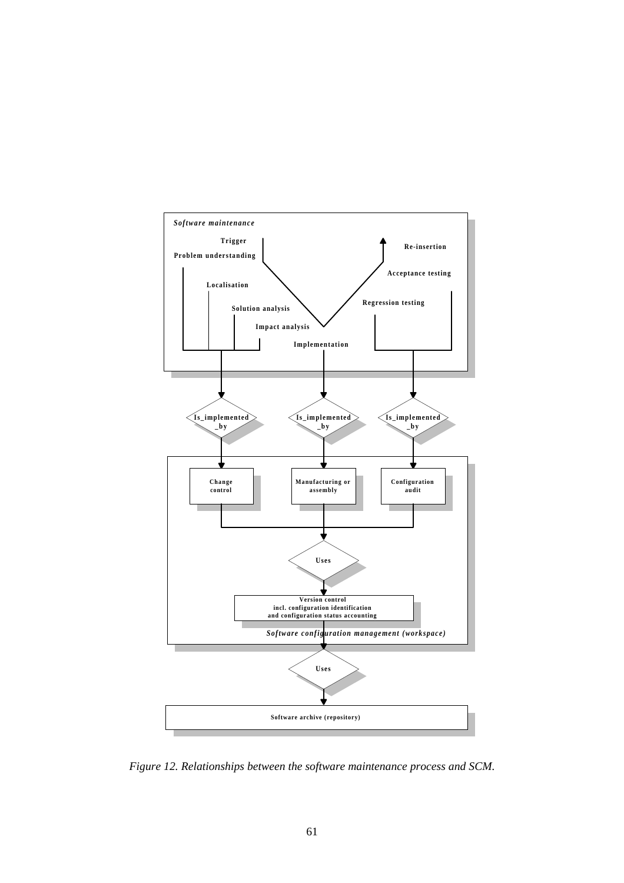

*Figure 12. Relationships between the software maintenance process and SCM.*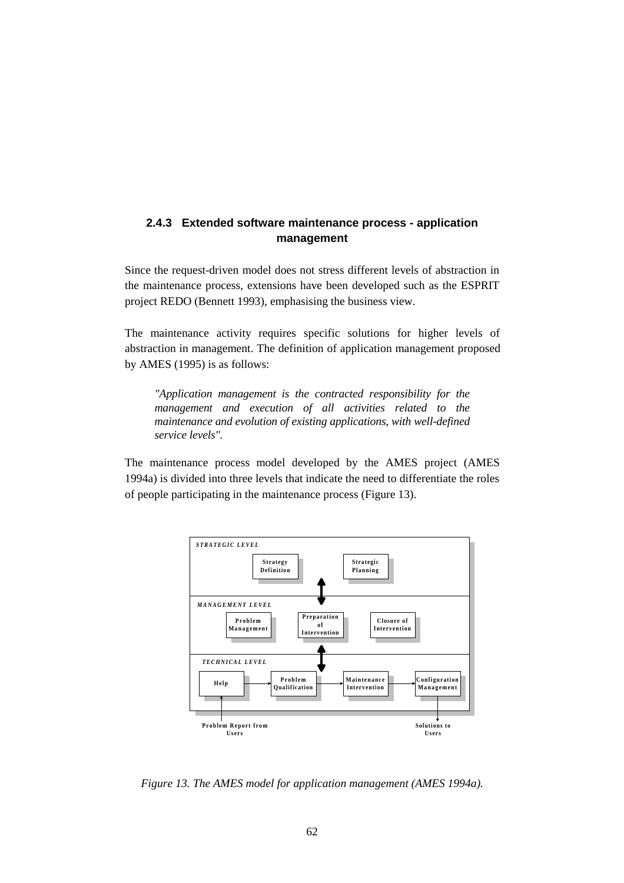# **2.4.3 Extended software maintenance process - application management**

Since the request-driven model does not stress different levels of abstraction in the maintenance process, extensions have been developed such as the ESPRIT project REDO (Bennett 1993), emphasising the business view.

The maintenance activity requires specific solutions for higher levels of abstraction in management. The definition of application management proposed by AMES (1995) is as follows:

*"Application management is the contracted responsibility for the management and execution of all activities related to the maintenance and evolution of existing applications, with well-defined service levels".*

The maintenance process model developed by the AMES project (AMES 1994a) is divided into three levels that indicate the need to differentiate the roles of people participating in the maintenance process (Figure 13).



*Figure 13. The AMES model for application management (AMES 1994a).*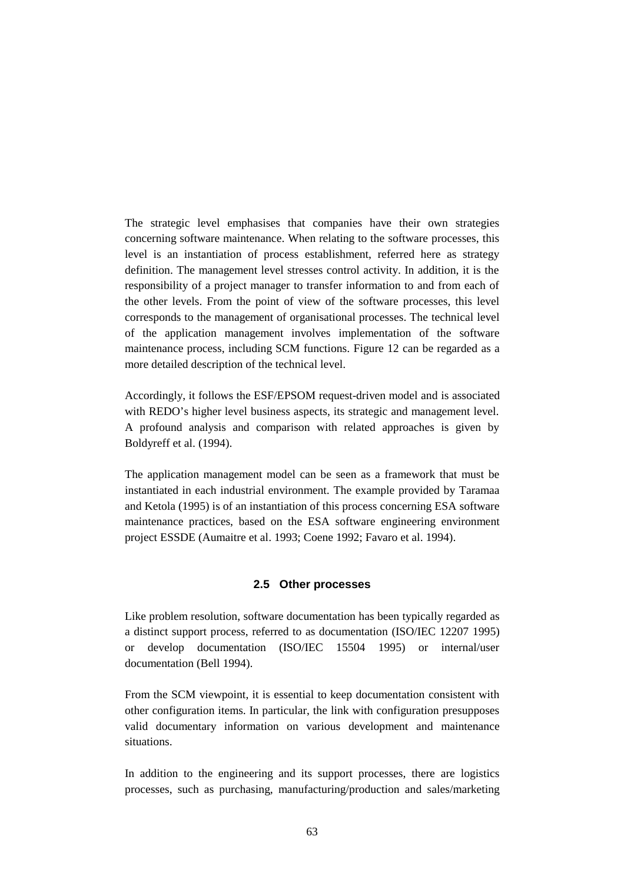The strategic level emphasises that companies have their own strategies concerning software maintenance. When relating to the software processes, this level is an instantiation of process establishment, referred here as strategy definition. The management level stresses control activity. In addition, it is the responsibility of a project manager to transfer information to and from each of the other levels. From the point of view of the software processes, this level corresponds to the management of organisational processes. The technical level of the application management involves implementation of the software maintenance process, including SCM functions. Figure 12 can be regarded as a more detailed description of the technical level.

Accordingly, it follows the ESF/EPSOM request-driven model and is associated with REDO's higher level business aspects, its strategic and management level. A profound analysis and comparison with related approaches is given by Boldyreff et al. (1994).

The application management model can be seen as a framework that must be instantiated in each industrial environment. The example provided by Taramaa and Ketola (1995) is of an instantiation of this process concerning ESA software maintenance practices, based on the ESA software engineering environment project ESSDE (Aumaitre et al. 1993; Coene 1992; Favaro et al. 1994).

## **2.5 Other processes**

Like problem resolution, software documentation has been typically regarded as a distinct support process, referred to as documentation (ISO/IEC 12207 1995) or develop documentation (ISO/IEC 15504 1995) or internal/user documentation (Bell 1994).

From the SCM viewpoint, it is essential to keep documentation consistent with other configuration items. In particular, the link with configuration presupposes valid documentary information on various development and maintenance situations.

In addition to the engineering and its support processes, there are logistics processes, such as purchasing, manufacturing/production and sales/marketing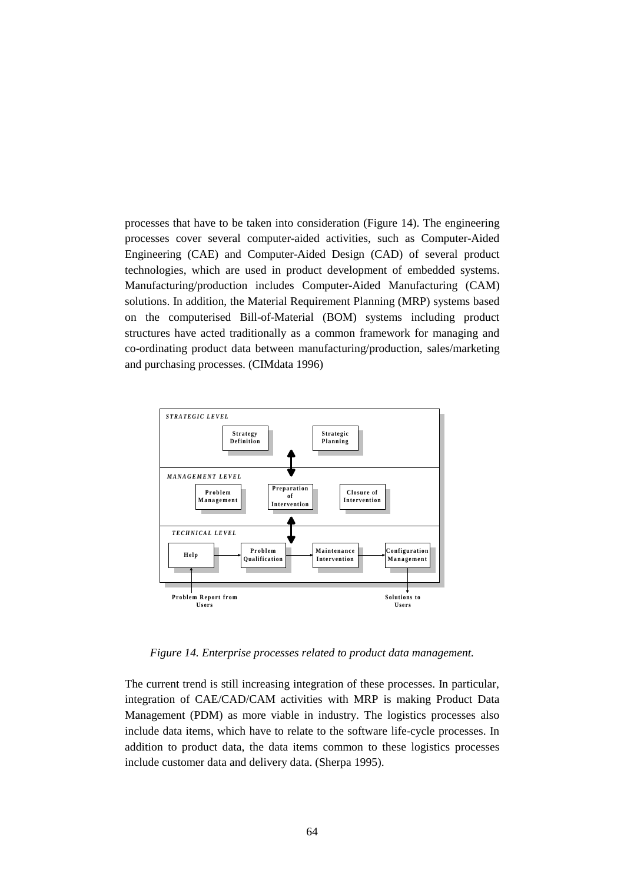processes that have to be taken into consideration (Figure 14). The engineering processes cover several computer-aided activities, such as Computer-Aided Engineering (CAE) and Computer-Aided Design (CAD) of several product technologies, which are used in product development of embedded systems. Manufacturing/production includes Computer-Aided Manufacturing (CAM) solutions. In addition, the Material Requirement Planning (MRP) systems based on the computerised Bill-of-Material (BOM) systems including product structures have acted traditionally as a common framework for managing and co-ordinating product data between manufacturing/production, sales/marketing and purchasing processes. (CIMdata 1996)



*Figure 14. Enterprise processes related to product data management.*

The current trend is still increasing integration of these processes. In particular, integration of CAE/CAD/CAM activities with MRP is making Product Data Management (PDM) as more viable in industry. The logistics processes also include data items, which have to relate to the software life-cycle processes. In addition to product data, the data items common to these logistics processes include customer data and delivery data. (Sherpa 1995).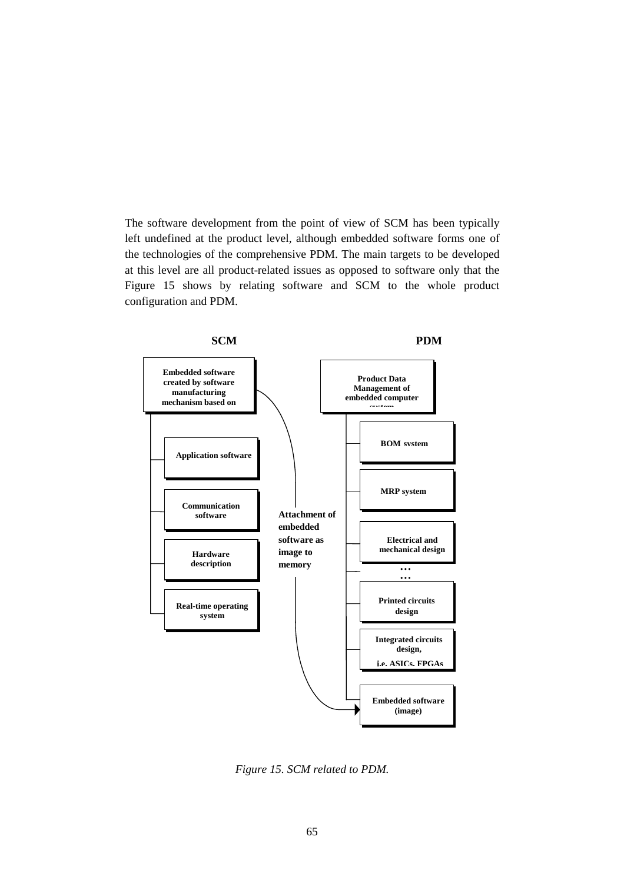The software development from the point of view of SCM has been typically left undefined at the product level, although embedded software forms one of the technologies of the comprehensive PDM. The main targets to be developed at this level are all product-related issues as opposed to software only that the Figure 15 shows by relating software and SCM to the whole product configuration and PDM.



*Figure 15. SCM related to PDM.*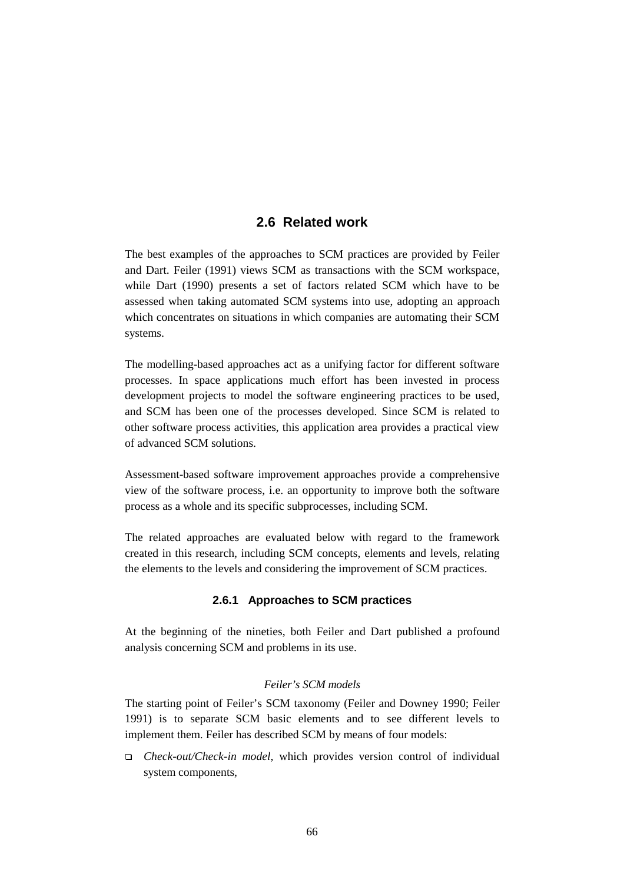# **2.6 Related work**

The best examples of the approaches to SCM practices are provided by Feiler and Dart. Feiler (1991) views SCM as transactions with the SCM workspace, while Dart (1990) presents a set of factors related SCM which have to be assessed when taking automated SCM systems into use, adopting an approach which concentrates on situations in which companies are automating their SCM systems.

The modelling-based approaches act as a unifying factor for different software processes. In space applications much effort has been invested in process development projects to model the software engineering practices to be used, and SCM has been one of the processes developed. Since SCM is related to other software process activities, this application area provides a practical view of advanced SCM solutions.

Assessment-based software improvement approaches provide a comprehensive view of the software process, i.e. an opportunity to improve both the software process as a whole and its specific subprocesses, including SCM.

The related approaches are evaluated below with regard to the framework created in this research, including SCM concepts, elements and levels, relating the elements to the levels and considering the improvement of SCM practices.

## **2.6.1 Approaches to SCM practices**

At the beginning of the nineties, both Feiler and Dart published a profound analysis concerning SCM and problems in its use.

### *Feiler's SCM models*

The starting point of Feiler's SCM taxonomy (Feiler and Downey 1990; Feiler 1991) is to separate SCM basic elements and to see different levels to implement them. Feiler has described SCM by means of four models:

 *Check-out/Check-in model*, which provides version control of individual system components,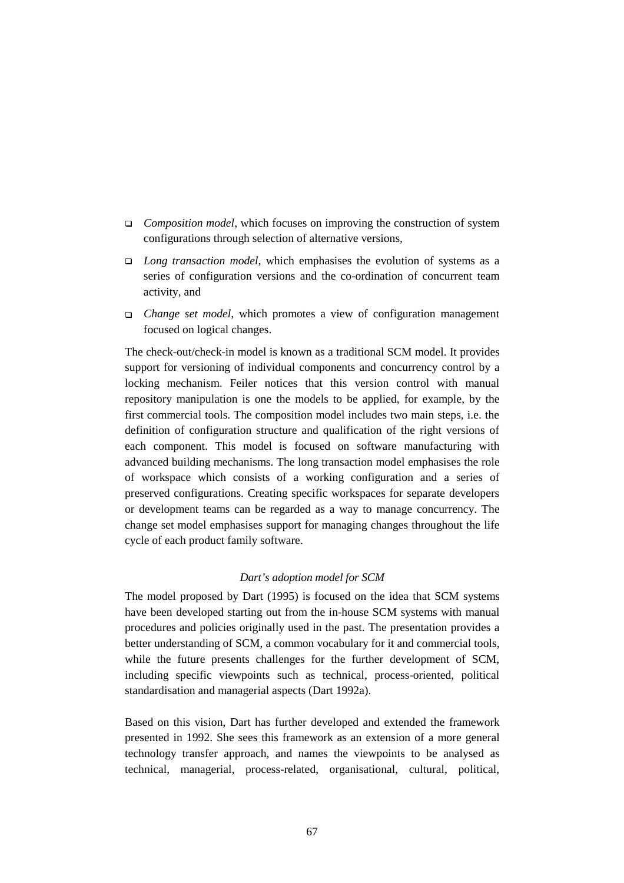- *Composition model*, which focuses on improving the construction of system configurations through selection of alternative versions,
- *Long transaction model*, which emphasises the evolution of systems as a series of configuration versions and the co-ordination of concurrent team activity, and
- *Change set model*, which promotes a view of configuration management focused on logical changes.

The check-out/check-in model is known as a traditional SCM model. It provides support for versioning of individual components and concurrency control by a locking mechanism. Feiler notices that this version control with manual repository manipulation is one the models to be applied, for example, by the first commercial tools. The composition model includes two main steps, i.e. the definition of configuration structure and qualification of the right versions of each component. This model is focused on software manufacturing with advanced building mechanisms. The long transaction model emphasises the role of workspace which consists of a working configuration and a series of preserved configurations. Creating specific workspaces for separate developers or development teams can be regarded as a way to manage concurrency. The change set model emphasises support for managing changes throughout the life cycle of each product family software.

## *Dart's adoption model for SCM*

The model proposed by Dart (1995) is focused on the idea that SCM systems have been developed starting out from the in-house SCM systems with manual procedures and policies originally used in the past. The presentation provides a better understanding of SCM, a common vocabulary for it and commercial tools, while the future presents challenges for the further development of SCM, including specific viewpoints such as technical, process-oriented, political standardisation and managerial aspects (Dart 1992a).

Based on this vision, Dart has further developed and extended the framework presented in 1992. She sees this framework as an extension of a more general technology transfer approach, and names the viewpoints to be analysed as technical, managerial, process-related, organisational, cultural, political,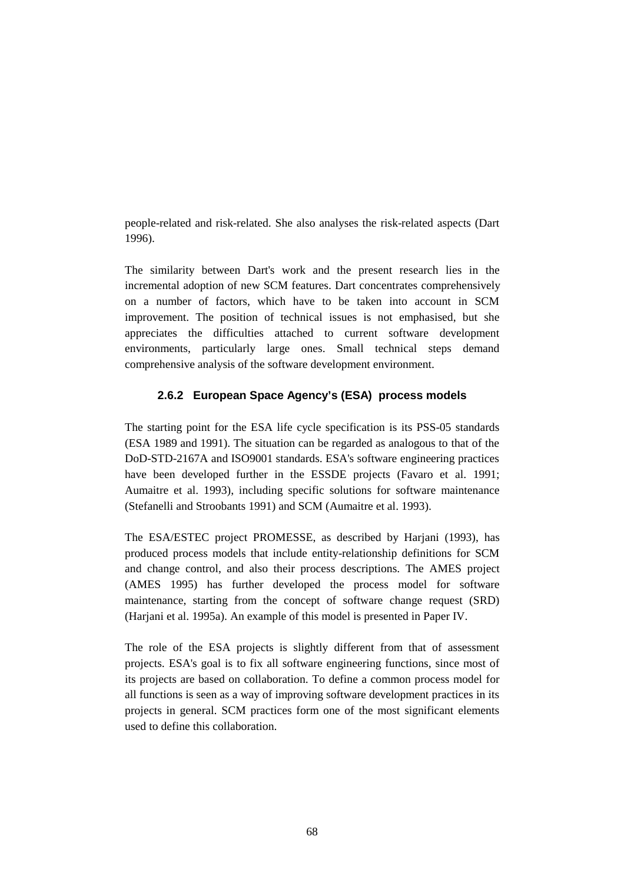people-related and risk-related. She also analyses the risk-related aspects (Dart 1996).

The similarity between Dart's work and the present research lies in the incremental adoption of new SCM features. Dart concentrates comprehensively on a number of factors, which have to be taken into account in SCM improvement. The position of technical issues is not emphasised, but she appreciates the difficulties attached to current software development environments, particularly large ones. Small technical steps demand comprehensive analysis of the software development environment.

# **2.6.2 European Space Agency's (ESA) process models**

The starting point for the ESA life cycle specification is its PSS-05 standards (ESA 1989 and 1991). The situation can be regarded as analogous to that of the DoD-STD-2167A and ISO9001 standards. ESA's software engineering practices have been developed further in the ESSDE projects (Favaro et al. 1991; Aumaitre et al. 1993), including specific solutions for software maintenance (Stefanelli and Stroobants 1991) and SCM (Aumaitre et al. 1993).

The ESA/ESTEC project PROMESSE, as described by Harjani (1993), has produced process models that include entity-relationship definitions for SCM and change control, and also their process descriptions. The AMES project (AMES 1995) has further developed the process model for software maintenance, starting from the concept of software change request (SRD) (Harjani et al. 1995a). An example of this model is presented in Paper IV.

The role of the ESA projects is slightly different from that of assessment projects. ESA's goal is to fix all software engineering functions, since most of its projects are based on collaboration. To define a common process model for all functions is seen as a way of improving software development practices in its projects in general. SCM practices form one of the most significant elements used to define this collaboration.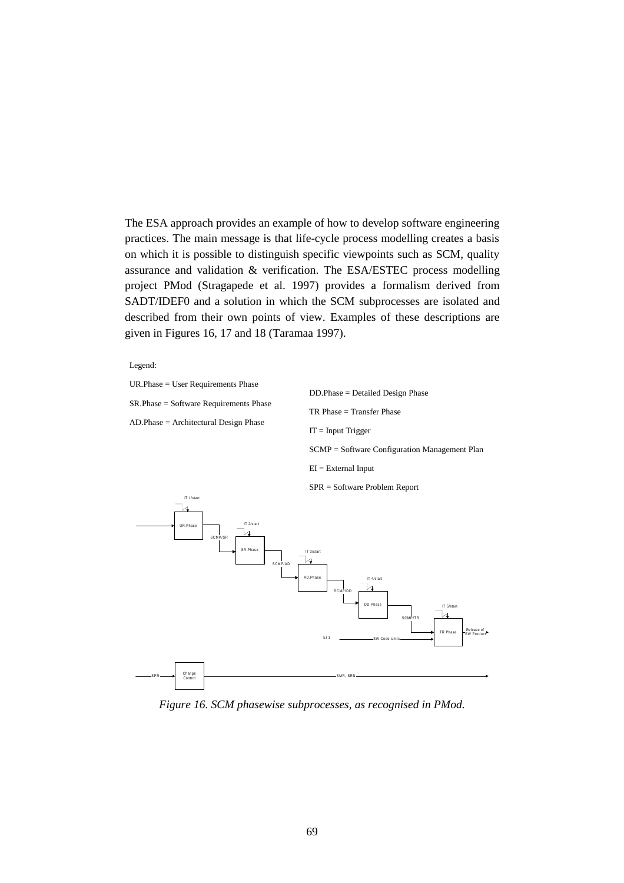The ESA approach provides an example of how to develop software engineering practices. The main message is that life-cycle process modelling creates a basis on which it is possible to distinguish specific viewpoints such as SCM, quality assurance and validation & verification. The ESA/ESTEC process modelling project PMod (Stragapede et al. 1997) provides a formalism derived from SADT/IDEF0 and a solution in which the SCM subprocesses are isolated and described from their own points of view. Examples of these descriptions are given in Figures 16, 17 and 18 (Taramaa 1997).

Legend:

UR.Phase = User Requirements Phase

SR.Phase = Software Requirements Phase

AD.Phase = Architectural Design Phase

DD.Phase = Detailed Design Phase TR Phase = Transfer Phase  $IT = Input Trigger$ SCMP = Software Configuration Management Plan  $EI = External Input$ 



*Figure 16. SCM phasewise subprocesses, as recognised in PMod.*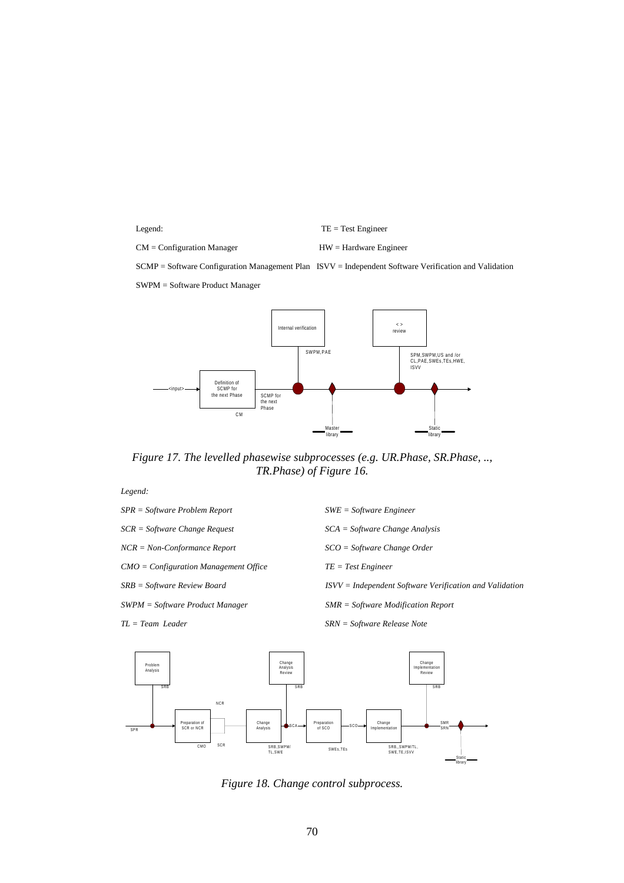Legend: TE = Test Engineer

CM = Configuration Manager HW = Hardware Engineer

SCMP = Software Configuration Management Plan ISVV = Independent Software Verification and Validation

SWPM = Software Product Manager



*Figure 17. The levelled phasewise subprocesses (e.g. UR.Phase, SR.Phase, .., TR.Phase) of Figure 16.*

*Legend:*

*SPR = Software Problem Report SWE = Software Engineer NCR = Non-Conformance Report SCO = Software Change Order CMO* = *Configuration Management Office* TE = Test Engineer *TL = Team Leader SRN = Software Release Note*

*SCR = Software Change Request SCA = Software Change Analysis SRB = Software Review Board ISVV = Independent Software Verification and Validation SWPM = Software Product Manager SMR = Software Modification Report*



*Figure 18. Change control subprocess.*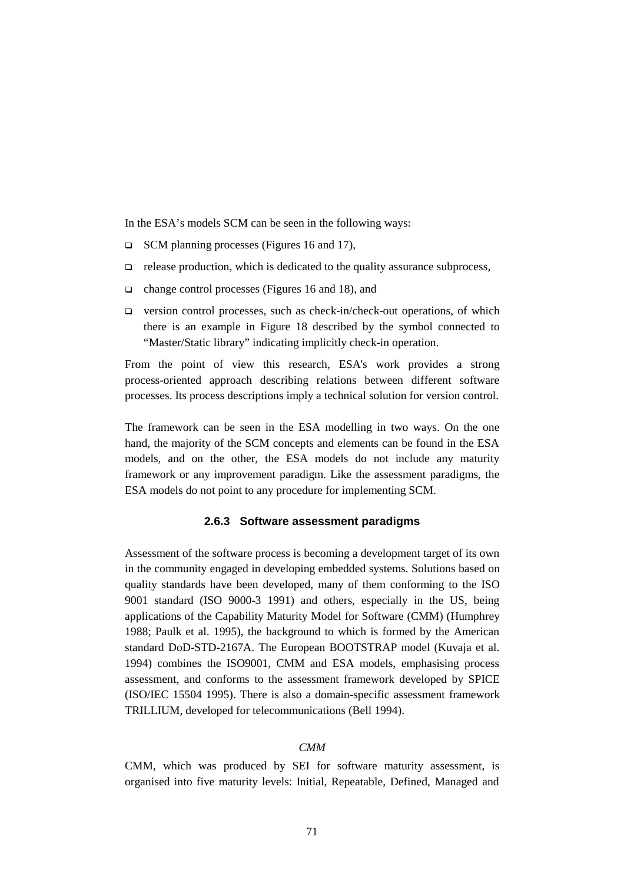In the ESA's models SCM can be seen in the following ways:

- SCM planning processes (Figures 16 and 17),
- $\Box$  release production, which is dedicated to the quality assurance subprocess,
- change control processes (Figures 16 and 18), and
- $\Box$  version control processes, such as check-in/check-out operations, of which there is an example in Figure 18 described by the symbol connected to "Master/Static library" indicating implicitly check-in operation.

From the point of view this research, ESA's work provides a strong process-oriented approach describing relations between different software processes. Its process descriptions imply a technical solution for version control.

The framework can be seen in the ESA modelling in two ways. On the one hand, the majority of the SCM concepts and elements can be found in the ESA models, and on the other, the ESA models do not include any maturity framework or any improvement paradigm. Like the assessment paradigms, the ESA models do not point to any procedure for implementing SCM.

#### **2.6.3 Software assessment paradigms**

Assessment of the software process is becoming a development target of its own in the community engaged in developing embedded systems. Solutions based on quality standards have been developed, many of them conforming to the ISO 9001 standard (ISO 9000-3 1991) and others, especially in the US, being applications of the Capability Maturity Model for Software (CMM) (Humphrey 1988; Paulk et al. 1995), the background to which is formed by the American standard DoD-STD-2167A. The European BOOTSTRAP model (Kuvaja et al. 1994) combines the ISO9001, CMM and ESA models, emphasising process assessment, and conforms to the assessment framework developed by SPICE (ISO/IEC 15504 1995). There is also a domain-specific assessment framework TRILLIUM, developed for telecommunications (Bell 1994).

#### *CMM*

CMM, which was produced by SEI for software maturity assessment, is organised into five maturity levels: Initial, Repeatable, Defined, Managed and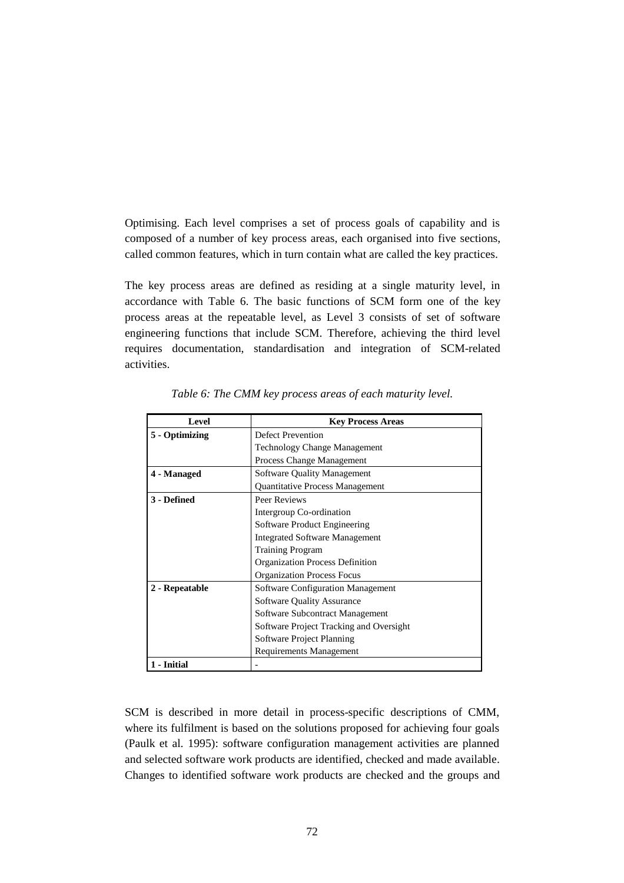Optimising. Each level comprises a set of process goals of capability and is composed of a number of key process areas, each organised into five sections, called common features, which in turn contain what are called the key practices.

The key process areas are defined as residing at a single maturity level, in accordance with Table 6. The basic functions of SCM form one of the key process areas at the repeatable level, as Level 3 consists of set of software engineering functions that include SCM. Therefore, achieving the third level requires documentation, standardisation and integration of SCM-related activities.

| Level          | <b>Key Process Areas</b>                 |  |
|----------------|------------------------------------------|--|
| 5 - Optimizing | <b>Defect Prevention</b>                 |  |
|                | <b>Technology Change Management</b>      |  |
|                | Process Change Management                |  |
| 4 - Managed    | <b>Software Quality Management</b>       |  |
|                | <b>Quantitative Process Management</b>   |  |
| 3 - Defined    | Peer Reviews                             |  |
|                | Intergroup Co-ordination                 |  |
|                | Software Product Engineering             |  |
|                | <b>Integrated Software Management</b>    |  |
|                | <b>Training Program</b>                  |  |
|                | <b>Organization Process Definition</b>   |  |
|                | <b>Organization Process Focus</b>        |  |
| 2 - Repeatable | <b>Software Configuration Management</b> |  |
|                | <b>Software Quality Assurance</b>        |  |
|                | Software Subcontract Management          |  |
|                | Software Project Tracking and Oversight  |  |
|                | Software Project Planning                |  |
|                | Requirements Management                  |  |
| 1 - Initial    |                                          |  |

*Table 6: The CMM key process areas of each maturity level.*

SCM is described in more detail in process-specific descriptions of CMM, where its fulfilment is based on the solutions proposed for achieving four goals (Paulk et al*.* 1995): software configuration management activities are planned and selected software work products are identified, checked and made available. Changes to identified software work products are checked and the groups and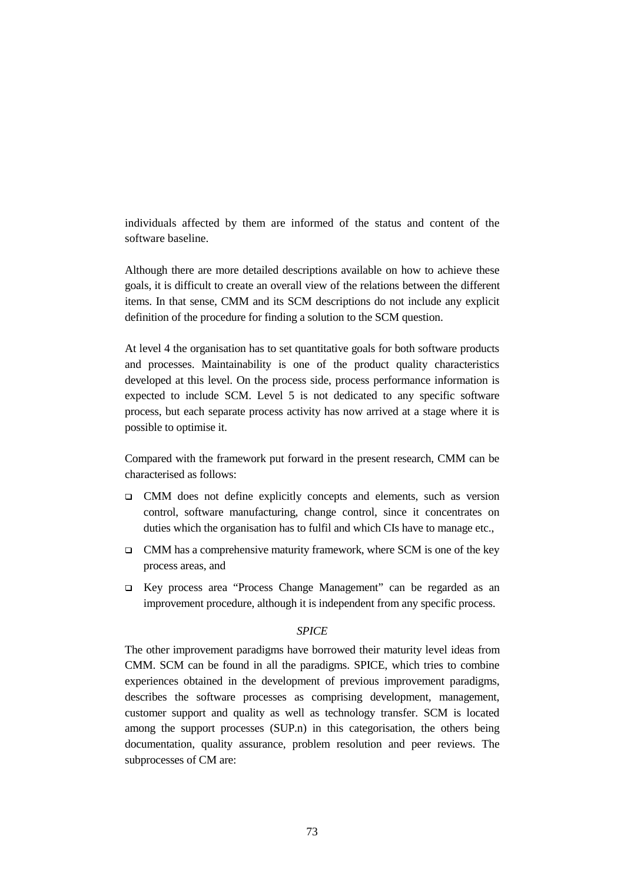individuals affected by them are informed of the status and content of the software baseline.

Although there are more detailed descriptions available on how to achieve these goals, it is difficult to create an overall view of the relations between the different items. In that sense, CMM and its SCM descriptions do not include any explicit definition of the procedure for finding a solution to the SCM question.

At level 4 the organisation has to set quantitative goals for both software products and processes. Maintainability is one of the product quality characteristics developed at this level. On the process side, process performance information is expected to include SCM. Level 5 is not dedicated to any specific software process, but each separate process activity has now arrived at a stage where it is possible to optimise it.

Compared with the framework put forward in the present research, CMM can be characterised as follows:

- CMM does not define explicitly concepts and elements, such as version control, software manufacturing, change control, since it concentrates on duties which the organisation has to fulfil and which CIs have to manage etc.,
- $\Box$  CMM has a comprehensive maturity framework, where SCM is one of the key process areas, and
- Key process area "Process Change Management" can be regarded as an improvement procedure, although it is independent from any specific process.

## *SPICE*

The other improvement paradigms have borrowed their maturity level ideas from CMM. SCM can be found in all the paradigms. SPICE, which tries to combine experiences obtained in the development of previous improvement paradigms, describes the software processes as comprising development, management, customer support and quality as well as technology transfer. SCM is located among the support processes (SUP.n) in this categorisation, the others being documentation, quality assurance, problem resolution and peer reviews. The subprocesses of CM are: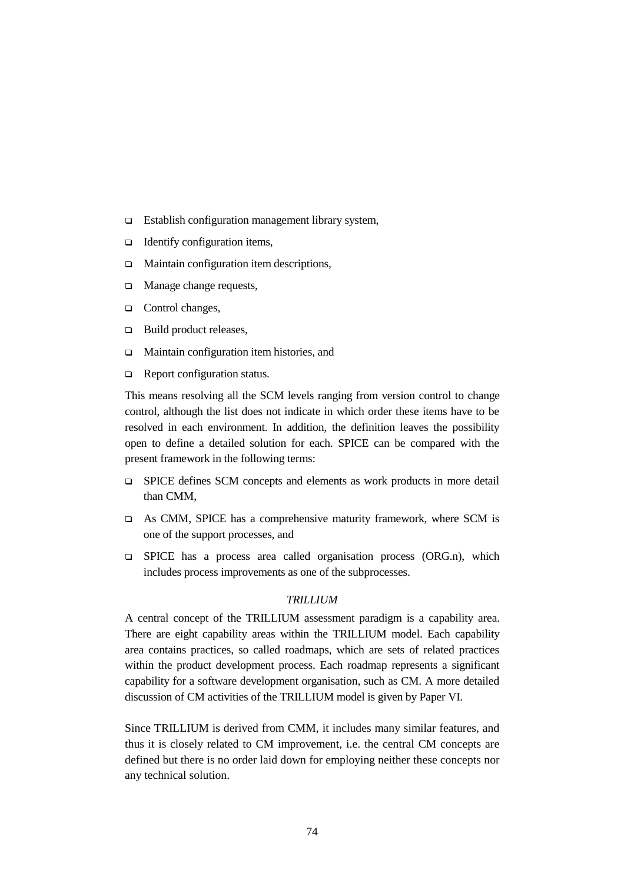- $\Box$  Establish configuration management library system,
- $\Box$  Identify configuration items,
- $\Box$  Maintain configuration item descriptions,
- □ Manage change requests,
- □ Control changes,
- □ Build product releases,
- □ Maintain configuration item histories, and
- Report configuration status.

This means resolving all the SCM levels ranging from version control to change control, although the list does not indicate in which order these items have to be resolved in each environment. In addition, the definition leaves the possibility open to define a detailed solution for each. SPICE can be compared with the present framework in the following terms:

- SPICE defines SCM concepts and elements as work products in more detail than CMM,
- As CMM, SPICE has a comprehensive maturity framework, where SCM is one of the support processes, and
- $\Box$  SPICE has a process area called organisation process (ORG.n), which includes process improvements as one of the subprocesses.

#### *TRILLIUM*

A central concept of the TRILLIUM assessment paradigm is a capability area. There are eight capability areas within the TRILLIUM model. Each capability area contains practices, so called roadmaps, which are sets of related practices within the product development process. Each roadmap represents a significant capability for a software development organisation, such as CM. A more detailed discussion of CM activities of the TRILLIUM model is given by Paper VI.

Since TRILLIUM is derived from CMM, it includes many similar features, and thus it is closely related to CM improvement, i.e. the central CM concepts are defined but there is no order laid down for employing neither these concepts nor any technical solution.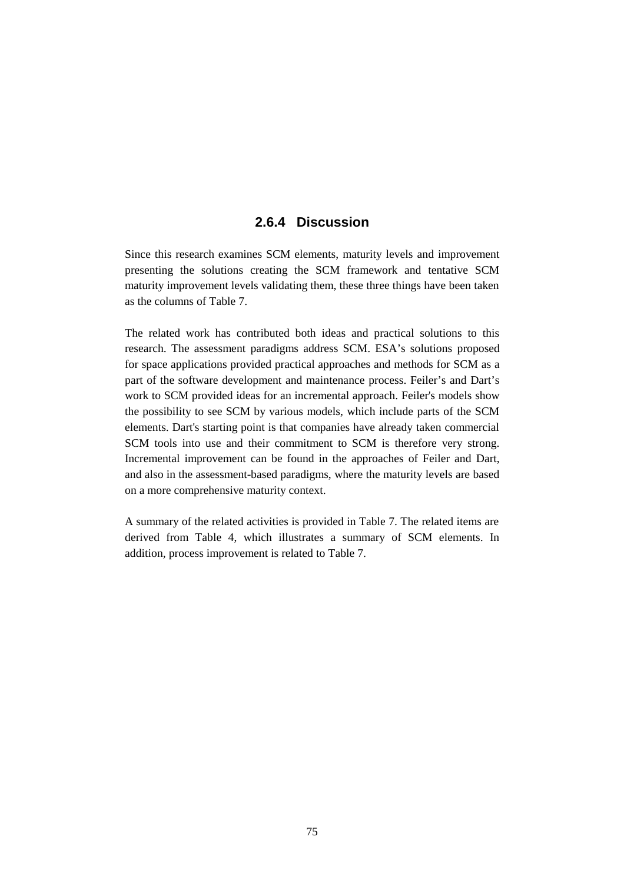# **2.6.4 Discussion**

Since this research examines SCM elements, maturity levels and improvement presenting the solutions creating the SCM framework and tentative SCM maturity improvement levels validating them, these three things have been taken as the columns of Table 7.

The related work has contributed both ideas and practical solutions to this research. The assessment paradigms address SCM. ESA's solutions proposed for space applications provided practical approaches and methods for SCM as a part of the software development and maintenance process. Feiler's and Dart's work to SCM provided ideas for an incremental approach. Feiler's models show the possibility to see SCM by various models, which include parts of the SCM elements. Dart's starting point is that companies have already taken commercial SCM tools into use and their commitment to SCM is therefore very strong. Incremental improvement can be found in the approaches of Feiler and Dart, and also in the assessment-based paradigms, where the maturity levels are based on a more comprehensive maturity context.

A summary of the related activities is provided in Table 7. The related items are derived from Table 4, which illustrates a summary of SCM elements. In addition, process improvement is related to Table 7.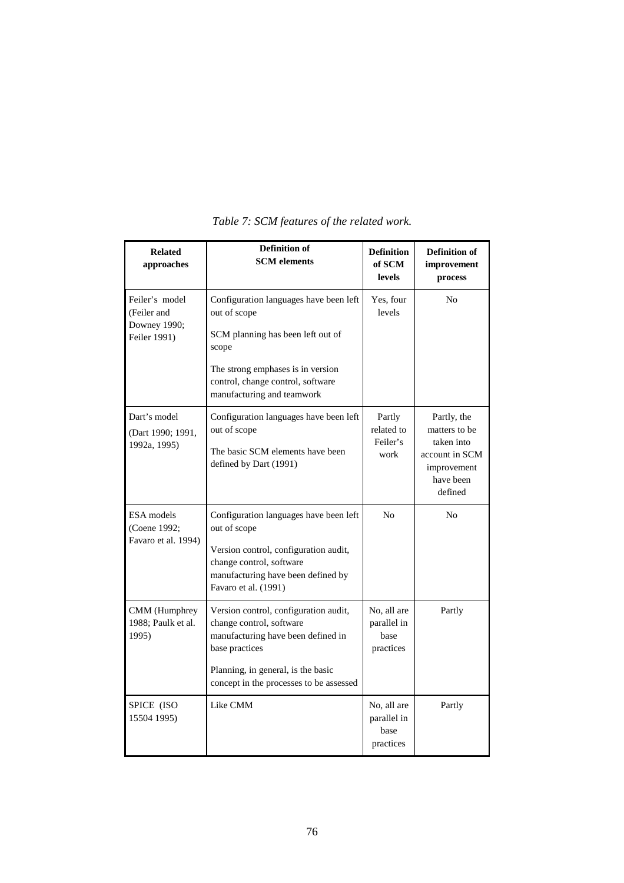| <b>Related</b><br>approaches                                  | <b>Definition of</b><br><b>SCM</b> elements                                                                                                                                                                  | <b>Definition</b><br>of SCM<br><b>levels</b>    | <b>Definition of</b><br>improvement<br>process                                                      |
|---------------------------------------------------------------|--------------------------------------------------------------------------------------------------------------------------------------------------------------------------------------------------------------|-------------------------------------------------|-----------------------------------------------------------------------------------------------------|
| Feiler's model<br>(Feiler and<br>Downey 1990;<br>Feiler 1991) | Configuration languages have been left<br>out of scope<br>SCM planning has been left out of<br>scope<br>The strong emphases is in version<br>control, change control, software<br>manufacturing and teamwork | Yes, four<br>levels                             | No                                                                                                  |
| Dart's model<br>(Dart 1990; 1991,<br>1992a, 1995)             | Configuration languages have been left<br>out of scope<br>The basic SCM elements have been<br>defined by Dart (1991)                                                                                         | Partly<br>related to<br>Feiler's<br>work        | Partly, the<br>matters to be<br>taken into<br>account in SCM<br>improvement<br>have been<br>defined |
| <b>ESA</b> models<br>(Coene 1992;<br>Favaro et al. 1994)      | Configuration languages have been left<br>out of scope<br>Version control, configuration audit,<br>change control, software<br>manufacturing have been defined by<br>Favaro et al. (1991)                    | N <sub>0</sub>                                  | No                                                                                                  |
| CMM (Humphrey<br>1988: Paulk et al.<br>1995)                  | Version control, configuration audit,<br>change control, software<br>manufacturing have been defined in<br>base practices<br>Planning, in general, is the basic<br>concept in the processes to be assessed   | No, all are<br>parallel in<br>base<br>practices | Partly                                                                                              |
| SPICE (ISO<br>15504 1995)                                     | Like CMM                                                                                                                                                                                                     | No, all are<br>parallel in<br>base<br>practices | Partly                                                                                              |

# *Table 7: SCM features of the related work.*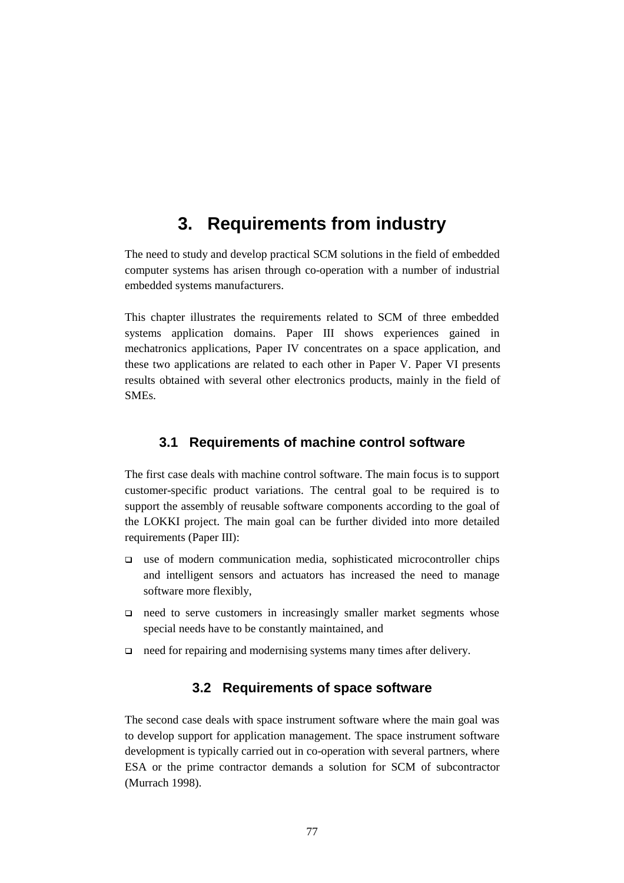# **3. Requirements from industry**

The need to study and develop practical SCM solutions in the field of embedded computer systems has arisen through co-operation with a number of industrial embedded systems manufacturers.

This chapter illustrates the requirements related to SCM of three embedded systems application domains. Paper III shows experiences gained in mechatronics applications, Paper IV concentrates on a space application, and these two applications are related to each other in Paper V. Paper VI presents results obtained with several other electronics products, mainly in the field of SMEs.

# **3.1 Requirements of machine control software**

The first case deals with machine control software. The main focus is to support customer-specific product variations. The central goal to be required is to support the assembly of reusable software components according to the goal of the LOKKI project. The main goal can be further divided into more detailed requirements (Paper III):

- $\Box$  use of modern communication media, sophisticated microcontroller chips and intelligent sensors and actuators has increased the need to manage software more flexibly,
- $\Box$  need to serve customers in increasingly smaller market segments whose special needs have to be constantly maintained, and
- $\Box$  need for repairing and modernising systems many times after delivery.

# **3.2 Requirements of space software**

The second case deals with space instrument software where the main goal was to develop support for application management. The space instrument software development is typically carried out in co-operation with several partners, where ESA or the prime contractor demands a solution for SCM of subcontractor (Murrach 1998).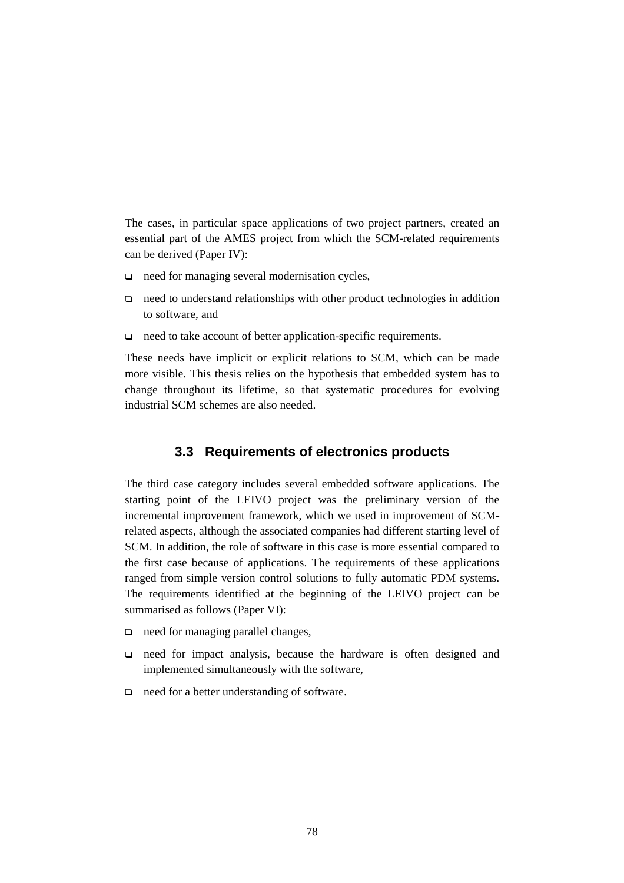The cases, in particular space applications of two project partners, created an essential part of the AMES project from which the SCM-related requirements can be derived (Paper IV):

- $\Box$  need for managing several modernisation cycles,
- $\Box$  need to understand relationships with other product technologies in addition to software, and
- $\Box$  need to take account of better application-specific requirements.

These needs have implicit or explicit relations to SCM, which can be made more visible. This thesis relies on the hypothesis that embedded system has to change throughout its lifetime, so that systematic procedures for evolving industrial SCM schemes are also needed.

## **3.3 Requirements of electronics products**

The third case category includes several embedded software applications. The starting point of the LEIVO project was the preliminary version of the incremental improvement framework, which we used in improvement of SCMrelated aspects, although the associated companies had different starting level of SCM. In addition, the role of software in this case is more essential compared to the first case because of applications. The requirements of these applications ranged from simple version control solutions to fully automatic PDM systems. The requirements identified at the beginning of the LEIVO project can be summarised as follows (Paper VI):

- $\Box$  need for managing parallel changes,
- need for impact analysis, because the hardware is often designed and implemented simultaneously with the software,
- □ need for a better understanding of software.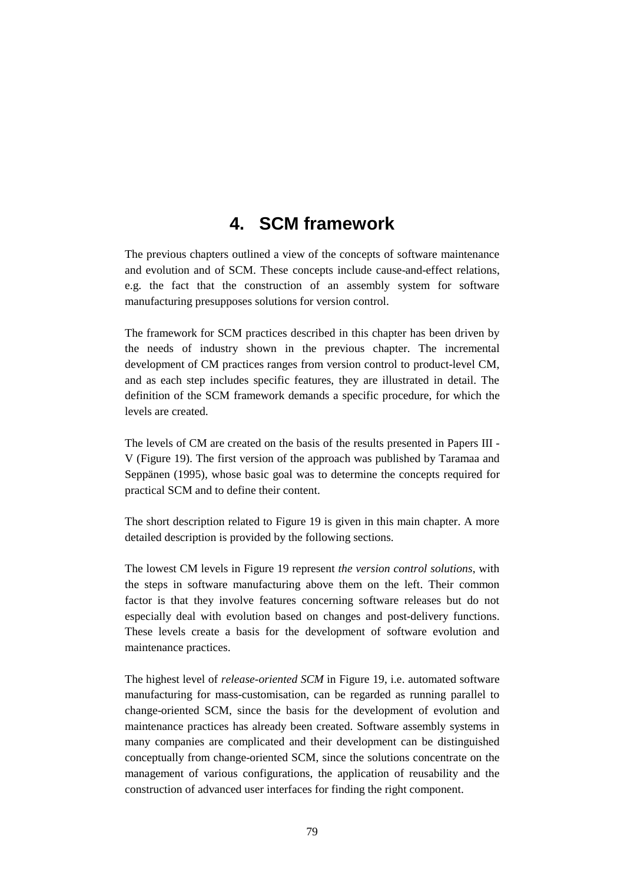# **4. SCM framework**

The previous chapters outlined a view of the concepts of software maintenance and evolution and of SCM. These concepts include cause-and-effect relations, e.g. the fact that the construction of an assembly system for software manufacturing presupposes solutions for version control.

The framework for SCM practices described in this chapter has been driven by the needs of industry shown in the previous chapter. The incremental development of CM practices ranges from version control to product-level CM, and as each step includes specific features, they are illustrated in detail. The definition of the SCM framework demands a specific procedure, for which the levels are created.

The levels of CM are created on the basis of the results presented in Papers III - V (Figure 19). The first version of the approach was published by Taramaa and Seppänen (1995), whose basic goal was to determine the concepts required for practical SCM and to define their content.

The short description related to Figure 19 is given in this main chapter. A more detailed description is provided by the following sections.

The lowest CM levels in Figure 19 represent *the version control solutions*, with the steps in software manufacturing above them on the left. Their common factor is that they involve features concerning software releases but do not especially deal with evolution based on changes and post-delivery functions. These levels create a basis for the development of software evolution and maintenance practices.

The highest level of *release-oriented SCM* in Figure 19, i.e. automated software manufacturing for mass-customisation, can be regarded as running parallel to change-oriented SCM, since the basis for the development of evolution and maintenance practices has already been created. Software assembly systems in many companies are complicated and their development can be distinguished conceptually from change-oriented SCM, since the solutions concentrate on the management of various configurations, the application of reusability and the construction of advanced user interfaces for finding the right component.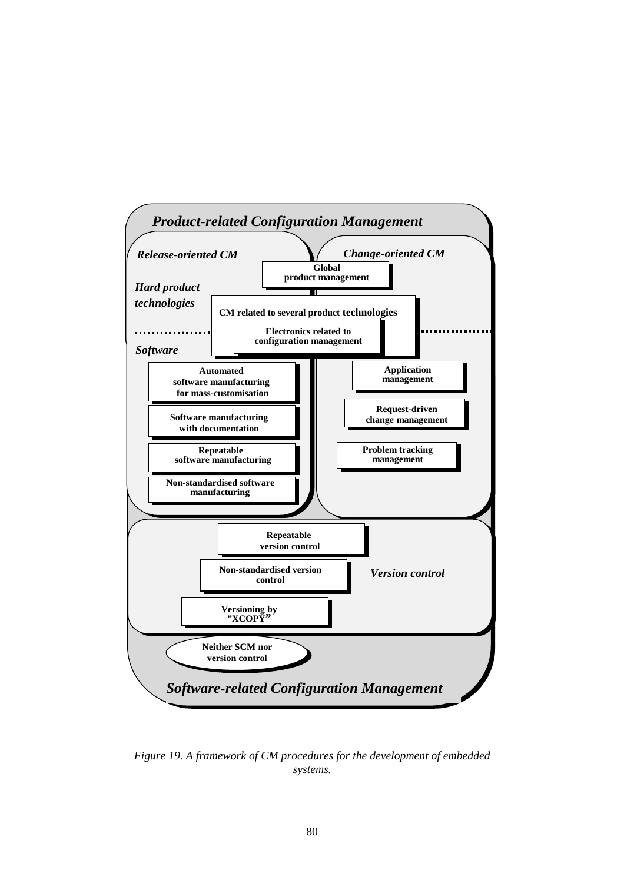

*Figure 19. A framework of CM procedures for the development of embedded systems.*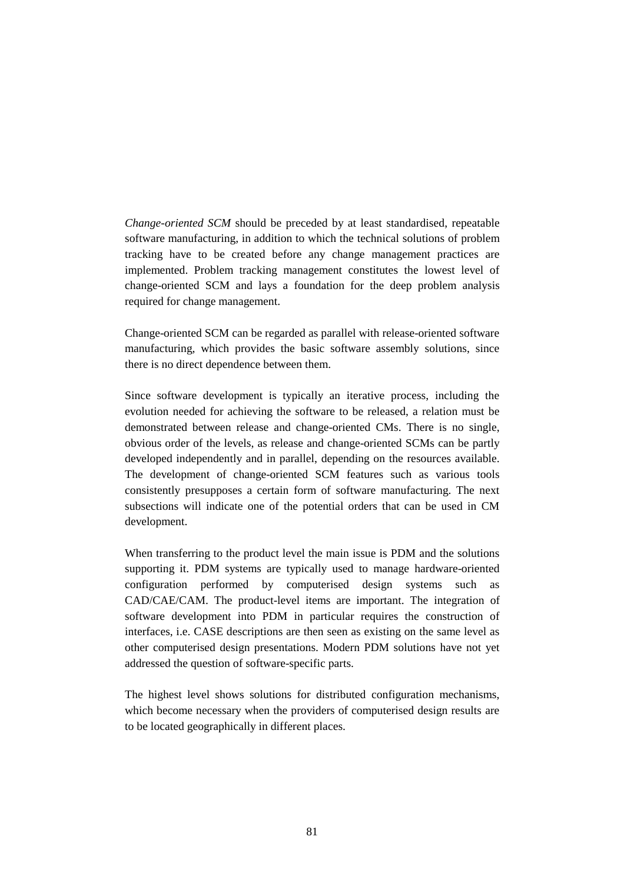*Change-oriented SCM* should be preceded by at least standardised, repeatable software manufacturing, in addition to which the technical solutions of problem tracking have to be created before any change management practices are implemented. Problem tracking management constitutes the lowest level of change-oriented SCM and lays a foundation for the deep problem analysis required for change management.

Change-oriented SCM can be regarded as parallel with release-oriented software manufacturing, which provides the basic software assembly solutions, since there is no direct dependence between them.

Since software development is typically an iterative process, including the evolution needed for achieving the software to be released, a relation must be demonstrated between release and change-oriented CMs. There is no single, obvious order of the levels, as release and change-oriented SCMs can be partly developed independently and in parallel, depending on the resources available. The development of change-oriented SCM features such as various tools consistently presupposes a certain form of software manufacturing. The next subsections will indicate one of the potential orders that can be used in CM development.

When transferring to the product level the main issue is PDM and the solutions supporting it. PDM systems are typically used to manage hardware-oriented configuration performed by computerised design systems such CAD/CAE/CAM. The product-level items are important. The integration of software development into PDM in particular requires the construction of interfaces, i.e. CASE descriptions are then seen as existing on the same level as other computerised design presentations. Modern PDM solutions have not yet addressed the question of software-specific parts.

The highest level shows solutions for distributed configuration mechanisms, which become necessary when the providers of computerised design results are to be located geographically in different places.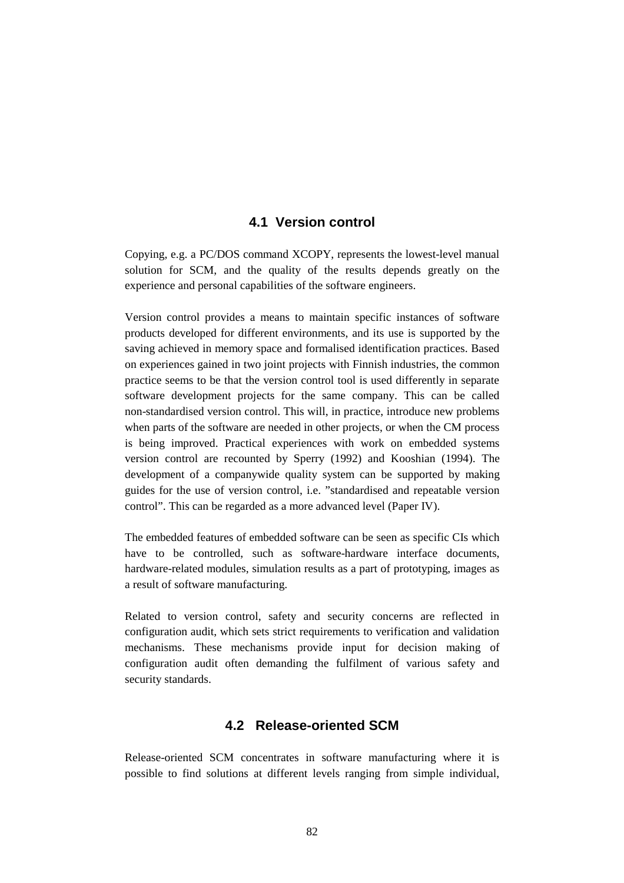## **4.1 Version control**

Copying, e.g. a PC/DOS command XCOPY, represents the lowest-level manual solution for SCM, and the quality of the results depends greatly on the experience and personal capabilities of the software engineers.

Version control provides a means to maintain specific instances of software products developed for different environments, and its use is supported by the saving achieved in memory space and formalised identification practices. Based on experiences gained in two joint projects with Finnish industries, the common practice seems to be that the version control tool is used differently in separate software development projects for the same company. This can be called non-standardised version control. This will, in practice, introduce new problems when parts of the software are needed in other projects, or when the CM process is being improved. Practical experiences with work on embedded systems version control are recounted by Sperry (1992) and Kooshian (1994). The development of a companywide quality system can be supported by making guides for the use of version control, i.e. "standardised and repeatable version control". This can be regarded as a more advanced level (Paper IV).

The embedded features of embedded software can be seen as specific CIs which have to be controlled, such as software-hardware interface documents, hardware-related modules, simulation results as a part of prototyping, images as a result of software manufacturing.

Related to version control, safety and security concerns are reflected in configuration audit, which sets strict requirements to verification and validation mechanisms. These mechanisms provide input for decision making of configuration audit often demanding the fulfilment of various safety and security standards.

## **4.2 Release-oriented SCM**

Release-oriented SCM concentrates in software manufacturing where it is possible to find solutions at different levels ranging from simple individual,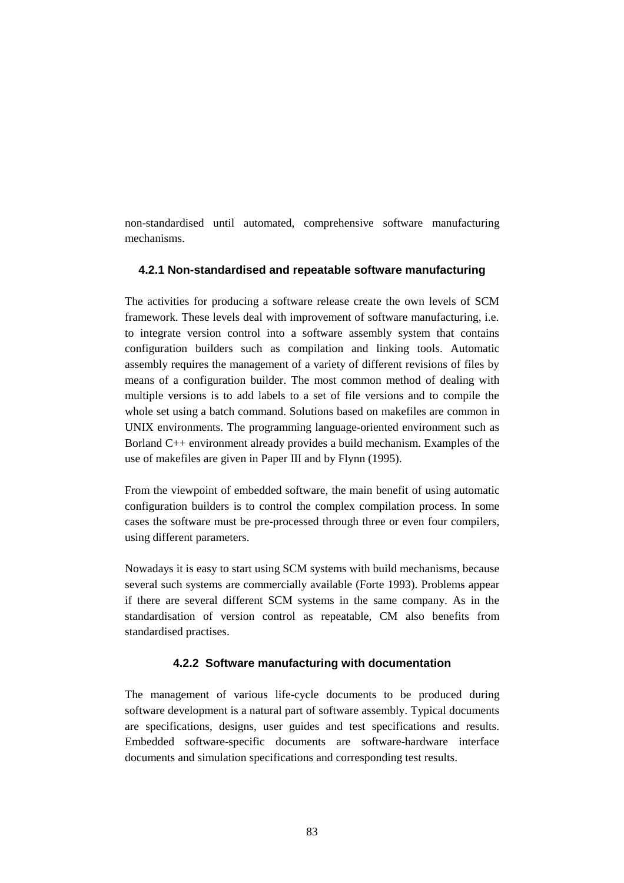non-standardised until automated, comprehensive software manufacturing mechanisms.

#### **4.2.1 Non-standardised and repeatable software manufacturing**

The activities for producing a software release create the own levels of SCM framework. These levels deal with improvement of software manufacturing, i.e. to integrate version control into a software assembly system that contains configuration builders such as compilation and linking tools. Automatic assembly requires the management of a variety of different revisions of files by means of a configuration builder. The most common method of dealing with multiple versions is to add labels to a set of file versions and to compile the whole set using a batch command. Solutions based on makefiles are common in UNIX environments. The programming language-oriented environment such as Borland C++ environment already provides a build mechanism. Examples of the use of makefiles are given in Paper III and by Flynn (1995).

From the viewpoint of embedded software, the main benefit of using automatic configuration builders is to control the complex compilation process. In some cases the software must be pre-processed through three or even four compilers, using different parameters.

Nowadays it is easy to start using SCM systems with build mechanisms, because several such systems are commercially available (Forte 1993). Problems appear if there are several different SCM systems in the same company. As in the standardisation of version control as repeatable, CM also benefits from standardised practises.

## **4.2.2 Software manufacturing with documentation**

The management of various life-cycle documents to be produced during software development is a natural part of software assembly. Typical documents are specifications, designs, user guides and test specifications and results. Embedded software-specific documents are software-hardware interface documents and simulation specifications and corresponding test results.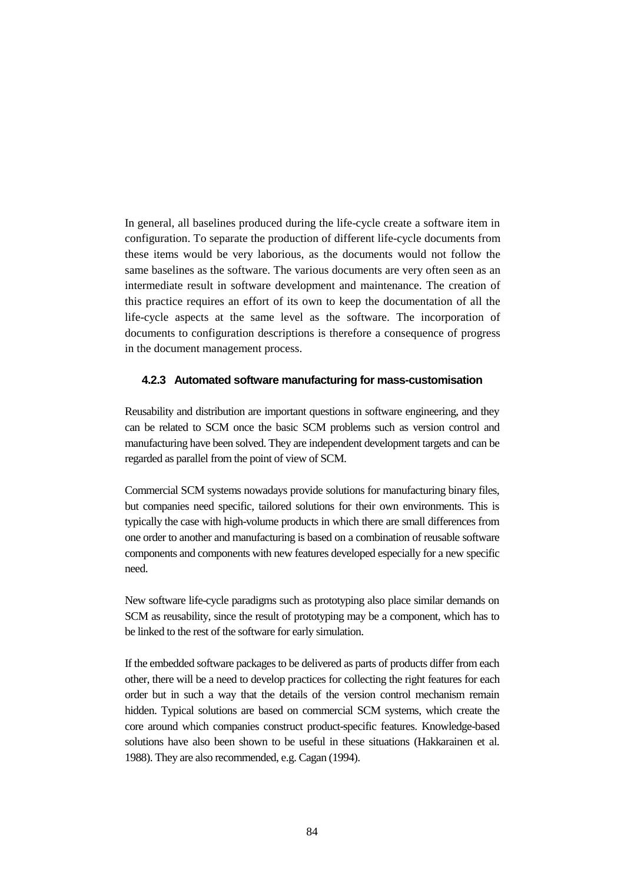In general, all baselines produced during the life-cycle create a software item in configuration. To separate the production of different life-cycle documents from these items would be very laborious, as the documents would not follow the same baselines as the software. The various documents are very often seen as an intermediate result in software development and maintenance. The creation of this practice requires an effort of its own to keep the documentation of all the life-cycle aspects at the same level as the software. The incorporation of documents to configuration descriptions is therefore a consequence of progress in the document management process.

## **4.2.3 Automated software manufacturing for mass-customisation**

Reusability and distribution are important questions in software engineering, and they can be related to SCM once the basic SCM problems such as version control and manufacturing have been solved. They are independent development targets and can be regarded as parallel from the point of view of SCM.

Commercial SCM systems nowadays provide solutions for manufacturing binary files, but companies need specific, tailored solutions for their own environments. This is typically the case with high-volume products in which there are small differences from one order to another and manufacturing is based on a combination of reusable software components and components with new features developed especially for a new specific need.

New software life-cycle paradigms such as prototyping also place similar demands on SCM as reusability, since the result of prototyping may be a component, which has to be linked to the rest of the software for early simulation.

If the embedded software packages to be delivered as parts of products differ from each other, there will be a need to develop practices for collecting the right features for each order but in such a way that the details of the version control mechanism remain hidden. Typical solutions are based on commercial SCM systems, which create the core around which companies construct product-specific features. Knowledge-based solutions have also been shown to be useful in these situations (Hakkarainen et al. 1988). They are also recommended, e.g. Cagan (1994).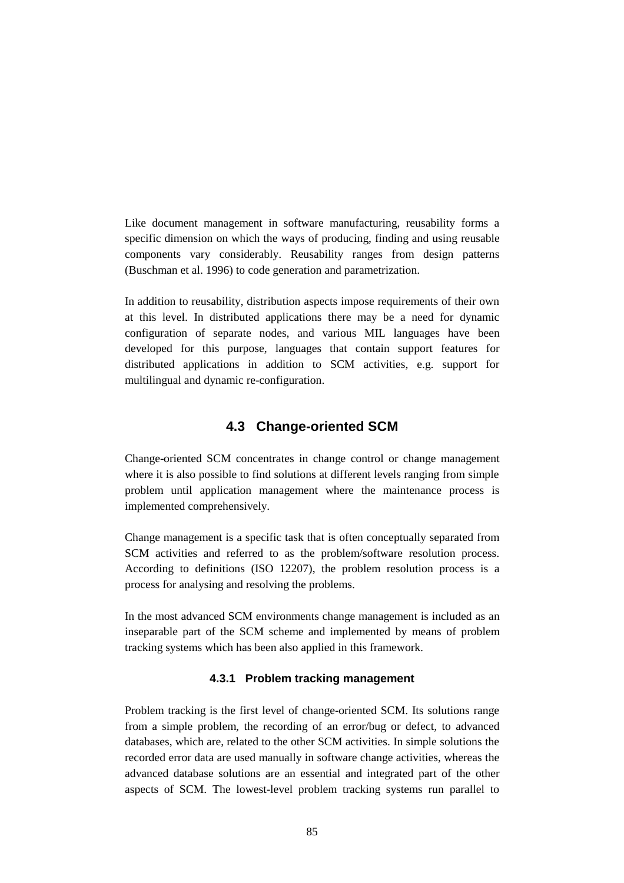Like document management in software manufacturing, reusability forms a specific dimension on which the ways of producing, finding and using reusable components vary considerably. Reusability ranges from design patterns (Buschman et al. 1996) to code generation and parametrization.

In addition to reusability, distribution aspects impose requirements of their own at this level. In distributed applications there may be a need for dynamic configuration of separate nodes, and various MIL languages have been developed for this purpose, languages that contain support features for distributed applications in addition to SCM activities, e.g. support for multilingual and dynamic re-configuration.

# **4.3 Change-oriented SCM**

Change-oriented SCM concentrates in change control or change management where it is also possible to find solutions at different levels ranging from simple problem until application management where the maintenance process is implemented comprehensively.

Change management is a specific task that is often conceptually separated from SCM activities and referred to as the problem/software resolution process. According to definitions (ISO 12207), the problem resolution process is a process for analysing and resolving the problems.

In the most advanced SCM environments change management is included as an inseparable part of the SCM scheme and implemented by means of problem tracking systems which has been also applied in this framework.

## **4.3.1 Problem tracking management**

Problem tracking is the first level of change-oriented SCM. Its solutions range from a simple problem, the recording of an error/bug or defect, to advanced databases, which are, related to the other SCM activities. In simple solutions the recorded error data are used manually in software change activities, whereas the advanced database solutions are an essential and integrated part of the other aspects of SCM. The lowest-level problem tracking systems run parallel to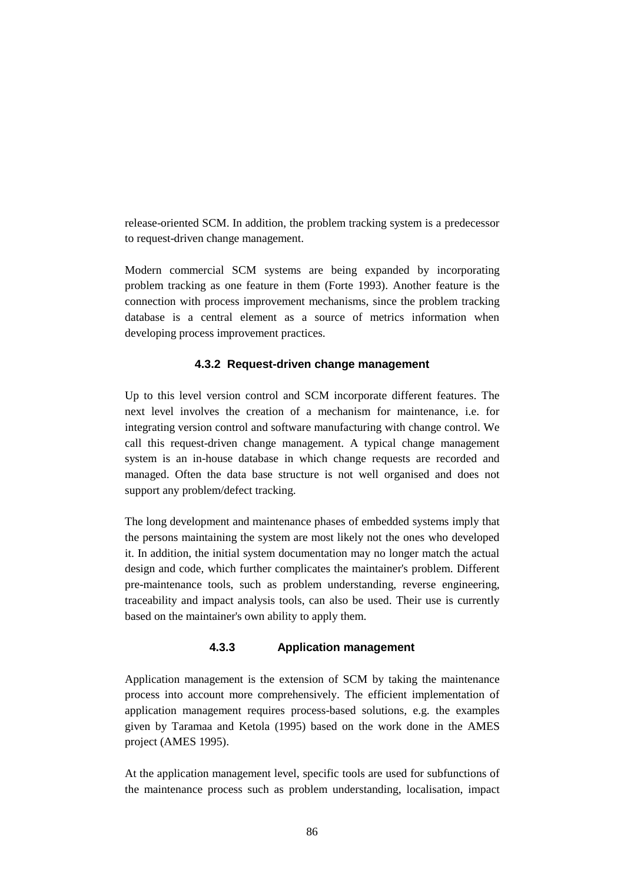release-oriented SCM. In addition, the problem tracking system is a predecessor to request-driven change management.

Modern commercial SCM systems are being expanded by incorporating problem tracking as one feature in them (Forte 1993). Another feature is the connection with process improvement mechanisms, since the problem tracking database is a central element as a source of metrics information when developing process improvement practices.

## **4.3.2 Request-driven change management**

Up to this level version control and SCM incorporate different features. The next level involves the creation of a mechanism for maintenance, i.e. for integrating version control and software manufacturing with change control. We call this request-driven change management. A typical change management system is an in-house database in which change requests are recorded and managed. Often the data base structure is not well organised and does not support any problem/defect tracking.

The long development and maintenance phases of embedded systems imply that the persons maintaining the system are most likely not the ones who developed it. In addition, the initial system documentation may no longer match the actual design and code, which further complicates the maintainer's problem. Different pre-maintenance tools, such as problem understanding, reverse engineering, traceability and impact analysis tools, can also be used. Their use is currently based on the maintainer's own ability to apply them.

## **4.3.3 Application management**

Application management is the extension of SCM by taking the maintenance process into account more comprehensively. The efficient implementation of application management requires process-based solutions, e.g. the examples given by Taramaa and Ketola (1995) based on the work done in the AMES project (AMES 1995).

At the application management level, specific tools are used for subfunctions of the maintenance process such as problem understanding, localisation, impact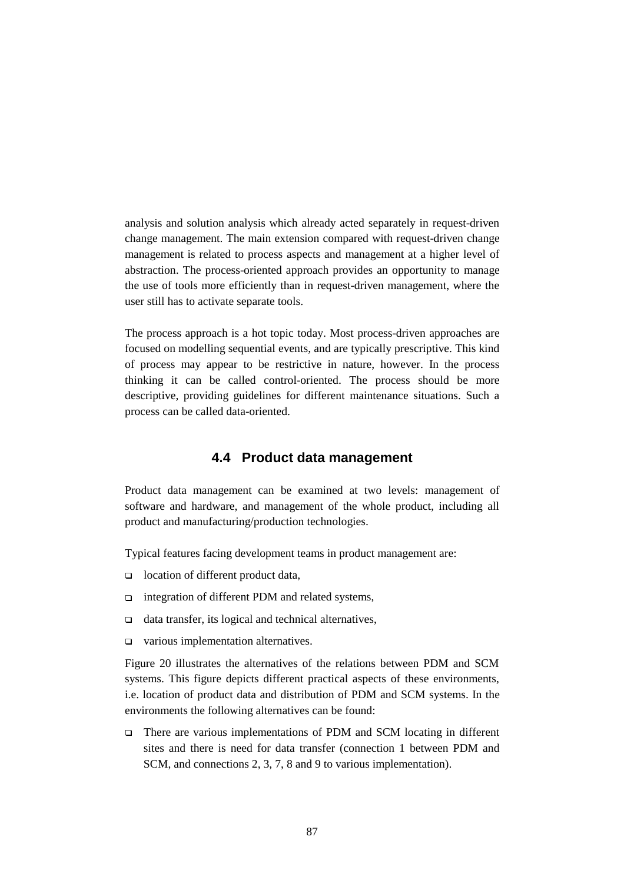analysis and solution analysis which already acted separately in request-driven change management. The main extension compared with request-driven change management is related to process aspects and management at a higher level of abstraction. The process-oriented approach provides an opportunity to manage the use of tools more efficiently than in request-driven management, where the user still has to activate separate tools.

The process approach is a hot topic today. Most process-driven approaches are focused on modelling sequential events, and are typically prescriptive. This kind of process may appear to be restrictive in nature, however. In the process thinking it can be called control-oriented. The process should be more descriptive, providing guidelines for different maintenance situations. Such a process can be called data-oriented.

## **4.4 Product data management**

Product data management can be examined at two levels: management of software and hardware, and management of the whole product, including all product and manufacturing/production technologies.

Typical features facing development teams in product management are:

- $\Box$  location of different product data,
- $\Box$  integration of different PDM and related systems,
- $\Box$  data transfer, its logical and technical alternatives,
- □ various implementation alternatives.

Figure 20 illustrates the alternatives of the relations between PDM and SCM systems. This figure depicts different practical aspects of these environments, i.e. location of product data and distribution of PDM and SCM systems. In the environments the following alternatives can be found:

□ There are various implementations of PDM and SCM locating in different sites and there is need for data transfer (connection 1 between PDM and SCM, and connections 2, 3, 7, 8 and 9 to various implementation).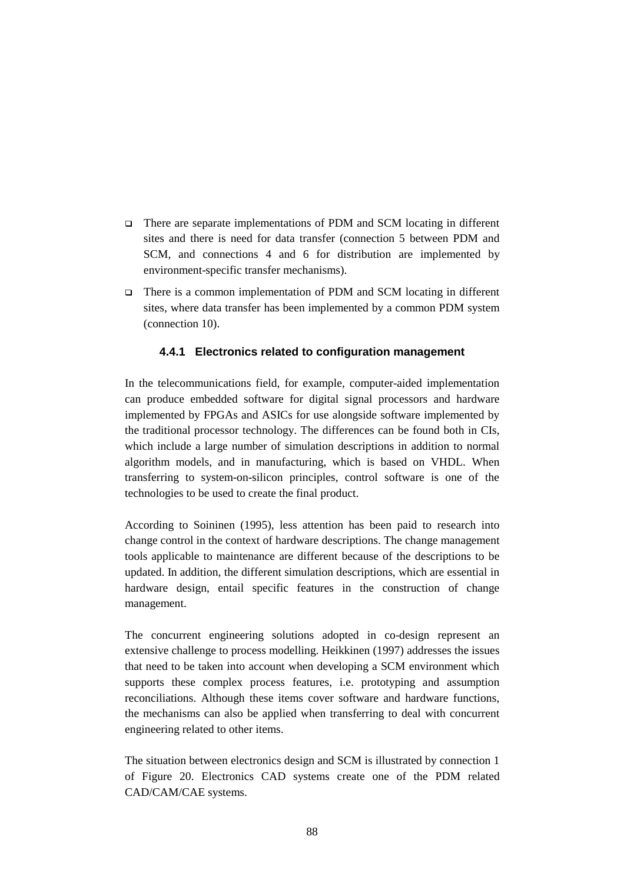- There are separate implementations of PDM and SCM locating in different sites and there is need for data transfer (connection 5 between PDM and SCM, and connections 4 and 6 for distribution are implemented by environment-specific transfer mechanisms).
- □ There is a common implementation of PDM and SCM locating in different sites, where data transfer has been implemented by a common PDM system (connection 10).

## **4.4.1 Electronics related to configuration management**

In the telecommunications field, for example, computer-aided implementation can produce embedded software for digital signal processors and hardware implemented by FPGAs and ASICs for use alongside software implemented by the traditional processor technology. The differences can be found both in CIs, which include a large number of simulation descriptions in addition to normal algorithm models, and in manufacturing, which is based on VHDL. When transferring to system-on-silicon principles, control software is one of the technologies to be used to create the final product.

According to Soininen (1995), less attention has been paid to research into change control in the context of hardware descriptions. The change management tools applicable to maintenance are different because of the descriptions to be updated. In addition, the different simulation descriptions, which are essential in hardware design, entail specific features in the construction of change management.

The concurrent engineering solutions adopted in co-design represent an extensive challenge to process modelling. Heikkinen (1997) addresses the issues that need to be taken into account when developing a SCM environment which supports these complex process features, i.e. prototyping and assumption reconciliations. Although these items cover software and hardware functions, the mechanisms can also be applied when transferring to deal with concurrent engineering related to other items.

The situation between electronics design and SCM is illustrated by connection 1 of Figure 20. Electronics CAD systems create one of the PDM related CAD/CAM/CAE systems.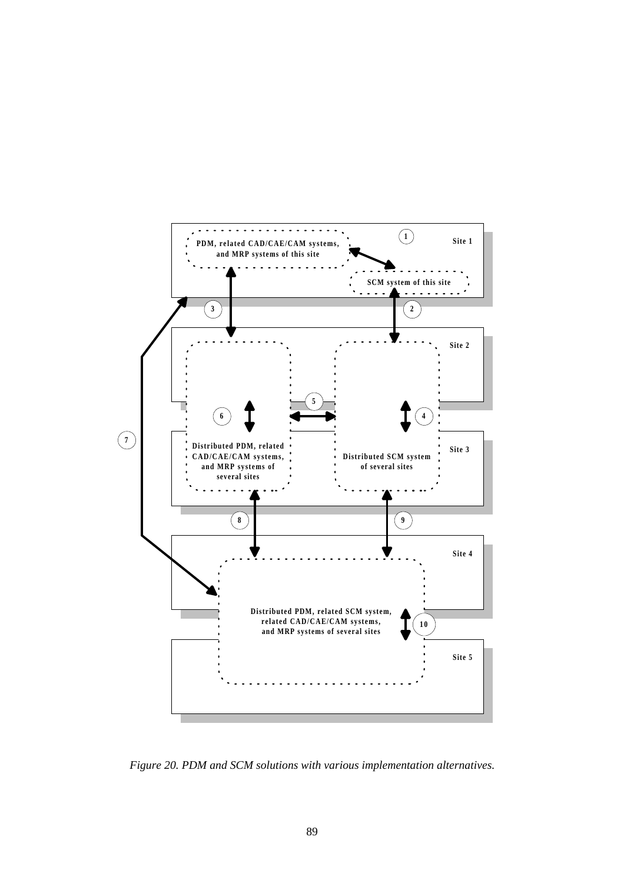

*Figure 20. PDM and SCM solutions with various implementation alternatives.*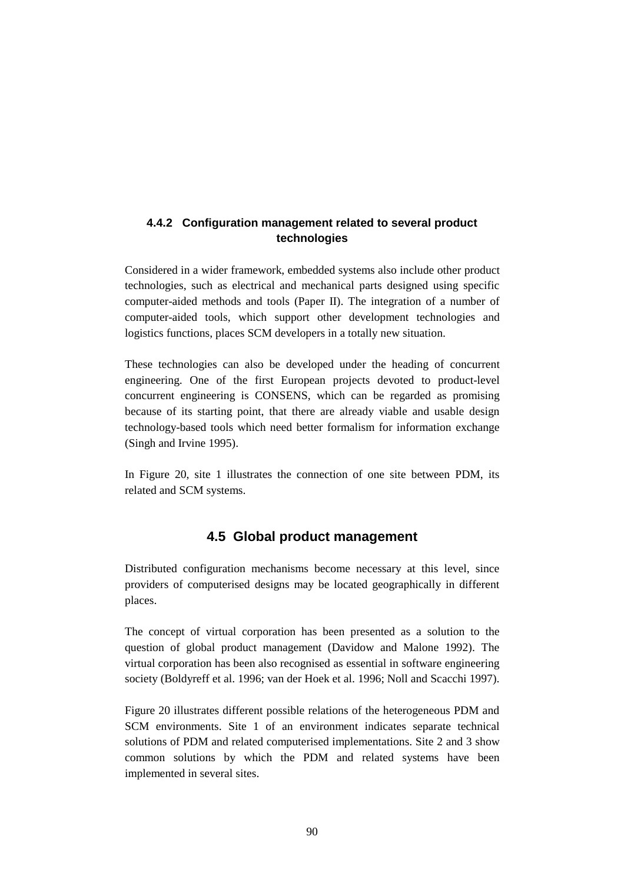## **4.4.2 Configuration management related to several product technologies**

Considered in a wider framework, embedded systems also include other product technologies, such as electrical and mechanical parts designed using specific computer-aided methods and tools (Paper II). The integration of a number of computer-aided tools, which support other development technologies and logistics functions, places SCM developers in a totally new situation.

These technologies can also be developed under the heading of concurrent engineering. One of the first European projects devoted to product-level concurrent engineering is CONSENS, which can be regarded as promising because of its starting point, that there are already viable and usable design technology-based tools which need better formalism for information exchange (Singh and Irvine 1995).

In Figure 20, site 1 illustrates the connection of one site between PDM, its related and SCM systems.

# **4.5 Global product management**

Distributed configuration mechanisms become necessary at this level, since providers of computerised designs may be located geographically in different places.

The concept of virtual corporation has been presented as a solution to the question of global product management (Davidow and Malone 1992). The virtual corporation has been also recognised as essential in software engineering society (Boldyreff et al. 1996; van der Hoek et al. 1996; Noll and Scacchi 1997).

Figure 20 illustrates different possible relations of the heterogeneous PDM and SCM environments. Site 1 of an environment indicates separate technical solutions of PDM and related computerised implementations. Site 2 and 3 show common solutions by which the PDM and related systems have been implemented in several sites.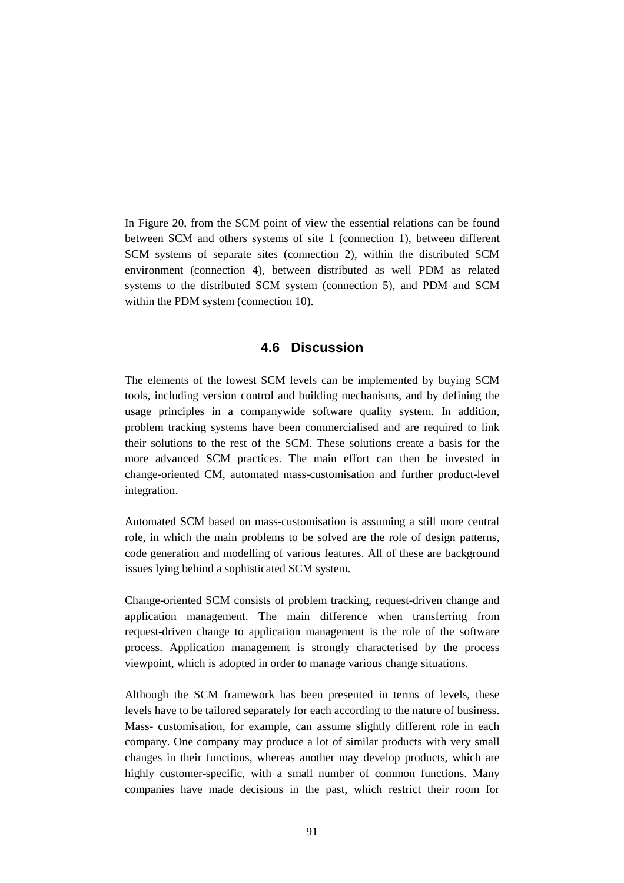In Figure 20, from the SCM point of view the essential relations can be found between SCM and others systems of site 1 (connection 1), between different SCM systems of separate sites (connection 2), within the distributed SCM environment (connection 4), between distributed as well PDM as related systems to the distributed SCM system (connection 5), and PDM and SCM within the PDM system (connection 10).

## **4.6 Discussion**

The elements of the lowest SCM levels can be implemented by buying SCM tools, including version control and building mechanisms, and by defining the usage principles in a companywide software quality system. In addition, problem tracking systems have been commercialised and are required to link their solutions to the rest of the SCM. These solutions create a basis for the more advanced SCM practices. The main effort can then be invested in change-oriented CM, automated mass-customisation and further product-level integration.

Automated SCM based on mass-customisation is assuming a still more central role, in which the main problems to be solved are the role of design patterns, code generation and modelling of various features. All of these are background issues lying behind a sophisticated SCM system.

Change-oriented SCM consists of problem tracking, request-driven change and application management. The main difference when transferring from request-driven change to application management is the role of the software process. Application management is strongly characterised by the process viewpoint, which is adopted in order to manage various change situations.

Although the SCM framework has been presented in terms of levels, these levels have to be tailored separately for each according to the nature of business. Mass- customisation, for example, can assume slightly different role in each company. One company may produce a lot of similar products with very small changes in their functions, whereas another may develop products, which are highly customer-specific, with a small number of common functions. Many companies have made decisions in the past, which restrict their room for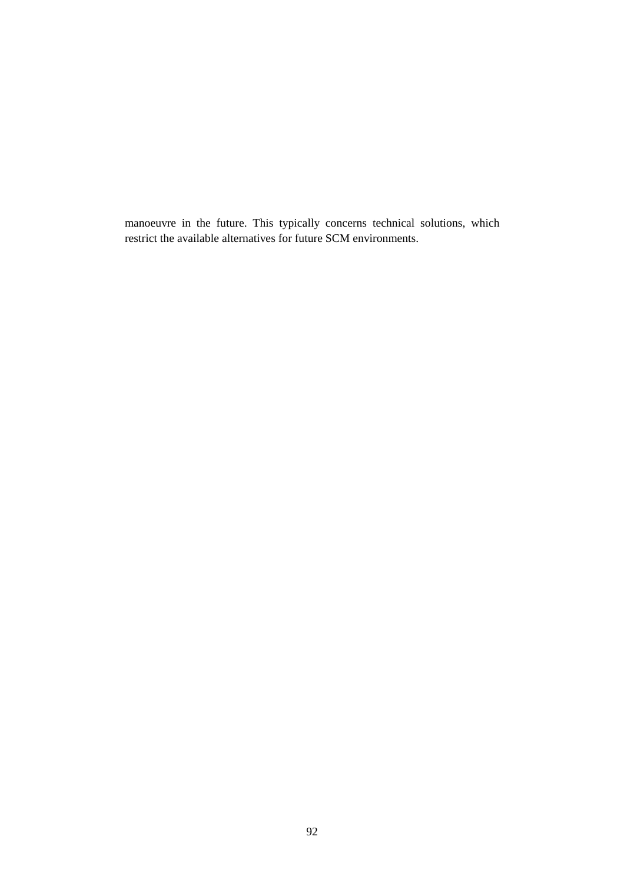manoeuvre in the future. This typically concerns technical solutions, which restrict the available alternatives for future SCM environments.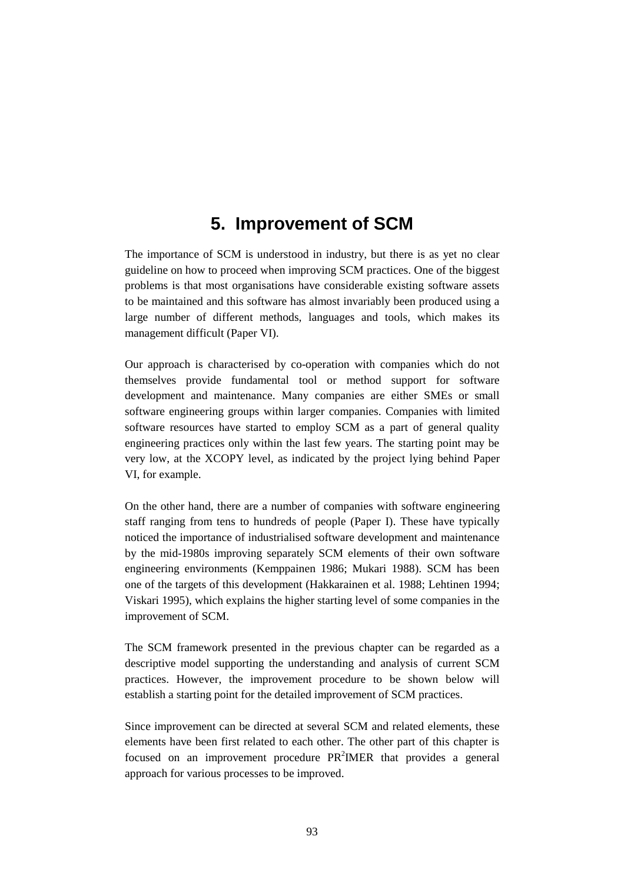# **5. Improvement of SCM**

The importance of SCM is understood in industry, but there is as yet no clear guideline on how to proceed when improving SCM practices. One of the biggest problems is that most organisations have considerable existing software assets to be maintained and this software has almost invariably been produced using a large number of different methods, languages and tools, which makes its management difficult (Paper VI).

Our approach is characterised by co-operation with companies which do not themselves provide fundamental tool or method support for software development and maintenance. Many companies are either SMEs or small software engineering groups within larger companies. Companies with limited software resources have started to employ SCM as a part of general quality engineering practices only within the last few years. The starting point may be very low, at the XCOPY level, as indicated by the project lying behind Paper VI, for example.

On the other hand, there are a number of companies with software engineering staff ranging from tens to hundreds of people (Paper I). These have typically noticed the importance of industrialised software development and maintenance by the mid-1980s improving separately SCM elements of their own software engineering environments (Kemppainen 1986; Mukari 1988). SCM has been one of the targets of this development (Hakkarainen et al. 1988; Lehtinen 1994; Viskari 1995), which explains the higher starting level of some companies in the improvement of SCM.

The SCM framework presented in the previous chapter can be regarded as a descriptive model supporting the understanding and analysis of current SCM practices. However, the improvement procedure to be shown below will establish a starting point for the detailed improvement of SCM practices.

Since improvement can be directed at several SCM and related elements, these elements have been first related to each other. The other part of this chapter is focused on an improvement procedure  $PR<sup>2</sup>IMER$  that provides a general approach for various processes to be improved.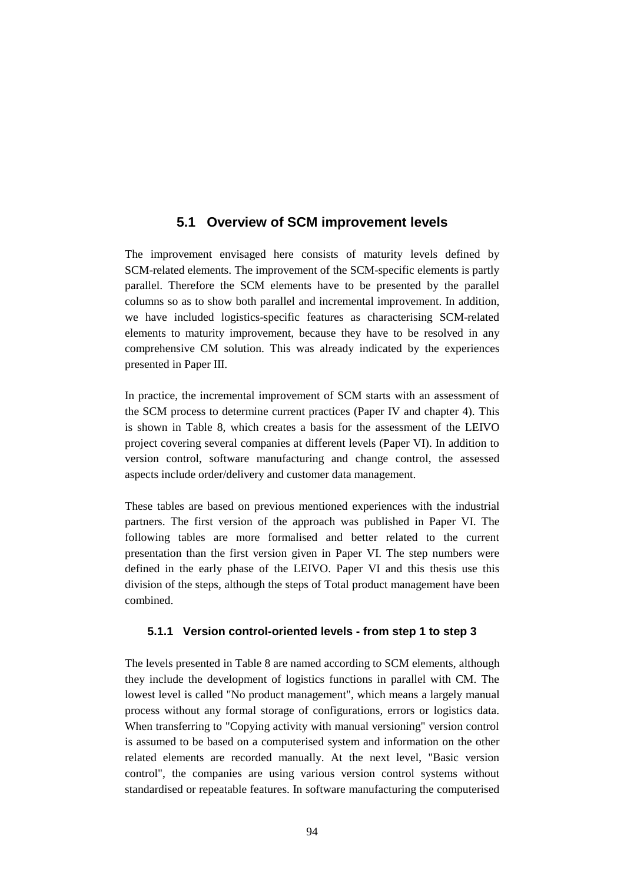## **5.1 Overview of SCM improvement levels**

The improvement envisaged here consists of maturity levels defined by SCM-related elements. The improvement of the SCM-specific elements is partly parallel. Therefore the SCM elements have to be presented by the parallel columns so as to show both parallel and incremental improvement. In addition, we have included logistics-specific features as characterising SCM-related elements to maturity improvement, because they have to be resolved in any comprehensive CM solution. This was already indicated by the experiences presented in Paper III.

In practice, the incremental improvement of SCM starts with an assessment of the SCM process to determine current practices (Paper IV and chapter 4). This is shown in Table 8, which creates a basis for the assessment of the LEIVO project covering several companies at different levels (Paper VI). In addition to version control, software manufacturing and change control, the assessed aspects include order/delivery and customer data management.

These tables are based on previous mentioned experiences with the industrial partners. The first version of the approach was published in Paper VI. The following tables are more formalised and better related to the current presentation than the first version given in Paper VI. The step numbers were defined in the early phase of the LEIVO. Paper VI and this thesis use this division of the steps, although the steps of Total product management have been combined.

## **5.1.1 Version control-oriented levels - from step 1 to step 3**

The levels presented in Table 8 are named according to SCM elements, although they include the development of logistics functions in parallel with CM. The lowest level is called "No product management", which means a largely manual process without any formal storage of configurations, errors or logistics data. When transferring to "Copying activity with manual versioning" version control is assumed to be based on a computerised system and information on the other related elements are recorded manually. At the next level, "Basic version control", the companies are using various version control systems without standardised or repeatable features. In software manufacturing the computerised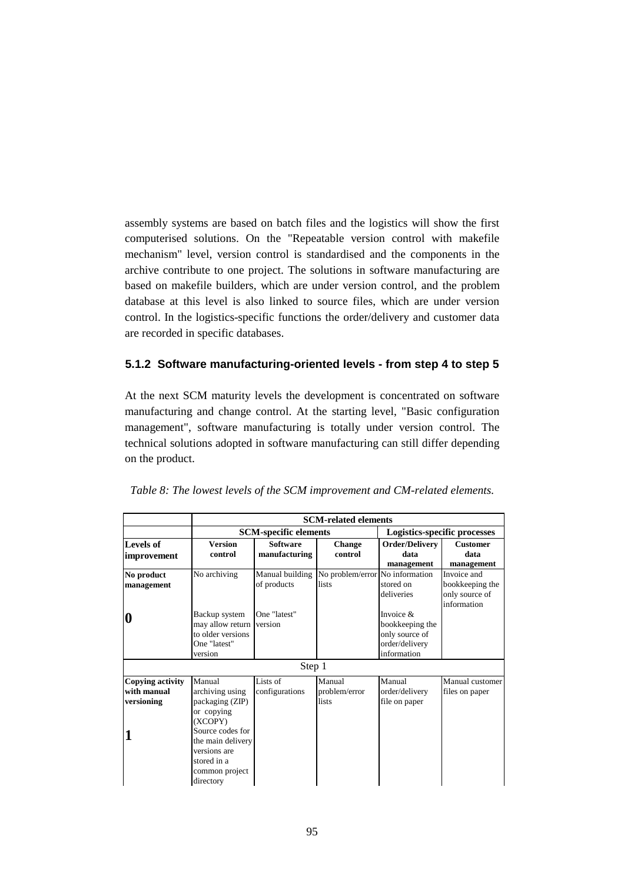assembly systems are based on batch files and the logistics will show the first computerised solutions. On the "Repeatable version control with makefile mechanism" level, version control is standardised and the components in the archive contribute to one project. The solutions in software manufacturing are based on makefile builders, which are under version control, and the problem database at this level is also linked to source files, which are under version control. In the logistics-specific functions the order/delivery and customer data are recorded in specific databases.

## **5.1.2 Software manufacturing-oriented levels - from step 4 to step 5**

At the next SCM maturity levels the development is concentrated on software manufacturing and change control. At the starting level, "Basic configuration management", software manufacturing is totally under version control. The technical solutions adopted in software manufacturing can still differ depending on the product.

|                         | <b>SCM-related elements</b>  |                 |                                                   |                                     |                 |
|-------------------------|------------------------------|-----------------|---------------------------------------------------|-------------------------------------|-----------------|
|                         | <b>SCM-specific elements</b> |                 |                                                   | <b>Logistics-specific processes</b> |                 |
| Levels of               | <b>Version</b>               | <b>Software</b> | <b>Change</b>                                     | Order/Delivery                      | <b>Customer</b> |
| <i>improvement</i>      | control                      | manufacturing   | control                                           | data                                | data            |
|                         |                              |                 |                                                   | management                          | management      |
| No product              | No archiving                 |                 | Manual building   No problem/error No information |                                     | Invoice and     |
| management              |                              | of products     | lists                                             | stored on                           | bookkeeping the |
|                         |                              |                 |                                                   | deliveries                          | only source of  |
|                         |                              |                 |                                                   |                                     | information     |
| 0                       | Backup system                | One "latest"    |                                                   | Invoice $\&$                        |                 |
|                         | may allow return             | version         |                                                   | bookkeeping the                     |                 |
|                         | to older versions            |                 |                                                   | only source of                      |                 |
|                         | One "latest"                 |                 |                                                   | order/delivery                      |                 |
|                         | version                      |                 |                                                   | information                         |                 |
|                         |                              | Step 1          |                                                   |                                     |                 |
| <b>Copying activity</b> | Manual                       | Lists of        | Manual                                            | Manual                              | Manual customer |
| with manual             | archiving using              | configurations  | problem/error                                     | order/delivery                      | files on paper  |
| versioning              | packaging (ZIP)              |                 | lists                                             | file on paper                       |                 |
|                         | or copying                   |                 |                                                   |                                     |                 |
|                         | (XCOPY)                      |                 |                                                   |                                     |                 |
| 1                       | Source codes for             |                 |                                                   |                                     |                 |
|                         | the main delivery            |                 |                                                   |                                     |                 |
|                         | versions are                 |                 |                                                   |                                     |                 |
|                         | stored in a                  |                 |                                                   |                                     |                 |
|                         | common project               |                 |                                                   |                                     |                 |
|                         | directory                    |                 |                                                   |                                     |                 |

*Table 8: The lowest levels of the SCM improvement and CM-related elements.*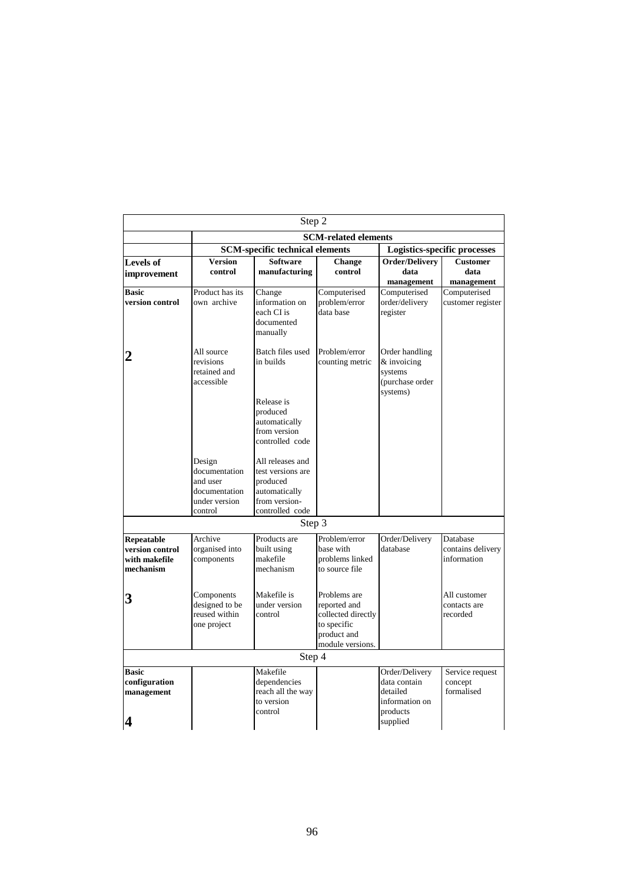| Step 2                                                      |                                                                                  |                                                                                                             |                                                                                                      |                                                                          |                                              |  |
|-------------------------------------------------------------|----------------------------------------------------------------------------------|-------------------------------------------------------------------------------------------------------------|------------------------------------------------------------------------------------------------------|--------------------------------------------------------------------------|----------------------------------------------|--|
|                                                             | <b>SCM-related elements</b>                                                      |                                                                                                             |                                                                                                      |                                                                          |                                              |  |
|                                                             | <b>SCM-specific technical elements</b><br>Logistics-specific processes           |                                                                                                             |                                                                                                      |                                                                          |                                              |  |
| <b>Levels of</b><br>improvement                             | <b>Version</b><br>control                                                        | <b>Software</b><br>manufacturing                                                                            | Change<br>control                                                                                    | <b>Order/Delivery</b><br>data<br>management                              | <b>Customer</b><br>data<br>management        |  |
| <b>Basic</b>                                                | Product has its                                                                  | Change                                                                                                      | Computerised                                                                                         | Computerised                                                             | Computerised                                 |  |
| version control                                             | own archive                                                                      | information on<br>each CI is<br>documented<br>manually                                                      | problem/error<br>data base                                                                           | order/delivery<br>register                                               | customer register                            |  |
| 2                                                           | All source<br>revisions<br>retained and<br>accessible                            | Batch files used<br>in builds<br>Release is<br>produced<br>automatically<br>from version<br>controlled code | Problem/error<br>counting metric                                                                     | Order handling<br>& invoicing<br>systems<br>(purchase order<br>systems)  |                                              |  |
|                                                             | Design<br>documentation<br>and user<br>documentation<br>under version<br>control | All releases and<br>test versions are<br>produced<br>automatically<br>from version-<br>controlled code      |                                                                                                      |                                                                          |                                              |  |
|                                                             |                                                                                  | Step 3                                                                                                      |                                                                                                      |                                                                          |                                              |  |
| Repeatable<br>version control<br>with makefile<br>mechanism | Archive<br>organised into<br>components                                          | Products are<br>built using<br>makefile<br>mechanism                                                        | Problem/error<br>base with<br>problems linked<br>to source file                                      | Order/Delivery<br>database                                               | Database<br>contains delivery<br>information |  |
| 3                                                           | Components<br>designed to be<br>reused within<br>one project                     | Makefile is<br>under version<br>control                                                                     | Problems are<br>reported and<br>collected directly<br>to specific<br>product and<br>module versions. |                                                                          | All customer<br>contacts are<br>recorded     |  |
| Step 4                                                      |                                                                                  |                                                                                                             |                                                                                                      |                                                                          |                                              |  |
| <b>Basic</b><br>configuration<br>management                 |                                                                                  | Makefile<br>dependencies<br>reach all the way<br>to version<br>control                                      |                                                                                                      | Order/Delivery<br>data contain<br>detailed<br>information on<br>products | Service request<br>concept<br>formalised     |  |
| 4                                                           |                                                                                  |                                                                                                             |                                                                                                      | supplied                                                                 |                                              |  |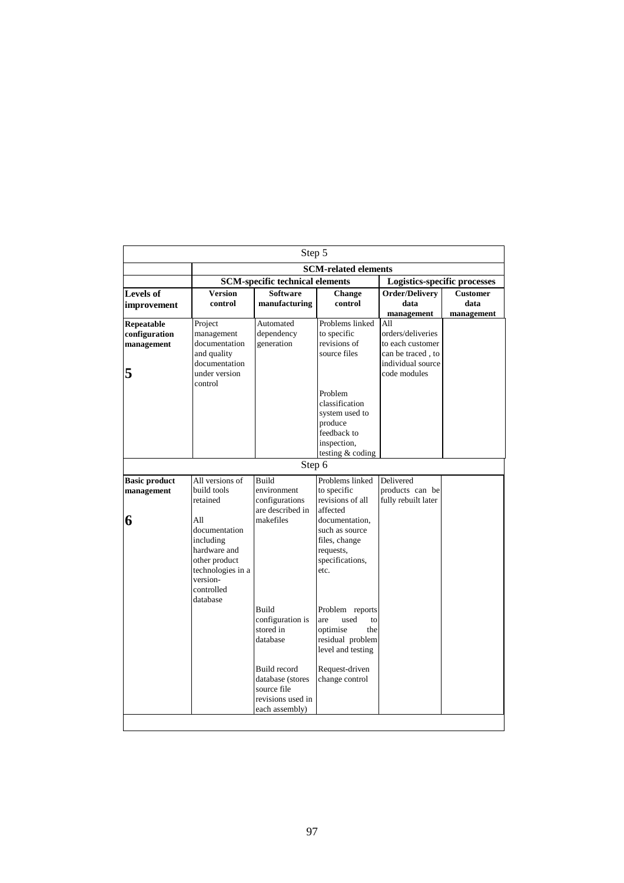| Step 5                                         |                                                                                                    |                                                                                        |                                                                                                                     |                                                                                                 |                                     |  |
|------------------------------------------------|----------------------------------------------------------------------------------------------------|----------------------------------------------------------------------------------------|---------------------------------------------------------------------------------------------------------------------|-------------------------------------------------------------------------------------------------|-------------------------------------|--|
|                                                | <b>SCM-related elements</b>                                                                        |                                                                                        |                                                                                                                     |                                                                                                 |                                     |  |
|                                                | <b>SCM-specific technical elements</b>                                                             |                                                                                        |                                                                                                                     |                                                                                                 | <b>Logistics-specific processes</b> |  |
| <b>Levels of</b>                               | <b>Version</b>                                                                                     | <b>Software</b>                                                                        | <b>Change</b>                                                                                                       | Order/Delivery                                                                                  | <b>Customer</b>                     |  |
| improvement                                    | control                                                                                            | manufacturing                                                                          | control                                                                                                             | data                                                                                            | data                                |  |
|                                                |                                                                                                    | Automated                                                                              | Problems linked                                                                                                     | management<br>A11                                                                               | management                          |  |
| Repeatable<br>configuration<br>management<br>5 | Project<br>management<br>documentation<br>and quality<br>documentation<br>under version<br>control | dependency<br>generation                                                               | to specific<br>revisions of<br>source files                                                                         | orders/deliveries<br>to each customer<br>can be traced, to<br>individual source<br>code modules |                                     |  |
|                                                |                                                                                                    |                                                                                        | Problem<br>classification<br>system used to<br>produce<br>feedback to<br>inspection,<br>testing & coding            |                                                                                                 |                                     |  |
|                                                |                                                                                                    | Step 6                                                                                 |                                                                                                                     |                                                                                                 |                                     |  |
| <b>Basic product</b><br>management<br>6        | All versions of<br>build tools<br>retained<br>All<br>documentation<br>including                    | <b>Build</b><br>environment<br>configurations<br>are described in<br>makefiles         | Problems linked<br>to specific<br>revisions of all<br>affected<br>documentation,<br>such as source<br>files, change | Delivered<br>products can be<br>fully rebuilt later                                             |                                     |  |
|                                                | hardware and<br>other product<br>technologies in a<br>version-<br>controlled<br>database           |                                                                                        | requests,<br>specifications,<br>etc.                                                                                |                                                                                                 |                                     |  |
|                                                |                                                                                                    | <b>Build</b><br>configuration is<br>stored in<br>database                              | Problem reports<br>used<br>are<br>to<br>optimise<br>the<br>residual problem<br>level and testing                    |                                                                                                 |                                     |  |
|                                                |                                                                                                    | Build record<br>database (stores<br>source file<br>revisions used in<br>each assembly) | Request-driven<br>change control                                                                                    |                                                                                                 |                                     |  |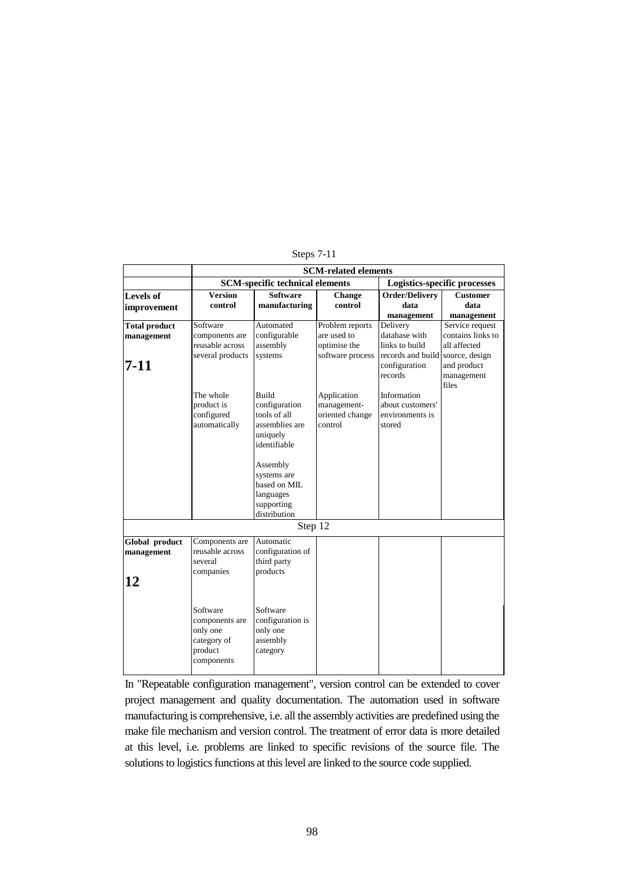|                      | <b>SCM-related elements</b>            |                  |                  |                              |                     |  |
|----------------------|----------------------------------------|------------------|------------------|------------------------------|---------------------|--|
|                      | <b>SCM-specific technical elements</b> |                  |                  | Logistics-specific processes |                     |  |
| <b>Levels of</b>     | <b>Version</b>                         | <b>Software</b>  | <b>Change</b>    | <b>Order/Delivery</b>        | <b>Customer</b>     |  |
| improvement          | control                                | manufacturing    | control          | data                         | data                |  |
|                      |                                        |                  |                  | management                   | management          |  |
| <b>Total product</b> | Software                               | Automated        | Problem reports  | Delivery                     | Service request     |  |
| management           | components are                         | configurable     | are used to      | database with                | contains links to   |  |
|                      | reusable across                        | assembly         | optimise the     | links to build               | all affected        |  |
|                      | several products                       | systems          | software process | records and build            | source, design      |  |
| 7-11                 |                                        |                  |                  | configuration                | and product         |  |
|                      |                                        |                  |                  | records                      | management<br>files |  |
|                      | The whole                              | Build            | Application      | Information                  |                     |  |
|                      | product is                             | configuration    | management-      | about customers'             |                     |  |
|                      | configured                             | tools of all     | oriented change  | environments is              |                     |  |
|                      | automatically                          | assemblies are   | control          | stored                       |                     |  |
|                      |                                        | uniquely         |                  |                              |                     |  |
|                      |                                        | identifiable     |                  |                              |                     |  |
|                      |                                        |                  |                  |                              |                     |  |
|                      |                                        | Assembly         |                  |                              |                     |  |
|                      |                                        | systems are      |                  |                              |                     |  |
|                      |                                        | based on MIL     |                  |                              |                     |  |
|                      |                                        | languages        |                  |                              |                     |  |
|                      |                                        | supporting       |                  |                              |                     |  |
|                      |                                        | distribution     |                  |                              |                     |  |
|                      |                                        | Step 12          |                  |                              |                     |  |
| Global product       | Components are                         | Automatic        |                  |                              |                     |  |
| management           | reusable across                        | configuration of |                  |                              |                     |  |
|                      | several                                | third party      |                  |                              |                     |  |
|                      | companies                              | products         |                  |                              |                     |  |
| 12                   |                                        |                  |                  |                              |                     |  |
|                      |                                        |                  |                  |                              |                     |  |
|                      | Software                               | Software         |                  |                              |                     |  |
|                      | components are                         | configuration is |                  |                              |                     |  |
|                      | only one                               | only one         |                  |                              |                     |  |
|                      | category of                            | assembly         |                  |                              |                     |  |
|                      | product                                | category         |                  |                              |                     |  |
|                      | components                             |                  |                  |                              |                     |  |
|                      |                                        |                  |                  |                              |                     |  |

Steps 7-11

In "Repeatable configuration management", version control can be extended to cover project management and quality documentation. The automation used in software manufacturing is comprehensive, i.e. all the assembly activities are predefined using the make file mechanism and version control. The treatment of error data is more detailed at this level, i.e. problems are linked to specific revisions of the source file. The solutions to logistics functions at this level are linked to the source code supplied.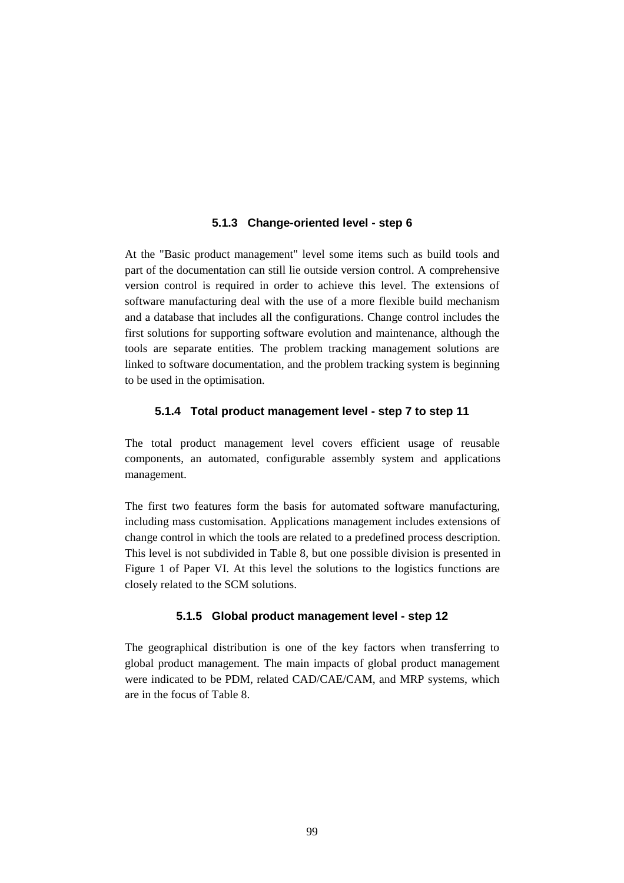#### **5.1.3 Change-oriented level - step 6**

At the "Basic product management" level some items such as build tools and part of the documentation can still lie outside version control. A comprehensive version control is required in order to achieve this level. The extensions of software manufacturing deal with the use of a more flexible build mechanism and a database that includes all the configurations. Change control includes the first solutions for supporting software evolution and maintenance, although the tools are separate entities. The problem tracking management solutions are linked to software documentation, and the problem tracking system is beginning to be used in the optimisation.

#### **5.1.4 Total product management level - step 7 to step 11**

The total product management level covers efficient usage of reusable components, an automated, configurable assembly system and applications management.

The first two features form the basis for automated software manufacturing, including mass customisation. Applications management includes extensions of change control in which the tools are related to a predefined process description. This level is not subdivided in Table 8, but one possible division is presented in Figure 1 of Paper VI. At this level the solutions to the logistics functions are closely related to the SCM solutions.

## **5.1.5 Global product management level - step 12**

The geographical distribution is one of the key factors when transferring to global product management. The main impacts of global product management were indicated to be PDM, related CAD/CAE/CAM, and MRP systems, which are in the focus of Table 8.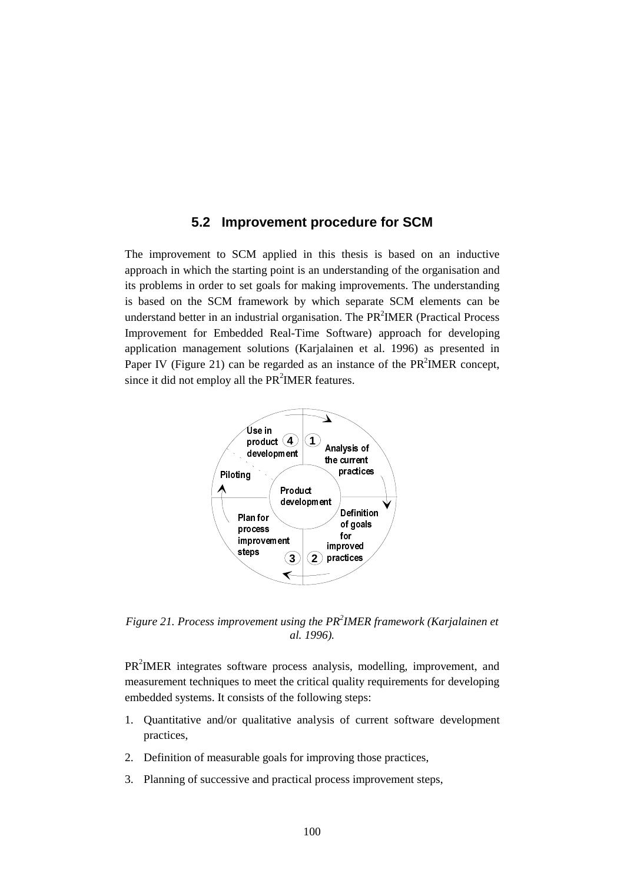## **5.2 Improvement procedure for SCM**

The improvement to SCM applied in this thesis is based on an inductive approach in which the starting point is an understanding of the organisation and its problems in order to set goals for making improvements. The understanding is based on the SCM framework by which separate SCM elements can be understand better in an industrial organisation. The  $PR<sup>2</sup>IMER$  (Practical Process Improvement for Embedded Real-Time Software) approach for developing application management solutions (Karjalainen et al. 1996) as presented in Paper IV (Figure 21) can be regarded as an instance of the  $PR<sup>2</sup>IMER concept$ , since it did not employ all the  $PR<sup>2</sup>IMER$  features.



*Figure 21. Process improvement using the PR<sup>2</sup> IMER framework (Karjalainen et al. 1996).*

PR<sup>2</sup>IMER integrates software process analysis, modelling, improvement, and measurement techniques to meet the critical quality requirements for developing embedded systems. It consists of the following steps:

- 1. Quantitative and/or qualitative analysis of current software development practices,
- 2. Definition of measurable goals for improving those practices,
- 3. Planning of successive and practical process improvement steps,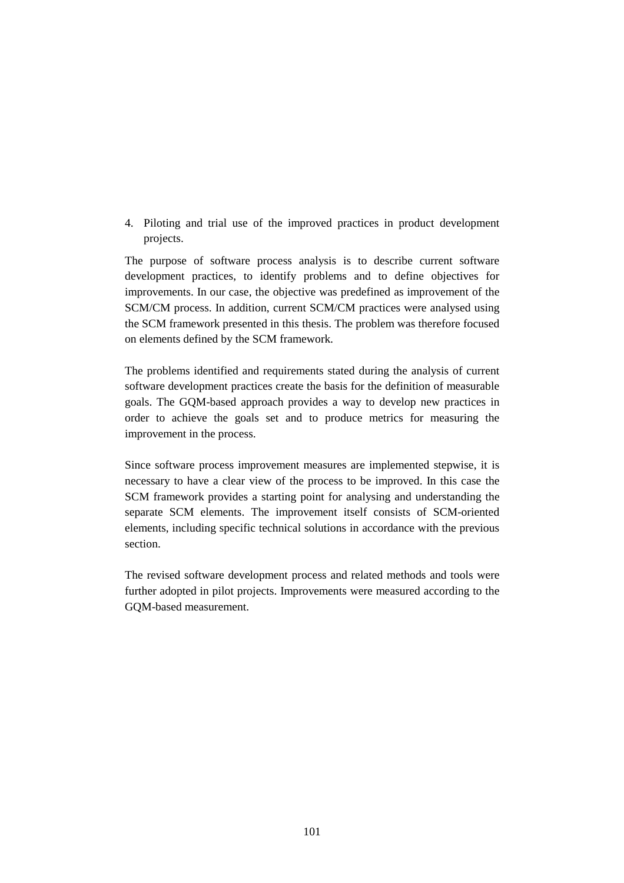4. Piloting and trial use of the improved practices in product development projects.

The purpose of software process analysis is to describe current software development practices, to identify problems and to define objectives for improvements. In our case, the objective was predefined as improvement of the SCM/CM process. In addition, current SCM/CM practices were analysed using the SCM framework presented in this thesis. The problem was therefore focused on elements defined by the SCM framework.

The problems identified and requirements stated during the analysis of current software development practices create the basis for the definition of measurable goals. The GQM-based approach provides a way to develop new practices in order to achieve the goals set and to produce metrics for measuring the improvement in the process.

Since software process improvement measures are implemented stepwise, it is necessary to have a clear view of the process to be improved. In this case the SCM framework provides a starting point for analysing and understanding the separate SCM elements. The improvement itself consists of SCM-oriented elements, including specific technical solutions in accordance with the previous section.

The revised software development process and related methods and tools were further adopted in pilot projects. Improvements were measured according to the GQM-based measurement.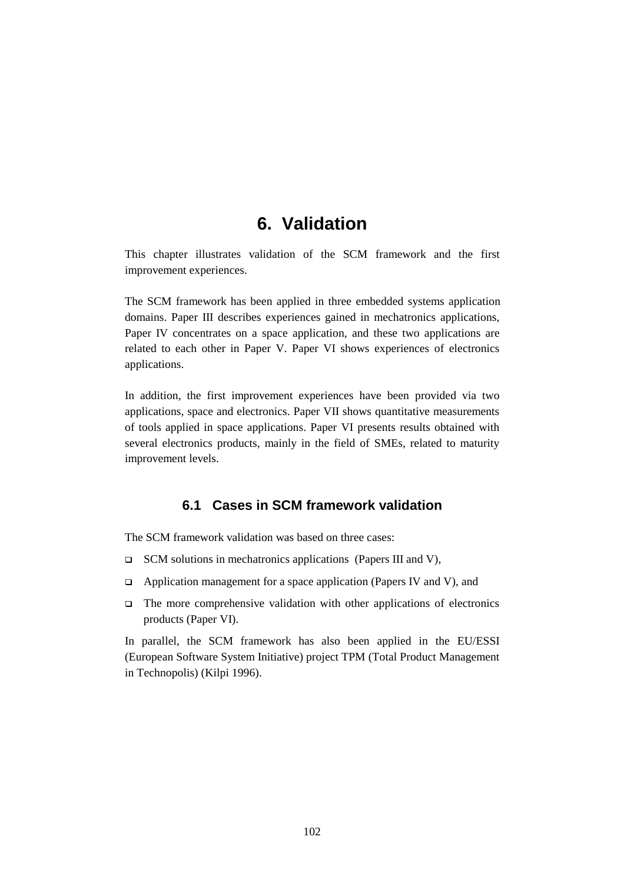# **6. Validation**

This chapter illustrates validation of the SCM framework and the first improvement experiences.

The SCM framework has been applied in three embedded systems application domains. Paper III describes experiences gained in mechatronics applications, Paper IV concentrates on a space application, and these two applications are related to each other in Paper V. Paper VI shows experiences of electronics applications.

In addition, the first improvement experiences have been provided via two applications, space and electronics. Paper VII shows quantitative measurements of tools applied in space applications. Paper VI presents results obtained with several electronics products, mainly in the field of SMEs, related to maturity improvement levels.

## **6.1 Cases in SCM framework validation**

The SCM framework validation was based on three cases:

- $\Box$  SCM solutions in mechatronics applications (Papers III and V),
- $\Box$  Application management for a space application (Papers IV and V), and
- $\Box$  The more comprehensive validation with other applications of electronics products (Paper VI).

In parallel, the SCM framework has also been applied in the EU/ESSI (European Software System Initiative) project TPM (Total Product Management in Technopolis) (Kilpi 1996).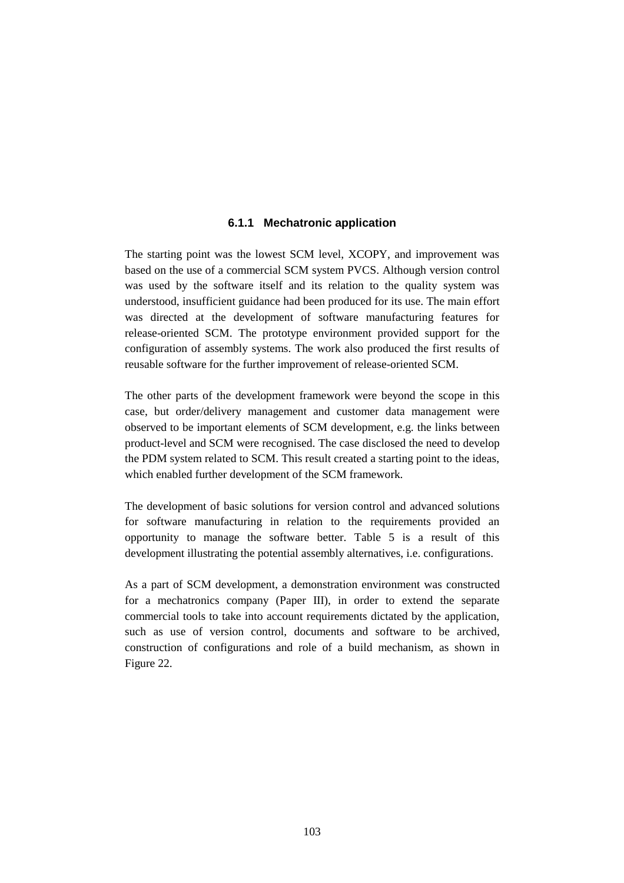## **6.1.1 Mechatronic application**

The starting point was the lowest SCM level, XCOPY, and improvement was based on the use of a commercial SCM system PVCS. Although version control was used by the software itself and its relation to the quality system was understood, insufficient guidance had been produced for its use. The main effort was directed at the development of software manufacturing features for release-oriented SCM. The prototype environment provided support for the configuration of assembly systems. The work also produced the first results of reusable software for the further improvement of release-oriented SCM.

The other parts of the development framework were beyond the scope in this case, but order/delivery management and customer data management were observed to be important elements of SCM development, e.g. the links between product-level and SCM were recognised. The case disclosed the need to develop the PDM system related to SCM. This result created a starting point to the ideas, which enabled further development of the SCM framework.

The development of basic solutions for version control and advanced solutions for software manufacturing in relation to the requirements provided an opportunity to manage the software better. Table 5 is a result of this development illustrating the potential assembly alternatives, i.e. configurations.

As a part of SCM development, a demonstration environment was constructed for a mechatronics company (Paper III), in order to extend the separate commercial tools to take into account requirements dictated by the application, such as use of version control, documents and software to be archived, construction of configurations and role of a build mechanism, as shown in Figure 22.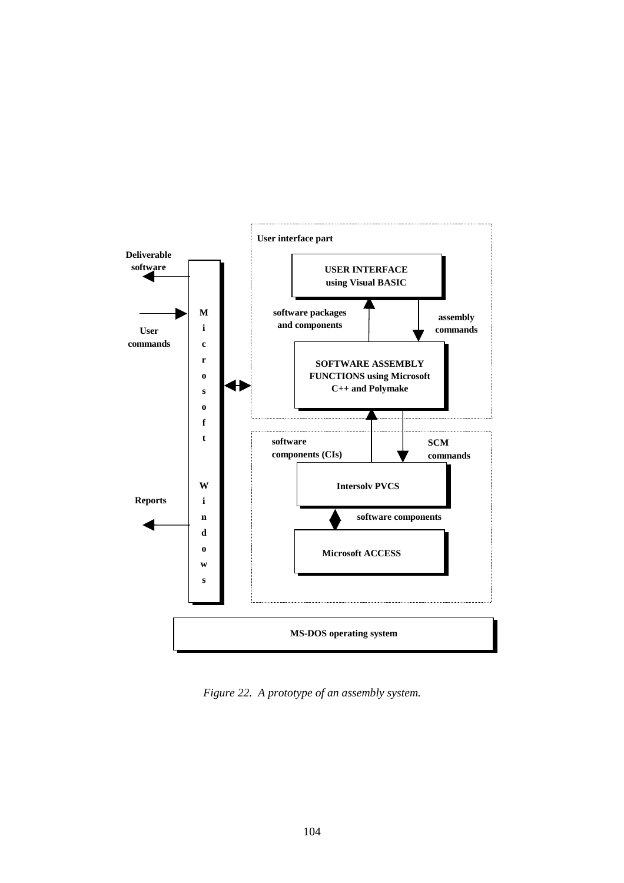

*Figure 22. A prototype of an assembly system.*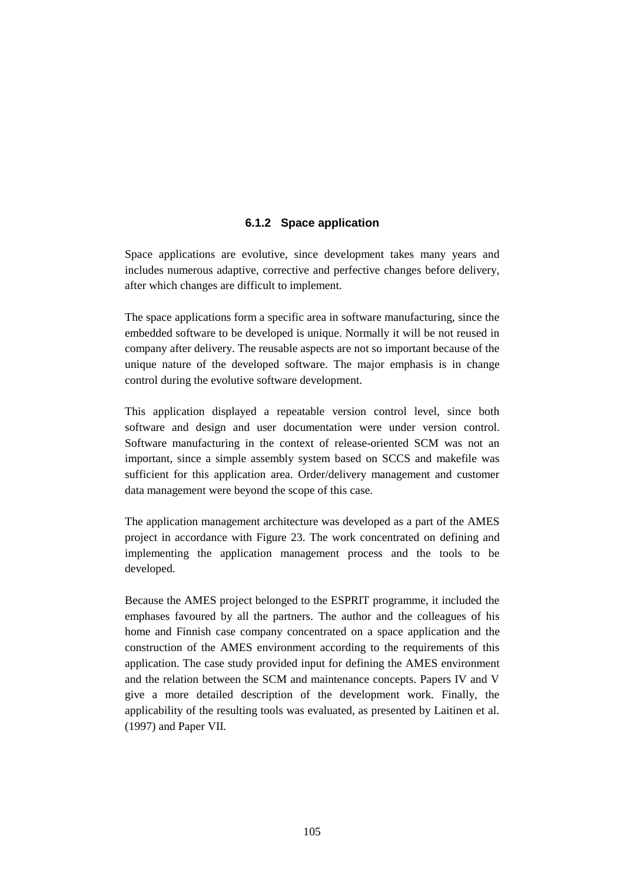## **6.1.2 Space application**

Space applications are evolutive, since development takes many years and includes numerous adaptive, corrective and perfective changes before delivery, after which changes are difficult to implement.

The space applications form a specific area in software manufacturing, since the embedded software to be developed is unique. Normally it will be not reused in company after delivery. The reusable aspects are not so important because of the unique nature of the developed software. The major emphasis is in change control during the evolutive software development.

This application displayed a repeatable version control level, since both software and design and user documentation were under version control. Software manufacturing in the context of release-oriented SCM was not an important, since a simple assembly system based on SCCS and makefile was sufficient for this application area. Order/delivery management and customer data management were beyond the scope of this case.

The application management architecture was developed as a part of the AMES project in accordance with Figure 23. The work concentrated on defining and implementing the application management process and the tools to be developed.

Because the AMES project belonged to the ESPRIT programme, it included the emphases favoured by all the partners. The author and the colleagues of his home and Finnish case company concentrated on a space application and the construction of the AMES environment according to the requirements of this application. The case study provided input for defining the AMES environment and the relation between the SCM and maintenance concepts. Papers IV and V give a more detailed description of the development work. Finally, the applicability of the resulting tools was evaluated, as presented by Laitinen et al. (1997) and Paper VII.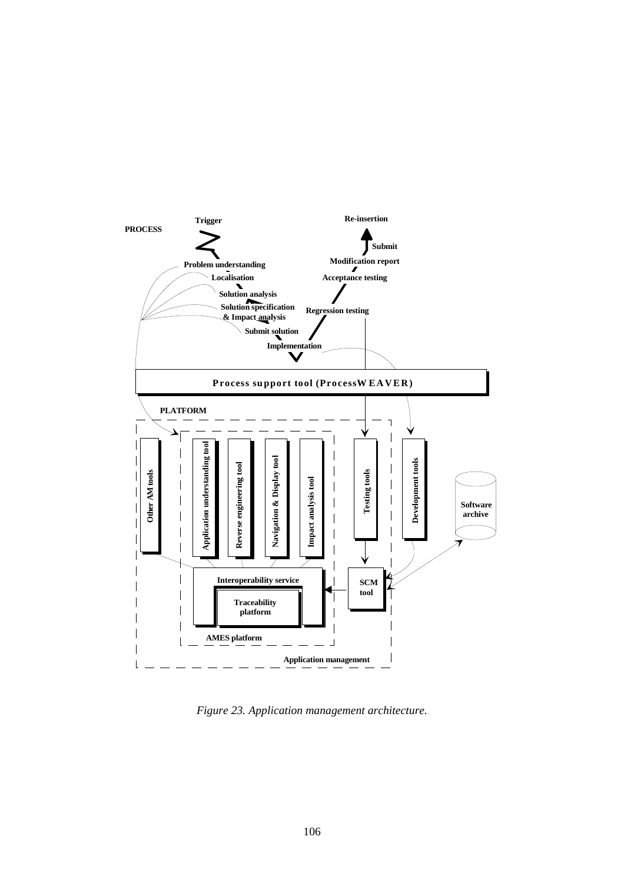

*Figure 23. Application management architecture.*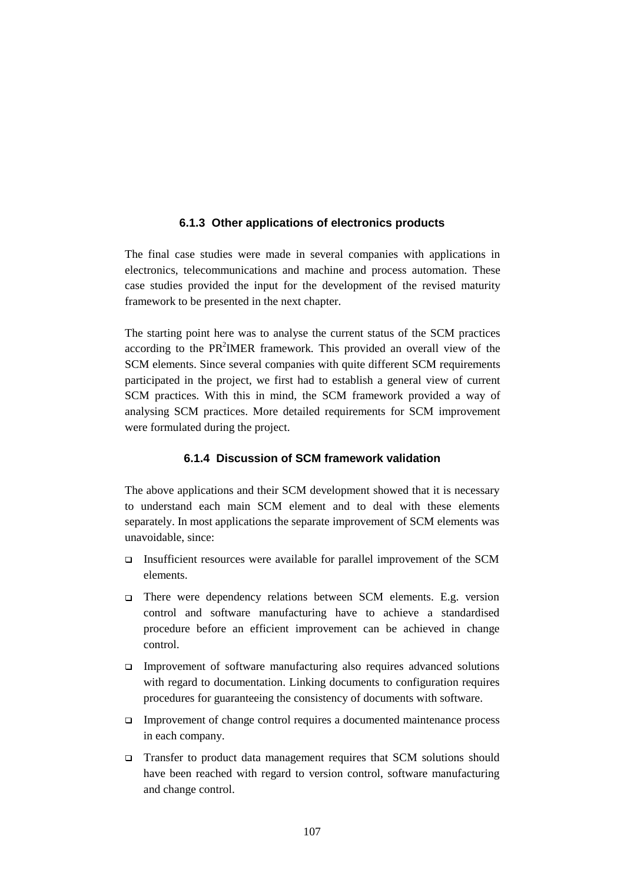## **6.1.3 Other applications of electronics products**

The final case studies were made in several companies with applications in electronics, telecommunications and machine and process automation. These case studies provided the input for the development of the revised maturity framework to be presented in the next chapter.

The starting point here was to analyse the current status of the SCM practices according to the PR<sup>2</sup>IMER framework. This provided an overall view of the SCM elements. Since several companies with quite different SCM requirements participated in the project, we first had to establish a general view of current SCM practices. With this in mind, the SCM framework provided a way of analysing SCM practices. More detailed requirements for SCM improvement were formulated during the project.

## **6.1.4 Discussion of SCM framework validation**

The above applications and their SCM development showed that it is necessary to understand each main SCM element and to deal with these elements separately. In most applications the separate improvement of SCM elements was unavoidable, since:

- Insufficient resources were available for parallel improvement of the SCM elements.
- There were dependency relations between SCM elements. E.g. version control and software manufacturing have to achieve a standardised procedure before an efficient improvement can be achieved in change control.
- Improvement of software manufacturing also requires advanced solutions with regard to documentation. Linking documents to configuration requires procedures for guaranteeing the consistency of documents with software.
- Improvement of change control requires a documented maintenance process in each company.
- Transfer to product data management requires that SCM solutions should have been reached with regard to version control, software manufacturing and change control.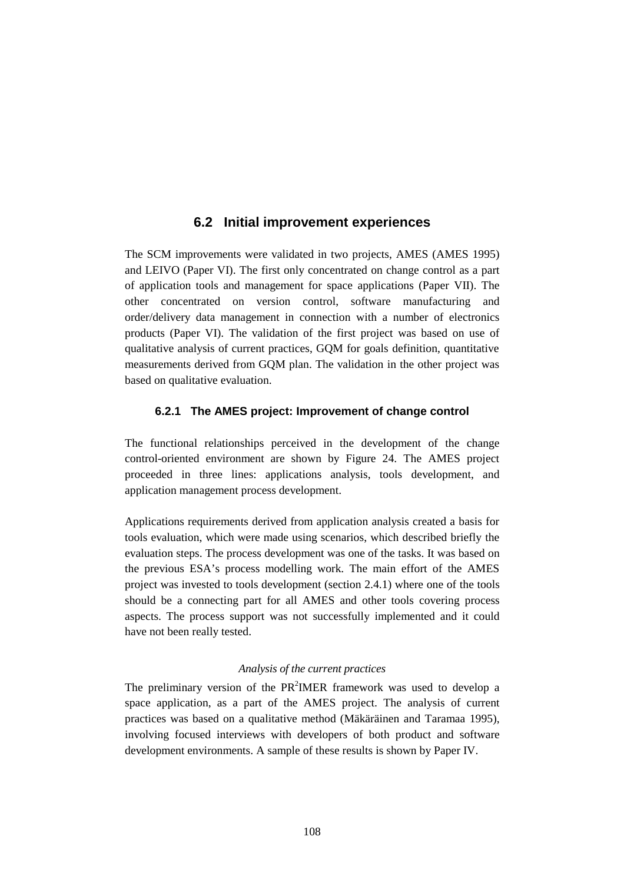## **6.2 Initial improvement experiences**

The SCM improvements were validated in two projects, AMES (AMES 1995) and LEIVO (Paper VI). The first only concentrated on change control as a part of application tools and management for space applications (Paper VII). The other concentrated on version control, software manufacturing and order/delivery data management in connection with a number of electronics products (Paper VI). The validation of the first project was based on use of qualitative analysis of current practices, GQM for goals definition, quantitative measurements derived from GQM plan. The validation in the other project was based on qualitative evaluation.

## **6.2.1 The AMES project: Improvement of change control**

The functional relationships perceived in the development of the change control-oriented environment are shown by Figure 24. The AMES project proceeded in three lines: applications analysis, tools development, and application management process development.

Applications requirements derived from application analysis created a basis for tools evaluation, which were made using scenarios, which described briefly the evaluation steps. The process development was one of the tasks. It was based on the previous ESA's process modelling work. The main effort of the AMES project was invested to tools development (section 2.4.1) where one of the tools should be a connecting part for all AMES and other tools covering process aspects. The process support was not successfully implemented and it could have not been really tested.

#### *Analysis of the current practices*

The preliminary version of the  $PR<sup>2</sup>IMER$  framework was used to develop a space application, as a part of the AMES project. The analysis of current practices was based on a qualitative method (Mäkäräinen and Taramaa 1995), involving focused interviews with developers of both product and software development environments. A sample of these results is shown by Paper IV.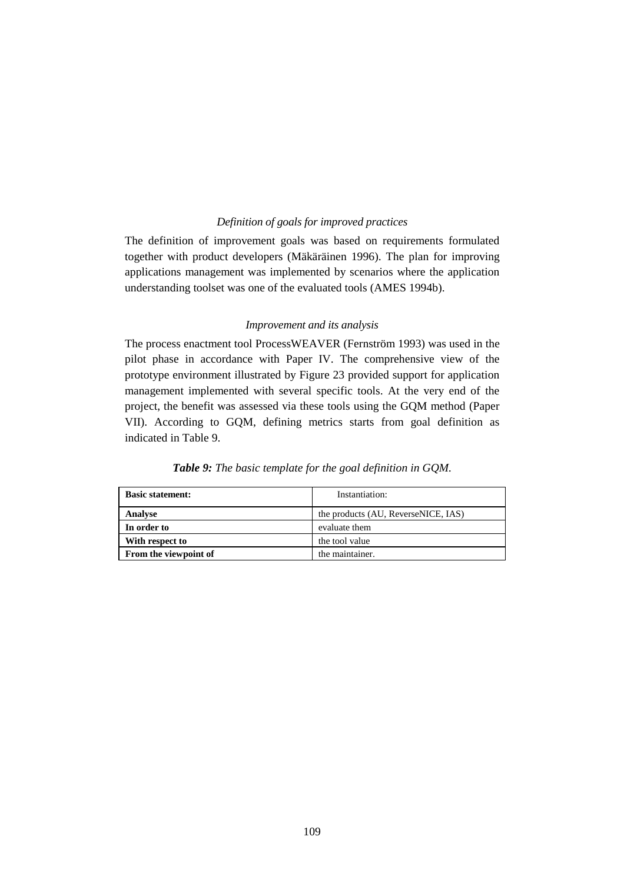#### *Definition of goals for improved practices*

The definition of improvement goals was based on requirements formulated together with product developers (Mäkäräinen 1996). The plan for improving applications management was implemented by scenarios where the application understanding toolset was one of the evaluated tools (AMES 1994b).

#### *Improvement and its analysis*

The process enactment tool ProcessWEAVER (Fernström 1993) was used in the pilot phase in accordance with Paper IV. The comprehensive view of the prototype environment illustrated by Figure 23 provided support for application management implemented with several specific tools. At the very end of the project, the benefit was assessed via these tools using the GQM method (Paper VII). According to GQM, defining metrics starts from goal definition as indicated in Table 9.

| <b>Basic statement:</b> | Instantiation:                      |
|-------------------------|-------------------------------------|
| <b>Analyse</b>          | the products (AU, ReverseNICE, IAS) |
| In order to             | evaluate them                       |
| With respect to         | the tool value                      |
| From the viewpoint of   | the maintainer.                     |

#### *Table 9: The basic template for the goal definition in GQM.*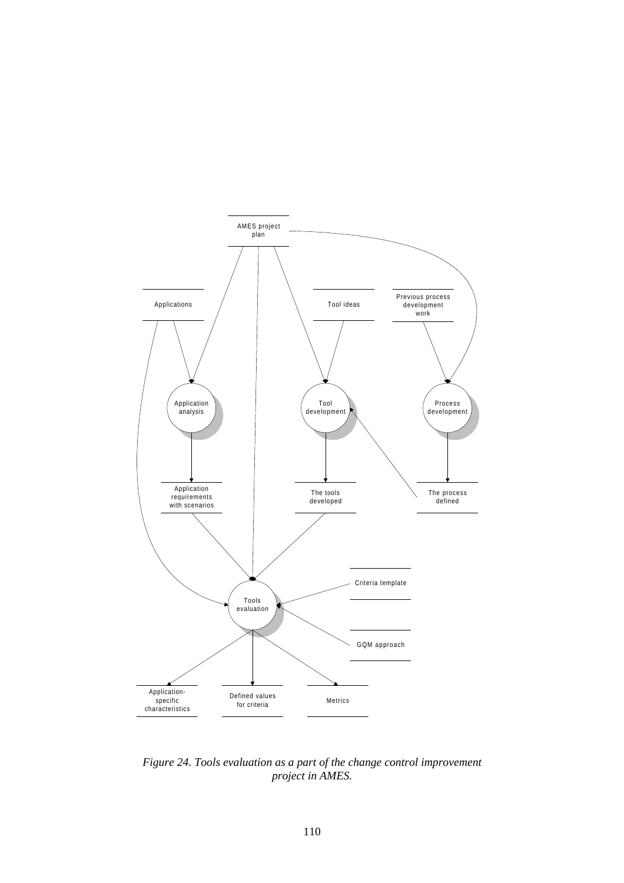

*Figure 24. Tools evaluation as a part of the change control improvement project in AMES.*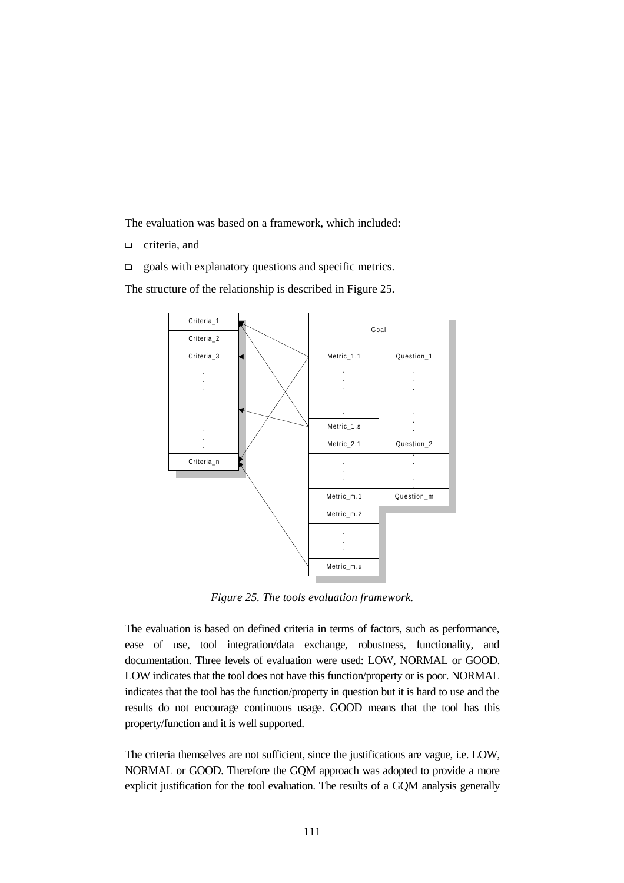The evaluation was based on a framework, which included:

- **n** criteria, and
- $\Box$  goals with explanatory questions and specific metrics.

The structure of the relationship is described in Figure 25.



*Figure 25. The tools evaluation framework.*

The evaluation is based on defined criteria in terms of factors, such as performance, ease of use, tool integration/data exchange, robustness, functionality, and documentation. Three levels of evaluation were used: LOW, NORMAL or GOOD. LOW indicates that the tool does not have this function/property or is poor. NORMAL indicates that the tool has the function/property in question but it is hard to use and the results do not encourage continuous usage. GOOD means that the tool has this property/function and it is well supported.

The criteria themselves are not sufficient, since the justifications are vague, i.e. LOW, NORMAL or GOOD. Therefore the GQM approach was adopted to provide a more explicit justification for the tool evaluation. The results of a GQM analysis generally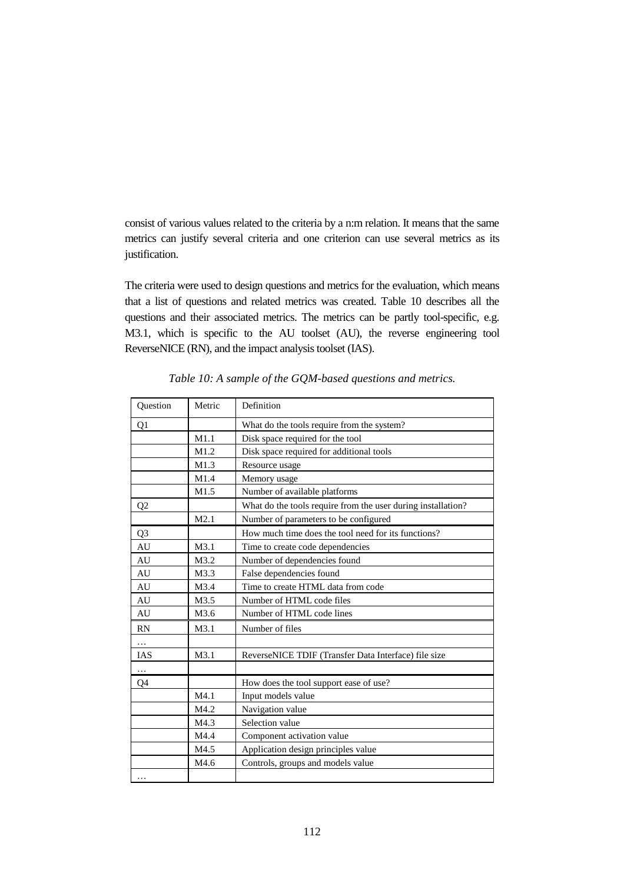consist of various values related to the criteria by a n:m relation. It means that the same metrics can justify several criteria and one criterion can use several metrics as its justification.

The criteria were used to design questions and metrics for the evaluation, which means that a list of questions and related metrics was created. Table 10 describes all the questions and their associated metrics. The metrics can be partly tool-specific, e.g. M3.1, which is specific to the AU toolset (AU), the reverse engineering tool ReverseNICE (RN), and the impact analysis toolset (IAS).

| Question       | Metric | Definition                                                   |  |  |
|----------------|--------|--------------------------------------------------------------|--|--|
| Q1             |        | What do the tools require from the system?                   |  |  |
|                | M1.1   | Disk space required for the tool                             |  |  |
|                | M1.2   | Disk space required for additional tools                     |  |  |
|                | M1.3   | Resource usage                                               |  |  |
|                | M1.4   | Memory usage                                                 |  |  |
|                | M1.5   | Number of available platforms                                |  |  |
| Q <sub>2</sub> |        | What do the tools require from the user during installation? |  |  |
|                | M2.1   | Number of parameters to be configured                        |  |  |
| Q <sub>3</sub> |        | How much time does the tool need for its functions?          |  |  |
| AU             | M3.1   | Time to create code dependencies                             |  |  |
| AU             | M3.2   | Number of dependencies found                                 |  |  |
| AU             | M3.3   | False dependencies found                                     |  |  |
| AU             | M3.4   | Time to create HTML data from code                           |  |  |
| AU             | M3.5   | Number of HTML code files                                    |  |  |
| AU             | M3.6   | Number of HTML code lines                                    |  |  |
| <b>RN</b>      | M3.1   | Number of files                                              |  |  |
| $\cdots$       |        |                                                              |  |  |
| <b>IAS</b>     | M3.1   | ReverseNICE TDIF (Transfer Data Interface) file size         |  |  |
| $\ldots$       |        |                                                              |  |  |
| Q4             |        | How does the tool support ease of use?                       |  |  |
|                | M4.1   | Input models value                                           |  |  |
|                | M4.2   | Navigation value                                             |  |  |
|                | M4.3   | Selection value                                              |  |  |
|                | M4.4   | Component activation value                                   |  |  |
|                | M4.5   | Application design principles value                          |  |  |
|                | M4.6   | Controls, groups and models value                            |  |  |
|                |        |                                                              |  |  |

*Table 10: A sample of the GQM-based questions and metrics.*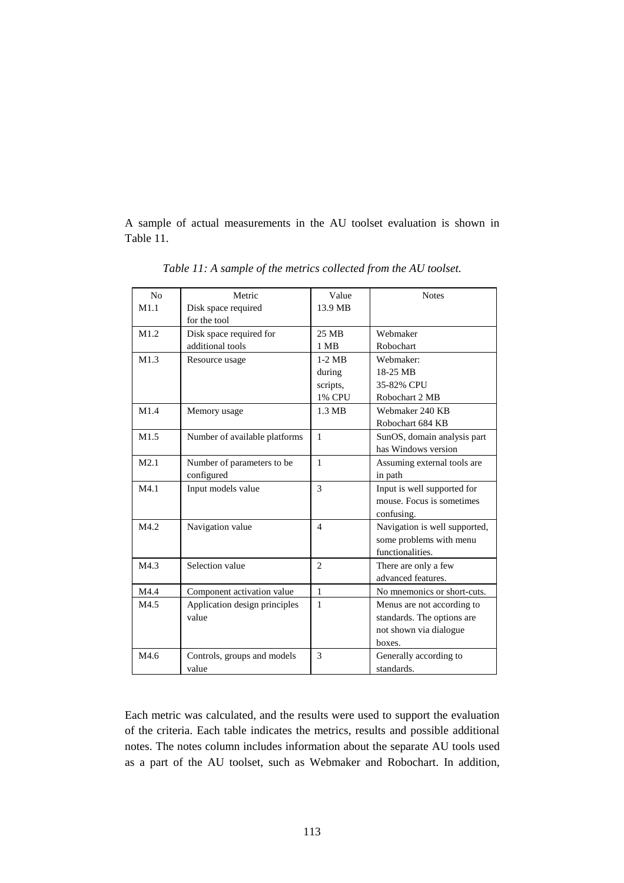A sample of actual measurements in the AU toolset evaluation is shown in Table 11.

| No   | Metric                        | Value          | <b>Notes</b>                  |
|------|-------------------------------|----------------|-------------------------------|
| M1.1 | Disk space required           | 13.9 MB        |                               |
|      | for the tool                  |                |                               |
| M1.2 | Disk space required for       | 25 MB          | Webmaker                      |
|      | additional tools              | 1 MB           | Robochart                     |
| M1.3 | Resource usage                | $1-2$ MB       | Webmaker:                     |
|      |                               | during         | 18-25 MB                      |
|      |                               | scripts,       | 35-82% CPU                    |
|      |                               | <b>1% CPU</b>  | Robochart 2 MB                |
| M1.4 | Memory usage                  | 1.3 MB         | Webmaker 240 KB               |
|      |                               |                | Robochart 684 KB              |
| M1.5 | Number of available platforms | $\mathbf{1}$   | SunOS, domain analysis part   |
|      |                               |                | has Windows version           |
| M2.1 | Number of parameters to be    | $\mathbf{1}$   | Assuming external tools are   |
|      | configured                    |                | in path                       |
| M4.1 | Input models value            | 3              | Input is well supported for   |
|      |                               |                | mouse. Focus is sometimes     |
|      |                               |                | confusing.                    |
| M4.2 | Navigation value              | $\overline{4}$ | Navigation is well supported, |
|      |                               |                | some problems with menu       |
|      |                               |                | functionalities.              |
| M4.3 | Selection value               | $\overline{2}$ | There are only a few          |
|      |                               |                | advanced features.            |
| M4.4 | Component activation value    | $\mathbf{1}$   | No mnemonics or short-cuts.   |
| M4.5 | Application design principles | $\mathbf{1}$   | Menus are not according to    |
|      | value                         |                | standards. The options are    |
|      |                               |                | not shown via dialogue        |
|      |                               |                | boxes.                        |
| M4.6 | Controls, groups and models   | 3              | Generally according to        |
|      | value                         |                | standards.                    |

*Table 11: A sample of the metrics collected from the AU toolset.*

Each metric was calculated, and the results were used to support the evaluation of the criteria. Each table indicates the metrics, results and possible additional notes. The notes column includes information about the separate AU tools used as a part of the AU toolset, such as Webmaker and Robochart. In addition,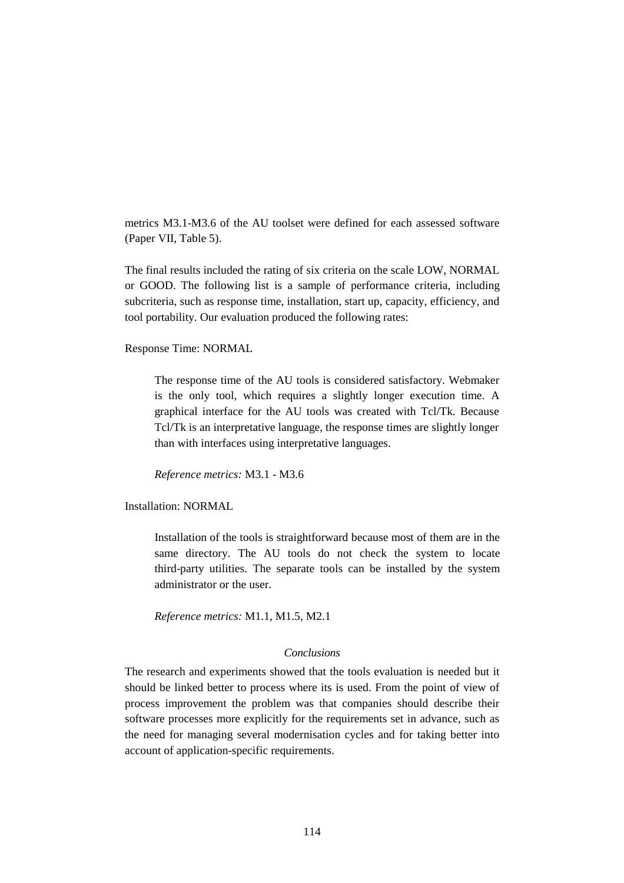metrics M3.1-M3.6 of the AU toolset were defined for each assessed software (Paper VII, Table 5).

The final results included the rating of six criteria on the scale LOW, NORMAL or GOOD. The following list is a sample of performance criteria, including subcriteria, such as response time, installation, start up, capacity, efficiency, and tool portability. Our evaluation produced the following rates:

Response Time: NORMAL

The response time of the AU tools is considered satisfactory. Webmaker is the only tool, which requires a slightly longer execution time. A graphical interface for the AU tools was created with Tcl/Tk. Because Tcl/Tk is an interpretative language, the response times are slightly longer than with interfaces using interpretative languages.

*Reference metrics:* M3.1 - M3.6

Installation: NORMAL

Installation of the tools is straightforward because most of them are in the same directory. The AU tools do not check the system to locate third-party utilities. The separate tools can be installed by the system administrator or the user.

*Reference metrics:* M1.1, M1.5, M2.1

#### *Conclusions*

The research and experiments showed that the tools evaluation is needed but it should be linked better to process where its is used. From the point of view of process improvement the problem was that companies should describe their software processes more explicitly for the requirements set in advance, such as the need for managing several modernisation cycles and for taking better into account of application-specific requirements.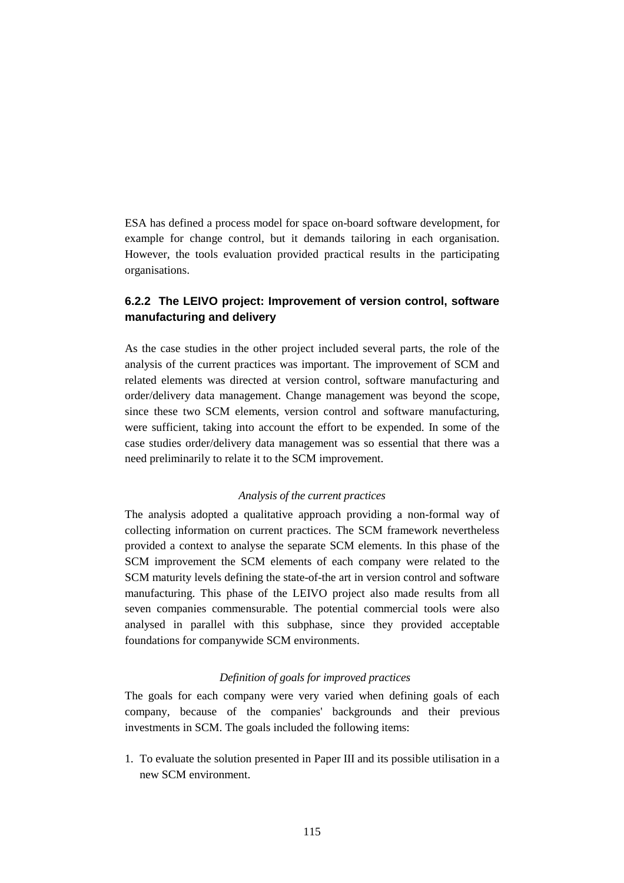ESA has defined a process model for space on-board software development, for example for change control, but it demands tailoring in each organisation. However, the tools evaluation provided practical results in the participating organisations.

### **6.2.2 The LEIVO project: Improvement of version control, software manufacturing and delivery**

As the case studies in the other project included several parts, the role of the analysis of the current practices was important. The improvement of SCM and related elements was directed at version control, software manufacturing and order/delivery data management. Change management was beyond the scope, since these two SCM elements, version control and software manufacturing, were sufficient, taking into account the effort to be expended. In some of the case studies order/delivery data management was so essential that there was a need preliminarily to relate it to the SCM improvement.

#### *Analysis of the current practices*

The analysis adopted a qualitative approach providing a non-formal way of collecting information on current practices. The SCM framework nevertheless provided a context to analyse the separate SCM elements. In this phase of the SCM improvement the SCM elements of each company were related to the SCM maturity levels defining the state-of-the art in version control and software manufacturing. This phase of the LEIVO project also made results from all seven companies commensurable. The potential commercial tools were also analysed in parallel with this subphase, since they provided acceptable foundations for companywide SCM environments.

#### *Definition of goals for improved practices*

The goals for each company were very varied when defining goals of each company, because of the companies' backgrounds and their previous investments in SCM. The goals included the following items:

1. To evaluate the solution presented in Paper III and its possible utilisation in a new SCM environment.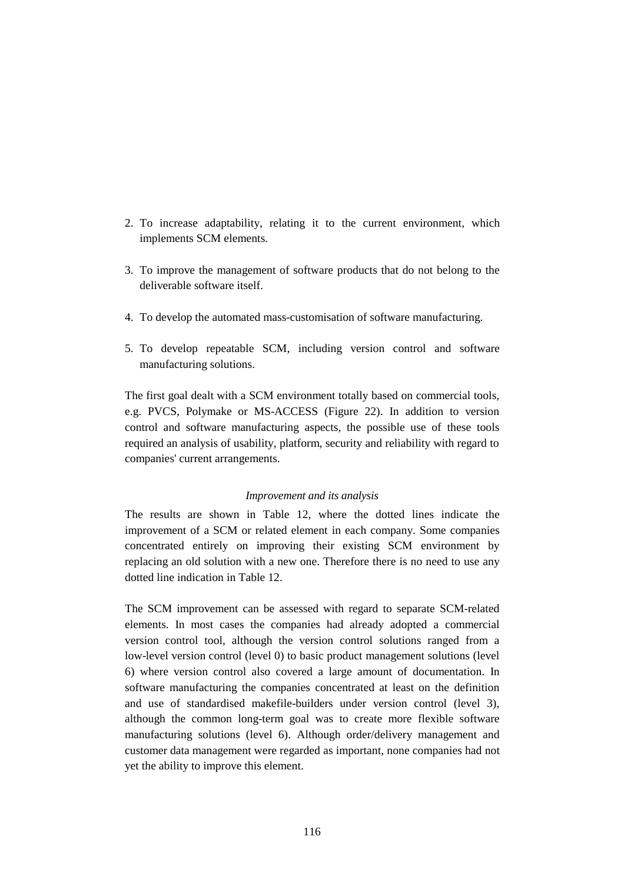- 2. To increase adaptability, relating it to the current environment, which implements SCM elements.
- 3. To improve the management of software products that do not belong to the deliverable software itself.
- 4. To develop the automated mass-customisation of software manufacturing.
- 5. To develop repeatable SCM, including version control and software manufacturing solutions.

The first goal dealt with a SCM environment totally based on commercial tools, e.g. PVCS, Polymake or MS-ACCESS (Figure 22). In addition to version control and software manufacturing aspects, the possible use of these tools required an analysis of usability, platform, security and reliability with regard to companies' current arrangements.

#### *Improvement and its analysis*

The results are shown in Table 12, where the dotted lines indicate the improvement of a SCM or related element in each company. Some companies concentrated entirely on improving their existing SCM environment by replacing an old solution with a new one. Therefore there is no need to use any dotted line indication in Table 12.

The SCM improvement can be assessed with regard to separate SCM-related elements. In most cases the companies had already adopted a commercial version control tool, although the version control solutions ranged from a low-level version control (level 0) to basic product management solutions (level 6) where version control also covered a large amount of documentation. In software manufacturing the companies concentrated at least on the definition and use of standardised makefile-builders under version control (level 3), although the common long-term goal was to create more flexible software manufacturing solutions (level 6). Although order/delivery management and customer data management were regarded as important, none companies had not yet the ability to improve this element.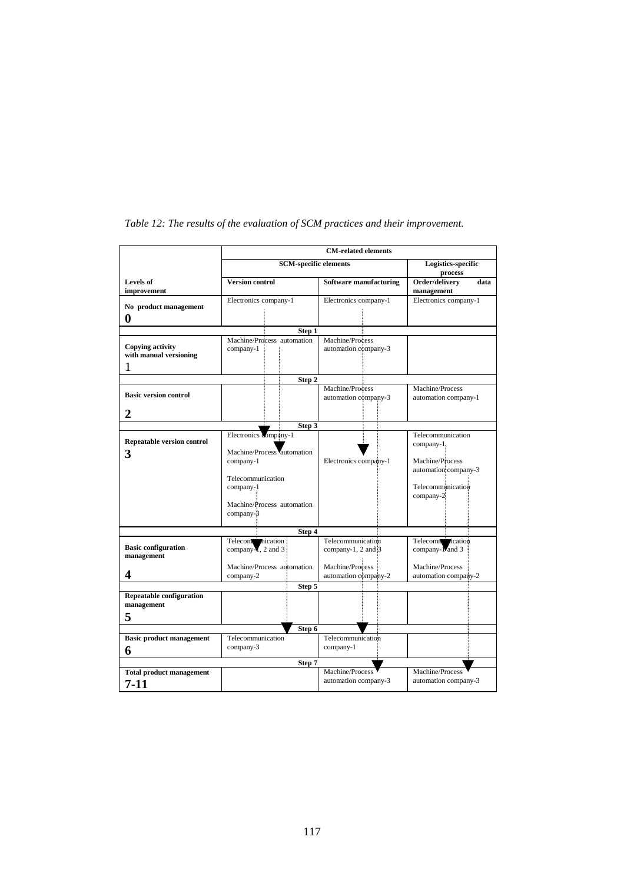|                                                    | <b>CM-related elements</b>                                                                                                                    |                                             |                                                                                                              |  |  |
|----------------------------------------------------|-----------------------------------------------------------------------------------------------------------------------------------------------|---------------------------------------------|--------------------------------------------------------------------------------------------------------------|--|--|
|                                                    | <b>SCM-specific elements</b>                                                                                                                  | Logistics-specific<br>process               |                                                                                                              |  |  |
| <b>Levels</b> of<br>improvement                    | <b>Version control</b>                                                                                                                        | Software manufacturing                      | Order/delivery<br>data<br>management                                                                         |  |  |
| No product management<br>$\boldsymbol{0}$          | Electronics company-1                                                                                                                         | Electronics company-1                       | Electronics company-1                                                                                        |  |  |
|                                                    | Step 1                                                                                                                                        |                                             |                                                                                                              |  |  |
| Copying activity<br>with manual versioning<br>1    | Machine/Process automation<br>company-1                                                                                                       | Machine/Process<br>automation company-3     |                                                                                                              |  |  |
|                                                    | Step 2                                                                                                                                        |                                             |                                                                                                              |  |  |
| <b>Basic version control</b>                       |                                                                                                                                               | Machine/Process<br>automation company-3     | Machine/Process<br>automation company-1                                                                      |  |  |
| 2                                                  |                                                                                                                                               |                                             |                                                                                                              |  |  |
|                                                    | Step 3                                                                                                                                        |                                             |                                                                                                              |  |  |
| <b>Repeatable version control</b><br>3             | Electronics company-1<br>Machine/Process automation<br>company-1<br>Telecommunication<br>company-1<br>Machine/Process automation<br>company-3 | Electronics company-1                       | Telecommunication<br>company-1.<br>Machine/Process<br>automation company-3<br>Telecommunication<br>company-2 |  |  |
|                                                    | Step 4                                                                                                                                        |                                             |                                                                                                              |  |  |
| <b>Basic configuration</b><br>management           | Telecom nication<br>company $\overline{X}$ , 2 and 3                                                                                          | Telecommunication<br>company-1, $2$ and $3$ | Telecommittication<br>company-Nand 3                                                                         |  |  |
| 4                                                  | Machine/Process automation<br>company-2                                                                                                       | Machine/Process<br>automation company-2     | Machine/Process<br>automation company-2                                                                      |  |  |
|                                                    | Step 5                                                                                                                                        |                                             |                                                                                                              |  |  |
| <b>Repeatable configuration</b><br>management<br>5 |                                                                                                                                               |                                             |                                                                                                              |  |  |
| Step 6                                             |                                                                                                                                               |                                             |                                                                                                              |  |  |
| <b>Basic product management</b><br>6               | Telecommunication<br>company-3                                                                                                                | Telecommunication<br>company-1              |                                                                                                              |  |  |
|                                                    | Step 7                                                                                                                                        |                                             |                                                                                                              |  |  |
| <b>Total product management</b><br>7-11            |                                                                                                                                               | Machine/Process<br>automation company-3     | Machine/Process<br>automation company-3                                                                      |  |  |

*Table 12: The results of the evaluation of SCM practices and their improvement.*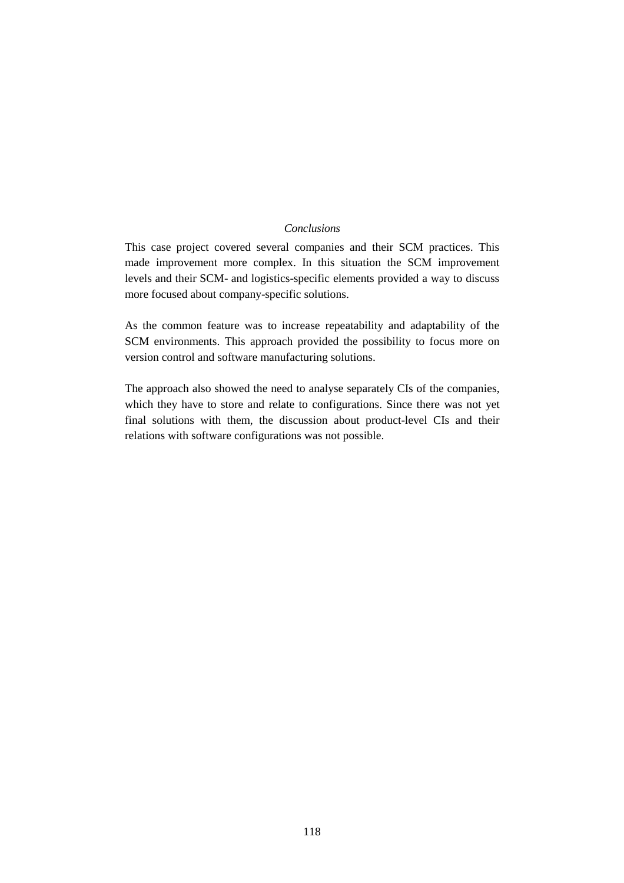#### *Conclusions*

This case project covered several companies and their SCM practices. This made improvement more complex. In this situation the SCM improvement levels and their SCM- and logistics-specific elements provided a way to discuss more focused about company-specific solutions.

As the common feature was to increase repeatability and adaptability of the SCM environments. This approach provided the possibility to focus more on version control and software manufacturing solutions.

The approach also showed the need to analyse separately CIs of the companies, which they have to store and relate to configurations. Since there was not yet final solutions with them, the discussion about product-level CIs and their relations with software configurations was not possible.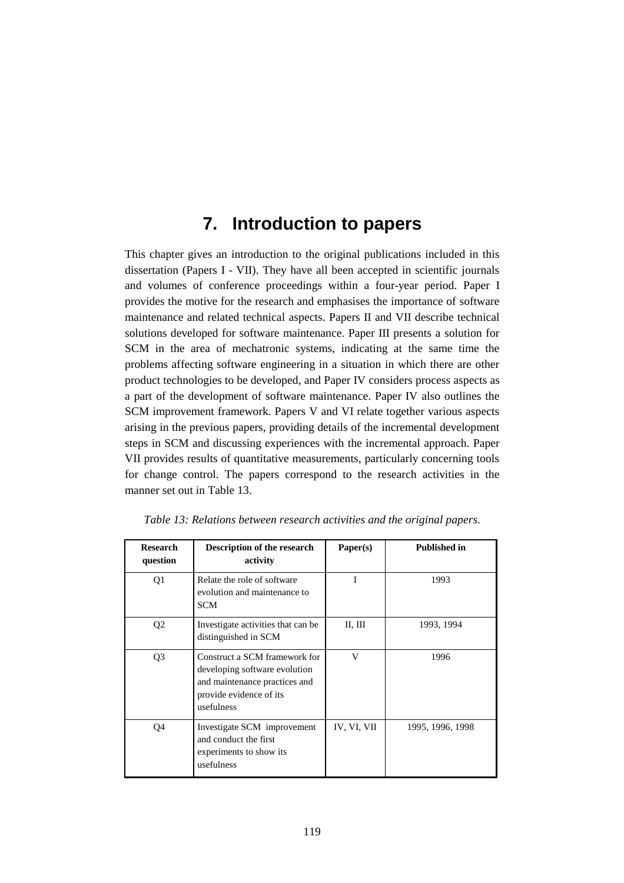# **7. Introduction to papers**

This chapter gives an introduction to the original publications included in this dissertation (Papers I - VII). They have all been accepted in scientific journals and volumes of conference proceedings within a four-year period. Paper I provides the motive for the research and emphasises the importance of software maintenance and related technical aspects. Papers II and VII describe technical solutions developed for software maintenance. Paper III presents a solution for SCM in the area of mechatronic systems, indicating at the same time the problems affecting software engineering in a situation in which there are other product technologies to be developed, and Paper IV considers process aspects as a part of the development of software maintenance. Paper IV also outlines the SCM improvement framework. Papers V and VI relate together various aspects arising in the previous papers, providing details of the incremental development steps in SCM and discussing experiences with the incremental approach. Paper VII provides results of quantitative measurements, particularly concerning tools for change control. The papers correspond to the research activities in the manner set out in Table 13.

| <b>Research</b><br>question | <b>Description of the research</b><br>activity                                                                                           | Paper(s)    | <b>Published in</b> |
|-----------------------------|------------------------------------------------------------------------------------------------------------------------------------------|-------------|---------------------|
| Q <sub>1</sub>              | Relate the role of software<br>evolution and maintenance to<br><b>SCM</b>                                                                | T           | 1993                |
| Q <sub>2</sub>              | Investigate activities that can be.<br>distinguished in SCM                                                                              | II, III     | 1993, 1994          |
| Q <sub>3</sub>              | Construct a SCM framework for<br>developing software evolution<br>and maintenance practices and<br>provide evidence of its<br>usefulness | V           | 1996                |
| Q4                          | Investigate SCM improvement<br>and conduct the first<br>experiments to show its<br>usefulness                                            | IV, VI, VII | 1995, 1996, 1998    |

*Table 13: Relations between research activities and the original papers.*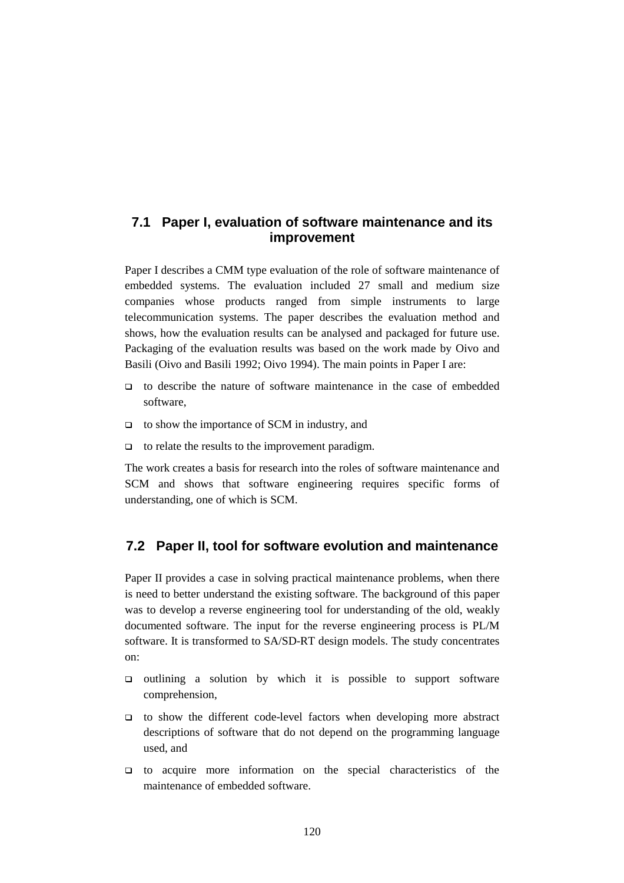## **7.1 Paper I, evaluation of software maintenance and its improvement**

Paper I describes a CMM type evaluation of the role of software maintenance of embedded systems. The evaluation included 27 small and medium size companies whose products ranged from simple instruments to large telecommunication systems. The paper describes the evaluation method and shows, how the evaluation results can be analysed and packaged for future use. Packaging of the evaluation results was based on the work made by Oivo and Basili (Oivo and Basili 1992; Oivo 1994). The main points in Paper I are:

- $\Box$  to describe the nature of software maintenance in the case of embedded software,
- □ to show the importance of SCM in industry, and
- $\Box$  to relate the results to the improvement paradigm.

The work creates a basis for research into the roles of software maintenance and SCM and shows that software engineering requires specific forms of understanding, one of which is SCM.

## **7.2 Paper II, tool for software evolution and maintenance**

Paper II provides a case in solving practical maintenance problems, when there is need to better understand the existing software. The background of this paper was to develop a reverse engineering tool for understanding of the old, weakly documented software. The input for the reverse engineering process is PL/M software. It is transformed to SA/SD-RT design models. The study concentrates on:

- outlining a solution by which it is possible to support software comprehension,
- to show the different code-level factors when developing more abstract descriptions of software that do not depend on the programming language used, and
- to acquire more information on the special characteristics of the maintenance of embedded software.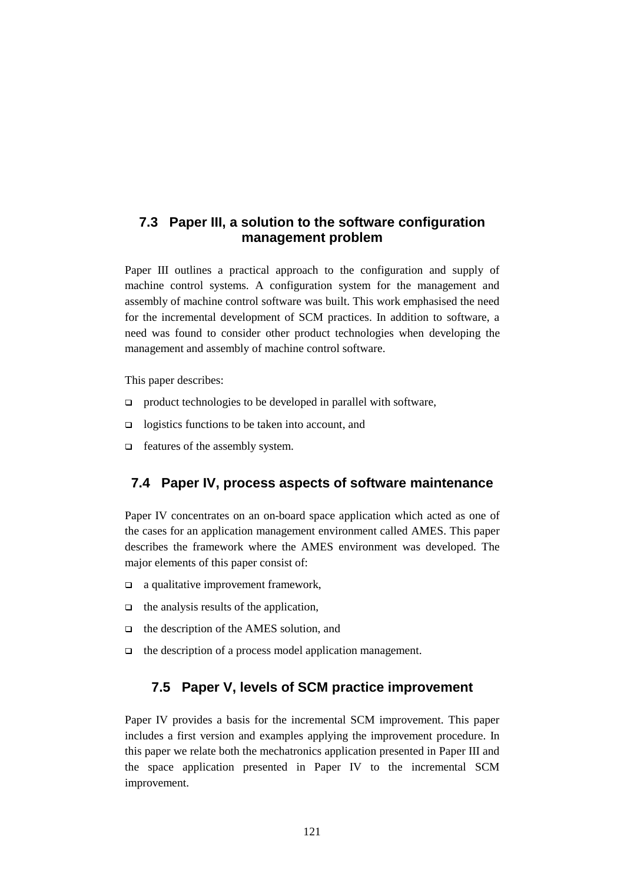## **7.3 Paper III, a solution to the software configuration management problem**

Paper III outlines a practical approach to the configuration and supply of machine control systems. A configuration system for the management and assembly of machine control software was built. This work emphasised the need for the incremental development of SCM practices. In addition to software, a need was found to consider other product technologies when developing the management and assembly of machine control software.

This paper describes:

- $\Box$  product technologies to be developed in parallel with software,
- $\Box$  logistics functions to be taken into account, and
- $\Box$  features of the assembly system.

## **7.4 Paper IV, process aspects of software maintenance**

Paper IV concentrates on an on-board space application which acted as one of the cases for an application management environment called AMES. This paper describes the framework where the AMES environment was developed. The major elements of this paper consist of:

- **a** qualitative improvement framework,
- $\Box$  the analysis results of the application,
- $\Box$  the description of the AMES solution, and
- $\Box$  the description of a process model application management.

## **7.5 Paper V, levels of SCM practice improvement**

Paper IV provides a basis for the incremental SCM improvement. This paper includes a first version and examples applying the improvement procedure. In this paper we relate both the mechatronics application presented in Paper III and the space application presented in Paper IV to the incremental SCM improvement.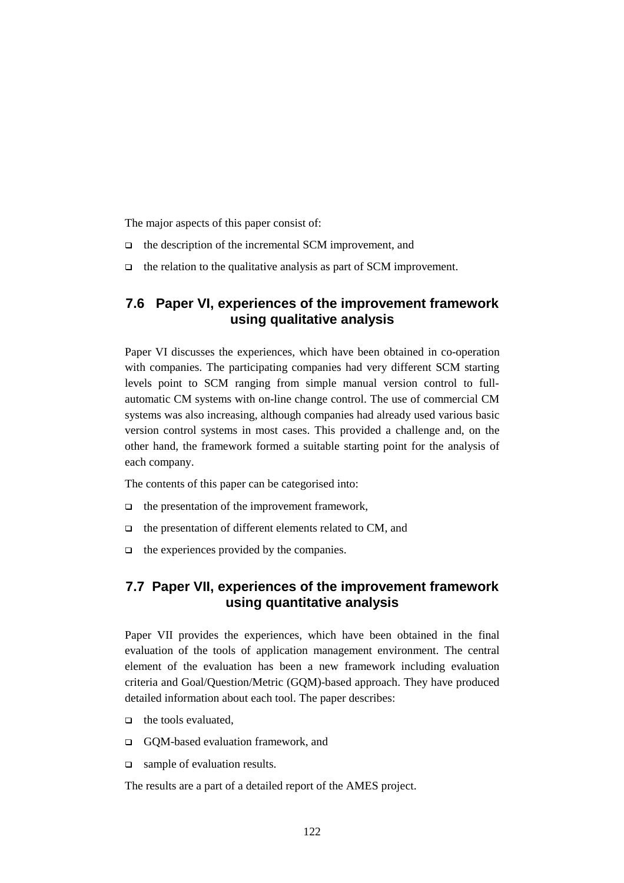The major aspects of this paper consist of:

- $\Box$  the description of the incremental SCM improvement, and
- $\Box$  the relation to the qualitative analysis as part of SCM improvement.

## **7.6 Paper VI, experiences of the improvement framework using qualitative analysis**

Paper VI discusses the experiences, which have been obtained in co-operation with companies. The participating companies had very different SCM starting levels point to SCM ranging from simple manual version control to fullautomatic CM systems with on-line change control. The use of commercial CM systems was also increasing, although companies had already used various basic version control systems in most cases. This provided a challenge and, on the other hand, the framework formed a suitable starting point for the analysis of each company.

The contents of this paper can be categorised into:

- $\Box$  the presentation of the improvement framework,
- $\Box$  the presentation of different elements related to CM, and
- $\Box$  the experiences provided by the companies.

## **7.7 Paper VII, experiences of the improvement framework using quantitative analysis**

Paper VII provides the experiences, which have been obtained in the final evaluation of the tools of application management environment. The central element of the evaluation has been a new framework including evaluation criteria and Goal/Question/Metric (GQM)-based approach. They have produced detailed information about each tool. The paper describes:

- $\Box$  the tools evaluated.
- □ GOM-based evaluation framework, and
- □ sample of evaluation results.

The results are a part of a detailed report of the AMES project.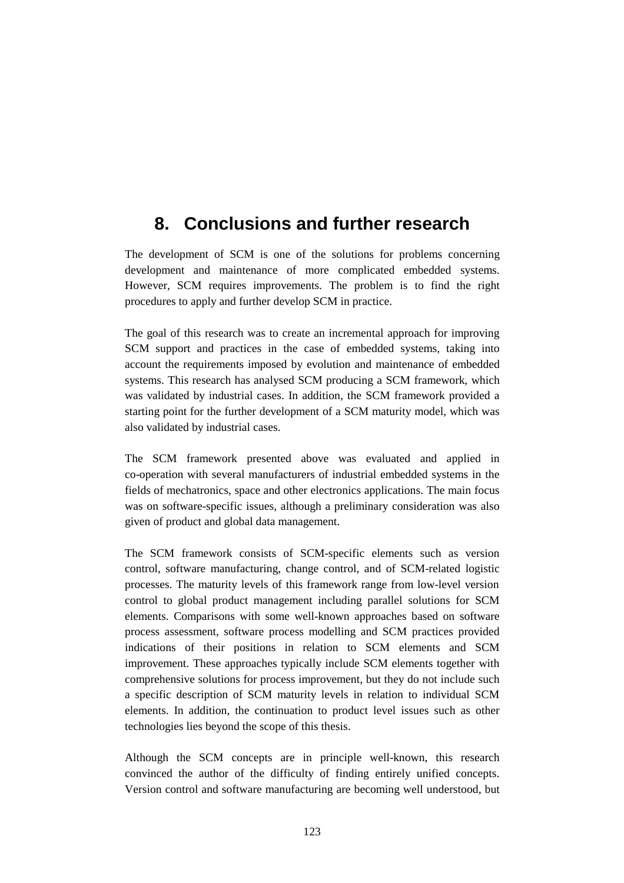## **8. Conclusions and further research**

The development of SCM is one of the solutions for problems concerning development and maintenance of more complicated embedded systems. However, SCM requires improvements. The problem is to find the right procedures to apply and further develop SCM in practice.

The goal of this research was to create an incremental approach for improving SCM support and practices in the case of embedded systems, taking into account the requirements imposed by evolution and maintenance of embedded systems. This research has analysed SCM producing a SCM framework, which was validated by industrial cases. In addition, the SCM framework provided a starting point for the further development of a SCM maturity model, which was also validated by industrial cases.

The SCM framework presented above was evaluated and applied in co-operation with several manufacturers of industrial embedded systems in the fields of mechatronics, space and other electronics applications. The main focus was on software-specific issues, although a preliminary consideration was also given of product and global data management.

The SCM framework consists of SCM-specific elements such as version control, software manufacturing, change control, and of SCM-related logistic processes. The maturity levels of this framework range from low-level version control to global product management including parallel solutions for SCM elements. Comparisons with some well-known approaches based on software process assessment, software process modelling and SCM practices provided indications of their positions in relation to SCM elements and SCM improvement. These approaches typically include SCM elements together with comprehensive solutions for process improvement, but they do not include such a specific description of SCM maturity levels in relation to individual SCM elements. In addition, the continuation to product level issues such as other technologies lies beyond the scope of this thesis.

Although the SCM concepts are in principle well-known, this research convinced the author of the difficulty of finding entirely unified concepts. Version control and software manufacturing are becoming well understood, but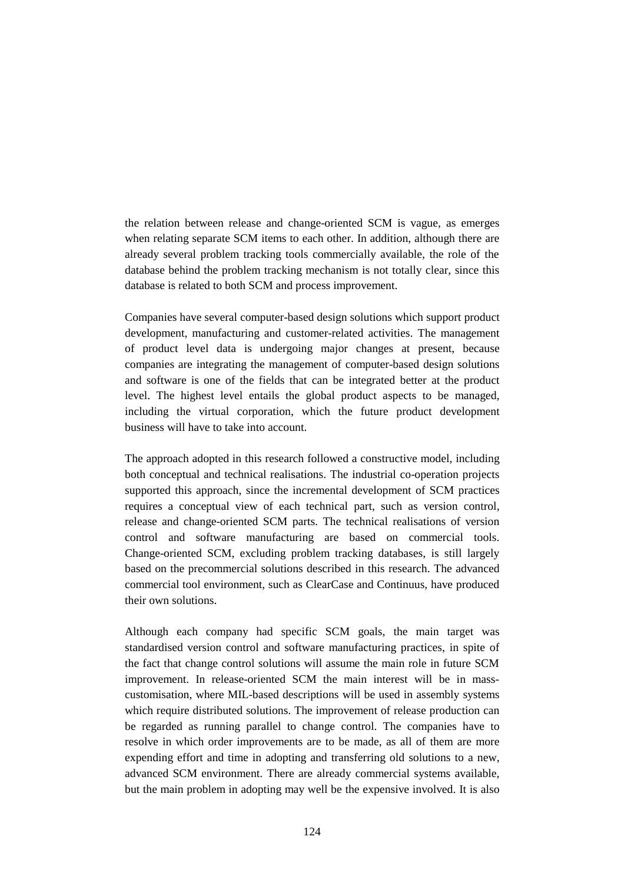the relation between release and change-oriented SCM is vague, as emerges when relating separate SCM items to each other. In addition, although there are already several problem tracking tools commercially available, the role of the database behind the problem tracking mechanism is not totally clear, since this database is related to both SCM and process improvement.

Companies have several computer-based design solutions which support product development, manufacturing and customer-related activities. The management of product level data is undergoing major changes at present, because companies are integrating the management of computer-based design solutions and software is one of the fields that can be integrated better at the product level. The highest level entails the global product aspects to be managed, including the virtual corporation, which the future product development business will have to take into account.

The approach adopted in this research followed a constructive model, including both conceptual and technical realisations. The industrial co-operation projects supported this approach, since the incremental development of SCM practices requires a conceptual view of each technical part, such as version control, release and change-oriented SCM parts. The technical realisations of version control and software manufacturing are based on commercial tools. Change-oriented SCM, excluding problem tracking databases, is still largely based on the precommercial solutions described in this research. The advanced commercial tool environment, such as ClearCase and Continuus, have produced their own solutions.

Although each company had specific SCM goals, the main target was standardised version control and software manufacturing practices, in spite of the fact that change control solutions will assume the main role in future SCM improvement. In release-oriented SCM the main interest will be in masscustomisation, where MIL-based descriptions will be used in assembly systems which require distributed solutions. The improvement of release production can be regarded as running parallel to change control. The companies have to resolve in which order improvements are to be made, as all of them are more expending effort and time in adopting and transferring old solutions to a new, advanced SCM environment. There are already commercial systems available, but the main problem in adopting may well be the expensive involved. It is also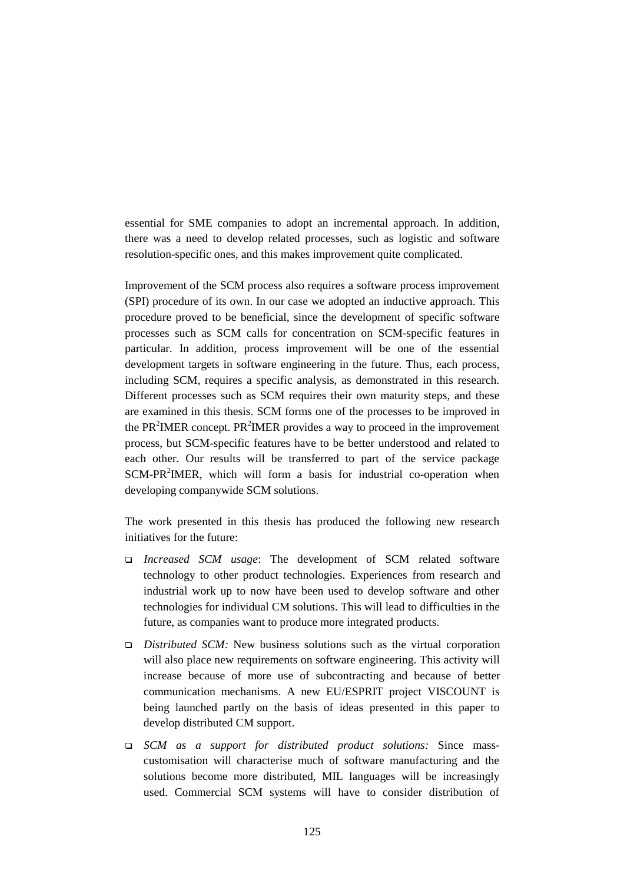essential for SME companies to adopt an incremental approach. In addition, there was a need to develop related processes, such as logistic and software resolution-specific ones, and this makes improvement quite complicated.

Improvement of the SCM process also requires a software process improvement (SPI) procedure of its own. In our case we adopted an inductive approach. This procedure proved to be beneficial, since the development of specific software processes such as SCM calls for concentration on SCM-specific features in particular. In addition, process improvement will be one of the essential development targets in software engineering in the future. Thus, each process, including SCM, requires a specific analysis, as demonstrated in this research. Different processes such as SCM requires their own maturity steps, and these are examined in this thesis. SCM forms one of the processes to be improved in the PR<sup>2</sup>IMER concept. PR<sup>2</sup>IMER provides a way to proceed in the improvement process, but SCM-specific features have to be better understood and related to each other. Our results will be transferred to part of the service package SCM-PR<sup>2</sup>IMER, which will form a basis for industrial co-operation when developing companywide SCM solutions.

The work presented in this thesis has produced the following new research initiatives for the future:

- *Increased SCM usage*: The development of SCM related software technology to other product technologies. Experiences from research and industrial work up to now have been used to develop software and other technologies for individual CM solutions. This will lead to difficulties in the future, as companies want to produce more integrated products.
- *Distributed SCM:* New business solutions such as the virtual corporation will also place new requirements on software engineering. This activity will increase because of more use of subcontracting and because of better communication mechanisms. A new EU/ESPRIT project VISCOUNT is being launched partly on the basis of ideas presented in this paper to develop distributed CM support.
- *SCM as a support for distributed product solutions:* Since masscustomisation will characterise much of software manufacturing and the solutions become more distributed, MIL languages will be increasingly used. Commercial SCM systems will have to consider distribution of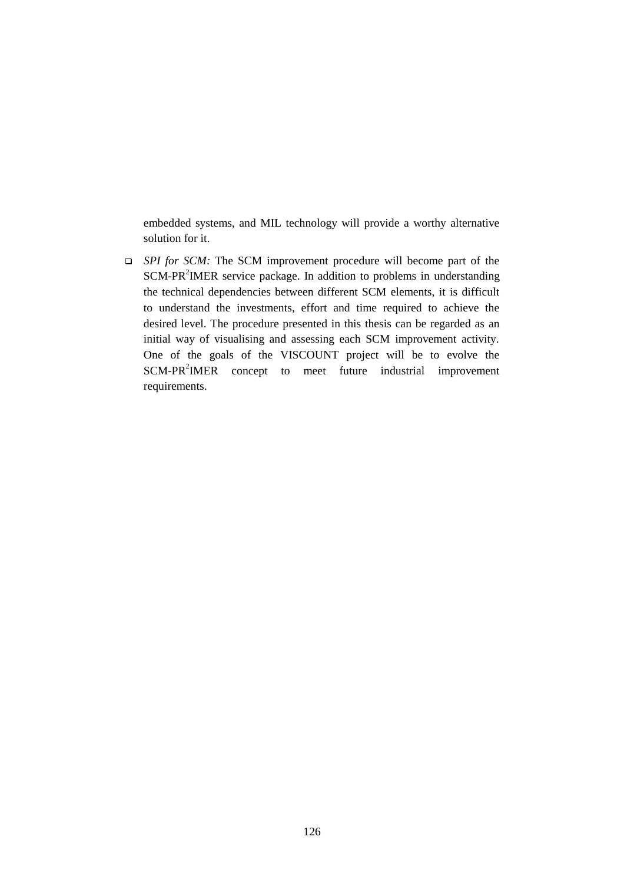embedded systems, and MIL technology will provide a worthy alternative solution for it.

 *SPI for SCM:* The SCM improvement procedure will become part of the SCM-PR<sup>2</sup>IMER service package. In addition to problems in understanding the technical dependencies between different SCM elements, it is difficult to understand the investments, effort and time required to achieve the desired level. The procedure presented in this thesis can be regarded as an initial way of visualising and assessing each SCM improvement activity. One of the goals of the VISCOUNT project will be to evolve the SCM-PR<sup>2</sup>IMER concept to meet future industrial improvement requirements.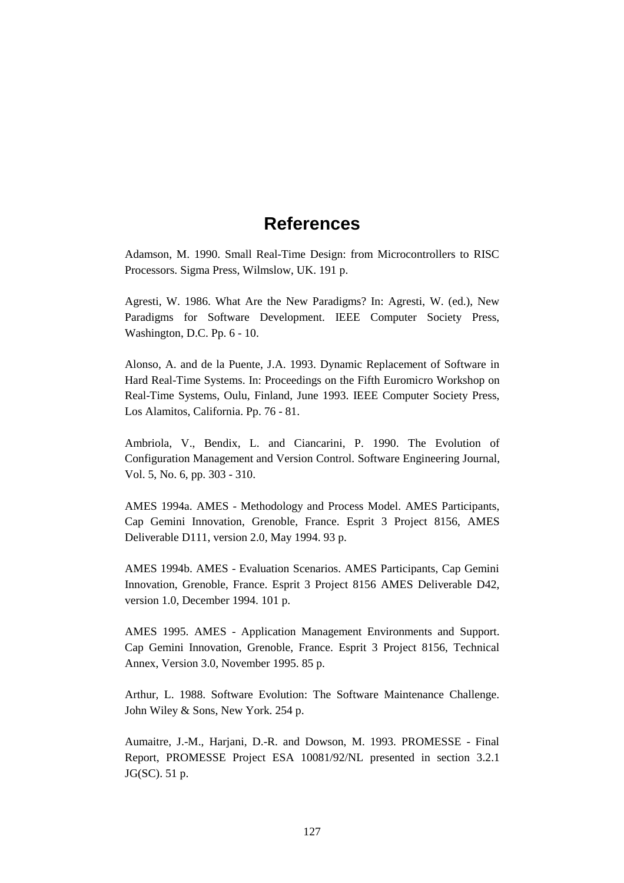## **References**

Adamson, M. 1990. Small Real-Time Design: from Microcontrollers to RISC Processors. Sigma Press, Wilmslow, UK. 191 p.

Agresti, W. 1986. What Are the New Paradigms? In: Agresti, W. (ed.), New Paradigms for Software Development. IEEE Computer Society Press, Washington, D.C. Pp. 6 - 10.

Alonso, A. and de la Puente, J.A. 1993. Dynamic Replacement of Software in Hard Real-Time Systems. In: Proceedings on the Fifth Euromicro Workshop on Real-Time Systems, Oulu, Finland, June 1993. IEEE Computer Society Press, Los Alamitos, California. Pp. 76 - 81.

Ambriola, V., Bendix, L. and Ciancarini, P. 1990. The Evolution of Configuration Management and Version Control. Software Engineering Journal, Vol. 5, No. 6, pp. 303 - 310.

AMES 1994a. AMES - Methodology and Process Model. AMES Participants, Cap Gemini Innovation, Grenoble, France. Esprit 3 Project 8156, AMES Deliverable D111, version 2.0, May 1994. 93 p.

AMES 1994b. AMES - Evaluation Scenarios. AMES Participants, Cap Gemini Innovation, Grenoble, France. Esprit 3 Project 8156 AMES Deliverable D42, version 1.0, December 1994. 101 p.

AMES 1995. AMES - Application Management Environments and Support. Cap Gemini Innovation, Grenoble, France. Esprit 3 Project 8156, Technical Annex, Version 3.0, November 1995. 85 p.

Arthur, L. 1988. Software Evolution: The Software Maintenance Challenge. John Wiley & Sons, New York. 254 p.

Aumaitre, J.-M., Harjani, D.-R. and Dowson, M. 1993. PROMESSE - Final Report, PROMESSE Project ESA 10081/92/NL presented in section 3.2.1 JG(SC). 51 p.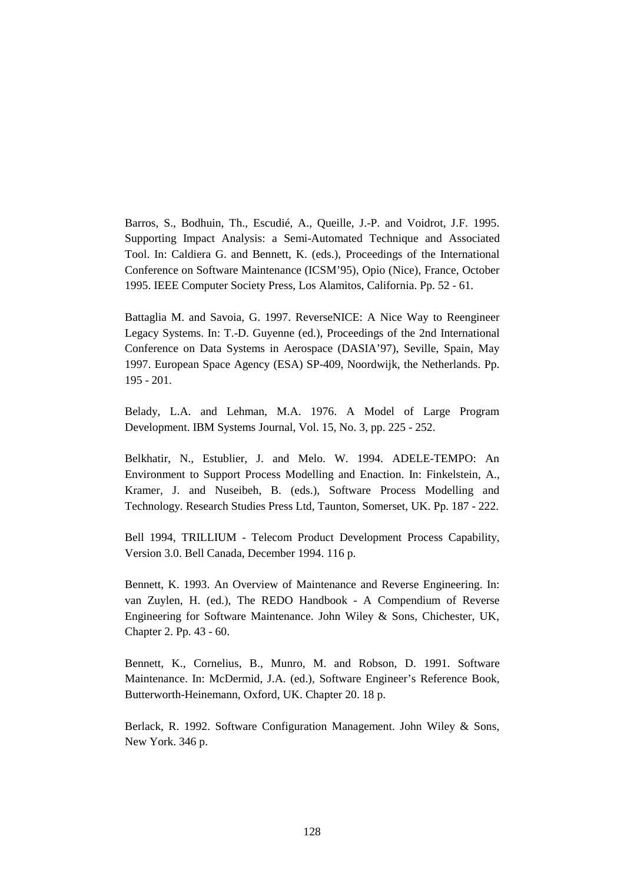Barros, S., Bodhuin, Th., Escudié, A., Queille, J.-P. and Voidrot, J.F. 1995. Supporting Impact Analysis: a Semi-Automated Technique and Associated Tool. In: Caldiera G. and Bennett, K. (eds.), Proceedings of the International Conference on Software Maintenance (ICSM'95), Opio (Nice), France, October 1995. IEEE Computer Society Press, Los Alamitos, California. Pp. 52 - 61.

Battaglia M. and Savoia, G. 1997. ReverseNICE: A Nice Way to Reengineer Legacy Systems. In: T.-D. Guyenne (ed.), Proceedings of the 2nd International Conference on Data Systems in Aerospace (DASIA'97), Seville, Spain, May 1997. European Space Agency (ESA) SP-409, Noordwijk, the Netherlands. Pp. 195 - 201.

Belady, L.A. and Lehman, M.A. 1976. A Model of Large Program Development. IBM Systems Journal, Vol. 15, No. 3, pp. 225 - 252.

Belkhatir, N., Estublier, J. and Melo. W. 1994. ADELE-TEMPO: An Environment to Support Process Modelling and Enaction. In: Finkelstein, A., Kramer, J. and Nuseibeh, B. (eds.), Software Process Modelling and Technology. Research Studies Press Ltd, Taunton, Somerset, UK. Pp. 187 - 222.

Bell 1994, TRILLIUM - Telecom Product Development Process Capability, Version 3.0. Bell Canada, December 1994. 116 p.

Bennett, K. 1993. An Overview of Maintenance and Reverse Engineering. In: van Zuylen, H. (ed.), The REDO Handbook - A Compendium of Reverse Engineering for Software Maintenance. John Wiley & Sons, Chichester, UK, Chapter 2. Pp. 43 - 60.

Bennett, K., Cornelius, B., Munro, M. and Robson, D. 1991. Software Maintenance. In: McDermid, J.A. (ed.), Software Engineer's Reference Book, Butterworth-Heinemann, Oxford, UK. Chapter 20. 18 p.

Berlack, R. 1992. Software Configuration Management. John Wiley & Sons, New York. 346 p.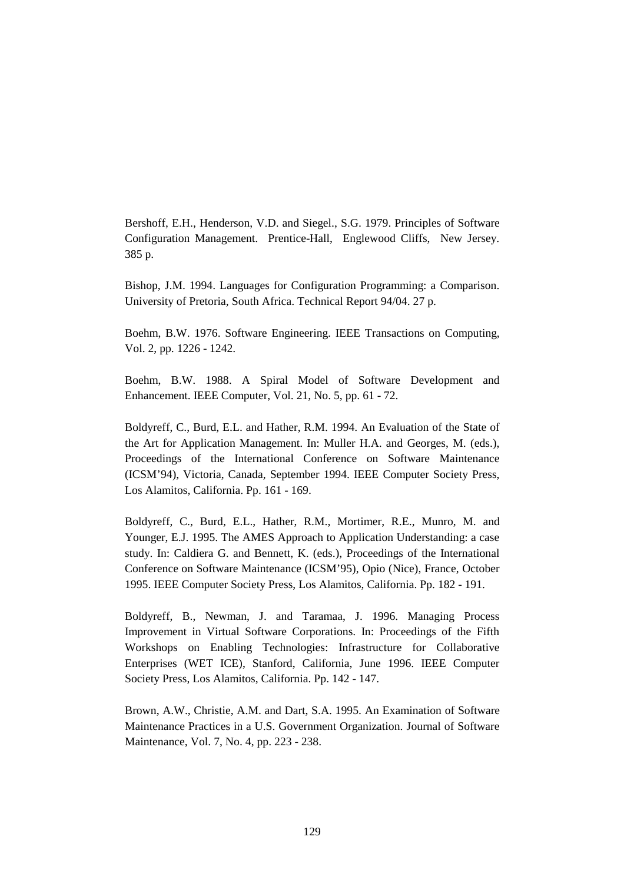Bershoff, E.H., Henderson, V.D. and Siegel., S.G. 1979. Principles of Software Configuration Management. Prentice-Hall, Englewood Cliffs, New Jersey. 385 p.

Bishop, J.M. 1994. Languages for Configuration Programming: a Comparison. University of Pretoria, South Africa. Technical Report 94/04. 27 p.

Boehm, B.W. 1976. Software Engineering. IEEE Transactions on Computing, Vol. 2, pp. 1226 - 1242.

Boehm, B.W. 1988. A Spiral Model of Software Development and Enhancement. IEEE Computer, Vol. 21, No. 5, pp. 61 - 72.

Boldyreff, C., Burd, E.L. and Hather, R.M. 1994. An Evaluation of the State of the Art for Application Management. In: Muller H.A. and Georges, M. (eds.), Proceedings of the International Conference on Software Maintenance (ICSM'94), Victoria, Canada, September 1994. IEEE Computer Society Press, Los Alamitos, California. Pp. 161 - 169.

Boldyreff, C., Burd, E.L., Hather, R.M., Mortimer, R.E., Munro, M. and Younger, E.J. 1995. The AMES Approach to Application Understanding: a case study. In: Caldiera G. and Bennett, K. (eds.), Proceedings of the International Conference on Software Maintenance (ICSM'95), Opio (Nice), France, October 1995. IEEE Computer Society Press, Los Alamitos, California. Pp. 182 - 191.

Boldyreff, B., Newman, J. and Taramaa, J. 1996. Managing Process Improvement in Virtual Software Corporations. In: Proceedings of the Fifth Workshops on Enabling Technologies: Infrastructure for Collaborative Enterprises (WET ICE), Stanford, California, June 1996. IEEE Computer Society Press, Los Alamitos, California. Pp. 142 - 147.

Brown, A.W., Christie, A.M. and Dart, S.A. 1995. An Examination of Software Maintenance Practices in a U.S. Government Organization. Journal of Software Maintenance, Vol. 7, No. 4, pp. 223 - 238.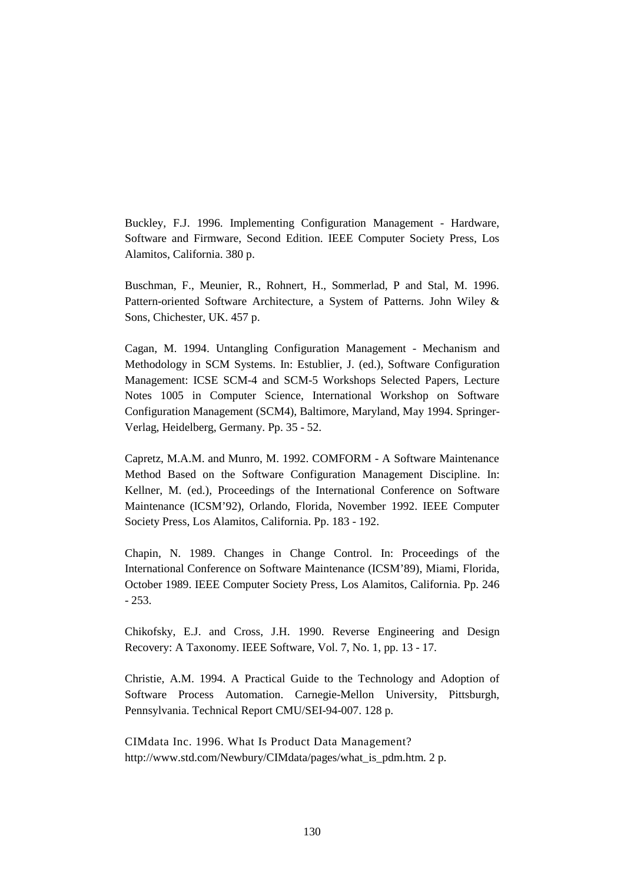Buckley, F.J. 1996. Implementing Configuration Management - Hardware, Software and Firmware, Second Edition. IEEE Computer Society Press, Los Alamitos, California. 380 p.

Buschman, F., Meunier, R., Rohnert, H., Sommerlad, P and Stal, M. 1996. Pattern-oriented Software Architecture, a System of Patterns. John Wiley & Sons, Chichester, UK. 457 p.

Cagan, M. 1994. Untangling Configuration Management - Mechanism and Methodology in SCM Systems. In: Estublier, J. (ed.), Software Configuration Management: ICSE SCM-4 and SCM-5 Workshops Selected Papers, Lecture Notes 1005 in Computer Science, International Workshop on Software Configuration Management (SCM4), Baltimore, Maryland, May 1994. Springer-Verlag, Heidelberg, Germany. Pp. 35 - 52.

Capretz, M.A.M. and Munro, M. 1992. COMFORM - A Software Maintenance Method Based on the Software Configuration Management Discipline. In: Kellner, M. (ed.), Proceedings of the International Conference on Software Maintenance (ICSM'92), Orlando, Florida, November 1992. IEEE Computer Society Press, Los Alamitos, California. Pp. 183 - 192.

Chapin, N. 1989. Changes in Change Control. In: Proceedings of the International Conference on Software Maintenance (ICSM'89), Miami, Florida, October 1989. IEEE Computer Society Press, Los Alamitos, California. Pp. 246  $-253.$ 

Chikofsky, E.J. and Cross, J.H. 1990. Reverse Engineering and Design Recovery: A Taxonomy. IEEE Software, Vol. 7, No. 1, pp. 13 - 17.

Christie, A.M. 1994. A Practical Guide to the Technology and Adoption of Software Process Automation. Carnegie-Mellon University, Pittsburgh, Pennsylvania. Technical Report CMU/SEI-94-007. 128 p.

CIMdata Inc. 1996. What Is Product Data Management? http://www.std.com/Newbury/CIMdata/pages/what\_is\_pdm.htm. 2 p.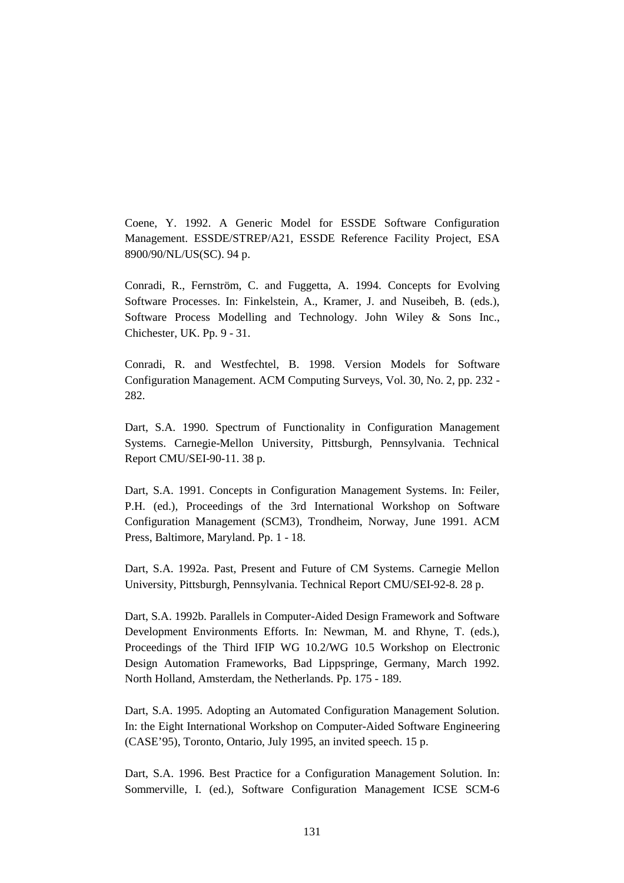Coene, Y. 1992. A Generic Model for ESSDE Software Configuration Management. ESSDE/STREP/A21, ESSDE Reference Facility Project, ESA 8900/90/NL/US(SC). 94 p.

Conradi, R., Fernström, C. and Fuggetta, A. 1994. Concepts for Evolving Software Processes. In: Finkelstein, A., Kramer, J. and Nuseibeh, B. (eds.), Software Process Modelling and Technology. John Wiley & Sons Inc., Chichester, UK. Pp. 9 - 31.

Conradi, R. and Westfechtel, B. 1998. Version Models for Software Configuration Management. ACM Computing Surveys, Vol. 30, No. 2, pp. 232 - 282.

Dart, S.A. 1990. Spectrum of Functionality in Configuration Management Systems. Carnegie-Mellon University, Pittsburgh, Pennsylvania. Technical Report CMU/SEI-90-11. 38 p.

Dart, S.A. 1991. Concepts in Configuration Management Systems. In: Feiler, P.H. (ed.), Proceedings of the 3rd International Workshop on Software Configuration Management (SCM3), Trondheim, Norway, June 1991. ACM Press, Baltimore, Maryland. Pp. 1 - 18.

Dart, S.A. 1992a. Past, Present and Future of CM Systems. Carnegie Mellon University, Pittsburgh, Pennsylvania. Technical Report CMU/SEI-92-8. 28 p.

Dart, S.A. 1992b. Parallels in Computer-Aided Design Framework and Software Development Environments Efforts. In: Newman, M. and Rhyne, T. (eds.), Proceedings of the Third IFIP WG 10.2/WG 10.5 Workshop on Electronic Design Automation Frameworks, Bad Lippspringe, Germany, March 1992. North Holland, Amsterdam, the Netherlands. Pp. 175 - 189.

Dart, S.A. 1995. Adopting an Automated Configuration Management Solution. In: the Eight International Workshop on Computer-Aided Software Engineering (CASE'95), Toronto, Ontario, July 1995, an invited speech. 15 p.

Dart, S.A. 1996. Best Practice for a Configuration Management Solution. In: Sommerville, I. (ed.), Software Configuration Management ICSE SCM-6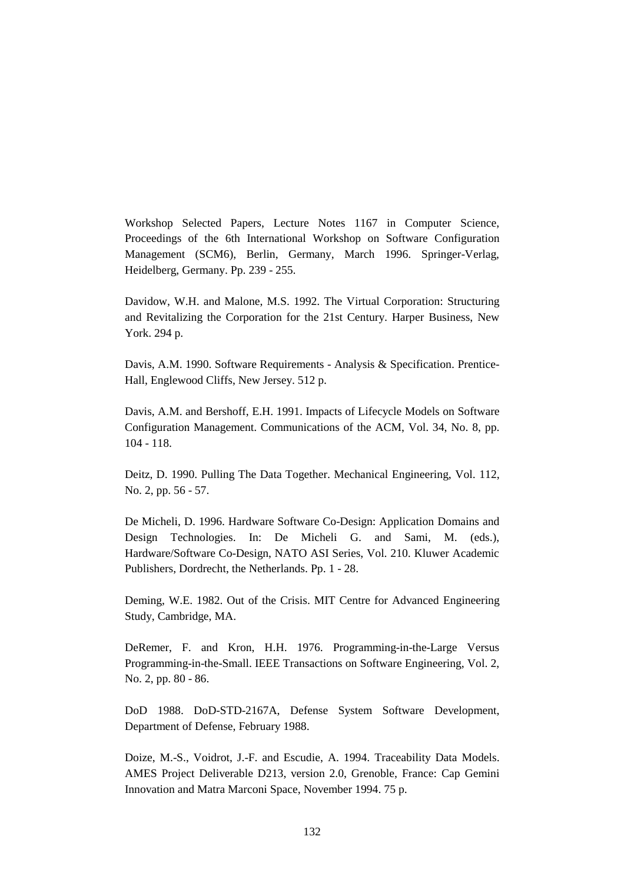Workshop Selected Papers, Lecture Notes 1167 in Computer Science, Proceedings of the 6th International Workshop on Software Configuration Management (SCM6), Berlin, Germany, March 1996. Springer-Verlag, Heidelberg, Germany. Pp. 239 - 255.

Davidow, W.H. and Malone, M.S. 1992. The Virtual Corporation: Structuring and Revitalizing the Corporation for the 21st Century. Harper Business, New York. 294 p.

Davis, A.M. 1990. Software Requirements - Analysis & Specification. Prentice-Hall, Englewood Cliffs, New Jersey. 512 p.

Davis, A.M. and Bershoff, E.H. 1991. Impacts of Lifecycle Models on Software Configuration Management. Communications of the ACM, Vol. 34, No. 8, pp. 104 - 118.

Deitz, D. 1990. Pulling The Data Together. Mechanical Engineering, Vol. 112, No. 2, pp. 56 - 57.

De Micheli, D. 1996. Hardware Software Co-Design: Application Domains and Design Technologies. In: De Micheli G. and Sami, M. (eds.), Hardware/Software Co-Design, NATO ASI Series, Vol. 210. Kluwer Academic Publishers, Dordrecht, the Netherlands. Pp. 1 - 28.

Deming, W.E. 1982. Out of the Crisis. MIT Centre for Advanced Engineering Study, Cambridge, MA.

DeRemer, F. and Kron, H.H. 1976. Programming-in-the-Large Versus Programming-in-the-Small. IEEE Transactions on Software Engineering, Vol. 2, No. 2, pp. 80 - 86.

DoD 1988. DoD-STD-2167A, Defense System Software Development, Department of Defense, February 1988.

Doize, M.-S., Voidrot, J.-F. and Escudie, A. 1994. Traceability Data Models. AMES Project Deliverable D213, version 2.0, Grenoble, France: Cap Gemini Innovation and Matra Marconi Space, November 1994. 75 p.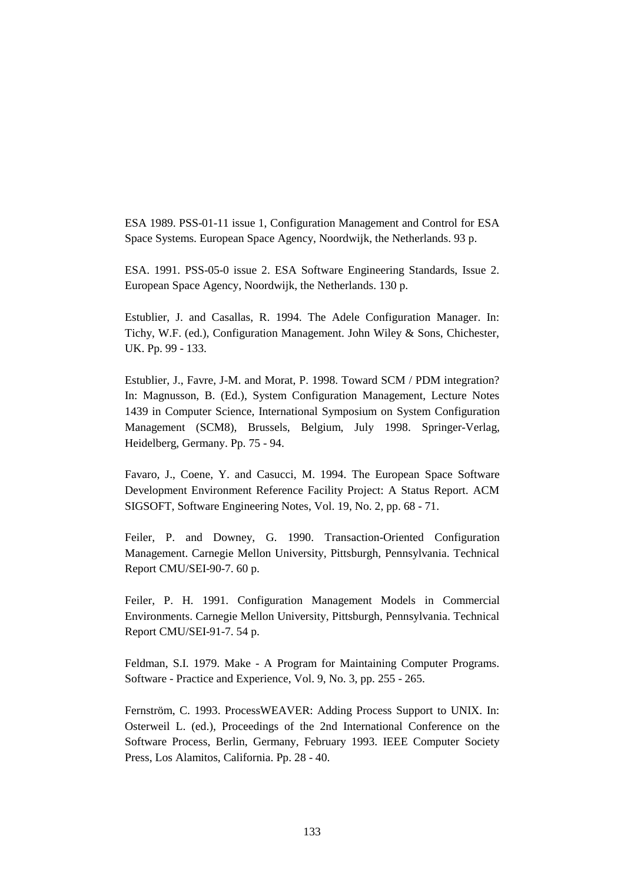ESA 1989. PSS-01-11 issue 1, Configuration Management and Control for ESA Space Systems. European Space Agency, Noordwijk, the Netherlands. 93 p.

ESA. 1991. PSS-05-0 issue 2. ESA Software Engineering Standards, Issue 2. European Space Agency, Noordwijk, the Netherlands. 130 p.

Estublier, J. and Casallas, R. 1994. The Adele Configuration Manager. In: Tichy, W.F. (ed.), Configuration Management. John Wiley & Sons, Chichester, UK. Pp. 99 - 133.

Estublier, J., Favre, J-M. and Morat, P. 1998. Toward SCM / PDM integration? In: Magnusson, B. (Ed.), System Configuration Management, Lecture Notes 1439 in Computer Science, International Symposium on System Configuration Management (SCM8), Brussels, Belgium, July 1998. Springer-Verlag, Heidelberg, Germany. Pp. 75 - 94.

Favaro, J., Coene, Y. and Casucci, M. 1994. The European Space Software Development Environment Reference Facility Project: A Status Report. ACM SIGSOFT, Software Engineering Notes, Vol. 19, No. 2, pp. 68 - 71.

Feiler, P. and Downey, G. 1990. Transaction-Oriented Configuration Management. Carnegie Mellon University, Pittsburgh, Pennsylvania. Technical Report CMU/SEI-90-7. 60 p.

Feiler, P. H. 1991. Configuration Management Models in Commercial Environments. Carnegie Mellon University, Pittsburgh, Pennsylvania. Technical Report CMU/SEI-91-7. 54 p.

Feldman, S.I. 1979. Make - A Program for Maintaining Computer Programs. Software - Practice and Experience, Vol. 9, No. 3, pp. 255 - 265.

Fernström, C. 1993. ProcessWEAVER: Adding Process Support to UNIX. In: Osterweil L. (ed.), Proceedings of the 2nd International Conference on the Software Process, Berlin, Germany, February 1993. IEEE Computer Society Press, Los Alamitos, California. Pp. 28 - 40.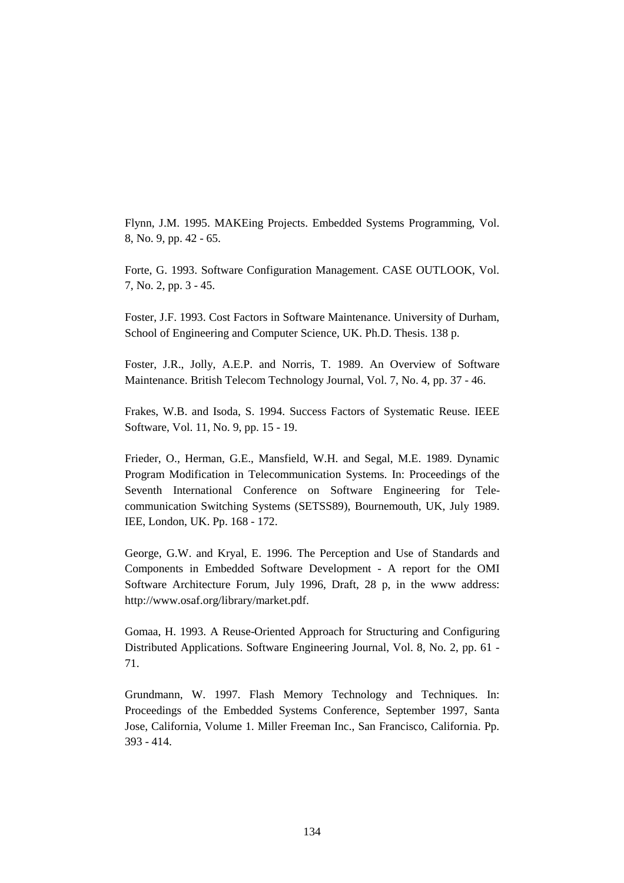Flynn, J.M. 1995. MAKEing Projects. Embedded Systems Programming, Vol. 8, No. 9, pp. 42 - 65.

Forte, G. 1993. Software Configuration Management. CASE OUTLOOK, Vol. 7, No. 2, pp. 3 - 45.

Foster, J.F. 1993. Cost Factors in Software Maintenance. University of Durham, School of Engineering and Computer Science, UK. Ph.D. Thesis. 138 p.

Foster, J.R., Jolly, A.E.P. and Norris, T. 1989. An Overview of Software Maintenance. British Telecom Technology Journal, Vol. 7, No. 4, pp. 37 - 46.

Frakes, W.B. and Isoda, S. 1994. Success Factors of Systematic Reuse. IEEE Software, Vol. 11, No. 9, pp. 15 - 19.

Frieder, O., Herman, G.E., Mansfield, W.H. and Segal, M.E. 1989. Dynamic Program Modification in Telecommunication Systems. In: Proceedings of the Seventh International Conference on Software Engineering for Telecommunication Switching Systems (SETSS89), Bournemouth, UK, July 1989. IEE, London, UK. Pp. 168 - 172.

George, G.W. and Kryal, E. 1996. The Perception and Use of Standards and Components in Embedded Software Development - A report for the OMI Software Architecture Forum, July 1996, Draft, 28 p, in the www address: http://www.osaf.org/library/market.pdf.

Gomaa, H. 1993. A Reuse-Oriented Approach for Structuring and Configuring Distributed Applications. Software Engineering Journal, Vol. 8, No. 2, pp. 61 - 71.

Grundmann, W. 1997. Flash Memory Technology and Techniques. In: Proceedings of the Embedded Systems Conference, September 1997, Santa Jose, California, Volume 1. Miller Freeman Inc., San Francisco, California. Pp. 393 - 414.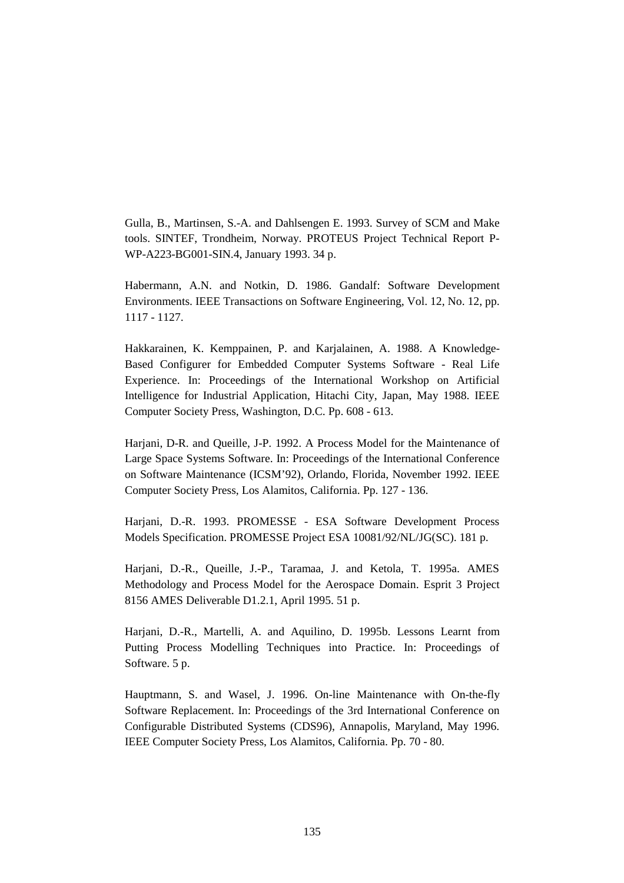Gulla, B., Martinsen, S.-A. and Dahlsengen E. 1993. Survey of SCM and Make tools. SINTEF, Trondheim, Norway. PROTEUS Project Technical Report P-WP-A223-BG001-SIN.4, January 1993. 34 p.

Habermann, A.N. and Notkin, D. 1986. Gandalf: Software Development Environments. IEEE Transactions on Software Engineering, Vol. 12, No. 12, pp. 1117 - 1127.

Hakkarainen, K. Kemppainen, P. and Karjalainen, A. 1988. A Knowledge-Based Configurer for Embedded Computer Systems Software - Real Life Experience. In: Proceedings of the International Workshop on Artificial Intelligence for Industrial Application, Hitachi City, Japan, May 1988. IEEE Computer Society Press, Washington, D.C. Pp. 608 - 613.

Harjani, D-R. and Queille, J-P. 1992. A Process Model for the Maintenance of Large Space Systems Software. In: Proceedings of the International Conference on Software Maintenance (ICSM'92), Orlando, Florida, November 1992. IEEE Computer Society Press, Los Alamitos, California. Pp. 127 - 136.

Harjani, D.-R. 1993. PROMESSE - ESA Software Development Process Models Specification. PROMESSE Project ESA 10081/92/NL/JG(SC). 181 p.

Harjani, D.-R., Queille, J.-P., Taramaa, J. and Ketola, T. 1995a. AMES Methodology and Process Model for the Aerospace Domain. Esprit 3 Project 8156 AMES Deliverable D1.2.1, April 1995. 51 p.

Harjani, D.-R., Martelli, A. and Aquilino, D. 1995b. Lessons Learnt from Putting Process Modelling Techniques into Practice. In: Proceedings of Software. 5 p.

Hauptmann, S. and Wasel, J. 1996. On-line Maintenance with On-the-fly Software Replacement. In: Proceedings of the 3rd International Conference on Configurable Distributed Systems (CDS96), Annapolis, Maryland, May 1996. IEEE Computer Society Press, Los Alamitos, California. Pp. 70 - 80.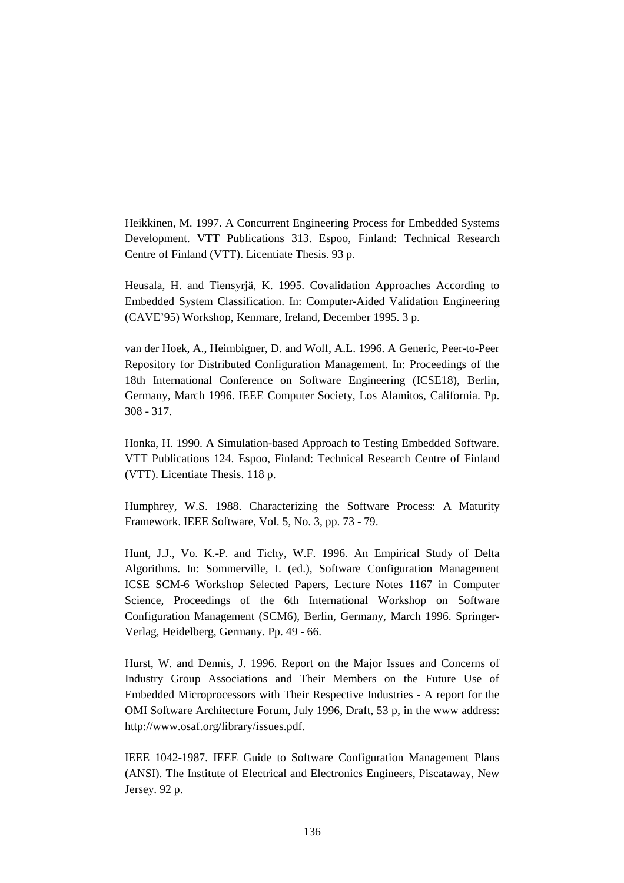Heikkinen, M. 1997. A Concurrent Engineering Process for Embedded Systems Development. VTT Publications 313. Espoo, Finland: Technical Research Centre of Finland (VTT). Licentiate Thesis. 93 p.

Heusala, H. and Tiensyrjä, K. 1995. Covalidation Approaches According to Embedded System Classification. In: Computer-Aided Validation Engineering (CAVE'95) Workshop, Kenmare, Ireland, December 1995. 3 p.

van der Hoek, A., Heimbigner, D. and Wolf, A.L. 1996. A Generic, Peer-to-Peer Repository for Distributed Configuration Management. In: Proceedings of the 18th International Conference on Software Engineering (ICSE18), Berlin, Germany, March 1996. IEEE Computer Society, Los Alamitos, California. Pp. 308 - 317.

Honka, H. 1990. A Simulation-based Approach to Testing Embedded Software. VTT Publications 124. Espoo, Finland: Technical Research Centre of Finland (VTT). Licentiate Thesis. 118 p.

Humphrey, W.S. 1988. Characterizing the Software Process: A Maturity Framework. IEEE Software, Vol. 5, No. 3, pp. 73 - 79.

Hunt, J.J., Vo. K.-P. and Tichy, W.F. 1996. An Empirical Study of Delta Algorithms. In: Sommerville, I. (ed.), Software Configuration Management ICSE SCM-6 Workshop Selected Papers, Lecture Notes 1167 in Computer Science, Proceedings of the 6th International Workshop on Software Configuration Management (SCM6), Berlin, Germany, March 1996. Springer-Verlag, Heidelberg, Germany. Pp. 49 - 66.

Hurst, W. and Dennis, J. 1996. Report on the Major Issues and Concerns of Industry Group Associations and Their Members on the Future Use of Embedded Microprocessors with Their Respective Industries - A report for the OMI Software Architecture Forum, July 1996, Draft, 53 p, in the www address: http://www.osaf.org/library/issues.pdf.

IEEE 1042-1987. IEEE Guide to Software Configuration Management Plans (ANSI). The Institute of Electrical and Electronics Engineers, Piscataway, New Jersey. 92 p.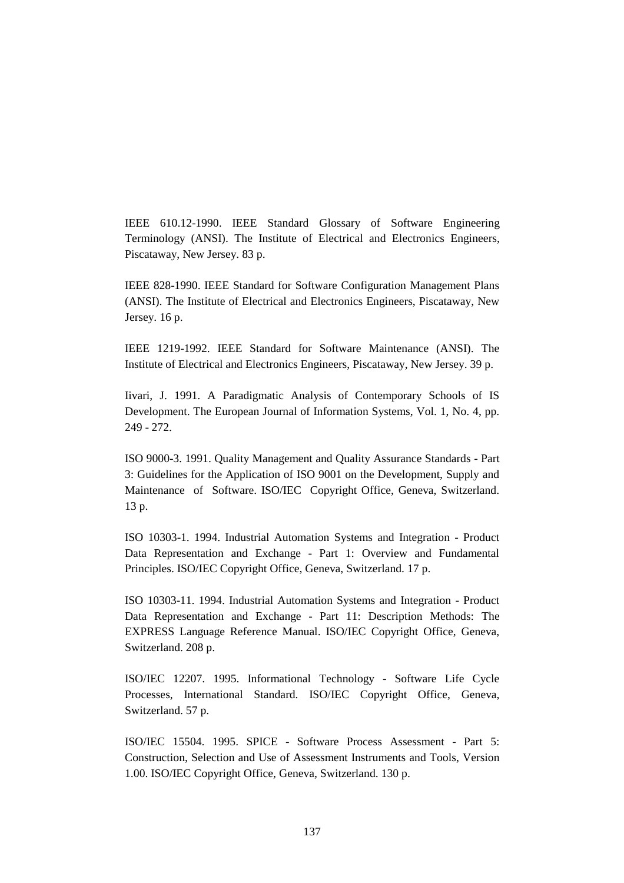IEEE 610.12-1990. IEEE Standard Glossary of Software Engineering Terminology (ANSI). The Institute of Electrical and Electronics Engineers, Piscataway, New Jersey. 83 p.

IEEE 828-1990. IEEE Standard for Software Configuration Management Plans (ANSI). The Institute of Electrical and Electronics Engineers, Piscataway, New Jersey. 16 p.

IEEE 1219-1992. IEEE Standard for Software Maintenance (ANSI). The Institute of Electrical and Electronics Engineers, Piscataway, New Jersey. 39 p.

Iivari, J. 1991. A Paradigmatic Analysis of Contemporary Schools of IS Development. The European Journal of Information Systems, Vol. 1, No. 4, pp. 249 - 272.

ISO 9000-3. 1991. Quality Management and Quality Assurance Standards - Part 3: Guidelines for the Application of ISO 9001 on the Development, Supply and Maintenance of Software. ISO/IEC Copyright Office, Geneva, Switzerland. 13 p.

ISO 10303-1. 1994. Industrial Automation Systems and Integration - Product Data Representation and Exchange - Part 1: Overview and Fundamental Principles. ISO/IEC Copyright Office, Geneva, Switzerland. 17 p.

ISO 10303-11. 1994. Industrial Automation Systems and Integration - Product Data Representation and Exchange - Part 11: Description Methods: The EXPRESS Language Reference Manual. ISO/IEC Copyright Office, Geneva, Switzerland. 208 p.

ISO/IEC 12207. 1995. Informational Technology - Software Life Cycle Processes, International Standard. ISO/IEC Copyright Office, Geneva, Switzerland. 57 p.

ISO/IEC 15504. 1995. SPICE - Software Process Assessment - Part 5: Construction, Selection and Use of Assessment Instruments and Tools, Version 1.00. ISO/IEC Copyright Office, Geneva, Switzerland. 130 p.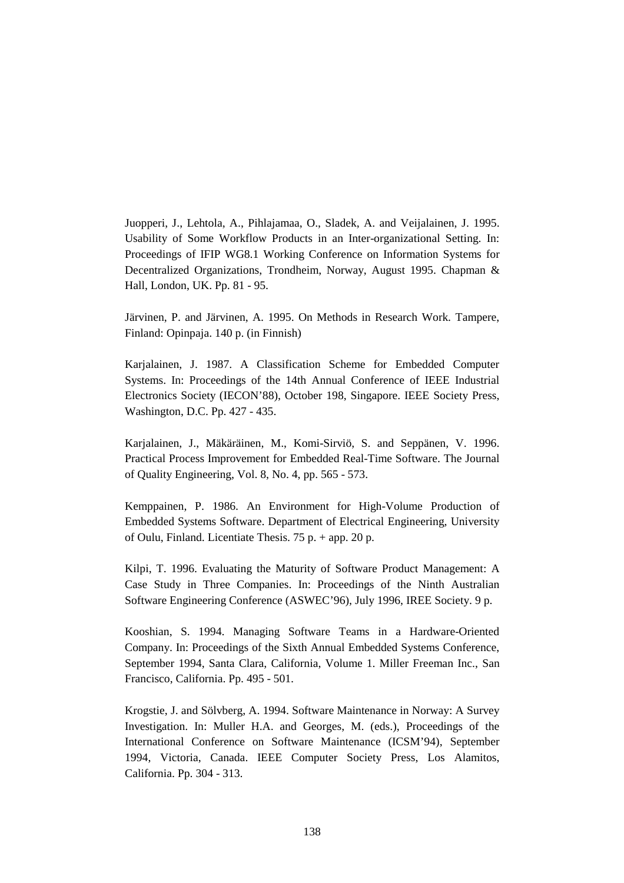Juopperi, J., Lehtola, A., Pihlajamaa, O., Sladek, A. and Veijalainen, J. 1995. Usability of Some Workflow Products in an Inter-organizational Setting. In: Proceedings of IFIP WG8.1 Working Conference on Information Systems for Decentralized Organizations, Trondheim, Norway, August 1995. Chapman & Hall, London, UK. Pp. 81 - 95.

Järvinen, P. and Järvinen, A. 1995. On Methods in Research Work. Tampere, Finland: Opinpaja. 140 p. (in Finnish)

Karjalainen, J. 1987. A Classification Scheme for Embedded Computer Systems. In: Proceedings of the 14th Annual Conference of IEEE Industrial Electronics Society (IECON'88), October 198, Singapore. IEEE Society Press, Washington, D.C. Pp. 427 - 435.

Karjalainen, J., Mäkäräinen, M., Komi-Sirviö, S. and Seppänen, V. 1996. Practical Process Improvement for Embedded Real-Time Software. The Journal of Quality Engineering, Vol. 8, No. 4, pp. 565 - 573.

Kemppainen, P. 1986. An Environment for High-Volume Production of Embedded Systems Software. Department of Electrical Engineering, University of Oulu, Finland. Licentiate Thesis. 75 p. + app. 20 p.

Kilpi, T. 1996. Evaluating the Maturity of Software Product Management: A Case Study in Three Companies. In: Proceedings of the Ninth Australian Software Engineering Conference (ASWEC'96), July 1996, IREE Society. 9 p.

Kooshian, S. 1994. Managing Software Teams in a Hardware-Oriented Company. In: Proceedings of the Sixth Annual Embedded Systems Conference, September 1994, Santa Clara, California, Volume 1. Miller Freeman Inc., San Francisco, California. Pp. 495 - 501.

Krogstie, J. and Sölvberg, A. 1994. Software Maintenance in Norway: A Survey Investigation. In: Muller H.A. and Georges, M. (eds.), Proceedings of the International Conference on Software Maintenance (ICSM'94), September 1994, Victoria, Canada. IEEE Computer Society Press, Los Alamitos, California. Pp. 304 - 313.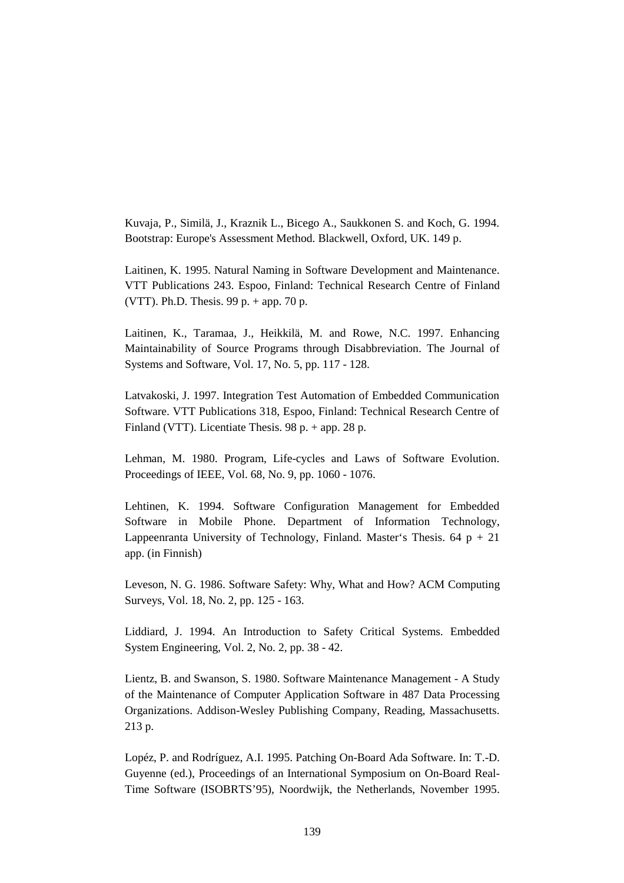Kuvaja, P., Similä, J., Kraznik L., Bicego A., Saukkonen S. and Koch, G. 1994. Bootstrap: Europe's Assessment Method. Blackwell, Oxford, UK. 149 p.

Laitinen, K. 1995. Natural Naming in Software Development and Maintenance. VTT Publications 243. Espoo, Finland: Technical Research Centre of Finland (VTT). Ph.D. Thesis.  $99 p. + app. 70 p.$ 

Laitinen, K., Taramaa, J., Heikkilä, M. and Rowe, N.C. 1997. Enhancing Maintainability of Source Programs through Disabbreviation. The Journal of Systems and Software, Vol. 17, No. 5, pp. 117 - 128.

Latvakoski, J. 1997. Integration Test Automation of Embedded Communication Software. VTT Publications 318, Espoo, Finland: Technical Research Centre of Finland (VTT). Licentiate Thesis. 98 p. + app. 28 p.

Lehman, M. 1980. Program, Life-cycles and Laws of Software Evolution. Proceedings of IEEE, Vol. 68, No. 9, pp. 1060 - 1076.

Lehtinen, K. 1994. Software Configuration Management for Embedded Software in Mobile Phone. Department of Information Technology, Lappeenranta University of Technology, Finland. Master's Thesis.  $64 \text{ p} + 21$ app. (in Finnish)

Leveson, N. G. 1986. Software Safety: Why, What and How? ACM Computing Surveys, Vol. 18, No. 2, pp. 125 - 163.

Liddiard, J. 1994. An Introduction to Safety Critical Systems. Embedded System Engineering, Vol. 2, No. 2, pp. 38 - 42.

Lientz, B. and Swanson, S. 1980. Software Maintenance Management - A Study of the Maintenance of Computer Application Software in 487 Data Processing Organizations. Addison-Wesley Publishing Company, Reading, Massachusetts. 213 p.

Lopéz, P. and Rodríguez, A.I. 1995. Patching On-Board Ada Software. In: T.-D. Guyenne (ed.), Proceedings of an International Symposium on On-Board Real-Time Software (ISOBRTS'95), Noordwijk, the Netherlands, November 1995.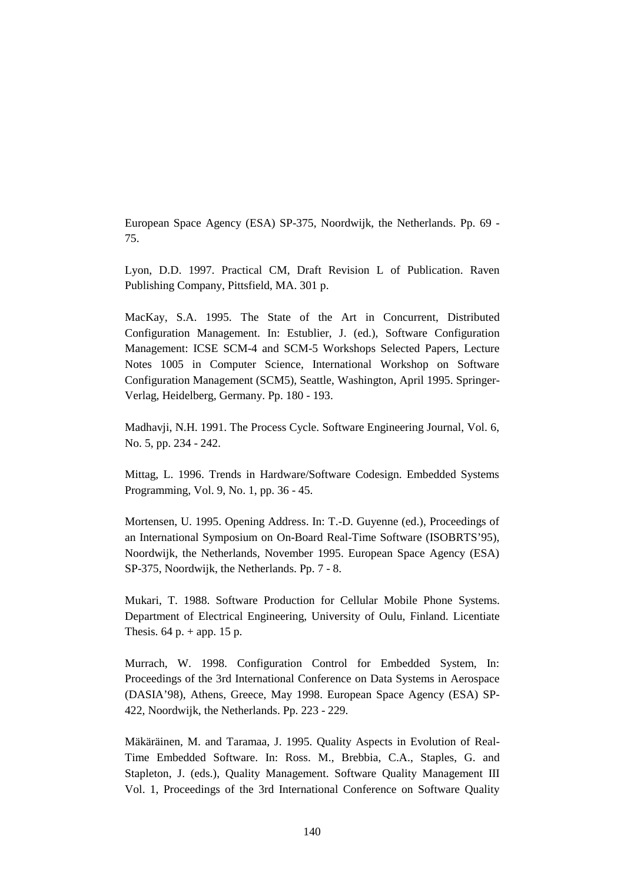European Space Agency (ESA) SP-375, Noordwijk, the Netherlands. Pp. 69 - 75.

Lyon, D.D. 1997. Practical CM, Draft Revision L of Publication. Raven Publishing Company, Pittsfield, MA. 301 p.

MacKay, S.A. 1995. The State of the Art in Concurrent, Distributed Configuration Management. In: Estublier, J. (ed.), Software Configuration Management: ICSE SCM-4 and SCM-5 Workshops Selected Papers, Lecture Notes 1005 in Computer Science, International Workshop on Software Configuration Management (SCM5), Seattle, Washington, April 1995. Springer-Verlag, Heidelberg, Germany. Pp. 180 - 193.

Madhavji, N.H. 1991. The Process Cycle. Software Engineering Journal, Vol. 6, No. 5, pp. 234 - 242.

Mittag, L. 1996. Trends in Hardware/Software Codesign. Embedded Systems Programming, Vol. 9, No. 1, pp. 36 - 45.

Mortensen, U. 1995. Opening Address. In: T.-D. Guyenne (ed.), Proceedings of an International Symposium on On-Board Real-Time Software (ISOBRTS'95), Noordwijk, the Netherlands, November 1995. European Space Agency (ESA) SP-375, Noordwijk, the Netherlands. Pp. 7 - 8.

Mukari, T. 1988. Software Production for Cellular Mobile Phone Systems. Department of Electrical Engineering, University of Oulu, Finland. Licentiate Thesis.  $64$  p. + app. 15 p.

Murrach, W. 1998. Configuration Control for Embedded System, In: Proceedings of the 3rd International Conference on Data Systems in Aerospace (DASIA'98), Athens, Greece, May 1998. European Space Agency (ESA) SP-422, Noordwijk, the Netherlands. Pp. 223 - 229.

Mäkäräinen, M. and Taramaa, J. 1995. Quality Aspects in Evolution of Real-Time Embedded Software. In: Ross. M., Brebbia, C.A., Staples, G. and Stapleton, J. (eds.), Quality Management. Software Quality Management III Vol. 1, Proceedings of the 3rd International Conference on Software Quality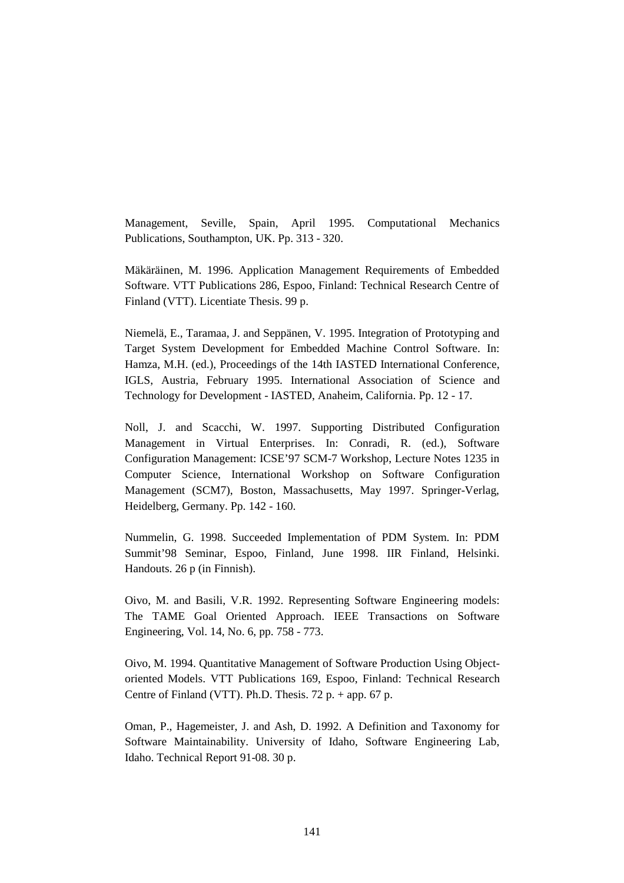Management, Seville, Spain, April 1995. Computational Mechanics Publications, Southampton, UK. Pp. 313 - 320.

Mäkäräinen, M. 1996. Application Management Requirements of Embedded Software. VTT Publications 286, Espoo, Finland: Technical Research Centre of Finland (VTT). Licentiate Thesis. 99 p.

Niemelä, E., Taramaa, J. and Seppänen, V. 1995. Integration of Prototyping and Target System Development for Embedded Machine Control Software. In: Hamza, M.H. (ed.), Proceedings of the 14th IASTED International Conference, IGLS, Austria, February 1995. International Association of Science and Technology for Development - IASTED, Anaheim, California. Pp. 12 - 17.

Noll, J. and Scacchi, W. 1997. Supporting Distributed Configuration Management in Virtual Enterprises. In: Conradi, R. (ed.), Software Configuration Management: ICSE'97 SCM-7 Workshop, Lecture Notes 1235 in Computer Science, International Workshop on Software Configuration Management (SCM7), Boston, Massachusetts, May 1997. Springer-Verlag, Heidelberg, Germany. Pp. 142 - 160.

Nummelin, G. 1998. Succeeded Implementation of PDM System. In: PDM Summit'98 Seminar, Espoo, Finland, June 1998. IIR Finland, Helsinki. Handouts. 26 p (in Finnish).

Oivo, M. and Basili, V.R. 1992. Representing Software Engineering models: The TAME Goal Oriented Approach. IEEE Transactions on Software Engineering, Vol. 14, No. 6, pp. 758 - 773.

Oivo, M. 1994. Quantitative Management of Software Production Using Objectoriented Models. VTT Publications 169, Espoo, Finland: Technical Research Centre of Finland (VTT). Ph.D. Thesis.  $72 p. + app. 67 p.$ 

Oman, P., Hagemeister, J. and Ash, D. 1992. A Definition and Taxonomy for Software Maintainability. University of Idaho, Software Engineering Lab, Idaho. Technical Report 91-08. 30 p.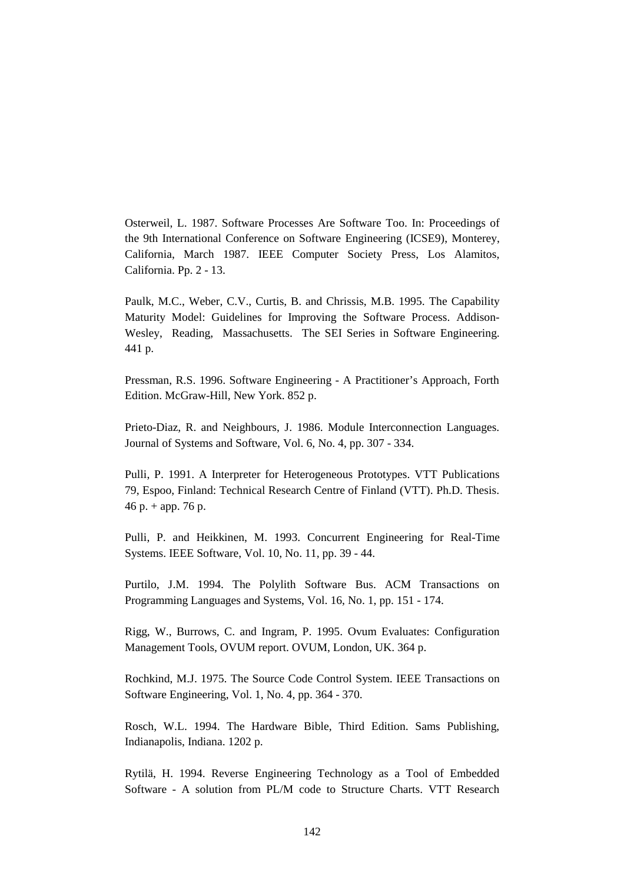Osterweil, L. 1987. Software Processes Are Software Too. In: Proceedings of the 9th International Conference on Software Engineering (ICSE9), Monterey, California, March 1987. IEEE Computer Society Press, Los Alamitos, California. Pp. 2 - 13.

Paulk, M.C., Weber, C.V., Curtis, B. and Chrissis, M.B. 1995. The Capability Maturity Model: Guidelines for Improving the Software Process. Addison-Wesley, Reading, Massachusetts. The SEI Series in Software Engineering. 441 p.

Pressman, R.S. 1996. Software Engineering - A Practitioner's Approach, Forth Edition. McGraw-Hill, New York. 852 p.

Prieto-Diaz, R. and Neighbours, J. 1986. Module Interconnection Languages. Journal of Systems and Software, Vol. 6, No. 4, pp. 307 - 334.

Pulli, P. 1991. A Interpreter for Heterogeneous Prototypes. VTT Publications 79, Espoo, Finland: Technical Research Centre of Finland (VTT). Ph.D. Thesis. 46 p.  $+$  app. 76 p.

Pulli, P. and Heikkinen, M. 1993. Concurrent Engineering for Real-Time Systems. IEEE Software, Vol. 10, No. 11, pp. 39 - 44.

Purtilo, J.M. 1994. The Polylith Software Bus. ACM Transactions on Programming Languages and Systems, Vol. 16, No. 1, pp. 151 - 174.

Rigg, W., Burrows, C. and Ingram, P. 1995. Ovum Evaluates: Configuration Management Tools, OVUM report. OVUM, London, UK. 364 p.

Rochkind, M.J. 1975. The Source Code Control System. IEEE Transactions on Software Engineering, Vol. 1, No. 4, pp. 364 - 370.

Rosch, W.L. 1994. The Hardware Bible, Third Edition. Sams Publishing, Indianapolis, Indiana. 1202 p.

Rytilä, H. 1994. Reverse Engineering Technology as a Tool of Embedded Software - A solution from PL/M code to Structure Charts. VTT Research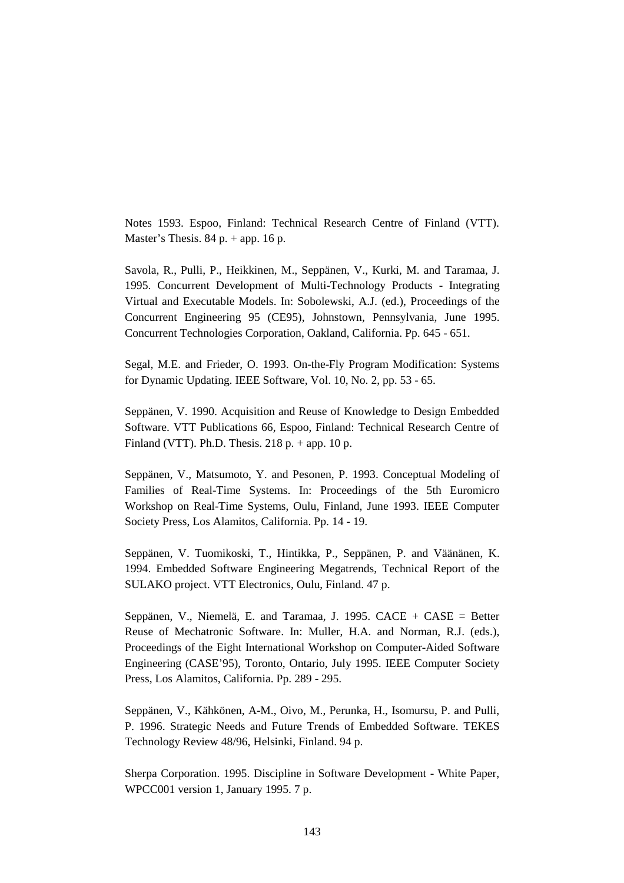Notes 1593. Espoo, Finland: Technical Research Centre of Finland (VTT). Master's Thesis.  $84 p. + app. 16 p.$ 

Savola, R., Pulli, P., Heikkinen, M., Seppänen, V., Kurki, M. and Taramaa, J. 1995. Concurrent Development of Multi-Technology Products - Integrating Virtual and Executable Models. In: Sobolewski, A.J. (ed.), Proceedings of the Concurrent Engineering 95 (CE95), Johnstown, Pennsylvania, June 1995. Concurrent Technologies Corporation, Oakland, California. Pp. 645 - 651.

Segal, M.E. and Frieder, O. 1993. On-the-Fly Program Modification: Systems for Dynamic Updating. IEEE Software, Vol. 10, No. 2, pp. 53 - 65.

Seppänen, V. 1990. Acquisition and Reuse of Knowledge to Design Embedded Software. VTT Publications 66, Espoo, Finland: Technical Research Centre of Finland (VTT). Ph.D. Thesis. 218 p.  $+$  app. 10 p.

Seppänen, V., Matsumoto, Y. and Pesonen, P. 1993. Conceptual Modeling of Families of Real-Time Systems. In: Proceedings of the 5th Euromicro Workshop on Real-Time Systems, Oulu, Finland, June 1993. IEEE Computer Society Press, Los Alamitos, California. Pp. 14 - 19.

Seppänen, V. Tuomikoski, T., Hintikka, P., Seppänen, P. and Väänänen, K. 1994. Embedded Software Engineering Megatrends, Technical Report of the SULAKO project. VTT Electronics, Oulu, Finland. 47 p.

Seppänen, V., Niemelä, E. and Taramaa, J. 1995. CACE + CASE = Better Reuse of Mechatronic Software. In: Muller, H.A. and Norman, R.J. (eds.), Proceedings of the Eight International Workshop on Computer-Aided Software Engineering (CASE'95), Toronto, Ontario, July 1995. IEEE Computer Society Press, Los Alamitos, California. Pp. 289 - 295.

Seppänen, V., Kähkönen, A-M., Oivo, M., Perunka, H., Isomursu, P. and Pulli, P. 1996. Strategic Needs and Future Trends of Embedded Software. TEKES Technology Review 48/96, Helsinki, Finland. 94 p.

Sherpa Corporation. 1995. Discipline in Software Development - White Paper, WPCC001 version 1, January 1995. 7 p.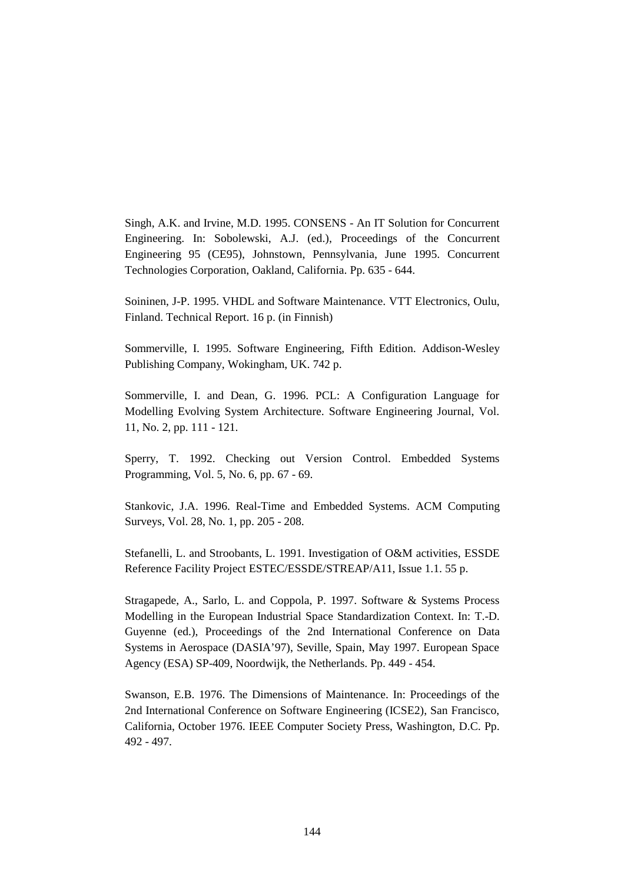Singh, A.K. and Irvine, M.D. 1995. CONSENS - An IT Solution for Concurrent Engineering. In: Sobolewski, A.J. (ed.), Proceedings of the Concurrent Engineering 95 (CE95), Johnstown, Pennsylvania, June 1995. Concurrent Technologies Corporation, Oakland, California. Pp. 635 - 644.

Soininen, J-P. 1995. VHDL and Software Maintenance. VTT Electronics, Oulu, Finland. Technical Report. 16 p. (in Finnish)

Sommerville, I. 1995. Software Engineering, Fifth Edition. Addison-Wesley Publishing Company, Wokingham, UK. 742 p.

Sommerville, I. and Dean, G. 1996. PCL: A Configuration Language for Modelling Evolving System Architecture. Software Engineering Journal, Vol. 11, No. 2, pp. 111 - 121.

Sperry, T. 1992. Checking out Version Control. Embedded Systems Programming, Vol. 5, No. 6, pp. 67 - 69.

Stankovic, J.A. 1996. Real-Time and Embedded Systems. ACM Computing Surveys, Vol. 28, No. 1, pp. 205 - 208.

Stefanelli, L. and Stroobants, L. 1991. Investigation of O&M activities, ESSDE Reference Facility Project ESTEC/ESSDE/STREAP/A11, Issue 1.1. 55 p.

Stragapede, A., Sarlo, L. and Coppola, P. 1997. Software & Systems Process Modelling in the European Industrial Space Standardization Context. In: T.-D. Guyenne (ed.), Proceedings of the 2nd International Conference on Data Systems in Aerospace (DASIA'97), Seville, Spain, May 1997. European Space Agency (ESA) SP-409, Noordwijk, the Netherlands. Pp. 449 - 454.

Swanson, E.B. 1976. The Dimensions of Maintenance. In: Proceedings of the 2nd International Conference on Software Engineering (ICSE2), San Francisco, California, October 1976. IEEE Computer Society Press, Washington, D.C. Pp. 492 - 497.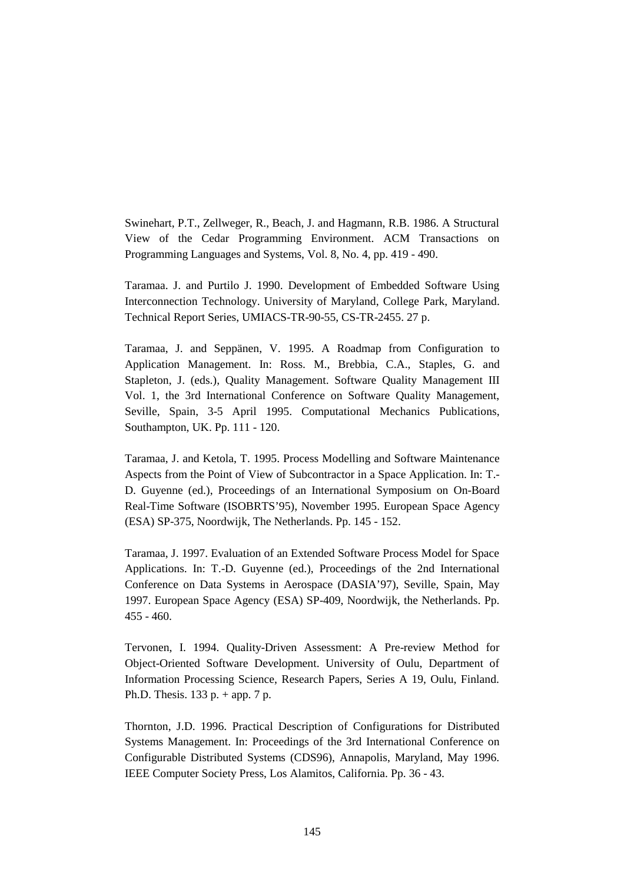Swinehart, P.T., Zellweger, R., Beach, J. and Hagmann, R.B. 1986. A Structural View of the Cedar Programming Environment. ACM Transactions on Programming Languages and Systems, Vol. 8, No. 4, pp. 419 - 490.

Taramaa. J. and Purtilo J. 1990. Development of Embedded Software Using Interconnection Technology. University of Maryland, College Park, Maryland. Technical Report Series, UMIACS-TR-90-55, CS-TR-2455. 27 p.

Taramaa, J. and Seppänen, V. 1995. A Roadmap from Configuration to Application Management. In: Ross. M., Brebbia, C.A., Staples, G. and Stapleton, J. (eds.), Quality Management. Software Quality Management III Vol. 1, the 3rd International Conference on Software Quality Management, Seville, Spain, 3-5 April 1995. Computational Mechanics Publications, Southampton, UK. Pp. 111 - 120.

Taramaa, J. and Ketola, T. 1995. Process Modelling and Software Maintenance Aspects from the Point of View of Subcontractor in a Space Application. In: T.- D. Guyenne (ed.), Proceedings of an International Symposium on On-Board Real-Time Software (ISOBRTS'95), November 1995. European Space Agency (ESA) SP-375, Noordwijk, The Netherlands. Pp. 145 - 152.

Taramaa, J. 1997. Evaluation of an Extended Software Process Model for Space Applications. In: T.-D. Guyenne (ed.), Proceedings of the 2nd International Conference on Data Systems in Aerospace (DASIA'97), Seville, Spain, May 1997. European Space Agency (ESA) SP-409, Noordwijk, the Netherlands. Pp. 455 - 460.

Tervonen, I. 1994. Quality-Driven Assessment: A Pre-review Method for Object-Oriented Software Development. University of Oulu, Department of Information Processing Science, Research Papers, Series A 19, Oulu, Finland. Ph.D. Thesis. 133 p. + app. 7 p.

Thornton, J.D. 1996. Practical Description of Configurations for Distributed Systems Management. In: Proceedings of the 3rd International Conference on Configurable Distributed Systems (CDS96), Annapolis, Maryland, May 1996. IEEE Computer Society Press, Los Alamitos, California. Pp. 36 - 43.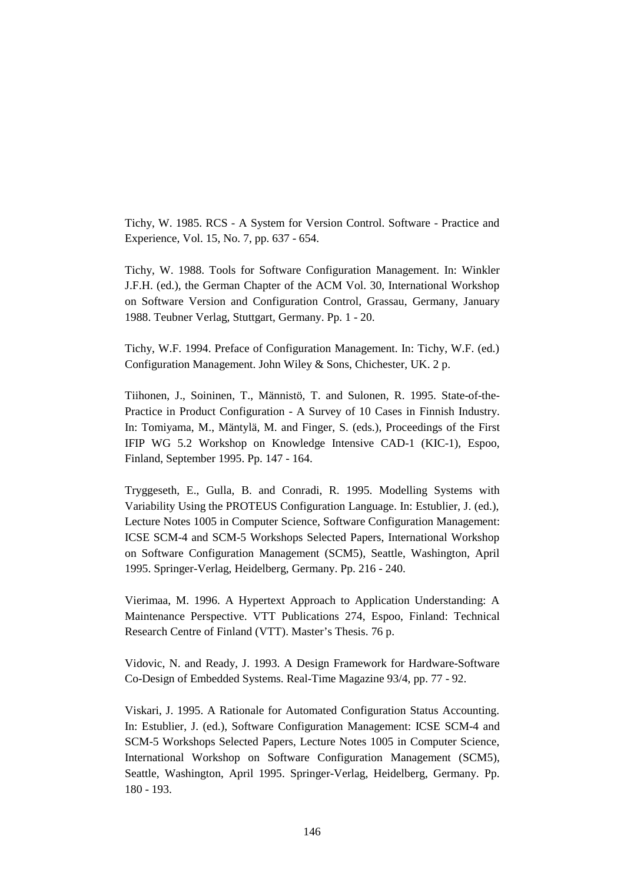Tichy, W. 1985. RCS - A System for Version Control. Software - Practice and Experience, Vol. 15, No. 7, pp. 637 - 654.

Tichy, W. 1988. Tools for Software Configuration Management. In: Winkler J.F.H. (ed.), the German Chapter of the ACM Vol. 30, International Workshop on Software Version and Configuration Control, Grassau, Germany, January 1988. Teubner Verlag, Stuttgart, Germany. Pp. 1 - 20.

Tichy, W.F. 1994. Preface of Configuration Management. In: Tichy, W.F. (ed.) Configuration Management. John Wiley & Sons, Chichester, UK. 2 p.

Tiihonen, J., Soininen, T., Männistö, T. and Sulonen, R. 1995. State-of-the-Practice in Product Configuration - A Survey of 10 Cases in Finnish Industry. In: Tomiyama, M., Mäntylä, M. and Finger, S. (eds.), Proceedings of the First IFIP WG 5.2 Workshop on Knowledge Intensive CAD-1 (KIC-1), Espoo, Finland, September 1995. Pp. 147 - 164.

Tryggeseth, E., Gulla, B. and Conradi, R. 1995. Modelling Systems with Variability Using the PROTEUS Configuration Language. In: Estublier, J. (ed.), Lecture Notes 1005 in Computer Science, Software Configuration Management: ICSE SCM-4 and SCM-5 Workshops Selected Papers, International Workshop on Software Configuration Management (SCM5), Seattle, Washington, April 1995. Springer-Verlag, Heidelberg, Germany. Pp. 216 - 240.

Vierimaa, M. 1996. A Hypertext Approach to Application Understanding: A Maintenance Perspective. VTT Publications 274, Espoo, Finland: Technical Research Centre of Finland (VTT). Master's Thesis. 76 p.

Vidovic, N. and Ready, J. 1993. A Design Framework for Hardware-Software Co-Design of Embedded Systems. Real-Time Magazine 93/4, pp. 77 - 92.

Viskari, J. 1995. A Rationale for Automated Configuration Status Accounting. In: Estublier, J. (ed.), Software Configuration Management: ICSE SCM-4 and SCM-5 Workshops Selected Papers, Lecture Notes 1005 in Computer Science, International Workshop on Software Configuration Management (SCM5), Seattle, Washington, April 1995. Springer-Verlag, Heidelberg, Germany. Pp. 180 - 193.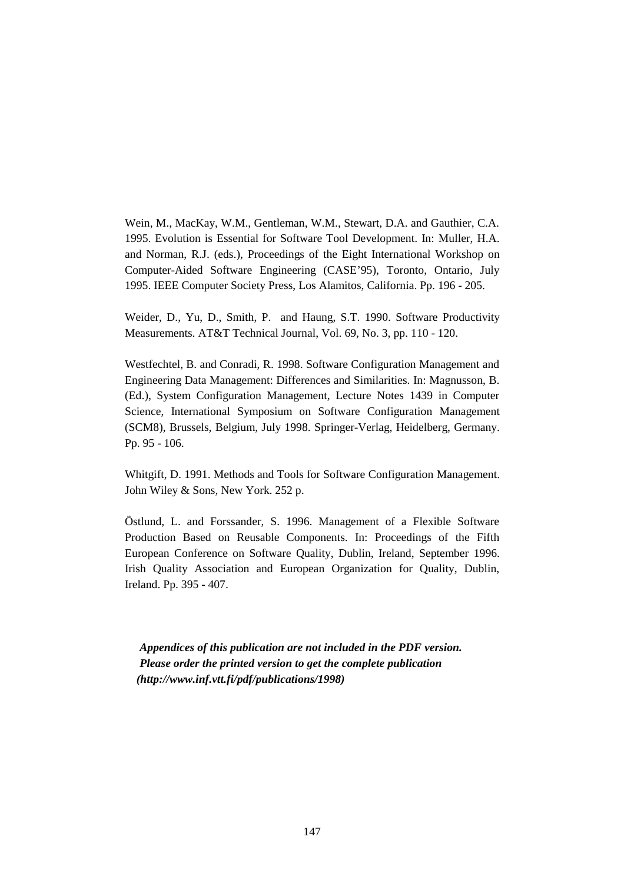Wein, M., MacKay, W.M., Gentleman, W.M., Stewart, D.A. and Gauthier, C.A. 1995. Evolution is Essential for Software Tool Development. In: Muller, H.A. and Norman, R.J. (eds.), Proceedings of the Eight International Workshop on Computer-Aided Software Engineering (CASE'95), Toronto, Ontario, July 1995. IEEE Computer Society Press, Los Alamitos, California. Pp. 196 - 205.

Weider, D., Yu, D., Smith, P. and Haung, S.T. 1990. Software Productivity Measurements. AT&T Technical Journal, Vol. 69, No. 3, pp. 110 - 120.

Westfechtel, B. and Conradi, R. 1998. Software Configuration Management and Engineering Data Management: Differences and Similarities. In: Magnusson, B. (Ed.), System Configuration Management, Lecture Notes 1439 in Computer Science, International Symposium on Software Configuration Management (SCM8), Brussels, Belgium, July 1998. Springer-Verlag, Heidelberg, Germany. Pp. 95 - 106.

Whitgift, D. 1991. Methods and Tools for Software Configuration Management. John Wiley & Sons, New York. 252 p.

Östlund, L. and Forssander, S. 1996. Management of a Flexible Software Production Based on Reusable Components. In: Proceedings of the Fifth European Conference on Software Quality, Dublin, Ireland, September 1996. Irish Quality Association and European Organization for Quality, Dublin, Ireland. Pp. 395 - 407.

*Appendices of this publication are not included in the PDF version. Please order the printed version to get the complete publication (http://www.inf.vtt.fi/pdf/publications/1998)*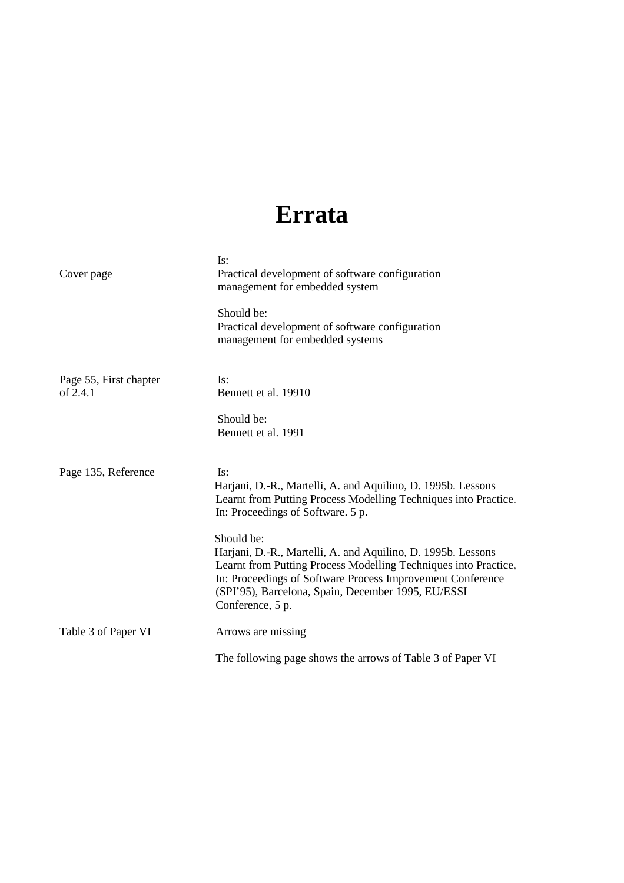## **Errata**

| Cover page                         | Is:<br>Practical development of software configuration<br>management for embedded system                                                                                                                                                                                                                                                                                                                                                         |  |
|------------------------------------|--------------------------------------------------------------------------------------------------------------------------------------------------------------------------------------------------------------------------------------------------------------------------------------------------------------------------------------------------------------------------------------------------------------------------------------------------|--|
|                                    | Should be:<br>Practical development of software configuration<br>management for embedded systems                                                                                                                                                                                                                                                                                                                                                 |  |
| Page 55, First chapter<br>of 2.4.1 | Is:<br>Bennett et al. 19910<br>Should be:<br>Bennett et al. 1991                                                                                                                                                                                                                                                                                                                                                                                 |  |
| Page 135, Reference                | Is:<br>Harjani, D.-R., Martelli, A. and Aquilino, D. 1995b. Lessons<br>Learnt from Putting Process Modelling Techniques into Practice.<br>In: Proceedings of Software. 5 p.<br>Should be:<br>Harjani, D.-R., Martelli, A. and Aquilino, D. 1995b. Lessons<br>Learnt from Putting Process Modelling Techniques into Practice,<br>In: Proceedings of Software Process Improvement Conference<br>(SPI'95), Barcelona, Spain, December 1995, EU/ESSI |  |
| Table 3 of Paper VI                | Conference, 5 p.<br>Arrows are missing<br>The following page shows the arrows of Table 3 of Paper VI                                                                                                                                                                                                                                                                                                                                             |  |